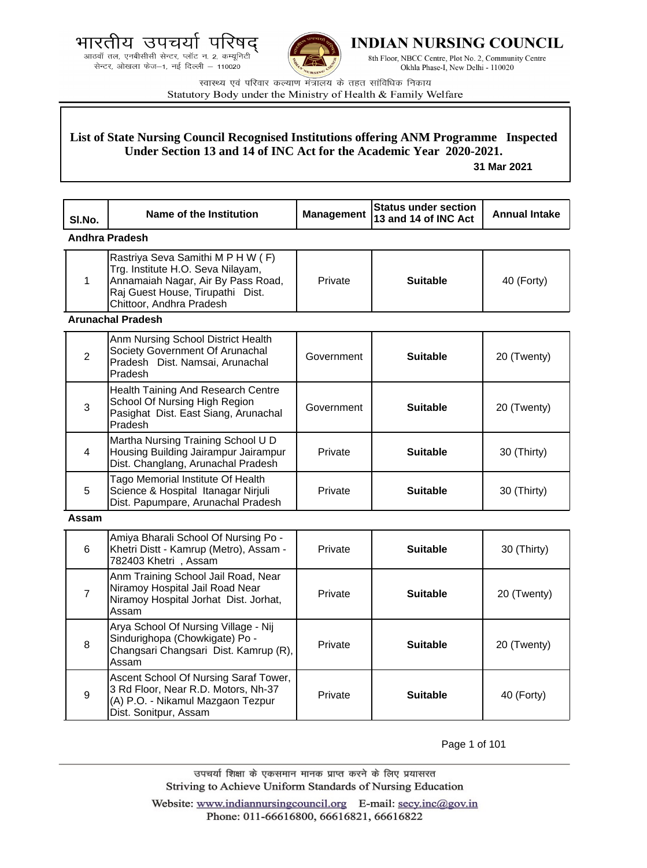आठवाँ तल, एनबीसीसी सेन्टर, प्लॉट न. 2, कम्यूनिटी सेन्टर, ओखला फेज-1, नई दिल्ली - 110020



**INDIAN NURSING COUNCIL** 

8th Floor, NBCC Centre, Plot No. 2, Community Centre Okhla Phase-I, New Delhi - 110020

स्वास्थ्य एवं परिवार कल्याण मंत्रालय के तहत सांविधिक निकाय Statutory Body under the Ministry of Health & Family Welfare

# **List of State Nursing Council Recognised Institutions offering ANM Programme Inspected Under Section 13 and 14 of INC Act for the Academic Year 2020-2021.**

 **31 Mar 2021**

| SI.No.         | <b>Name of the Institution</b>                                                                                                                                               | <b>Management</b> | <b>Status under section</b><br>13 and 14 of INC Act | <b>Annual Intake</b> |
|----------------|------------------------------------------------------------------------------------------------------------------------------------------------------------------------------|-------------------|-----------------------------------------------------|----------------------|
|                | Andhra Pradesh                                                                                                                                                               |                   |                                                     |                      |
| 1              | Rastriya Seva Samithi M P H W (F)<br>Trg. Institute H.O. Seva Nilayam,<br>Annamaiah Nagar, Air By Pass Road,<br>Raj Guest House, Tirupathi Dist.<br>Chittoor, Andhra Pradesh | Private           | <b>Suitable</b>                                     | 40 (Forty)           |
|                | <b>Arunachal Pradesh</b>                                                                                                                                                     |                   |                                                     |                      |
| $\overline{2}$ | Anm Nursing School District Health<br>Society Government Of Arunachal<br>Pradesh Dist. Namsai, Arunachal<br>Pradesh                                                          | Government        | <b>Suitable</b>                                     | 20 (Twenty)          |
| 3              | Health Taining And Research Centre<br>School Of Nursing High Region<br>Pasighat Dist. East Siang, Arunachal<br>Pradesh                                                       | Government        | <b>Suitable</b>                                     | 20 (Twenty)          |
| 4              | Martha Nursing Training School U D<br>Housing Building Jairampur Jairampur<br>Dist. Changlang, Arunachal Pradesh                                                             | Private           | <b>Suitable</b>                                     | 30 (Thirty)          |
| 5              | Tago Memorial Institute Of Health<br>Science & Hospital Itanagar Nirjuli<br>Dist. Papumpare, Arunachal Pradesh                                                               | Private           | <b>Suitable</b>                                     | 30 (Thirty)          |
| Assam          |                                                                                                                                                                              |                   |                                                     |                      |
| 6              | Amiya Bharali School Of Nursing Po -<br>Khetri Distt - Kamrup (Metro), Assam -<br>782403 Khetri, Assam                                                                       | Private           | <b>Suitable</b>                                     | 30 (Thirty)          |
| $\overline{7}$ | Anm Training School Jail Road, Near<br>Niramoy Hospital Jail Road Near<br>Niramoy Hospital Jorhat Dist. Jorhat,<br>Assam                                                     | Private           | <b>Suitable</b>                                     | 20 (Twenty)          |
| 8              | Arya School Of Nursing Village - Nij<br>Sindurighopa (Chowkigate) Po -<br>Changsari Changsari Dist. Kamrup (R),<br>Assam                                                     | Private           | <b>Suitable</b>                                     | 20 (Twenty)          |
| 9              | Ascent School Of Nursing Saraf Tower,<br>3 Rd Floor, Near R.D. Motors, Nh-37<br>(A) P.O. - Nikamul Mazgaon Tezpur<br>Dist. Sonitpur, Assam                                   | Private           | <b>Suitable</b>                                     | 40 (Forty)           |

Page 1 of 101

उपचर्या शिक्षा के एकसमान मानक प्राप्त करने के लिए प्रयासरत Striving to Achieve Uniform Standards of Nursing Education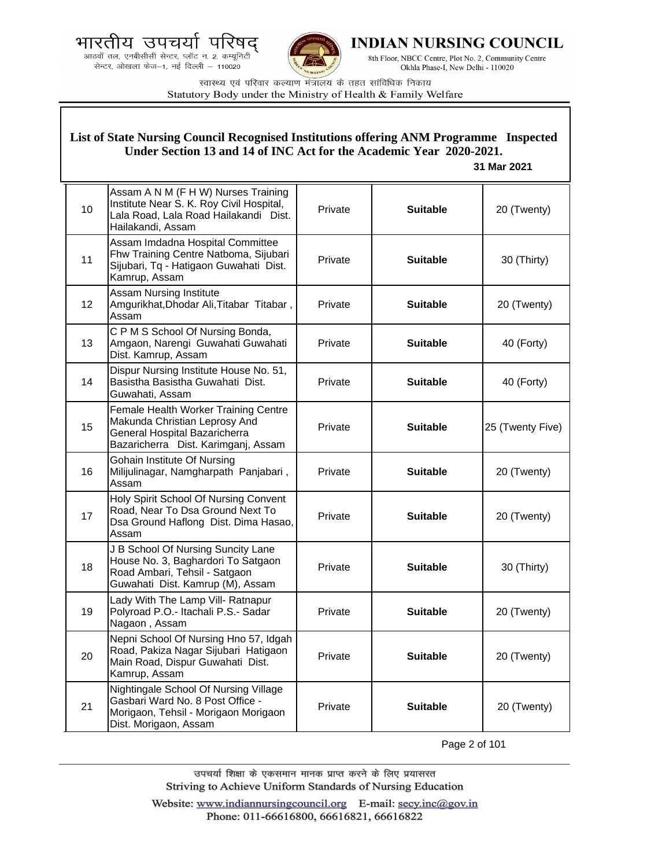.<br>आठवाँ तल, एनबीसीसी सेन्टर, प्लॉट न. 2, कम्यूनिटी<br>सेन्टर, ओखला फेज—1, नई दिल्ली — 110020



**INDIAN NURSING COUNCIL** 

8th Floor, NBCC Centre, Plot No. 2, Community Centre Okhla Phase-I, New Delhi - 110020

स्वास्थ्य एवं परिवार कल्याण मंत्रालय के तहत सांविधिक निकाय Statutory Body under the Ministry of Health & Family Welfare

|    | List of State Nursing Council Recognised Institutions offering ANM Programme Inspected<br>Under Section 13 and 14 of INC Act for the Academic Year 2020-2021.<br>31 Mar 2021 |         |                 |                  |  |
|----|------------------------------------------------------------------------------------------------------------------------------------------------------------------------------|---------|-----------------|------------------|--|
| 10 | Assam A N M (F H W) Nurses Training<br>Institute Near S. K. Roy Civil Hospital,<br>Lala Road, Lala Road Hailakandi Dist.<br>Hailakandi, Assam                                | Private | <b>Suitable</b> | 20 (Twenty)      |  |
| 11 | Assam Imdadna Hospital Committee<br>Fhw Training Centre Natboma, Sijubari<br>Sijubari, Tq - Hatigaon Guwahati Dist.<br>Kamrup, Assam                                         | Private | <b>Suitable</b> | 30 (Thirty)      |  |
| 12 | <b>Assam Nursing Institute</b><br>Amgurikhat, Dhodar Ali, Titabar Titabar,<br>Assam                                                                                          | Private | <b>Suitable</b> | 20 (Twenty)      |  |
| 13 | C P M S School Of Nursing Bonda,<br>Amgaon, Narengi Guwahati Guwahati<br>Dist. Kamrup, Assam                                                                                 | Private | <b>Suitable</b> | 40 (Forty)       |  |
| 14 | Dispur Nursing Institute House No. 51,<br>Basistha Basistha Guwahati Dist.<br>Guwahati, Assam                                                                                | Private | <b>Suitable</b> | 40 (Forty)       |  |
| 15 | Female Health Worker Training Centre<br>Makunda Christian Leprosy And<br>General Hospital Bazaricherra<br>Bazaricherra Dist. Karimganj, Assam                                | Private | <b>Suitable</b> | 25 (Twenty Five) |  |
| 16 | Gohain Institute Of Nursing<br>Milijulinagar, Namgharpath Panjabari,<br>Assam                                                                                                | Private | <b>Suitable</b> | 20 (Twenty)      |  |
| 17 | Holy Spirit School Of Nursing Convent<br>Road, Near To Dsa Ground Next To<br>Dsa Ground Haflong Dist. Dima Hasao,<br>Assam                                                   | Private | <b>Suitable</b> | 20 (Twenty)      |  |
| 18 | J B School Of Nursing Suncity Lane<br>House No. 3, Baghardori To Satgaon<br>Road Ambari, Tehsil - Satgaon<br>Guwahati Dist. Kamrup (M), Assam                                | Private | <b>Suitable</b> | 30 (Thirty)      |  |
| 19 | Lady With The Lamp Vill- Ratnapur<br>Polyroad P.O.- Itachali P.S.- Sadar<br>Nagaon, Assam                                                                                    | Private | <b>Suitable</b> | 20 (Twenty)      |  |
| 20 | Nepni School Of Nursing Hno 57, Idgah<br>Road, Pakiza Nagar Sijubari Hatigaon<br>Main Road, Dispur Guwahati Dist.<br>Kamrup, Assam                                           | Private | <b>Suitable</b> | 20 (Twenty)      |  |
| 21 | Nightingale School Of Nursing Village<br>Gasbari Ward No. 8 Post Office -<br>Morigaon, Tehsil - Morigaon Morigaon<br>Dist. Morigaon, Assam                                   | Private | <b>Suitable</b> | 20 (Twenty)      |  |

Page 2 of 101

उपचर्या शिक्षा के एकसमान मानक प्राप्त करने के लिए प्रयासरत Striving to Achieve Uniform Standards of Nursing Education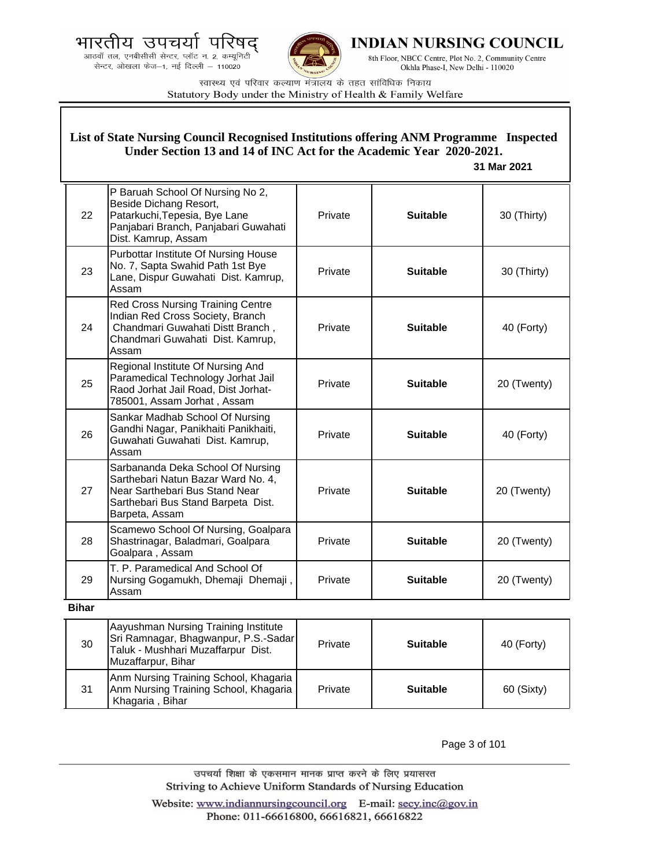.<br>आठवाँ तल, एनबीसीसी सेन्टर, प्लॉट न. 2, कम्यूनिटी<br>सेन्टर, ओखला फेज—1, नई दिल्ली — 110020



**INDIAN NURSING COUNCIL** 

8th Floor, NBCC Centre, Plot No. 2, Community Centre Okhla Phase-I, New Delhi - 110020

स्वास्थ्य एवं परिवार कल्याण मंत्रालय के तहत सांविधिक निकाय Statutory Body under the Ministry of Health & Family Welfare

| List of State Nursing Council Recognised Institutions offering ANM Programme Inspected<br>Under Section 13 and 14 of INC Act for the Academic Year 2020-2021.<br>31 Mar 2021 |                                                                                                                                                                   |         |                 |             |
|------------------------------------------------------------------------------------------------------------------------------------------------------------------------------|-------------------------------------------------------------------------------------------------------------------------------------------------------------------|---------|-----------------|-------------|
| 22                                                                                                                                                                           | P Baruah School Of Nursing No 2,<br>Beside Dichang Resort,<br>Patarkuchi, Tepesia, Bye Lane<br>Panjabari Branch, Panjabari Guwahati<br>Dist. Kamrup, Assam        | Private | <b>Suitable</b> | 30 (Thirty) |
| 23                                                                                                                                                                           | Purbottar Institute Of Nursing House<br>No. 7, Sapta Swahid Path 1st Bye<br>Lane, Dispur Guwahati Dist. Kamrup,<br>Assam                                          | Private | <b>Suitable</b> | 30 (Thirty) |
| 24                                                                                                                                                                           | Red Cross Nursing Training Centre<br>Indian Red Cross Society, Branch<br>Chandmari Guwahati Distt Branch,<br>Chandmari Guwahati Dist. Kamrup,<br>Assam            | Private | <b>Suitable</b> | 40 (Forty)  |
| 25                                                                                                                                                                           | Regional Institute Of Nursing And<br>Paramedical Technology Jorhat Jail<br>Raod Jorhat Jail Road, Dist Jorhat-<br>785001, Assam Jorhat, Assam                     | Private | <b>Suitable</b> | 20 (Twenty) |
| 26                                                                                                                                                                           | Sankar Madhab School Of Nursing<br>Gandhi Nagar, Panikhaiti Panikhaiti,<br>Guwahati Guwahati Dist. Kamrup,<br>Assam                                               | Private | <b>Suitable</b> | 40 (Forty)  |
| 27                                                                                                                                                                           | Sarbananda Deka School Of Nursing<br>Sarthebari Natun Bazar Ward No. 4,<br>Near Sarthebari Bus Stand Near<br>Sarthebari Bus Stand Barpeta Dist.<br>Barpeta, Assam | Private | <b>Suitable</b> | 20 (Twenty) |
| 28                                                                                                                                                                           | Scamewo School Of Nursing, Goalpara<br>Shastrinagar, Baladmari, Goalpara<br>Goalpara, Assam                                                                       | Private | <b>Suitable</b> | 20 (Twenty) |
| 29                                                                                                                                                                           | T. P. Paramedical And School Of<br>Nursing Gogamukh, Dhemaji Dhemaji,<br>Assam                                                                                    | Private | <b>Suitable</b> | 20 (Twenty) |
| <b>Bihar</b>                                                                                                                                                                 |                                                                                                                                                                   |         |                 |             |
| 30                                                                                                                                                                           | Aayushman Nursing Training Institute<br>Sri Ramnagar, Bhagwanpur, P.S.-Sadar<br>Taluk - Mushhari Muzaffarpur Dist.<br>Muzaffarpur, Bihar                          | Private | <b>Suitable</b> | 40 (Forty)  |
| 31                                                                                                                                                                           | Anm Nursing Training School, Khagaria<br>Anm Nursing Training School, Khagaria<br>Khagaria, Bihar                                                                 | Private | <b>Suitable</b> | 60 (Sixty)  |

Page 3 of 101

उपचर्या शिक्षा के एकसमान मानक प्राप्त करने के लिए प्रयासरत Striving to Achieve Uniform Standards of Nursing Education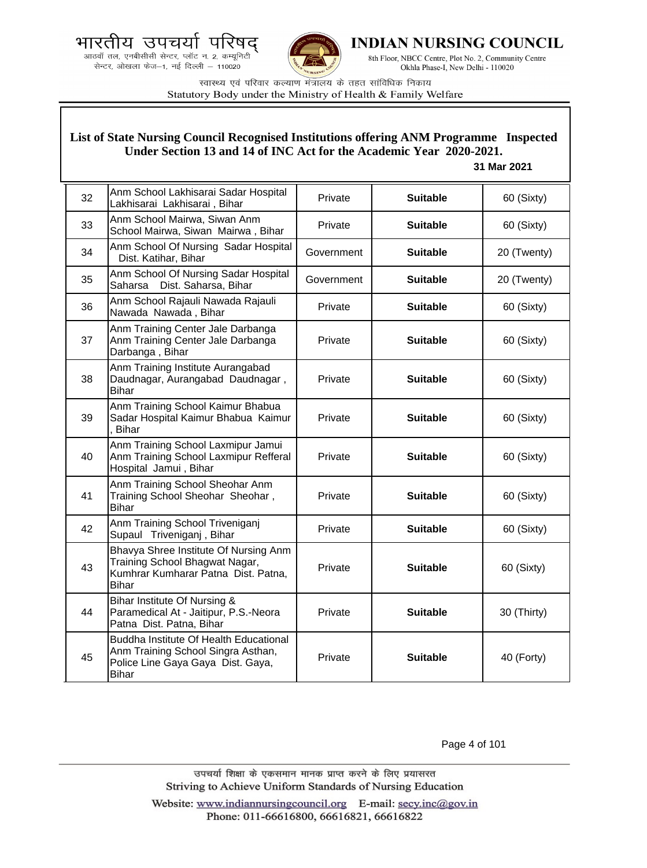



**INDIAN NURSING COUNCIL** 

8th Floor, NBCC Centre, Plot No. 2, Community Centre Okhla Phase-I, New Delhi - 110020

स्वास्थ्य एवं परिवार कल्याण मंत्रालय के तहत सांविधिक निकाय Statutory Body under the Ministry of Health & Family Welfare

### **List of State Nursing Council Recognised Institutions offering ANM Programme Inspected Under Section 13 and 14 of INC Act for the Academic Year 2020-2021.**

#### **31 Mar 2021**

| 32 | Anm School Lakhisarai Sadar Hospital<br>Lakhisarai Lakhisarai, Bihar                                                              | Private    | <b>Suitable</b> | 60 (Sixty)  |
|----|-----------------------------------------------------------------------------------------------------------------------------------|------------|-----------------|-------------|
| 33 | Anm School Mairwa, Siwan Anm<br>School Mairwa, Siwan Mairwa, Bihar                                                                | Private    | <b>Suitable</b> | 60 (Sixty)  |
| 34 | Anm School Of Nursing Sadar Hospital<br>Dist. Katihar, Bihar                                                                      | Government | <b>Suitable</b> | 20 (Twenty) |
| 35 | Anm School Of Nursing Sadar Hospital<br>Dist. Saharsa, Bihar<br>Saharsa                                                           | Government | <b>Suitable</b> | 20 (Twenty) |
| 36 | Anm School Rajauli Nawada Rajauli<br>Nawada Nawada, Bihar                                                                         | Private    | <b>Suitable</b> | 60 (Sixty)  |
| 37 | Anm Training Center Jale Darbanga<br>Anm Training Center Jale Darbanga<br>Darbanga, Bihar                                         | Private    | <b>Suitable</b> | 60 (Sixty)  |
| 38 | Anm Training Institute Aurangabad<br>Daudnagar, Aurangabad Daudnagar,<br><b>Bihar</b>                                             | Private    | <b>Suitable</b> | 60 (Sixty)  |
| 39 | Anm Training School Kaimur Bhabua<br>Sadar Hospital Kaimur Bhabua Kaimur<br><b>Bihar</b>                                          | Private    | <b>Suitable</b> | 60 (Sixty)  |
| 40 | Anm Training School Laxmipur Jamui<br>Anm Training School Laxmipur Refferal<br>Hospital Jamui, Bihar                              | Private    | <b>Suitable</b> | 60 (Sixty)  |
| 41 | Anm Training School Sheohar Anm<br>Training School Sheohar Sheohar,<br><b>Bihar</b>                                               | Private    | <b>Suitable</b> | 60 (Sixty)  |
| 42 | Anm Training School Triveniganj<br>Supaul Triveniganj, Bihar                                                                      | Private    | <b>Suitable</b> | 60 (Sixty)  |
| 43 | Bhavya Shree Institute Of Nursing Anm<br>Training School Bhagwat Nagar,<br>Kumhrar Kumharar Patna Dist. Patna,<br><b>Bihar</b>    | Private    | <b>Suitable</b> | 60 (Sixty)  |
| 44 | Bihar Institute Of Nursing &<br>Paramedical At - Jaitipur, P.S.-Neora<br>Patna Dist. Patna, Bihar                                 | Private    | <b>Suitable</b> | 30 (Thirty) |
| 45 | Buddha Institute Of Health Educational<br>Anm Training School Singra Asthan,<br>Police Line Gaya Gaya Dist. Gaya,<br><b>Bihar</b> | Private    | <b>Suitable</b> | 40 (Forty)  |

Page 4 of 101

उपचर्या शिक्षा के एकसमान मानक प्राप्त करने के लिए प्रयासरत Striving to Achieve Uniform Standards of Nursing Education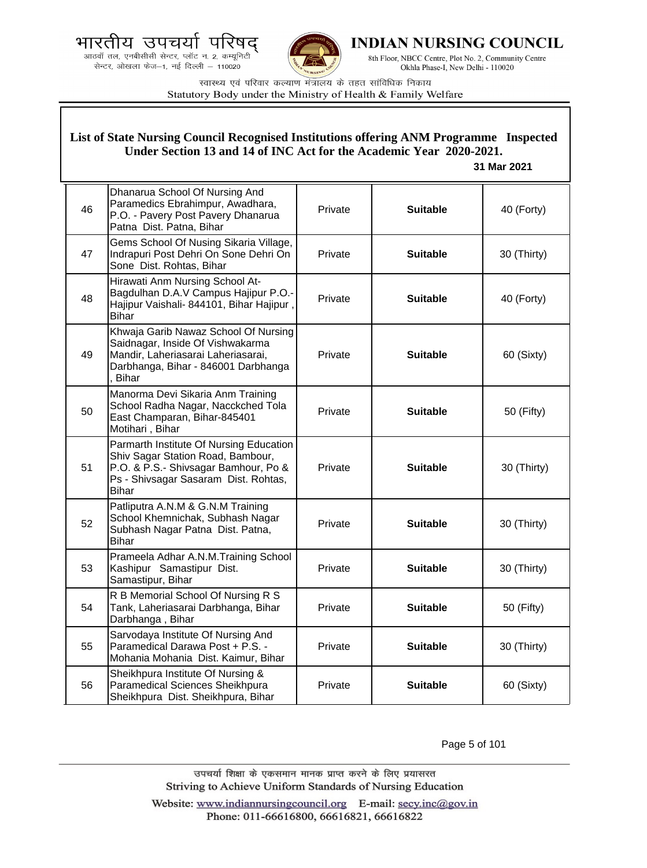



**INDIAN NURSING COUNCIL** 

8th Floor, NBCC Centre, Plot No. 2, Community Centre Okhla Phase-I, New Delhi - 110020

स्वास्थ्य एवं परिवार कल्याण मंत्रालय के तहत सांविधिक निकाय Statutory Body under the Ministry of Health & Family Welfare

|    | List of State Nursing Council Recognised Institutions offering ANM Programme Inspected<br>Under Section 13 and 14 of INC Act for the Academic Year 2020-2021.<br>31 Mar 2021 |         |                 |             |  |
|----|------------------------------------------------------------------------------------------------------------------------------------------------------------------------------|---------|-----------------|-------------|--|
| 46 | Dhanarua School Of Nursing And<br>Paramedics Ebrahimpur, Awadhara,<br>P.O. - Pavery Post Pavery Dhanarua<br>Patna Dist. Patna, Bihar                                         | Private | <b>Suitable</b> | 40 (Forty)  |  |
| 47 | Gems School Of Nusing Sikaria Village,<br>Indrapuri Post Dehri On Sone Dehri On<br>Sone Dist. Rohtas, Bihar                                                                  | Private | <b>Suitable</b> | 30 (Thirty) |  |
| 48 | Hirawati Anm Nursing School At-<br>Bagdulhan D.A.V Campus Hajipur P.O.-<br>Hajipur Vaishali- 844101, Bihar Hajipur,<br><b>Bihar</b>                                          | Private | <b>Suitable</b> | 40 (Forty)  |  |
| 49 | Khwaja Garib Nawaz School Of Nursing<br>Saidnagar, Inside Of Vishwakarma<br>Mandir, Laheriasarai Laheriasarai,<br>Darbhanga, Bihar - 846001 Darbhanga<br><b>Bihar</b>        | Private | <b>Suitable</b> | 60 (Sixty)  |  |
| 50 | Manorma Devi Sikaria Anm Training<br>School Radha Nagar, Nacckched Tola<br>East Champaran, Bihar-845401<br>Motihari, Bihar                                                   | Private | <b>Suitable</b> | 50 (Fifty)  |  |
| 51 | Parmarth Institute Of Nursing Education<br>Shiv Sagar Station Road, Bambour,<br>P.O. & P.S.- Shivsagar Bamhour, Po &<br>Ps - Shivsagar Sasaram Dist. Rohtas,<br><b>Bihar</b> | Private | <b>Suitable</b> | 30 (Thirty) |  |
| 52 | Patliputra A.N.M & G.N.M Training<br>School Khemnichak, Subhash Nagar<br>Subhash Nagar Patna Dist. Patna,<br><b>Bihar</b>                                                    | Private | <b>Suitable</b> | 30 (Thirty) |  |
| 53 | Prameela Adhar A.N.M.Training School<br>Kashipur Samastipur Dist.<br>Samastipur, Bihar                                                                                       | Private | <b>Suitable</b> | 30 (Thirty) |  |
| 54 | R B Memorial School Of Nursing R S<br>Tank, Laheriasarai Darbhanga, Bihar<br>Darbhanga, Bihar                                                                                | Private | <b>Suitable</b> | 50 (Fifty)  |  |
| 55 | Sarvodaya Institute Of Nursing And<br>Paramedical Darawa Post + P.S. -<br>Mohania Mohania Dist. Kaimur, Bihar                                                                | Private | <b>Suitable</b> | 30 (Thirty) |  |
| 56 | Sheikhpura Institute Of Nursing &<br>Paramedical Sciences Sheikhpura<br>Sheikhpura Dist. Sheikhpura, Bihar                                                                   | Private | <b>Suitable</b> | 60 (Sixty)  |  |

Page 5 of 101

उपचर्या शिक्षा के एकसमान मानक प्राप्त करने के लिए प्रयासरत Striving to Achieve Uniform Standards of Nursing Education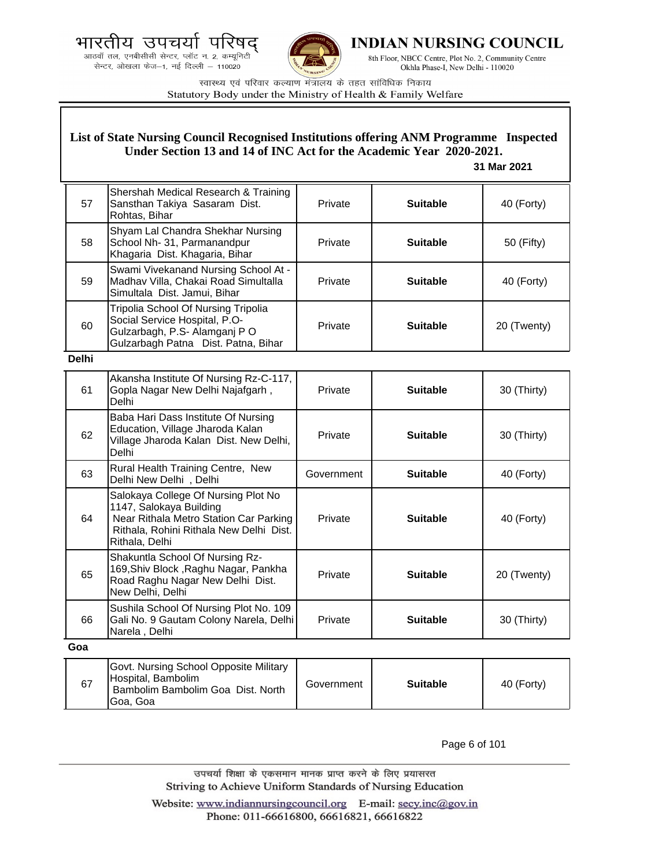



**INDIAN NURSING COUNCIL** 

8th Floor, NBCC Centre, Plot No. 2, Community Centre Okhla Phase-I, New Delhi - 110020

स्वास्थ्य एवं परिवार कल्याण मंत्रालय के तहत सांविधिक निकाय Statutory Body under the Ministry of Health & Family Welfare

# **List of State Nursing Council Recognised Institutions offering ANM Programme Inspected Under Section 13 and 14 of INC Act for the Academic Year 2020-2021.**

### **31 Mar 2021**

| 57           | Shershah Medical Research & Training<br>Sansthan Takiya Sasaram Dist.<br>Rohtas, Bihar                                                                                | Private    | <b>Suitable</b> | 40 (Forty)  |
|--------------|-----------------------------------------------------------------------------------------------------------------------------------------------------------------------|------------|-----------------|-------------|
| 58           | Shyam Lal Chandra Shekhar Nursing<br>School Nh- 31, Parmanandpur<br>Khagaria Dist. Khagaria, Bihar                                                                    | Private    | <b>Suitable</b> | 50 (Fifty)  |
| 59           | Swami Vivekanand Nursing School At -<br>Madhav Villa, Chakai Road Simultalla<br>Simultala Dist. Jamui, Bihar                                                          | Private    | <b>Suitable</b> | 40 (Forty)  |
| 60           | Tripolia School Of Nursing Tripolia<br>Social Service Hospital, P.O-<br>Gulzarbagh, P.S- Alamganj PO<br>Gulzarbagh Patna Dist. Patna, Bihar                           | Private    | <b>Suitable</b> | 20 (Twenty) |
| <b>Delhi</b> |                                                                                                                                                                       |            |                 |             |
| 61           | Akansha Institute Of Nursing Rz-C-117,<br>Gopla Nagar New Delhi Najafgarh,<br><b>Delhi</b>                                                                            | Private    | <b>Suitable</b> | 30 (Thirty) |
| 62           | Baba Hari Dass Institute Of Nursing<br>Education, Village Jharoda Kalan<br>Village Jharoda Kalan Dist. New Delhi,<br><b>Delhi</b>                                     | Private    | <b>Suitable</b> | 30 (Thirty) |
| 63           | Rural Health Training Centre, New<br>Delhi New Delhi, Delhi                                                                                                           | Government | <b>Suitable</b> | 40 (Forty)  |
| 64           | Salokaya College Of Nursing Plot No<br>1147, Salokaya Building<br>Near Rithala Metro Station Car Parking<br>Rithala, Rohini Rithala New Delhi Dist.<br>Rithala, Delhi | Private    | <b>Suitable</b> | 40 (Forty)  |
| 65           | Shakuntla School Of Nursing Rz-<br>169, Shiv Block, Raghu Nagar, Pankha<br>Road Raghu Nagar New Delhi Dist.<br>New Delhi, Delhi                                       | Private    | <b>Suitable</b> | 20 (Twenty) |
| 66           | Sushila School Of Nursing Plot No. 109<br>Gali No. 9 Gautam Colony Narela, Delhi<br>Narela, Delhi                                                                     | Private    | <b>Suitable</b> | 30 (Thirty) |
| Goa          |                                                                                                                                                                       |            |                 |             |
|              | Govt. Nursing School Opposite Military                                                                                                                                |            |                 |             |

| 67 | Govt. Nursing School Opposite Military<br>Hospital, Bambolim<br>Bambolim Bambolim Goa Dist. North<br>lGoa. Goa | Government | <b>Suitable</b> | 40 (Forty) |
|----|----------------------------------------------------------------------------------------------------------------|------------|-----------------|------------|
|----|----------------------------------------------------------------------------------------------------------------|------------|-----------------|------------|

Page 6 of 101

उपचर्या शिक्षा के एकसमान मानक प्राप्त करने के लिए प्रयासरत Striving to Achieve Uniform Standards of Nursing Education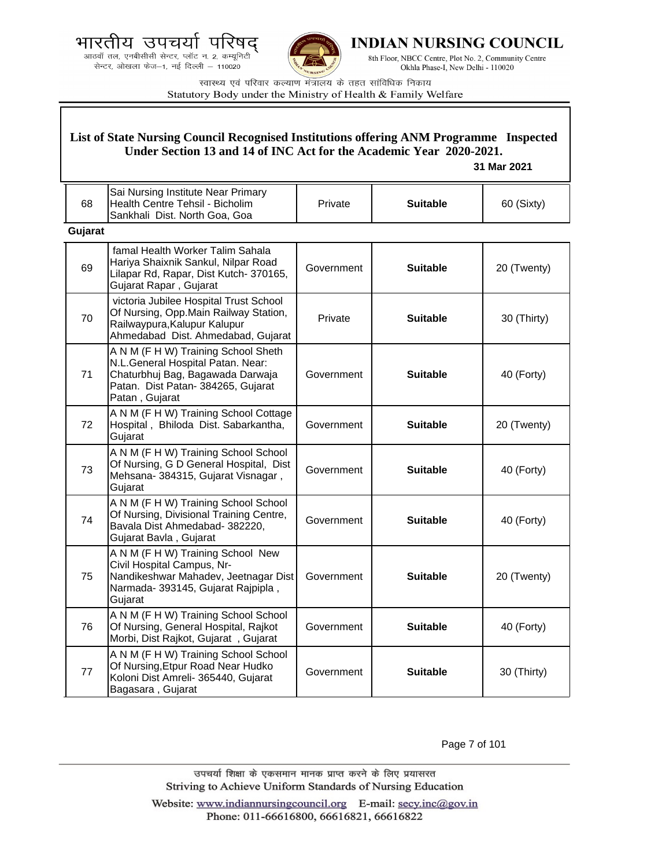.<br>आठवाँ तल, एनबीसीसी सेन्टर, प्लॉट न. 2, कम्यूनिटी<br>सेन्टर, ओखला फेज—1, नई दिल्ली — 110020



**INDIAN NURSING COUNCIL** 

8th Floor, NBCC Centre, Plot No. 2, Community Centre Okhla Phase-I, New Delhi - 110020

स्वास्थ्य एवं परिवार कल्याण मंत्रालय के तहत सांविधिक निकाय Statutory Body under the Ministry of Health & Family Welfare

|         | List of State Nursing Council Recognised Institutions offering ANM Programme Inspected<br>Under Section 13 and 14 of INC Act for the Academic Year 2020-2021.<br>31 Mar 2021 |            |                 |             |
|---------|------------------------------------------------------------------------------------------------------------------------------------------------------------------------------|------------|-----------------|-------------|
| 68      | Sai Nursing Institute Near Primary<br>Health Centre Tehsil - Bicholim<br>Sankhali Dist. North Goa, Goa                                                                       | Private    | <b>Suitable</b> | 60 (Sixty)  |
| Gujarat |                                                                                                                                                                              |            |                 |             |
| 69      | famal Health Worker Talim Sahala<br>Hariya Shaixnik Sankul, Nilpar Road<br>Lilapar Rd, Rapar, Dist Kutch-370165,<br>Gujarat Rapar, Gujarat                                   | Government | <b>Suitable</b> | 20 (Twenty) |
| 70      | victoria Jubilee Hospital Trust School<br>Of Nursing, Opp.Main Railway Station,<br>Railwaypura, Kalupur Kalupur<br>Ahmedabad Dist. Ahmedabad, Gujarat                        | Private    | <b>Suitable</b> | 30 (Thirty) |
| 71      | A N M (F H W) Training School Sheth<br>N.L.General Hospital Patan. Near:<br>Chaturbhuj Bag, Bagawada Darwaja<br>Patan. Dist Patan- 384265, Gujarat<br>Patan, Gujarat         | Government | <b>Suitable</b> | 40 (Forty)  |
| 72      | A N M (F H W) Training School Cottage<br>Hospital, Bhiloda Dist. Sabarkantha,<br>Gujarat                                                                                     | Government | <b>Suitable</b> | 20 (Twenty) |
| 73      | A N M (F H W) Training School School<br>Of Nursing, G D General Hospital, Dist<br>Mehsana- 384315, Gujarat Visnagar,<br>Gujarat                                              | Government | <b>Suitable</b> | 40 (Forty)  |
| 74      | A N M (F H W) Training School School<br>Of Nursing, Divisional Training Centre,<br>Bavala Dist Ahmedabad- 382220,<br>Gujarat Bavla, Gujarat                                  | Government | <b>Suitable</b> | 40 (Forty)  |
| 75      | A N M (F H W) Training School New<br>Civil Hospital Campus, Nr-<br>Nandikeshwar Mahadev, Jeetnagar Dist<br>Narmada- 393145, Gujarat Rajpipla,<br>Gujarat                     | Government | <b>Suitable</b> | 20 (Twenty) |
| 76      | A N M (F H W) Training School School<br>Of Nursing, General Hospital, Rajkot<br>Morbi, Dist Rajkot, Gujarat, Gujarat                                                         | Government | <b>Suitable</b> | 40 (Forty)  |
| 77      | A N M (F H W) Training School School<br>Of Nursing, Etpur Road Near Hudko<br>Koloni Dist Amreli- 365440, Gujarat<br>Bagasara, Gujarat                                        | Government | <b>Suitable</b> | 30 (Thirty) |

Page 7 of 101

उपचर्या शिक्षा के एकसमान मानक प्राप्त करने के लिए प्रयासरत Striving to Achieve Uniform Standards of Nursing Education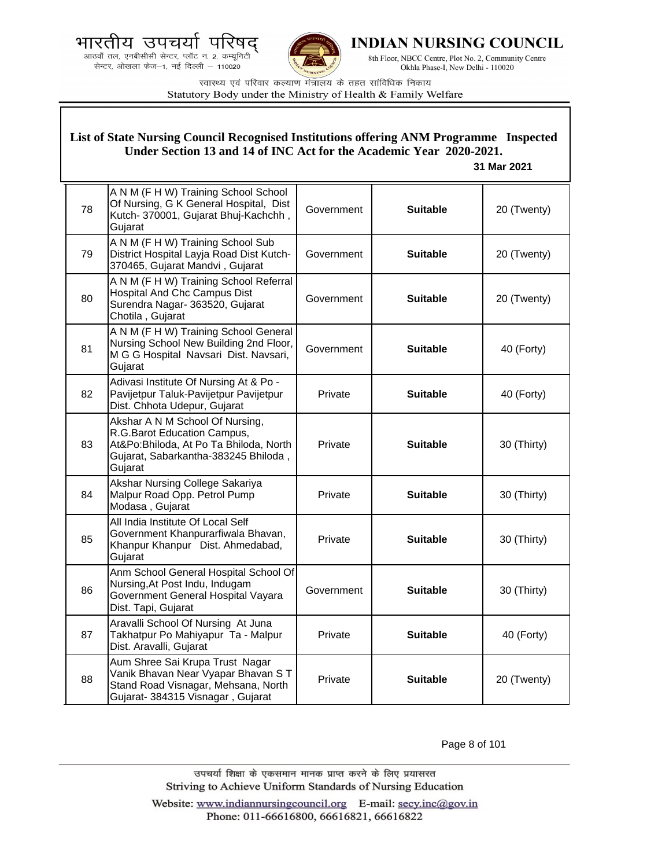



**INDIAN NURSING COUNCIL** 

8th Floor, NBCC Centre, Plot No. 2, Community Centre Okhla Phase-I, New Delhi - 110020

स्वास्थ्य एवं परिवार कल्याण मंत्रालय के तहत सांविधिक निकाय Statutory Body under the Ministry of Health & Family Welfare

|    | List of State Nursing Council Recognised Institutions offering ANM Programme Inspected<br>Under Section 13 and 14 of INC Act for the Academic Year 2020-2021.<br>31 Mar 2021 |            |                 |             |  |
|----|------------------------------------------------------------------------------------------------------------------------------------------------------------------------------|------------|-----------------|-------------|--|
| 78 | A N M (F H W) Training School School<br>Of Nursing, G K General Hospital, Dist<br>Kutch- 370001, Gujarat Bhuj-Kachchh,<br>Gujarat                                            | Government | <b>Suitable</b> | 20 (Twenty) |  |
| 79 | A N M (F H W) Training School Sub<br>District Hospital Layja Road Dist Kutch-<br>370465, Gujarat Mandvi, Gujarat                                                             | Government | <b>Suitable</b> | 20 (Twenty) |  |
| 80 | A N M (F H W) Training School Referral<br><b>Hospital And Chc Campus Dist</b><br>Surendra Nagar- 363520, Gujarat<br>Chotila, Gujarat                                         | Government | <b>Suitable</b> | 20 (Twenty) |  |
| 81 | A N M (F H W) Training School General<br>Nursing School New Building 2nd Floor,<br>M G G Hospital Navsari Dist. Navsari,<br>Gujarat                                          | Government | <b>Suitable</b> | 40 (Forty)  |  |
| 82 | Adivasi Institute Of Nursing At & Po -<br>Pavijetpur Taluk-Pavijetpur Pavijetpur<br>Dist. Chhota Udepur, Gujarat                                                             | Private    | <b>Suitable</b> | 40 (Forty)  |  |
| 83 | Akshar A N M School Of Nursing,<br>R.G.Barot Education Campus,<br>At&Po:Bhiloda, At Po Ta Bhiloda, North<br>Gujarat, Sabarkantha-383245 Bhiloda,<br>Gujarat                  | Private    | <b>Suitable</b> | 30 (Thirty) |  |
| 84 | Akshar Nursing College Sakariya<br>Malpur Road Opp. Petrol Pump<br>Modasa, Gujarat                                                                                           | Private    | <b>Suitable</b> | 30 (Thirty) |  |
| 85 | All India Institute Of Local Self<br>Government Khanpurarfiwala Bhavan,<br>Khanpur Khanpur Dist. Ahmedabad,<br>Gujarat                                                       | Private    | <b>Suitable</b> | 30 (Thirty) |  |
| 86 | Anm School General Hospital School Of<br>Nursing, At Post Indu, Indugam<br>Government General Hospital Vayara<br>Dist. Tapi, Gujarat                                         | Government | <b>Suitable</b> | 30 (Thirty) |  |
| 87 | Aravalli School Of Nursing At Juna<br>Takhatpur Po Mahiyapur Ta - Malpur<br>Dist. Aravalli, Gujarat                                                                          | Private    | <b>Suitable</b> | 40 (Forty)  |  |
| 88 | Aum Shree Sai Krupa Trust Nagar<br>Vanik Bhavan Near Vyapar Bhavan ST<br>Stand Road Visnagar, Mehsana, North<br>Gujarat- 384315 Visnagar, Gujarat                            | Private    | <b>Suitable</b> | 20 (Twenty) |  |

Page 8 of 101

उपचर्या शिक्षा के एकसमान मानक प्राप्त करने के लिए प्रयासरत Striving to Achieve Uniform Standards of Nursing Education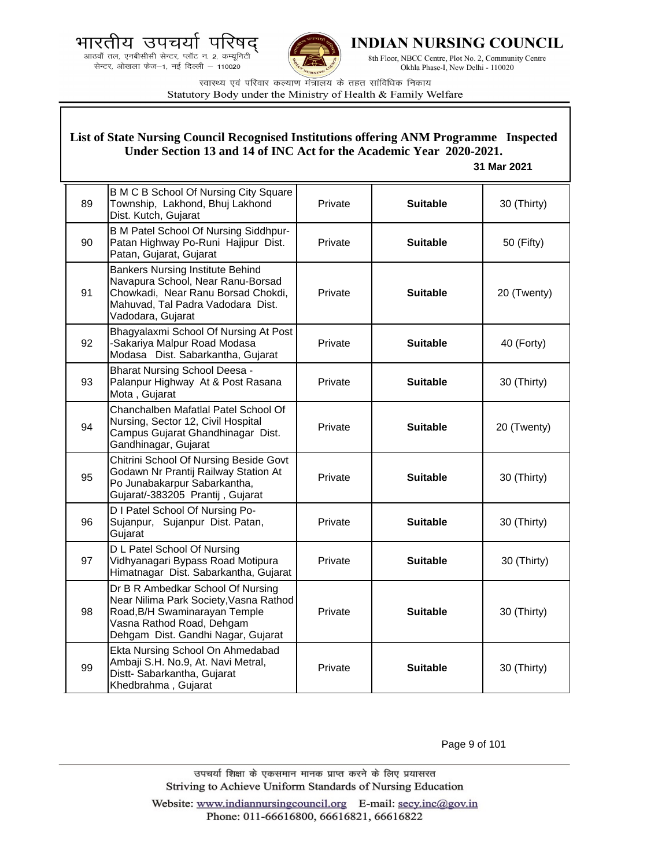



**INDIAN NURSING COUNCIL** 

8th Floor, NBCC Centre, Plot No. 2, Community Centre Okhla Phase-I, New Delhi - 110020

स्वास्थ्य एवं परिवार कल्याण मंत्रालय के तहत सांविधिक निकाय Statutory Body under the Ministry of Health & Family Welfare

### **List of State Nursing Council Recognised Institutions offering ANM Programme Inspected Under Section 13 and 14 of INC Act for the Academic Year 2020-2021.**

#### **31 Mar 2021**

| 89 | <b>B M C B School Of Nursing City Square</b><br>Township, Lakhond, Bhuj Lakhond<br>Dist. Kutch, Gujarat                                                                         | Private | <b>Suitable</b> | 30 (Thirty) |
|----|---------------------------------------------------------------------------------------------------------------------------------------------------------------------------------|---------|-----------------|-------------|
| 90 | B M Patel School Of Nursing Siddhpur-<br>Patan Highway Po-Runi Hajipur Dist.<br>Patan, Gujarat, Gujarat                                                                         | Private | <b>Suitable</b> | 50 (Fifty)  |
| 91 | <b>Bankers Nursing Institute Behind</b><br>Navapura School, Near Ranu-Borsad<br>Chowkadi, Near Ranu Borsad Chokdi,<br>Mahuvad, Tal Padra Vadodara Dist.<br>Vadodara, Gujarat    | Private | <b>Suitable</b> | 20 (Twenty) |
| 92 | Bhagyalaxmi School Of Nursing At Post<br>-Sakariya Malpur Road Modasa<br>Modasa Dist. Sabarkantha, Gujarat                                                                      | Private | <b>Suitable</b> | 40 (Forty)  |
| 93 | <b>Bharat Nursing School Deesa -</b><br>Palanpur Highway At & Post Rasana<br>Mota, Gujarat                                                                                      | Private | <b>Suitable</b> | 30 (Thirty) |
| 94 | Chanchalben Mafatlal Patel School Of<br>Nursing, Sector 12, Civil Hospital<br>Campus Gujarat Ghandhinagar Dist.<br>Gandhinagar, Gujarat                                         | Private | <b>Suitable</b> | 20 (Twenty) |
| 95 | Chitrini School Of Nursing Beside Govt<br>Godawn Nr Prantij Railway Station At<br>Po Junabakarpur Sabarkantha,<br>Gujarat/-383205 Prantij, Gujarat                              | Private | <b>Suitable</b> | 30 (Thirty) |
| 96 | D I Patel School Of Nursing Po-<br>Sujanpur, Sujanpur Dist. Patan,<br>Gujarat                                                                                                   | Private | <b>Suitable</b> | 30 (Thirty) |
| 97 | D L Patel School Of Nursing<br>Vidhyanagari Bypass Road Motipura<br>Himatnagar Dist. Sabarkantha, Gujarat                                                                       | Private | <b>Suitable</b> | 30 (Thirty) |
| 98 | Dr B R Ambedkar School Of Nursing<br>Near Nilima Park Society, Vasna Rathod<br>Road, B/H Swaminarayan Temple<br>Vasna Rathod Road, Dehgam<br>Dehgam Dist. Gandhi Nagar, Gujarat | Private | <b>Suitable</b> | 30 (Thirty) |
| 99 | Ekta Nursing School On Ahmedabad<br>Ambaji S.H. No.9, At. Navi Metral,<br>Distt- Sabarkantha, Gujarat<br>Khedbrahma, Gujarat                                                    | Private | <b>Suitable</b> | 30 (Thirty) |

Page 9 of 101

उपचर्या शिक्षा के एकसमान मानक प्राप्त करने के लिए प्रयासरत Striving to Achieve Uniform Standards of Nursing Education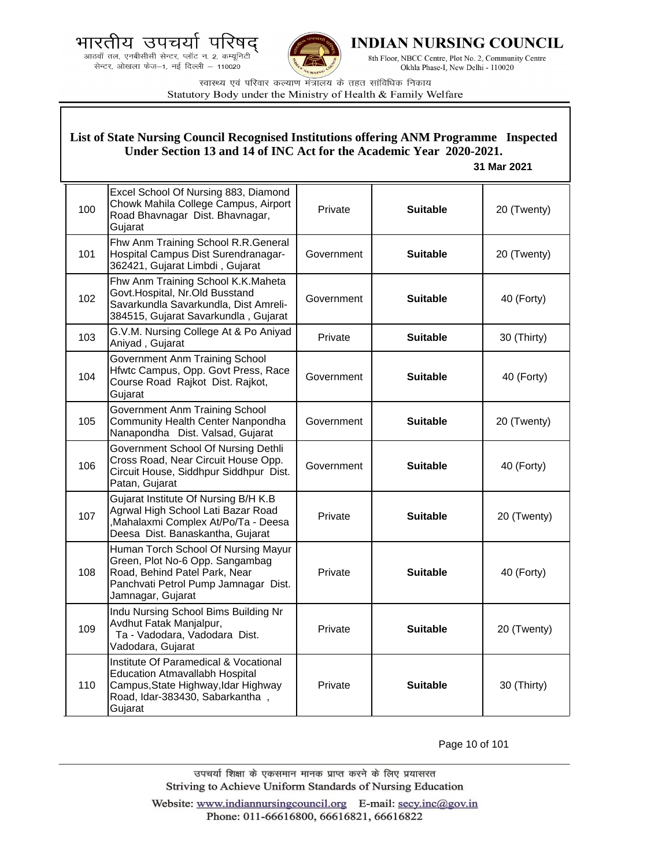.<br>आठवाँ तल, एनबीसीसी सेन्टर, प्लॉट न. 2, कम्यूनिटी<br>सेन्टर, ओखला फेज—1, नई दिल्ली — 110020



**INDIAN NURSING COUNCIL** 

8th Floor, NBCC Centre, Plot No. 2, Community Centre Okhla Phase-I, New Delhi - 110020

स्वास्थ्य एवं परिवार कल्याण मंत्रालय के तहत सांविधिक निकाय Statutory Body under the Ministry of Health & Family Welfare

|     | List of State Nursing Council Recognised Institutions offering ANM Programme Inspected<br>Under Section 13 and 14 of INC Act for the Academic Year 2020-2021.<br>31 Mar 2021 |            |                 |             |  |
|-----|------------------------------------------------------------------------------------------------------------------------------------------------------------------------------|------------|-----------------|-------------|--|
| 100 | Excel School Of Nursing 883, Diamond<br>Chowk Mahila College Campus, Airport<br>Road Bhavnagar Dist. Bhavnagar,<br>Gujarat                                                   | Private    | <b>Suitable</b> | 20 (Twenty) |  |
| 101 | Fhw Anm Training School R.R.General<br>Hospital Campus Dist Surendranagar-<br>362421, Gujarat Limbdi, Gujarat                                                                | Government | <b>Suitable</b> | 20 (Twenty) |  |
| 102 | Fhw Anm Training School K.K.Maheta<br>Govt.Hospital, Nr.Old Busstand<br>Savarkundla Savarkundla, Dist Amreli-<br>384515, Gujarat Savarkundla, Gujarat                        | Government | <b>Suitable</b> | 40 (Forty)  |  |
| 103 | G.V.M. Nursing College At & Po Aniyad<br>Aniyad, Gujarat                                                                                                                     | Private    | <b>Suitable</b> | 30 (Thirty) |  |
| 104 | <b>Government Anm Training School</b><br>Hfwtc Campus, Opp. Govt Press, Race<br>Course Road Rajkot Dist. Rajkot,<br>Gujarat                                                  | Government | <b>Suitable</b> | 40 (Forty)  |  |
| 105 | <b>Government Anm Training School</b><br>Community Health Center Nanpondha<br>Nanapondha Dist. Valsad, Gujarat                                                               | Government | <b>Suitable</b> | 20 (Twenty) |  |
| 106 | Government School Of Nursing Dethli<br>Cross Road, Near Circuit House Opp.<br>Circuit House, Siddhpur Siddhpur Dist.<br>Patan, Gujarat                                       | Government | <b>Suitable</b> | 40 (Forty)  |  |
| 107 | Gujarat Institute Of Nursing B/H K.B<br>Agrwal High School Lati Bazar Road<br>Mahalaxmi Complex At/Po/Ta - Deesa<br>Deesa Dist. Banaskantha, Gujarat                         | Private    | <b>Suitable</b> | 20 (Twenty) |  |
| 108 | Human Torch School Of Nursing Mayur<br>Green, Plot No-6 Opp. Sangambag<br>Road, Behind Patel Park, Near<br>Panchvati Petrol Pump Jamnagar Dist.<br>Jamnagar, Gujarat         | Private    | <b>Suitable</b> | 40 (Forty)  |  |
| 109 | Indu Nursing School Bims Building Nr<br>Avdhut Fatak Manjalpur,<br>Ta - Vadodara, Vadodara Dist.<br>Vadodara, Gujarat                                                        | Private    | <b>Suitable</b> | 20 (Twenty) |  |
| 110 | Institute Of Paramedical & Vocational<br><b>Education Atmavallabh Hospital</b><br>Campus, State Highway, Idar Highway<br>Road, Idar-383430, Sabarkantha,<br>Gujarat          | Private    | <b>Suitable</b> | 30 (Thirty) |  |

Page 10 of 101

उपचर्या शिक्षा के एकसमान मानक प्राप्त करने के लिए प्रयासरत Striving to Achieve Uniform Standards of Nursing Education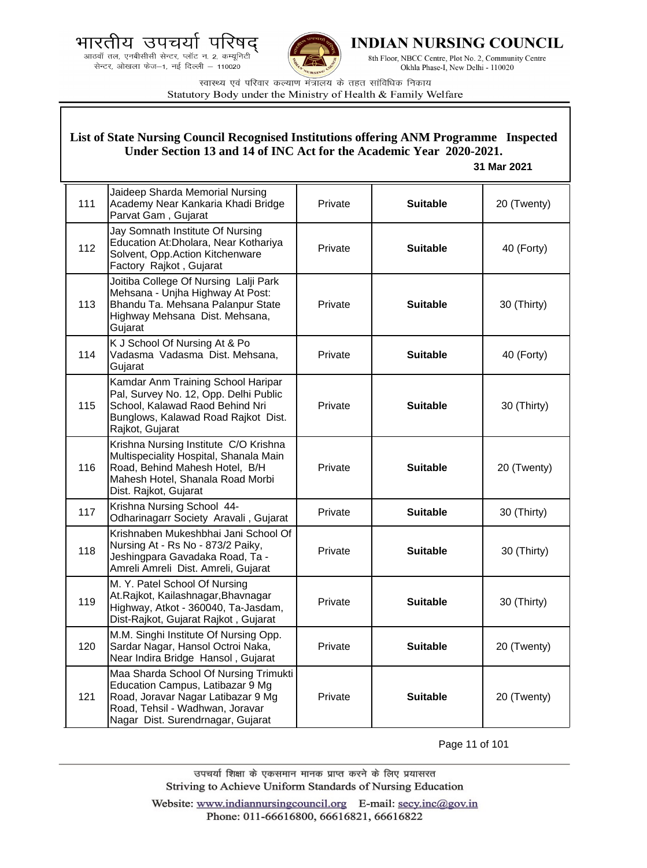



INDIAN NURSING COUNCIL

8th Floor, NBCC Centre, Plot No. 2, Community Centre Okhla Phase-I, New Delhi - 110020

स्वास्थ्य एवं परिवार कल्याण मंत्रालय के तहत सांविधिक निकाय Statutory Body under the Ministry of Health & Family Welfare

#### 111 Jaideep Sharda Memorial Nursing Academy Near Kankaria Khadi Bridge Parvat Gam , Gujarat Private **Suitable** 20 (Twenty) 112 Jay Somnath Institute Of Nursing Education At:Dholara, Near Kothariya Solvent, Opp.Action Kitchenware Factory Rajkot , Gujarat Private **No. 2. Suitable No. 40 (Forty)** 113 Joitiba College Of Nursing Lalji Park Mehsana - Unjha Highway At Post: Bhandu Ta. Mehsana Palanpur State Highway Mehsana Dist. Mehsana, Gujarat Private **Suitable** 30 (Thirty) 114 K J School Of Nursing At & Po Vadasma Vadasma Dist. Mehsana, Gujarat Private **Filtrick Suitable F** 40 (Forty) 115 Kamdar Anm Training School Haripar Pal, Survey No. 12, Opp. Delhi Public School, Kalawad Raod Behind Nri Bunglows, Kalawad Road Rajkot Dist. Rajkot, Gujarat Private **Suitable 30 (Thirty)** 116 Krishna Nursing Institute C/O Krishna Multispeciality Hospital, Shanala Main Road, Behind Mahesh Hotel, B/H Mahesh Hotel, Shanala Road Morbi Dist. Rajkot, Gujarat Private **Suitable** 20 (Twenty) 117 Krishna Nursing School 44-Odharinagarr Society Aravali , Gujarat Private **Suitable** 30 (Thirty) 118 Krishnaben Mukeshbhai Jani School Of Nursing At - Rs No - 873/2 Paiky, Jeshingpara Gavadaka Road, Ta - Amreli Amreli Dist. Amreli, Gujarat Private **Suitable** 30 (Thirty) 119 M. Y. Patel School Of Nursing At.Rajkot, Kailashnagar,Bhavnagar Highway, Atkot - 360040, Ta-Jasdam, Dist-Rajkot, Gujarat Rajkot , Gujarat Private **Suitable 30** (Thirty) 120 M.M. Singhi Institute Of Nursing Opp. Sardar Nagar, Hansol Octroi Naka, Near Indira Bridge Hansol , Gujarat Private **Suitable** 20 (Twenty) 121 Maa Sharda School Of Nursing Trimukti Education Campus, Latibazar 9 Mg Road, Joravar Nagar Latibazar 9 Mg Road, Tehsil - Wadhwan, Joravar Nagar Dist. Surendrnagar, Gujarat Private **Suitable** 20 (Twenty) **List of State Nursing Council Recognised Institutions offering ANM Programme Inspected Under Section 13 and 14 of INC Act for the Academic Year 2020-2021. 31 Mar 2021**

Page 11 of 101

उपचर्या शिक्षा के एकसमान मानक प्राप्त करने के लिए प्रयासरत Striving to Achieve Uniform Standards of Nursing Education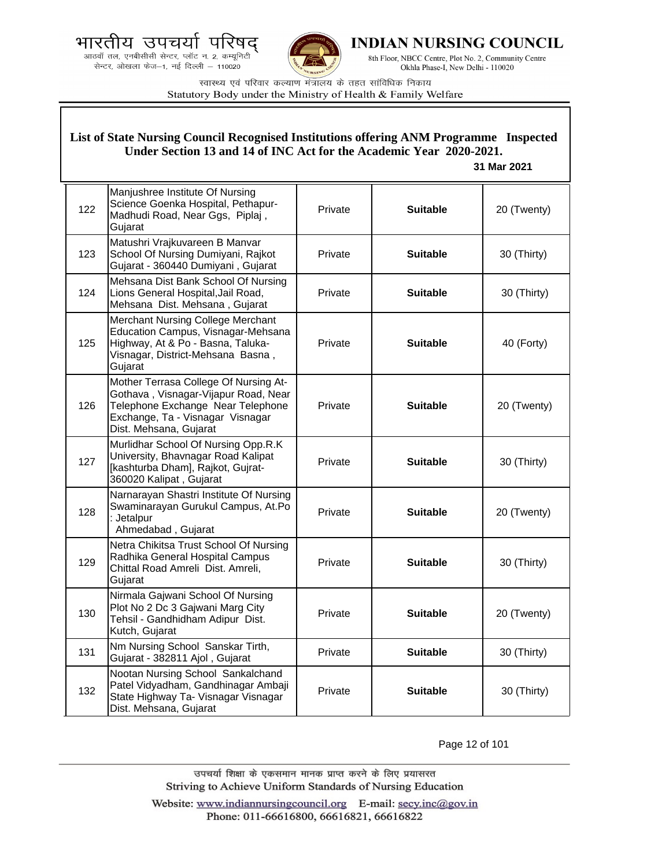



**INDIAN NURSING COUNCIL** 

8th Floor, NBCC Centre, Plot No. 2, Community Centre Okhla Phase-I, New Delhi - 110020

स्वास्थ्य एवं परिवार कल्याण मंत्रालय के तहत सांविधिक निकाय Statutory Body under the Ministry of Health & Family Welfare

|     | List of State Nursing Council Recognised Institutions offering ANM Programme Inspected<br>Under Section 13 and 14 of INC Act for the Academic Year 2020-2021.<br>31 Mar 2021     |         |                 |             |  |
|-----|----------------------------------------------------------------------------------------------------------------------------------------------------------------------------------|---------|-----------------|-------------|--|
| 122 | Manjushree Institute Of Nursing<br>Science Goenka Hospital, Pethapur-<br>Madhudi Road, Near Ggs, Piplaj,<br>Gujarat                                                              | Private | <b>Suitable</b> | 20 (Twenty) |  |
| 123 | Matushri Vrajkuvareen B Manvar<br>School Of Nursing Dumiyani, Rajkot<br>Gujarat - 360440 Dumiyani, Gujarat                                                                       | Private | <b>Suitable</b> | 30 (Thirty) |  |
| 124 | Mehsana Dist Bank School Of Nursing<br>Lions General Hospital, Jail Road,<br>Mehsana Dist. Mehsana, Gujarat                                                                      | Private | <b>Suitable</b> | 30 (Thirty) |  |
| 125 | <b>Merchant Nursing College Merchant</b><br>Education Campus, Visnagar-Mehsana<br>Highway, At & Po - Basna, Taluka-<br>Visnagar, District-Mehsana Basna,<br>Gujarat              | Private | <b>Suitable</b> | 40 (Forty)  |  |
| 126 | Mother Terrasa College Of Nursing At-<br>Gothava, Visnagar-Vijapur Road, Near<br>Telephone Exchange Near Telephone<br>Exchange, Ta - Visnagar Visnagar<br>Dist. Mehsana, Gujarat | Private | <b>Suitable</b> | 20 (Twenty) |  |
| 127 | Murlidhar School Of Nursing Opp.R.K<br>University, Bhavnagar Road Kalipat<br>[kashturba Dham], Rajkot, Gujrat-<br>360020 Kalipat, Gujarat                                        | Private | <b>Suitable</b> | 30 (Thirty) |  |
| 128 | Narnarayan Shastri Institute Of Nursing<br>Swaminarayan Gurukul Campus, At.Po<br>: Jetalpur<br>Ahmedabad, Gujarat                                                                | Private | <b>Suitable</b> | 20 (Twenty) |  |
| 129 | Netra Chikitsa Trust School Of Nursing<br>Radhika General Hospital Campus<br>Chittal Road Amreli Dist. Amreli,<br>Gujarat                                                        | Private | <b>Suitable</b> | 30 (Thirty) |  |
| 130 | Nirmala Gajwani School Of Nursing<br>Plot No 2 Dc 3 Gajwani Marg City<br>Tehsil - Gandhidham Adipur Dist.<br>Kutch, Gujarat                                                      | Private | <b>Suitable</b> | 20 (Twenty) |  |
| 131 | Nm Nursing School Sanskar Tirth,<br>Gujarat - 382811 Ajol, Gujarat                                                                                                               | Private | <b>Suitable</b> | 30 (Thirty) |  |
| 132 | Nootan Nursing School Sankalchand<br>Patel Vidyadham, Gandhinagar Ambaji<br>State Highway Ta- Visnagar Visnagar<br>Dist. Mehsana, Gujarat                                        | Private | <b>Suitable</b> | 30 (Thirty) |  |

Page 12 of 101

उपचर्या शिक्षा के एकसमान मानक प्राप्त करने के लिए प्रयासरत Striving to Achieve Uniform Standards of Nursing Education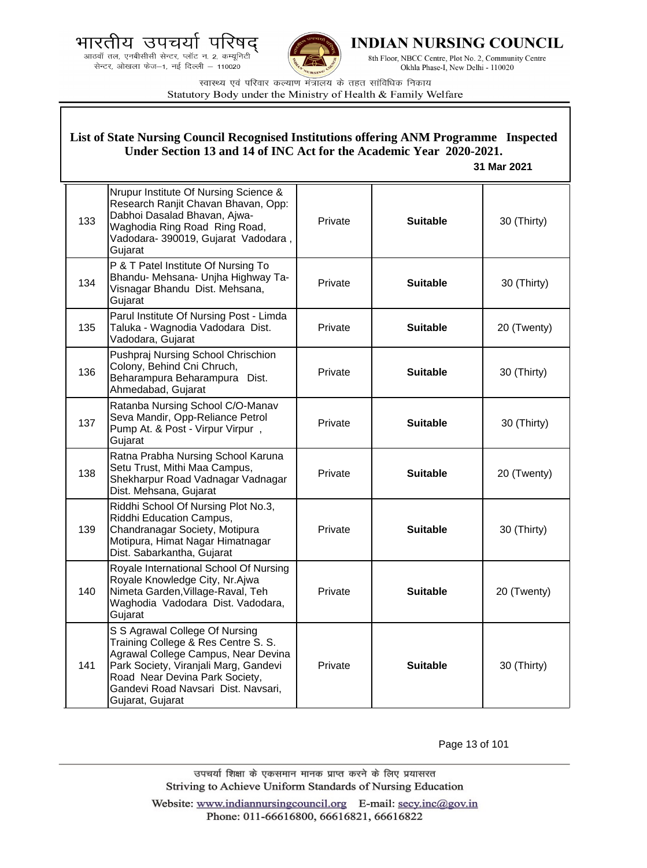.<br>आठवाँ तल, एनबीसीसी सेन्टर, प्लॉट न. 2, कम्यूनिटी<br>सेन्टर, ओखला फेज—1, नई दिल्ली — 110020



**INDIAN NURSING COUNCIL** 

8th Floor, NBCC Centre, Plot No. 2, Community Centre Okhla Phase-I, New Delhi - 110020

स्वास्थ्य एवं परिवार कल्याण मंत्रालय के तहत सांविधिक निकाय Statutory Body under the Ministry of Health & Family Welfare

|     | List of State Nursing Council Recognised Institutions offering ANM Programme Inspected<br>Under Section 13 and 14 of INC Act for the Academic Year 2020-2021.<br>31 Mar 2021                                                                       |         |                 |             |
|-----|----------------------------------------------------------------------------------------------------------------------------------------------------------------------------------------------------------------------------------------------------|---------|-----------------|-------------|
| 133 | Nrupur Institute Of Nursing Science &<br>Research Ranjit Chavan Bhavan, Opp:<br>Dabhoi Dasalad Bhavan, Ajwa-<br>Waghodia Ring Road Ring Road,<br>Vadodara- 390019, Gujarat Vadodara,<br>Gujarat                                                    | Private | <b>Suitable</b> | 30 (Thirty) |
| 134 | P & T Patel Institute Of Nursing To<br>Bhandu- Mehsana- Unjha Highway Ta-<br>Visnagar Bhandu Dist. Mehsana,<br>Gujarat                                                                                                                             | Private | <b>Suitable</b> | 30 (Thirty) |
| 135 | Parul Institute Of Nursing Post - Limda<br>Taluka - Wagnodia Vadodara Dist.<br>Vadodara, Gujarat                                                                                                                                                   | Private | <b>Suitable</b> | 20 (Twenty) |
| 136 | Pushpraj Nursing School Chrischion<br>Colony, Behind Cni Chruch,<br>Beharampura Beharampura Dist.<br>Ahmedabad, Gujarat                                                                                                                            | Private | <b>Suitable</b> | 30 (Thirty) |
| 137 | Ratanba Nursing School C/O-Manav<br>Seva Mandir, Opp-Reliance Petrol<br>Pump At. & Post - Virpur Virpur,<br>Gujarat                                                                                                                                | Private | <b>Suitable</b> | 30 (Thirty) |
| 138 | Ratna Prabha Nursing School Karuna<br>Setu Trust, Mithi Maa Campus,<br>Shekharpur Road Vadnagar Vadnagar<br>Dist. Mehsana, Gujarat                                                                                                                 | Private | <b>Suitable</b> | 20 (Twenty) |
| 139 | Riddhi School Of Nursing Plot No.3,<br>Riddhi Education Campus,<br>Chandranagar Society, Motipura<br>Motipura, Himat Nagar Himatnagar<br>Dist. Sabarkantha, Gujarat                                                                                | Private | <b>Suitable</b> | 30 (Thirty) |
| 140 | Royale International School Of Nursing<br>Royale Knowledge City, Nr.Ajwa<br>Nimeta Garden, Village-Raval, Teh<br>Waghodia Vadodara Dist. Vadodara,<br>Gujarat                                                                                      | Private | Suitable        | 20 (Twenty) |
| 141 | S S Agrawal College Of Nursing<br>Training College & Res Centre S. S.<br>Agrawal College Campus, Near Devina<br>Park Society, Viranjali Marg, Gandevi<br>Road Near Devina Park Society,<br>Gandevi Road Navsari Dist. Navsari,<br>Gujarat, Gujarat | Private | <b>Suitable</b> | 30 (Thirty) |

Page 13 of 101

उपचर्या शिक्षा के एकसमान मानक प्राप्त करने के लिए प्रयासरत Striving to Achieve Uniform Standards of Nursing Education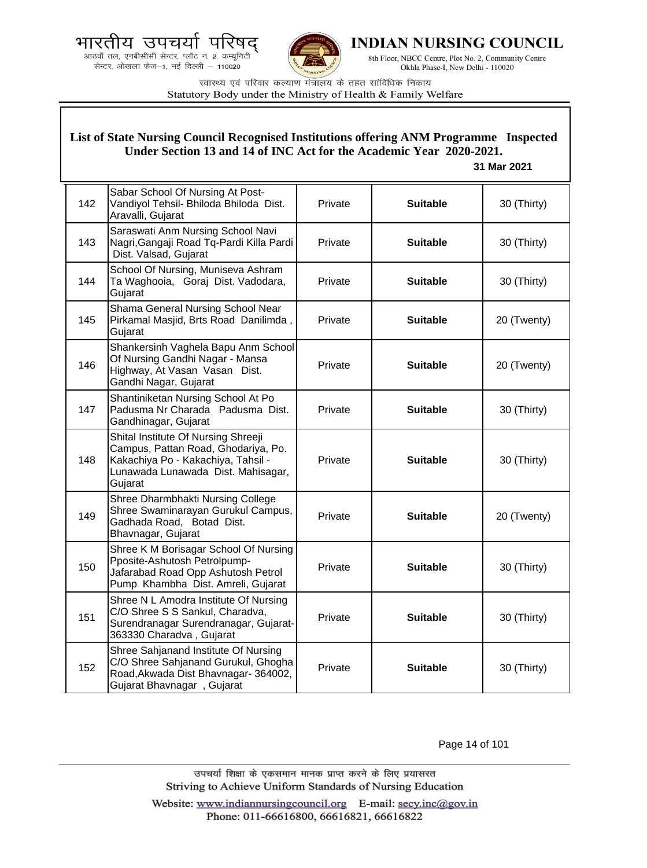



**INDIAN NURSING COUNCIL** 

8th Floor, NBCC Centre, Plot No. 2, Community Centre Okhla Phase-I, New Delhi - 110020

स्वास्थ्य एवं परिवार कल्याण मंत्रालय के तहत सांविधिक निकाय Statutory Body under the Ministry of Health & Family Welfare

### **List of State Nursing Council Recognised Institutions offering ANM Programme Inspected Under Section 13 and 14 of INC Act for the Academic Year 2020-2021.**

### **31 Mar 2021**

| 142 | Sabar School Of Nursing At Post-<br>Vandiyol Tehsil- Bhiloda Bhiloda Dist.<br>Aravalli, Gujarat                                                                   | Private | <b>Suitable</b> | 30 (Thirty) |
|-----|-------------------------------------------------------------------------------------------------------------------------------------------------------------------|---------|-----------------|-------------|
| 143 | Saraswati Anm Nursing School Navi<br>Nagri, Gangaji Road Tq-Pardi Killa Pardi<br>Dist. Valsad, Gujarat                                                            | Private | <b>Suitable</b> | 30 (Thirty) |
| 144 | School Of Nursing, Muniseva Ashram<br>Ta Waghooia, Goraj Dist. Vadodara,<br>Gujarat                                                                               | Private | <b>Suitable</b> | 30 (Thirty) |
| 145 | Shama General Nursing School Near<br>Pirkamal Masjid, Brts Road Danilimda,<br>Gujarat                                                                             | Private | <b>Suitable</b> | 20 (Twenty) |
| 146 | Shankersinh Vaghela Bapu Anm School<br>Of Nursing Gandhi Nagar - Mansa<br>Highway, At Vasan Vasan Dist.<br>Gandhi Nagar, Gujarat                                  | Private | <b>Suitable</b> | 20 (Twenty) |
| 147 | Shantiniketan Nursing School At Po<br>Padusma Nr Charada Padusma Dist.<br>Gandhinagar, Gujarat                                                                    | Private | <b>Suitable</b> | 30 (Thirty) |
| 148 | Shital Institute Of Nursing Shreeji<br>Campus, Pattan Road, Ghodariya, Po.<br>Kakachiya Po - Kakachiya, Tahsil -<br>Lunawada Lunawada Dist. Mahisagar,<br>Gujarat | Private | <b>Suitable</b> | 30 (Thirty) |
| 149 | Shree Dharmbhakti Nursing College<br>Shree Swaminarayan Gurukul Campus,<br>Gadhada Road, Botad Dist.<br>Bhavnagar, Gujarat                                        | Private | <b>Suitable</b> | 20 (Twenty) |
| 150 | Shree K M Borisagar School Of Nursing<br>Pposite-Ashutosh Petrolpump-<br>Jafarabad Road Opp Ashutosh Petrol<br>Pump Khambha Dist. Amreli, Gujarat                 | Private | <b>Suitable</b> | 30 (Thirty) |
| 151 | Shree N L Amodra Institute Of Nursing<br>C/O Shree S S Sankul, Charadva,<br>Surendranagar Surendranagar, Gujarat-<br>363330 Charadva, Gujarat                     | Private | <b>Suitable</b> | 30 (Thirty) |
| 152 | Shree Sahjanand Institute Of Nursing<br>C/O Shree Sahjanand Gurukul, Ghogha<br>Road, Akwada Dist Bhavnagar-364002,<br>Gujarat Bhavnagar, Gujarat                  | Private | <b>Suitable</b> | 30 (Thirty) |

Page 14 of 101

उपचर्या शिक्षा के एकसमान मानक प्राप्त करने के लिए प्रयासरत Striving to Achieve Uniform Standards of Nursing Education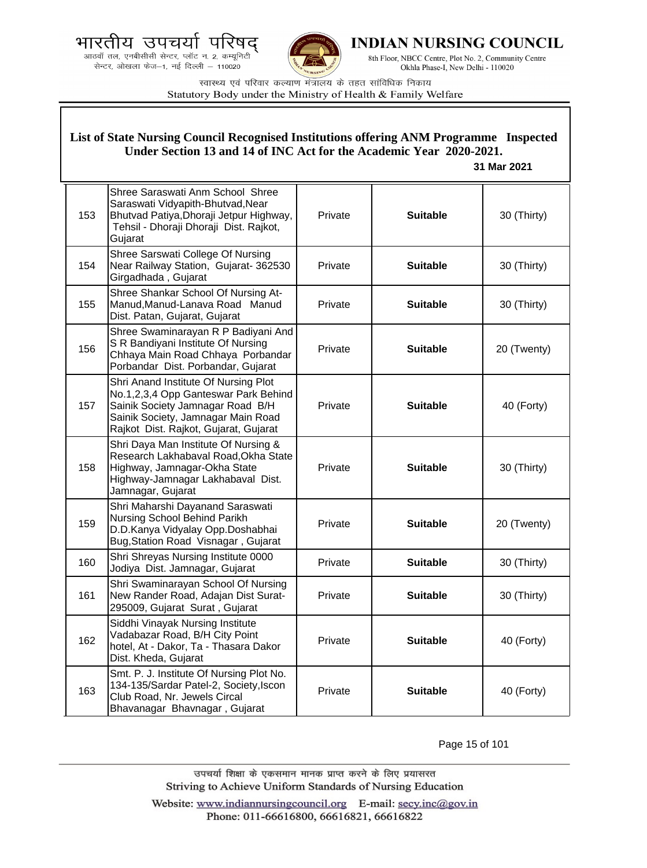.<br>आठवाँ तल, एनबीसीसी सेन्टर, प्लॉट न. 2, कम्यूनिटी<br>सेन्टर, ओखला फेज—1, नई दिल्ली — 110020



**INDIAN NURSING COUNCIL** 

8th Floor, NBCC Centre, Plot No. 2, Community Centre Okhla Phase-I, New Delhi - 110020

स्वास्थ्य एवं परिवार कल्याण मंत्रालय के तहत सांविधिक निकाय Statutory Body under the Ministry of Health & Family Welfare

|     | List of State Nursing Council Recognised Institutions offering ANM Programme Inspected<br>Under Section 13 and 14 of INC Act for the Academic Year 2020-2021.<br>31 Mar 2021                    |         |                 |             |  |
|-----|-------------------------------------------------------------------------------------------------------------------------------------------------------------------------------------------------|---------|-----------------|-------------|--|
| 153 | Shree Saraswati Anm School Shree<br>Saraswati Vidyapith-Bhutvad, Near<br>Bhutvad Patiya, Dhoraji Jetpur Highway,<br>Tehsil - Dhoraji Dhoraji Dist. Rajkot,<br>Gujarat                           | Private | <b>Suitable</b> | 30 (Thirty) |  |
| 154 | Shree Sarswati College Of Nursing<br>Near Railway Station, Gujarat- 362530<br>Girgadhada, Gujarat                                                                                               | Private | <b>Suitable</b> | 30 (Thirty) |  |
| 155 | Shree Shankar School Of Nursing At-<br>Manud, Manud-Lanava Road Manud<br>Dist. Patan, Gujarat, Gujarat                                                                                          | Private | <b>Suitable</b> | 30 (Thirty) |  |
| 156 | Shree Swaminarayan R P Badiyani And<br>S R Bandiyani Institute Of Nursing<br>Chhaya Main Road Chhaya Porbandar<br>Porbandar Dist. Porbandar, Gujarat                                            | Private | <b>Suitable</b> | 20 (Twenty) |  |
| 157 | Shri Anand Institute Of Nursing Plot<br>No.1,2,3,4 Opp Ganteswar Park Behind<br>Sainik Society Jamnagar Road B/H<br>Sainik Society, Jamnagar Main Road<br>Rajkot Dist. Rajkot, Gujarat, Gujarat | Private | <b>Suitable</b> | 40 (Forty)  |  |
| 158 | Shri Daya Man Institute Of Nursing &<br>Research Lakhabaval Road, Okha State<br>Highway, Jamnagar-Okha State<br>Highway-Jamnagar Lakhabaval Dist.<br>Jamnagar, Gujarat                          | Private | <b>Suitable</b> | 30 (Thirty) |  |
| 159 | Shri Maharshi Dayanand Saraswati<br>Nursing School Behind Parikh<br>D.D.Kanya Vidyalay Opp.Doshabhai<br>Bug, Station Road Visnagar, Gujarat                                                     | Private | <b>Suitable</b> | 20 (Twenty) |  |
| 160 | Shri Shreyas Nursing Institute 0000<br>Jodiya Dist. Jamnagar, Gujarat                                                                                                                           | Private | <b>Suitable</b> | 30 (Thirty) |  |
| 161 | Shri Swaminarayan School Of Nursing<br>New Rander Road, Adajan Dist Surat-<br>295009, Gujarat Surat, Gujarat                                                                                    | Private | <b>Suitable</b> | 30 (Thirty) |  |
| 162 | Siddhi Vinayak Nursing Institute<br>Vadabazar Road, B/H City Point<br>hotel, At - Dakor, Ta - Thasara Dakor<br>Dist. Kheda, Gujarat                                                             | Private | <b>Suitable</b> | 40 (Forty)  |  |
| 163 | Smt. P. J. Institute Of Nursing Plot No.<br>134-135/Sardar Patel-2, Society, Iscon<br>Club Road, Nr. Jewels Circal<br>Bhavanagar Bhavnagar, Gujarat                                             | Private | <b>Suitable</b> | 40 (Forty)  |  |

Page 15 of 101

उपचर्या शिक्षा के एकसमान मानक प्राप्त करने के लिए प्रयासरत Striving to Achieve Uniform Standards of Nursing Education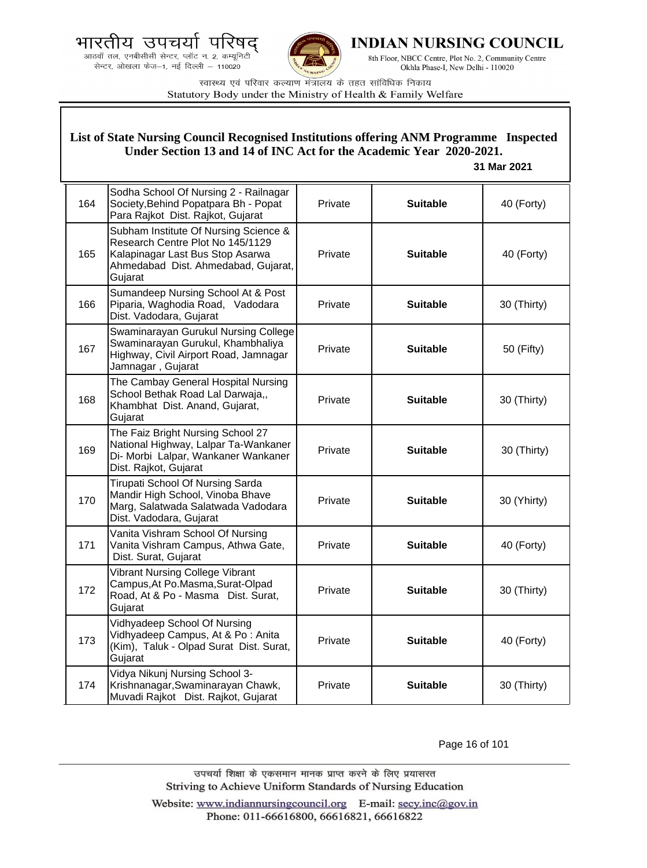भारतीय उपचयो पारष





**INDIAN NURSING COUNCIL** 

8th Floor, NBCC Centre, Plot No. 2, Community Centre Okhla Phase-I, New Delhi - 110020

स्वास्थ्य एवं परिवार कल्याण मंत्रालय के तहत सांविधिक निकाय Statutory Body under the Ministry of Health & Family Welfare

| List of State Nursing Council Recognised Institutions offering ANM Programme Inspected<br>Under Section 13 and 14 of INC Act for the Academic Year 2020-2021.<br>31 Mar 2021 |                                                                                                                                                                 |         |                 |             |
|------------------------------------------------------------------------------------------------------------------------------------------------------------------------------|-----------------------------------------------------------------------------------------------------------------------------------------------------------------|---------|-----------------|-------------|
| 164                                                                                                                                                                          | Sodha School Of Nursing 2 - Railnagar<br>Society, Behind Popatpara Bh - Popat<br>Para Rajkot Dist. Rajkot, Gujarat                                              | Private | <b>Suitable</b> | 40 (Forty)  |
| 165                                                                                                                                                                          | Subham Institute Of Nursing Science &<br>Research Centre Plot No 145/1129<br>Kalapinagar Last Bus Stop Asarwa<br>Ahmedabad Dist. Ahmedabad, Gujarat,<br>Gujarat | Private | <b>Suitable</b> | 40 (Forty)  |
| 166                                                                                                                                                                          | Sumandeep Nursing School At & Post<br>Piparia, Waghodia Road, Vadodara<br>Dist. Vadodara, Gujarat                                                               | Private | <b>Suitable</b> | 30 (Thirty) |
| 167                                                                                                                                                                          | Swaminarayan Gurukul Nursing College<br>Swaminarayan Gurukul, Khambhaliya<br>Highway, Civil Airport Road, Jamnagar<br>Jamnagar, Gujarat                         | Private | <b>Suitable</b> | 50 (Fifty)  |
| 168                                                                                                                                                                          | The Cambay General Hospital Nursing<br>School Bethak Road Lal Darwaja,,<br>Khambhat Dist. Anand, Gujarat,<br>Gujarat                                            | Private | <b>Suitable</b> | 30 (Thirty) |
| 169                                                                                                                                                                          | The Faiz Bright Nursing School 27<br>National Highway, Lalpar Ta-Wankaner<br>Di- Morbi Lalpar, Wankaner Wankaner<br>Dist. Rajkot, Gujarat                       | Private | <b>Suitable</b> | 30 (Thirty) |
| 170                                                                                                                                                                          | Tirupati School Of Nursing Sarda<br>Mandir High School, Vinoba Bhave<br>Marg, Salatwada Salatwada Vadodara<br>Dist. Vadodara, Gujarat                           | Private | <b>Suitable</b> | 30 (Yhirty) |
| 171                                                                                                                                                                          | Vanita Vishram School Of Nursing<br>Vanita Vishram Campus, Athwa Gate,<br>Dist. Surat, Gujarat                                                                  | Private | <b>Suitable</b> | 40 (Forty)  |
| 172                                                                                                                                                                          | Vibrant Nursing College Vibrant<br>Campus, At Po. Masma, Surat-Olpad<br>Road, At & Po - Masma Dist. Surat,<br>Gujarat                                           | Private | <b>Suitable</b> | 30 (Thirty) |
| 173                                                                                                                                                                          | Vidhyadeep School Of Nursing<br>Vidhyadeep Campus, At & Po: Anita<br>(Kim), Taluk - Olpad Surat Dist. Surat,<br>Gujarat                                         | Private | <b>Suitable</b> | 40 (Forty)  |
| 174                                                                                                                                                                          | Vidya Nikunj Nursing School 3-<br>Krishnanagar, Swaminarayan Chawk,<br>Muvadi Rajkot Dist. Rajkot, Gujarat                                                      | Private | <b>Suitable</b> | 30 (Thirty) |

Page 16 of 101

उपचर्या शिक्षा के एकसमान मानक प्राप्त करने के लिए प्रयासरत Striving to Achieve Uniform Standards of Nursing Education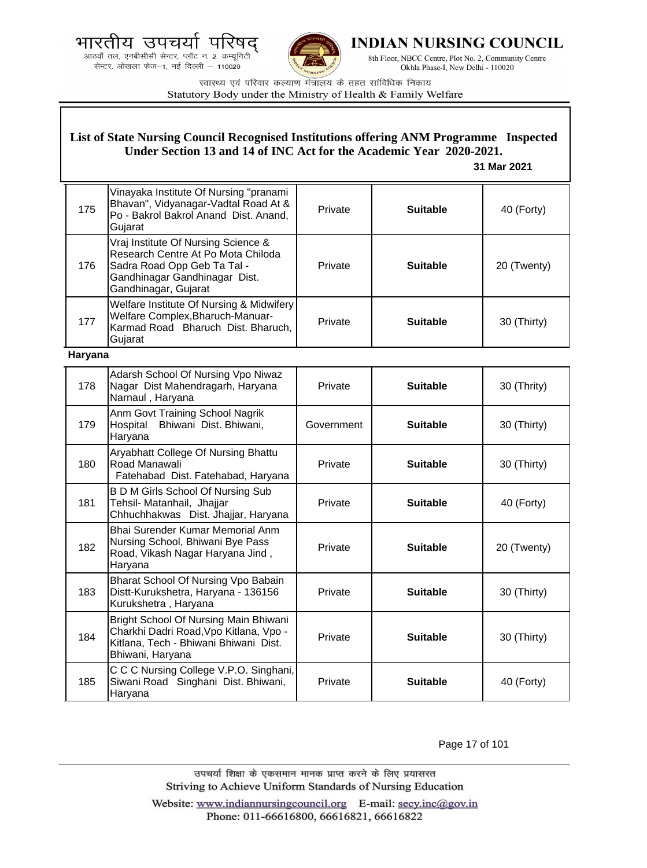भारतीय उपचयो पारष





**INDIAN NURSING COUNCIL** 

8th Floor, NBCC Centre, Plot No. 2, Community Centre Okhla Phase-I, New Delhi - 110020

स्वास्थ्य एवं परिवार कल्याण मंत्रालय के तहत सांविधिक निकाय Statutory Body under the Ministry of Health & Family Welfare

|         | List of State Nursing Council Recognised Institutions offering ANM Programme Inspected<br>Under Section 13 and 14 of INC Act for the Academic Year 2020-2021.<br>31 Mar 2021 |            |                 |             |
|---------|------------------------------------------------------------------------------------------------------------------------------------------------------------------------------|------------|-----------------|-------------|
| 175     | Vinayaka Institute Of Nursing "pranami<br>Bhavan", Vidyanagar-Vadtal Road At &<br>Po - Bakrol Bakrol Anand Dist. Anand,<br>Gujarat                                           | Private    | <b>Suitable</b> | 40 (Forty)  |
| 176     | Vraj Institute Of Nursing Science &<br>Research Centre At Po Mota Chiloda<br>Sadra Road Opp Geb Ta Tal -<br>Gandhinagar Gandhinagar Dist.<br>Gandhinagar, Gujarat            | Private    | <b>Suitable</b> | 20 (Twenty) |
| 177     | Welfare Institute Of Nursing & Midwifery<br>Welfare Complex, Bharuch-Manuar-<br>Karmad Road Bharuch Dist. Bharuch,<br>Gujarat                                                | Private    | <b>Suitable</b> | 30 (Thirty) |
| Haryana |                                                                                                                                                                              |            |                 |             |
| 178     | Adarsh School Of Nursing Vpo Niwaz<br>Nagar Dist Mahendragarh, Haryana<br>Narnaul, Haryana                                                                                   | Private    | <b>Suitable</b> | 30 (Thrity) |
| 179     | Anm Govt Training School Nagrik<br>Hospital<br>Bhiwani Dist. Bhiwani,<br>Haryana                                                                                             | Government | <b>Suitable</b> | 30 (Thirty) |
| 180     | Aryabhatt College Of Nursing Bhattu<br>Road Manawali<br>Fatehabad Dist. Fatehabad, Haryana                                                                                   | Private    | <b>Suitable</b> | 30 (Thirty) |
| 181     | B D M Girls School Of Nursing Sub<br>Tehsil- Matanhail, Jhajjar<br>Chhuchhakwas Dist. Jhajjar, Haryana                                                                       | Private    | <b>Suitable</b> | 40 (Forty)  |
| 182     | Bhai Surender Kumar Memorial Anm<br>Nursing School, Bhiwani Bye Pass<br>Road, Vikash Nagar Haryana Jind,<br>Haryana                                                          | Private    | <b>Suitable</b> | 20 (Twenty) |
| 183     | Bharat School Of Nursing Vpo Babain<br>Distt-Kurukshetra, Haryana - 136156<br>Kurukshetra, Haryana                                                                           | Private    | <b>Suitable</b> | 30 (Thirty) |
| 184     | Bright School Of Nursing Main Bhiwani<br>Charkhi Dadri Road, Vpo Kitlana, Vpo -<br>Kitlana, Tech - Bhiwani Bhiwani Dist.<br>Bhiwani, Haryana                                 | Private    | <b>Suitable</b> | 30 (Thirty) |
| 185     | C C C Nursing College V.P.O. Singhani,<br>Siwani Road Singhani Dist. Bhiwani,<br>Haryana                                                                                     | Private    | <b>Suitable</b> | 40 (Forty)  |

Page 17 of 101

उपचर्या शिक्षा के एकसमान मानक प्राप्त करने के लिए प्रयासरत Striving to Achieve Uniform Standards of Nursing Education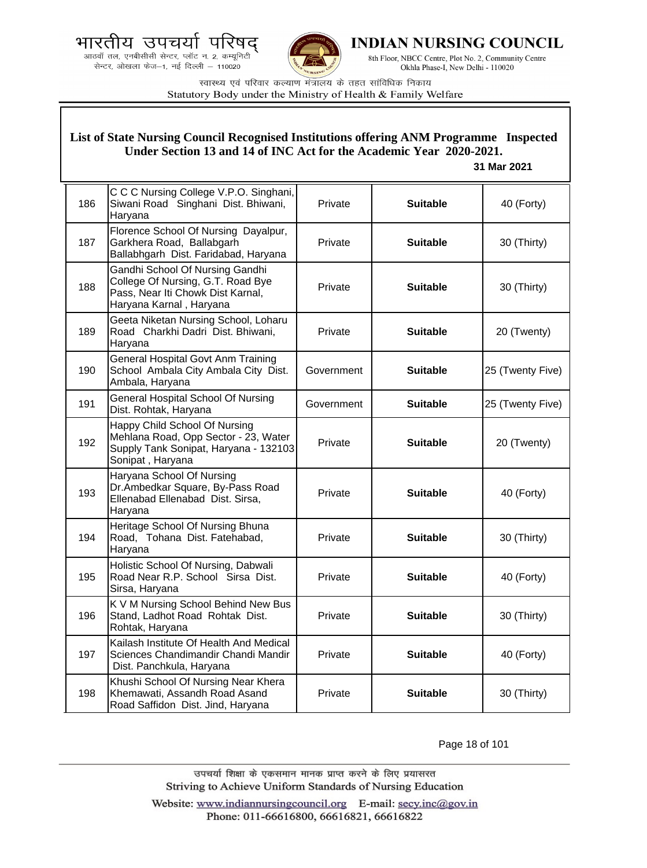



**INDIAN NURSING COUNCIL** 

8th Floor, NBCC Centre, Plot No. 2, Community Centre Okhla Phase-I, New Delhi - 110020

स्वास्थ्य एवं परिवार कल्याण मंत्रालय के तहत सांविधिक निकाय Statutory Body under the Ministry of Health & Family Welfare

## **List of State Nursing Council Recognised Institutions offering ANM Programme Inspected Under Section 13 and 14 of INC Act for the Academic Year 2020-2021.**

### **31 Mar 2021**

| 186 | C C C Nursing College V.P.O. Singhani,<br>Siwani Road Singhani Dist. Bhiwani,<br>Haryana                                             | Private    | <b>Suitable</b> | 40 (Forty)       |
|-----|--------------------------------------------------------------------------------------------------------------------------------------|------------|-----------------|------------------|
| 187 | Florence School Of Nursing Dayalpur,<br>Garkhera Road, Ballabgarh<br>Ballabhgarh Dist. Faridabad, Haryana                            | Private    | <b>Suitable</b> | 30 (Thirty)      |
| 188 | Gandhi School Of Nursing Gandhi<br>College Of Nursing, G.T. Road Bye<br>Pass, Near Iti Chowk Dist Karnal,<br>Haryana Karnal, Haryana | Private    | <b>Suitable</b> | 30 (Thirty)      |
| 189 | Geeta Niketan Nursing School, Loharu<br>Road Charkhi Dadri Dist. Bhiwani,<br>Haryana                                                 | Private    | <b>Suitable</b> | 20 (Twenty)      |
| 190 | General Hospital Govt Anm Training<br>School Ambala City Ambala City Dist.<br>Ambala, Haryana                                        | Government | <b>Suitable</b> | 25 (Twenty Five) |
| 191 | General Hospital School Of Nursing<br>Dist. Rohtak, Haryana                                                                          | Government | <b>Suitable</b> | 25 (Twenty Five) |
| 192 | Happy Child School Of Nursing<br>Mehlana Road, Opp Sector - 23, Water<br>Supply Tank Sonipat, Haryana - 132103<br>Sonipat, Haryana   | Private    | <b>Suitable</b> | 20 (Twenty)      |
| 193 | Haryana School Of Nursing<br>Dr.Ambedkar Square, By-Pass Road<br>Ellenabad Ellenabad Dist. Sirsa,<br>Haryana                         | Private    | <b>Suitable</b> | 40 (Forty)       |
| 194 | Heritage School Of Nursing Bhuna<br>Road, Tohana Dist. Fatehabad,<br>Haryana                                                         | Private    | <b>Suitable</b> | 30 (Thirty)      |
| 195 | Holistic School Of Nursing, Dabwali<br>Road Near R.P. School Sirsa Dist.<br>Sirsa, Haryana                                           | Private    | <b>Suitable</b> | 40 (Forty)       |
| 196 | K V M Nursing School Behind New Bus<br>Stand, Ladhot Road Rohtak Dist.<br>Rohtak, Haryana                                            | Private    | <b>Suitable</b> | 30 (Thirty)      |
| 197 | Kailash Institute Of Health And Medical<br>Sciences Chandimandir Chandi Mandir<br>Dist. Panchkula, Haryana                           | Private    | <b>Suitable</b> | 40 (Forty)       |
| 198 | Khushi School Of Nursing Near Khera<br>Khemawati, Assandh Road Asand<br>Road Saffidon Dist. Jind, Haryana                            | Private    | <b>Suitable</b> | 30 (Thirty)      |

Page 18 of 101

उपचर्या शिक्षा के एकसमान मानक प्राप्त करने के लिए प्रयासरत Striving to Achieve Uniform Standards of Nursing Education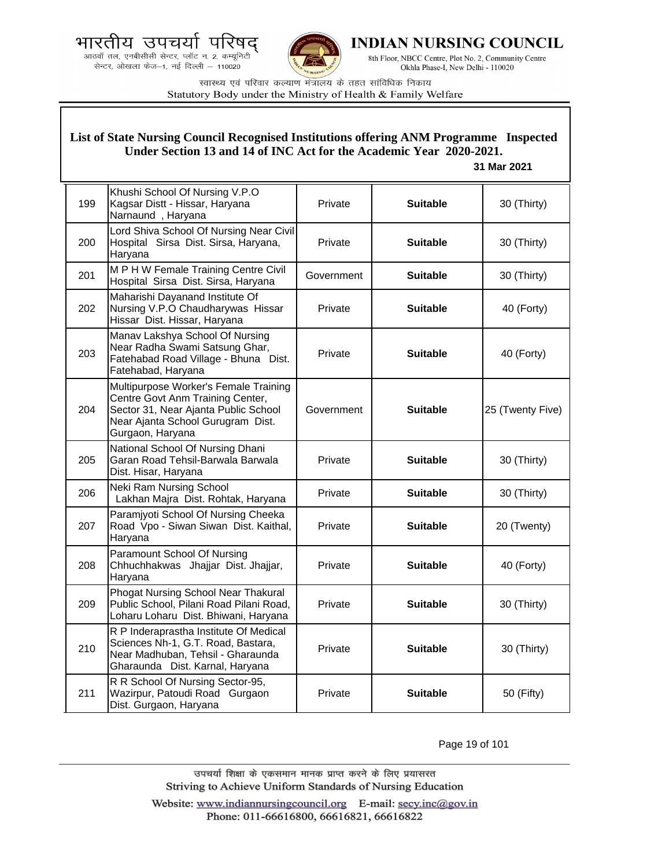



**INDIAN NURSING COUNCIL** 

8th Floor, NBCC Centre, Plot No. 2, Community Centre Okhla Phase-I, New Delhi - 110020

स्वास्थ्य एवं परिवार कल्याण मंत्रालय के तहत सांविधिक निकाय Statutory Body under the Ministry of Health & Family Welfare

### **List of State Nursing Council Recognised Institutions offering ANM Programme Inspected Under Section 13 and 14 of INC Act for the Academic Year 2020-2021.**

### **31 Mar 2021**

| 199 | Khushi School Of Nursing V.P.O<br>Kagsar Distt - Hissar, Haryana<br>Narnaund, Haryana                                                                                      | Private    | <b>Suitable</b> | 30 (Thirty)      |
|-----|----------------------------------------------------------------------------------------------------------------------------------------------------------------------------|------------|-----------------|------------------|
| 200 | Lord Shiva School Of Nursing Near Civil<br>Hospital Sirsa Dist. Sirsa, Haryana,<br>Haryana                                                                                 | Private    | <b>Suitable</b> | 30 (Thirty)      |
| 201 | M P H W Female Training Centre Civil<br>Hospital Sirsa Dist. Sirsa, Haryana                                                                                                | Government | <b>Suitable</b> | 30 (Thirty)      |
| 202 | Maharishi Dayanand Institute Of<br>Nursing V.P.O Chaudharywas Hissar<br>Hissar Dist. Hissar, Haryana                                                                       | Private    | <b>Suitable</b> | 40 (Forty)       |
| 203 | Manav Lakshya School Of Nursing<br>Near Radha Swami Satsung Ghar,<br>Fatehabad Road Village - Bhuna Dist.<br>Fatehabad, Haryana                                            | Private    | <b>Suitable</b> | 40 (Forty)       |
| 204 | Multipurpose Worker's Female Training<br>Centre Govt Anm Training Center,<br>Sector 31, Near Ajanta Public School<br>Near Ajanta School Gurugram Dist.<br>Gurgaon, Haryana | Government | <b>Suitable</b> | 25 (Twenty Five) |
| 205 | National School Of Nursing Dhani<br>Garan Road Tehsil-Barwala Barwala<br>Dist. Hisar, Haryana                                                                              | Private    | <b>Suitable</b> | 30 (Thirty)      |
| 206 | Neki Ram Nursing School<br>Lakhan Majra Dist. Rohtak, Haryana                                                                                                              | Private    | <b>Suitable</b> | 30 (Thirty)      |
| 207 | Paramjyoti School Of Nursing Cheeka<br>Road Vpo - Siwan Siwan Dist. Kaithal,<br>Haryana                                                                                    | Private    | <b>Suitable</b> | 20 (Twenty)      |
| 208 | Paramount School Of Nursing<br>Chhuchhakwas Jhajjar Dist. Jhajjar,<br>Haryana                                                                                              | Private    | <b>Suitable</b> | 40 (Forty)       |
| 209 | Phogat Nursing School Near Thakural<br>Public School, Pilani Road Pilani Road,<br>Loharu Loharu Dist. Bhiwani, Haryana                                                     | Private    | <b>Suitable</b> | 30 (Thirty)      |
| 210 | R P Inderaprastha Institute Of Medical<br>Sciences Nh-1, G.T. Road, Bastara,<br>Near Madhuban, Tehsil - Gharaunda<br>Gharaunda Dist. Karnal, Haryana                       | Private    | <b>Suitable</b> | 30 (Thirty)      |
| 211 | R R School Of Nursing Sector-95,<br>Wazirpur, Patoudi Road Gurgaon<br>Dist. Gurgaon, Haryana                                                                               | Private    | <b>Suitable</b> | 50 (Fifty)       |

Page 19 of 101

उपचर्या शिक्षा के एकसमान मानक प्राप्त करने के लिए प्रयासरत Striving to Achieve Uniform Standards of Nursing Education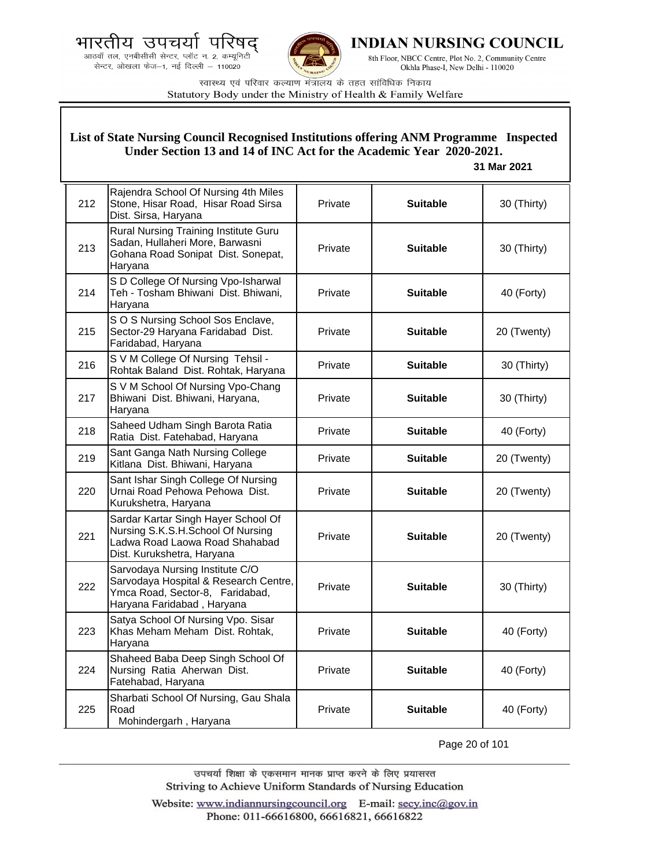भारतीय उपचर्या पारषट



225

Road

Mohindergarh , Haryana



INDIAN NURSING COUNCIL

8th Floor, NBCC Centre, Plot No. 2, Community Centre Okhla Phase-I, New Delhi - 110020

स्वास्थ्य एवं परिवार कल्याण मंत्रालय के तहत सांविधिक निकाय Statutory Body under the Ministry of Health & Family Welfare

**List of State Nursing Council Recognised Institutions offering ANM Programme Inspected** 

#### 212 Rajendra School Of Nursing 4th Miles Stone, Hisar Road, Hisar Road Sirsa Dist. Sirsa, Haryana Private **Suitable 30 (Thirty)** 213 Rural Nursing Training Institute Guru Sadan, Hullaheri More, Barwasni Gohana Road Sonipat Dist. Sonepat, Haryana Private **| Suitable |** 30 (Thirty) 214 S D College Of Nursing Vpo-Isharwal Teh - Tosham Bhiwani Dist. Bhiwani, Haryana Private **Suitable 40 (Forty)** 215 S O S Nursing School Sos Enclave, Sector-29 Haryana Faridabad Dist. Faridabad, Haryana Private **Suitable** 20 (Twenty) 216 S V M College Of Nursing Tehsil -Rohtak Baland Dist. Rohtak, Haryana Private **Suitable** 30 (Thirty) 217 S V M School Of Nursing Vpo-Chang Bhiwani Dist. Bhiwani, Haryana, Haryana Private **Suitable 30 (Thirty)** 218 Saheed Udham Singh Barota Ratia Ratia Dist. Fatehabad, Haryana Private **Suitable** 40 (Forty) 219 Sant Ganga Nath Nursing College Sant Gariga Natif Nursing College **Private | Suitable | 20** (Twenty)<br>Kitlana Dist. Bhiwani, Haryana **Private** | Suitable | 20 (Twenty) 220 Sant Ishar Singh College Of Nursing Urnai Road Pehowa Pehowa Dist. Kurukshetra, Haryana Private **Number 1 Suitable 1 20** (Twenty) 221 Sardar Kartar Singh Hayer School Of Nursing S.K.S.H.School Of Nursing Ladwa Road Laowa Road Shahabad Dist. Kurukshetra, Haryana Private **Suitable** 20 (Twenty) 222 Sarvodaya Nursing Institute C/O Sarvodaya Hospital & Research Centre, Ymca Road, Sector-8, Faridabad, Haryana Faridabad , Haryana Private **Suitable** 30 (Thirty) 223 Satya School Of Nursing Vpo. Sisar Khas Meham Meham Dist. Rohtak, Haryana Private **Suitable** 40 (Forty) 224 Shaheed Baba Deep Singh School Of Nursing Ratia Aherwan Dist. Fatehabad, Haryana Private **Suitable 40 (Forty)** Sharbati School Of Nursing, Gau Shala **Under Section 13 and 14 of INC Act for the Academic Year 2020-2021. 31 Mar 2021**

Page 20 of 101

Private **Suitable** 40 (Forty)

उपचर्या शिक्षा के एकसमान मानक प्राप्त करने के लिए प्रयासरत Striving to Achieve Uniform Standards of Nursing Education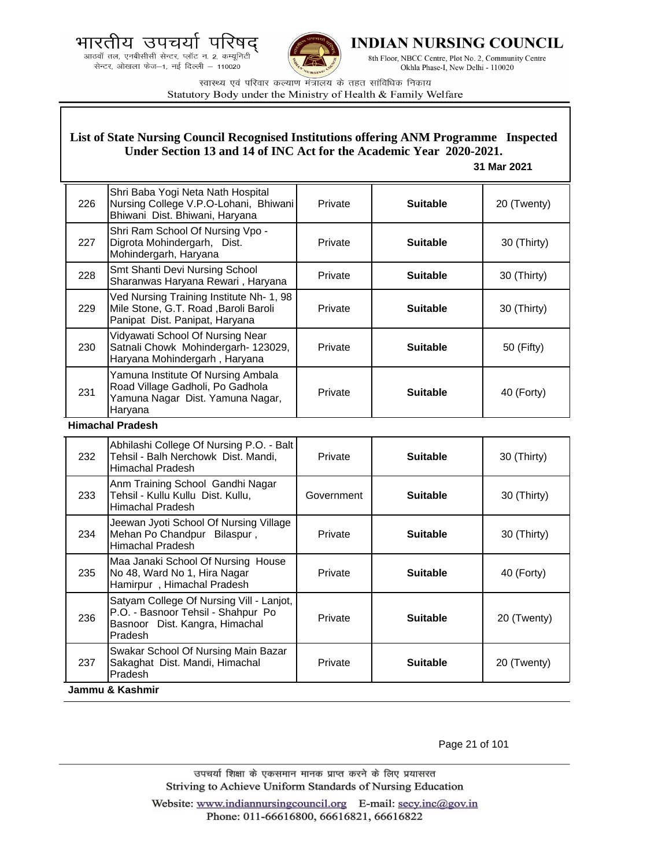



**INDIAN NURSING COUNCIL** 

8th Floor, NBCC Centre, Plot No. 2, Community Centre Okhla Phase-I, New Delhi - 110020

स्वास्थ्य एवं परिवार कल्याण मंत्रालय के तहत सांविधिक निकाय Statutory Body under the Ministry of Health & Family Welfare

### **List of State Nursing Council Recognised Institutions offering ANM Programme Inspected Under Section 13 and 14 of INC Act for the Academic Year 2020-2021.**

#### **31 Mar 2021**

| 226                            | Shri Baba Yogi Neta Nath Hospital<br>Nursing College V.P.O-Lohani, Bhiwani<br>Bhiwani Dist. Bhiwani, Haryana          | Private | <b>Suitable</b> | 20 (Twenty) |
|--------------------------------|-----------------------------------------------------------------------------------------------------------------------|---------|-----------------|-------------|
| 227                            | Shri Ram School Of Nursing Vpo -<br>Digrota Mohindergarh, Dist.<br>Mohindergarh, Haryana                              | Private | <b>Suitable</b> | 30 (Thirty) |
| 228                            | Smt Shanti Devi Nursing School<br>Sharanwas Haryana Rewari, Haryana                                                   | Private | <b>Suitable</b> | 30 (Thirty) |
| 229                            | Ved Nursing Training Institute Nh- 1, 98<br>Mile Stone, G.T. Road, Baroli Baroli<br>Panipat Dist. Panipat, Haryana    | Private | <b>Suitable</b> | 30 (Thirty) |
| 230                            | Vidyawati School Of Nursing Near<br>Satnali Chowk Mohindergarh- 123029,<br>Haryana Mohindergarh, Haryana              | Private | <b>Suitable</b> | 50 (Fifty)  |
| 231                            | Yamuna Institute Of Nursing Ambala<br>Road Village Gadholi, Po Gadhola<br>Yamuna Nagar Dist. Yamuna Nagar,<br>Haryana | Private | <b>Suitable</b> | 40 (Forty)  |
| الماد والمحمول المعامد ومساليل |                                                                                                                       |         |                 |             |

#### **Himachal Pradesh**

| 232             | Abhilashi College Of Nursing P.O. - Balt<br>Tehsil - Balh Nerchowk Dist. Mandi,<br>Himachal Pradesh                         | Private    | <b>Suitable</b> | 30 (Thirty) |
|-----------------|-----------------------------------------------------------------------------------------------------------------------------|------------|-----------------|-------------|
| 233             | Anm Training School Gandhi Nagar<br>Tehsil - Kullu Kullu Dist. Kullu,<br><b>Himachal Pradesh</b>                            | Government | <b>Suitable</b> | 30 (Thirty) |
| 234             | Jeewan Jyoti School Of Nursing Village<br>Mehan Po Chandpur Bilaspur,<br><b>Himachal Pradesh</b>                            | Private    | <b>Suitable</b> | 30 (Thirty) |
| 235             | Maa Janaki School Of Nursing House<br>No 48, Ward No 1, Hira Nagar<br>Hamirpur, Himachal Pradesh                            | Private    | <b>Suitable</b> | 40 (Forty)  |
| 236             | Satyam College Of Nursing Vill - Lanjot,<br>P.O. - Basnoor Tehsil - Shahpur Po<br>Basnoor Dist. Kangra, Himachal<br>Pradesh | Private    | <b>Suitable</b> | 20 (Twenty) |
| 237             | Swakar School Of Nursing Main Bazar<br>Sakaghat Dist. Mandi, Himachal<br><b>Pradesh</b>                                     | Private    | <b>Suitable</b> | 20 (Twenty) |
| Jammu & Kashmir |                                                                                                                             |            |                 |             |

Page 21 of 101

उपचर्या शिक्षा के एकसमान मानक प्राप्त करने के लिए प्रयासरत Striving to Achieve Uniform Standards of Nursing Education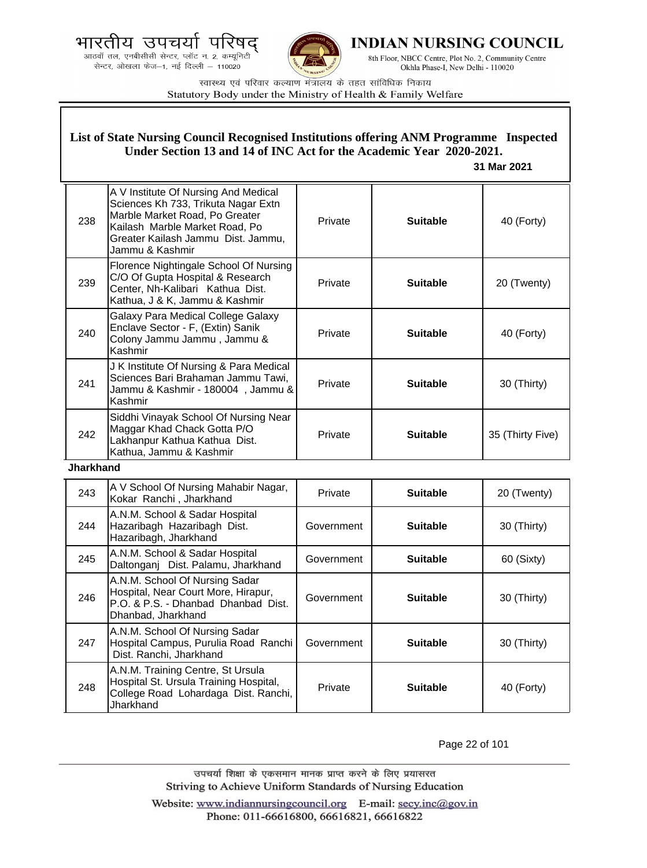



**INDIAN NURSING COUNCIL** 

8th Floor, NBCC Centre, Plot No. 2, Community Centre Okhla Phase-I, New Delhi - 110020

स्वास्थ्य एवं परिवार कल्याण मंत्रालय के तहत सांविधिक निकाय Statutory Body under the Ministry of Health & Family Welfare

### **List of State Nursing Council Recognised Institutions offering ANM Programme Inspected Under Section 13 and 14 of INC Act for the Academic Year 2020-2021.**

 **31 Mar 2021**

| 238 | A V Institute Of Nursing And Medical<br>Sciences Kh 733, Trikuta Nagar Extn<br>Marble Market Road, Po Greater<br>Kailash Marble Market Road, Po<br>Greater Kailash Jammu Dist. Jammu,<br>Jammu & Kashmir | Private | <b>Suitable</b> | 40 (Forty)       |
|-----|----------------------------------------------------------------------------------------------------------------------------------------------------------------------------------------------------------|---------|-----------------|------------------|
| 239 | Florence Nightingale School Of Nursing<br>C/O Of Gupta Hospital & Research<br>Center, Nh-Kalibari Kathua Dist.<br>Kathua, J & K, Jammu & Kashmir                                                         | Private | <b>Suitable</b> | 20 (Twenty)      |
| 240 | Galaxy Para Medical College Galaxy<br>Enclave Sector - F, (Extin) Sanik<br>Colony Jammu Jammu, Jammu &<br>Kashmir                                                                                        | Private | <b>Suitable</b> | 40 (Forty)       |
| 241 | J K Institute Of Nursing & Para Medical<br>Sciences Bari Brahaman Jammu Tawi,<br>Jammu & Kashmir - 180004, Jammu &<br>Kashmir                                                                            | Private | <b>Suitable</b> | 30 (Thirty)      |
| 242 | Siddhi Vinayak School Of Nursing Near<br>Maggar Khad Chack Gotta P/O<br>Lakhanpur Kathua Kathua Dist.<br>Kathua, Jammu & Kashmir                                                                         | Private | <b>Suitable</b> | 35 (Thirty Five) |

**Jharkhand**

| 243 | A V School Of Nursing Mahabir Nagar,<br>Kokar Ranchi, Jharkhand                                                                    | Private    | <b>Suitable</b> | 20 (Twenty) |
|-----|------------------------------------------------------------------------------------------------------------------------------------|------------|-----------------|-------------|
| 244 | A.N.M. School & Sadar Hospital<br>Hazaribagh Hazaribagh Dist.<br>Hazaribagh, Jharkhand                                             | Government | <b>Suitable</b> | 30 (Thirty) |
| 245 | A.N.M. School & Sadar Hospital<br>Daltonganj Dist. Palamu, Jharkhand                                                               | Government | <b>Suitable</b> | 60 (Sixty)  |
| 246 | A.N.M. School Of Nursing Sadar<br>Hospital, Near Court More, Hirapur,<br>P.O. & P.S. - Dhanbad Dhanbad Dist.<br>Dhanbad, Jharkhand | Government | <b>Suitable</b> | 30 (Thirty) |
| 247 | A.N.M. School Of Nursing Sadar<br>Hospital Campus, Purulia Road Ranchi<br>Dist. Ranchi, Jharkhand                                  | Government | <b>Suitable</b> | 30 (Thirty) |
| 248 | A.N.M. Training Centre, St Ursula<br>Hospital St. Ursula Training Hospital,<br>College Road Lohardaga Dist. Ranchi,<br>Jharkhand   | Private    | <b>Suitable</b> | 40 (Forty)  |

Page 22 of 101

उपचर्या शिक्षा के एकसमान मानक प्राप्त करने के लिए प्रयासरत Striving to Achieve Uniform Standards of Nursing Education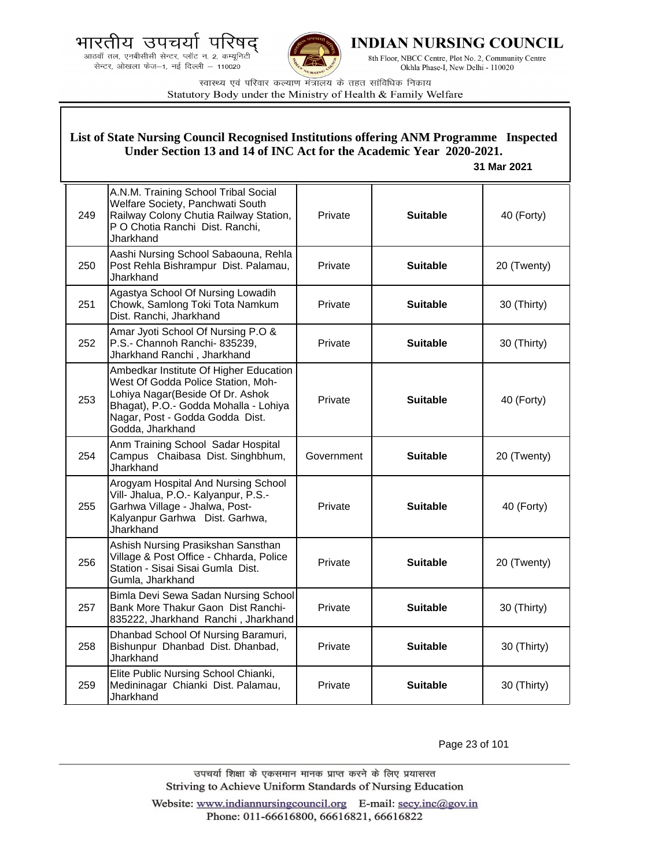भारतीय उपचयो पारष

.<br>आठवाँ तल, एनबीसीसी सेन्टर, प्लॉट न. 2, कम्यूनिटी<br>सेन्टर, ओखला फेज—1, नई दिल्ली — 110020



**INDIAN NURSING COUNCIL** 

8th Floor, NBCC Centre, Plot No. 2, Community Centre Okhla Phase-I, New Delhi - 110020

स्वास्थ्य एवं परिवार कल्याण मंत्रालय के तहत सांविधिक निकाय Statutory Body under the Ministry of Health & Family Welfare

|     | List of State Nursing Council Recognised Institutions offering ANM Programme Inspected<br>Under Section 13 and 14 of INC Act for the Academic Year 2020-2021.<br>31 Mar 2021                                      |            |                 |             |
|-----|-------------------------------------------------------------------------------------------------------------------------------------------------------------------------------------------------------------------|------------|-----------------|-------------|
| 249 | A.N.M. Training School Tribal Social<br>Welfare Society, Panchwati South<br>Railway Colony Chutia Railway Station,<br>P O Chotia Ranchi Dist. Ranchi,<br>Jharkhand                                                | Private    | <b>Suitable</b> | 40 (Forty)  |
| 250 | Aashi Nursing School Sabaouna, Rehla<br>Post Rehla Bishrampur Dist. Palamau,<br>Jharkhand                                                                                                                         | Private    | <b>Suitable</b> | 20 (Twenty) |
| 251 | Agastya School Of Nursing Lowadih<br>Chowk, Samlong Toki Tota Namkum<br>Dist. Ranchi, Jharkhand                                                                                                                   | Private    | <b>Suitable</b> | 30 (Thirty) |
| 252 | Amar Jyoti School Of Nursing P.O &<br>P.S.- Channoh Ranchi- 835239,<br>Jharkhand Ranchi, Jharkhand                                                                                                                | Private    | <b>Suitable</b> | 30 (Thirty) |
| 253 | Ambedkar Institute Of Higher Education<br>West Of Godda Police Station, Moh-<br>Lohiya Nagar (Beside Of Dr. Ashok<br>Bhagat), P.O.- Godda Mohalla - Lohiya<br>Nagar, Post - Godda Godda Dist.<br>Godda, Jharkhand | Private    | <b>Suitable</b> | 40 (Forty)  |
| 254 | Anm Training School Sadar Hospital<br>Campus Chaibasa Dist. Singhbhum,<br>Jharkhand                                                                                                                               | Government | <b>Suitable</b> | 20 (Twenty) |
| 255 | Arogyam Hospital And Nursing School<br>Vill- Jhalua, P.O.- Kalyanpur, P.S.-<br>Garhwa Village - Jhalwa, Post-<br>Kalyanpur Garhwa Dist. Garhwa,<br>Jharkhand                                                      | Private    | <b>Suitable</b> | 40 (Forty)  |
| 256 | Ashish Nursing Prasikshan Sansthan<br>Village & Post Office - Chharda, Police<br>Station - Sisai Sisai Gumla Dist.<br>Gumla, Jharkhand                                                                            | Private    | <b>Suitable</b> | 20 (Twenty) |
| 257 | Bimla Devi Sewa Sadan Nursing School<br>Bank More Thakur Gaon Dist Ranchi-<br>835222, Jharkhand Ranchi, Jharkhand                                                                                                 | Private    | <b>Suitable</b> | 30 (Thirty) |
| 258 | Dhanbad School Of Nursing Baramuri,<br>Bishunpur Dhanbad Dist. Dhanbad,<br>Jharkhand                                                                                                                              | Private    | <b>Suitable</b> | 30 (Thirty) |
| 259 | Elite Public Nursing School Chianki,<br>Medininagar Chianki Dist. Palamau,<br>Jharkhand                                                                                                                           | Private    | <b>Suitable</b> | 30 (Thirty) |

Page 23 of 101

उपचर्या शिक्षा के एकसमान मानक प्राप्त करने के लिए प्रयासरत Striving to Achieve Uniform Standards of Nursing Education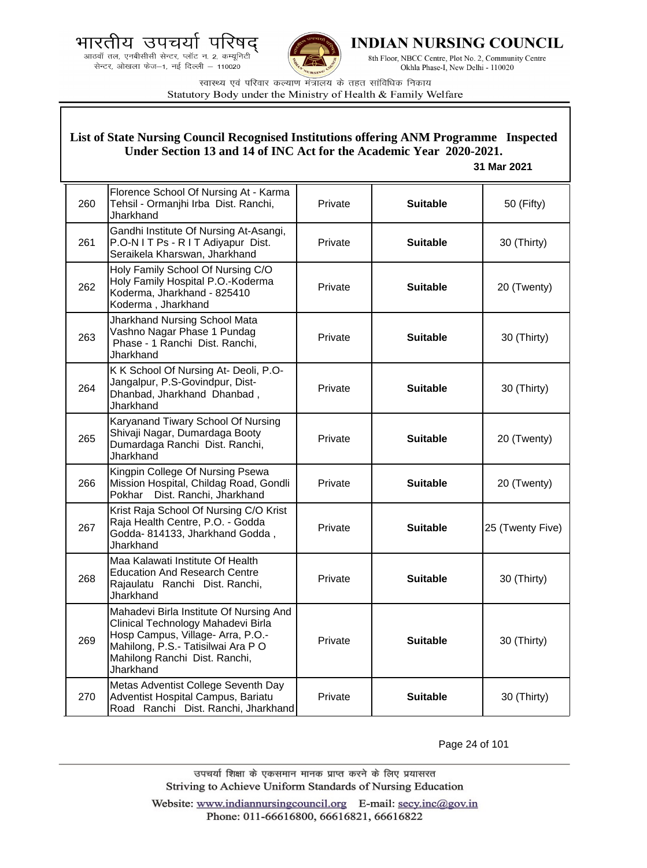



**INDIAN NURSING COUNCIL** 

8th Floor, NBCC Centre, Plot No. 2, Community Centre Okhla Phase-I, New Delhi - 110020

स्वास्थ्य एवं परिवार कल्याण मंत्रालय के तहत सांविधिक निकाय Statutory Body under the Ministry of Health & Family Welfare

### **List of State Nursing Council Recognised Institutions offering ANM Programme Inspected Under Section 13 and 14 of INC Act for the Academic Year 2020-2021.**

### **31 Mar 2021**

| 260 | Florence School Of Nursing At - Karma<br>Tehsil - Ormanjhi Irba Dist. Ranchi,<br>Jharkhand                                                                                                            | <b>Private</b> | <b>Suitable</b> | 50 (Fifty)       |
|-----|-------------------------------------------------------------------------------------------------------------------------------------------------------------------------------------------------------|----------------|-----------------|------------------|
| 261 | Gandhi Institute Of Nursing At-Asangi,<br>P.O-N I T Ps - R I T Adiyapur Dist.<br>Seraikela Kharswan, Jharkhand                                                                                        | Private        | <b>Suitable</b> | 30 (Thirty)      |
| 262 | Holy Family School Of Nursing C/O<br>Holy Family Hospital P.O.-Koderma<br>Koderma, Jharkhand - 825410<br>Koderma, Jharkhand                                                                           | Private        | <b>Suitable</b> | 20 (Twenty)      |
| 263 | Jharkhand Nursing School Mata<br>Vashno Nagar Phase 1 Pundag<br>Phase - 1 Ranchi Dist. Ranchi,<br>Jharkhand                                                                                           | Private        | <b>Suitable</b> | 30 (Thirty)      |
| 264 | K K School Of Nursing At- Deoli, P.O-<br>Jangalpur, P.S-Govindpur, Dist-<br>Dhanbad, Jharkhand Dhanbad,<br>Jharkhand                                                                                  | Private        | <b>Suitable</b> | 30 (Thirty)      |
| 265 | Karyanand Tiwary School Of Nursing<br>Shivaji Nagar, Dumardaga Booty<br>Dumardaga Ranchi Dist. Ranchi,<br>Jharkhand                                                                                   | Private        | <b>Suitable</b> | 20 (Twenty)      |
| 266 | Kingpin College Of Nursing Psewa<br>Mission Hospital, Childag Road, Gondli<br>Dist. Ranchi, Jharkhand<br>Pokhar                                                                                       | Private        | <b>Suitable</b> | 20 (Twenty)      |
| 267 | Krist Raja School Of Nursing C/O Krist<br>Raja Health Centre, P.O. - Godda<br>Godda- 814133, Jharkhand Godda,<br>Jharkhand                                                                            | Private        | <b>Suitable</b> | 25 (Twenty Five) |
| 268 | Maa Kalawati Institute Of Health<br><b>Education And Research Centre</b><br>Rajaulatu Ranchi Dist. Ranchi,<br>Jharkhand                                                                               | Private        | <b>Suitable</b> | 30 (Thirty)      |
| 269 | Mahadevi Birla Institute Of Nursing And<br>Clinical Technology Mahadevi Birla<br>Hosp Campus, Village- Arra, P.O.-<br>Mahilong, P.S.- Tatisilwai Ara PO<br>Mahilong Ranchi Dist. Ranchi,<br>Jharkhand | Private        | <b>Suitable</b> | 30 (Thirty)      |
| 270 | Metas Adventist College Seventh Day<br>Adventist Hospital Campus, Bariatu<br>Road Ranchi Dist. Ranchi, Jharkhand                                                                                      | Private        | <b>Suitable</b> | 30 (Thirty)      |

Page 24 of 101

उपचर्या शिक्षा के एकसमान मानक प्राप्त करने के लिए प्रयासरत Striving to Achieve Uniform Standards of Nursing Education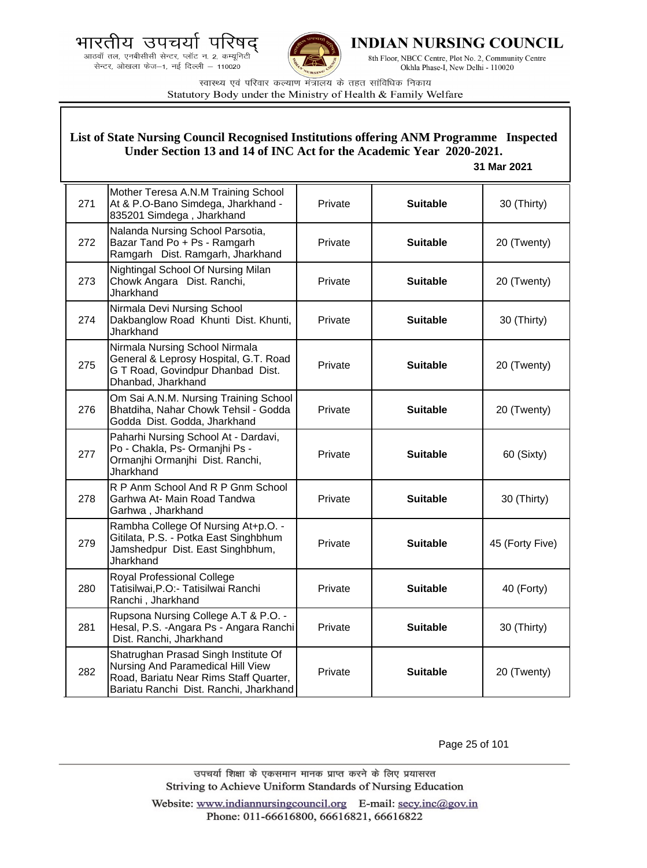



**INDIAN NURSING COUNCIL** 

8th Floor, NBCC Centre, Plot No. 2, Community Centre Okhla Phase-I, New Delhi - 110020

स्वास्थ्य एवं परिवार कल्याण मंत्रालय के तहत सांविधिक निकाय Statutory Body under the Ministry of Health & Family Welfare

### **List of State Nursing Council Recognised Institutions offering ANM Programme Inspected Under Section 13 and 14 of INC Act for the Academic Year 2020-2021.**

#### **31 Mar 2021**

| 271 | Mother Teresa A.N.M Training School<br>At & P.O-Bano Simdega, Jharkhand -<br>835201 Simdega, Jharkhand                                                        | Private | <b>Suitable</b> | 30 (Thirty)     |
|-----|---------------------------------------------------------------------------------------------------------------------------------------------------------------|---------|-----------------|-----------------|
| 272 | Nalanda Nursing School Parsotia,<br>Bazar Tand Po + Ps - Ramgarh<br>Ramgarh Dist. Ramgarh, Jharkhand                                                          | Private | <b>Suitable</b> | 20 (Twenty)     |
| 273 | Nightingal School Of Nursing Milan<br>Chowk Angara Dist. Ranchi,<br>Jharkhand                                                                                 | Private | <b>Suitable</b> | 20 (Twenty)     |
| 274 | Nirmala Devi Nursing School<br>Dakbanglow Road Khunti Dist. Khunti,<br>Jharkhand                                                                              | Private | <b>Suitable</b> | 30 (Thirty)     |
| 275 | Nirmala Nursing School Nirmala<br>General & Leprosy Hospital, G.T. Road<br>G T Road, Govindpur Dhanbad Dist.<br>Dhanbad, Jharkhand                            | Private | <b>Suitable</b> | 20 (Twenty)     |
| 276 | Om Sai A.N.M. Nursing Training School<br>Bhatdiha, Nahar Chowk Tehsil - Godda<br>Godda Dist. Godda, Jharkhand                                                 | Private | <b>Suitable</b> | 20 (Twenty)     |
| 277 | Paharhi Nursing School At - Dardavi,<br>Po - Chakla, Ps- Ormanjhi Ps -<br>Ormanjhi Ormanjhi Dist. Ranchi,<br>Jharkhand                                        | Private | <b>Suitable</b> | 60 (Sixty)      |
| 278 | R P Anm School And R P Gnm School<br>Garhwa At- Main Road Tandwa<br>Garhwa, Jharkhand                                                                         | Private | <b>Suitable</b> | 30 (Thirty)     |
| 279 | Rambha College Of Nursing At+p.O. -<br>Gitilata, P.S. - Potka East Singhbhum<br>Jamshedpur Dist. East Singhbhum,<br>Jharkhand                                 | Private | <b>Suitable</b> | 45 (Forty Five) |
| 280 | Royal Professional College<br>Tatisilwai, P.O:- Tatisilwai Ranchi<br>Ranchi, Jharkhand                                                                        | Private | <b>Suitable</b> | 40 (Forty)      |
| 281 | Rupsona Nursing College A.T & P.O. -<br>Hesal, P.S. - Angara Ps - Angara Ranchi<br>Dist. Ranchi, Jharkhand                                                    | Private | <b>Suitable</b> | 30 (Thirty)     |
| 282 | Shatrughan Prasad Singh Institute Of<br>Nursing And Paramedical Hill View<br>Road, Bariatu Near Rims Staff Quarter,<br>Bariatu Ranchi Dist. Ranchi, Jharkhand | Private | <b>Suitable</b> | 20 (Twenty)     |

Page 25 of 101

उपचर्या शिक्षा के एकसमान मानक प्राप्त करने के लिए प्रयासरत Striving to Achieve Uniform Standards of Nursing Education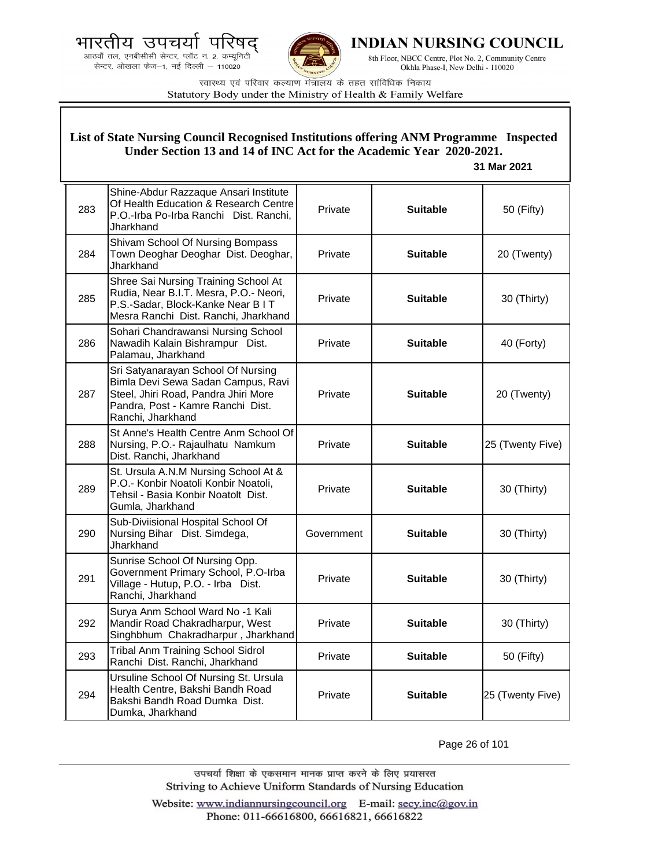



**INDIAN NURSING COUNCIL** 

8th Floor, NBCC Centre, Plot No. 2, Community Centre Okhla Phase-I, New Delhi - 110020

स्वास्थ्य एवं परिवार कल्याण मंत्रालय के तहत सांविधिक निकाय Statutory Body under the Ministry of Health & Family Welfare

|     | List of State Nursing Council Recognised Institutions offering ANM Programme Inspected<br>Under Section 13 and 14 of INC Act for the Academic Year 2020-2021.<br>31 Mar 2021 |            |                 |                  |
|-----|------------------------------------------------------------------------------------------------------------------------------------------------------------------------------|------------|-----------------|------------------|
| 283 | Shine-Abdur Razzaque Ansari Institute<br>Of Health Education & Research Centre<br>P.O.-Irba Po-Irba Ranchi Dist. Ranchi,<br>Jharkhand                                        | Private    | <b>Suitable</b> | 50 (Fifty)       |
| 284 | Shivam School Of Nursing Bompass<br>Town Deoghar Deoghar Dist. Deoghar,<br>Jharkhand                                                                                         | Private    | <b>Suitable</b> | 20 (Twenty)      |
| 285 | Shree Sai Nursing Training School At<br>Rudia, Near B.I.T. Mesra, P.O.- Neori,<br>P.S.-Sadar, Block-Kanke Near B I T<br>Mesra Ranchi Dist. Ranchi, Jharkhand                 | Private    | <b>Suitable</b> | 30 (Thirty)      |
| 286 | Sohari Chandrawansi Nursing School<br>Nawadih Kalain Bishrampur Dist.<br>Palamau, Jharkhand                                                                                  | Private    | <b>Suitable</b> | 40 (Forty)       |
| 287 | Sri Satyanarayan School Of Nursing<br>Bimla Devi Sewa Sadan Campus, Ravi<br>Steel, Jhiri Road, Pandra Jhiri More<br>Pandra, Post - Kamre Ranchi Dist.<br>Ranchi, Jharkhand   | Private    | <b>Suitable</b> | 20 (Twenty)      |
| 288 | St Anne's Health Centre Anm School Of<br>Nursing, P.O.- Rajaulhatu Namkum<br>Dist. Ranchi, Jharkhand                                                                         | Private    | <b>Suitable</b> | 25 (Twenty Five) |
| 289 | St. Ursula A.N.M Nursing School At &<br>P.O.- Konbir Noatoli Konbir Noatoli,<br>Tehsil - Basia Konbir Noatolt Dist.<br>Gumla, Jharkhand                                      | Private    | <b>Suitable</b> | 30 (Thirty)      |
| 290 | Sub-Diviisional Hospital School Of<br>Nursing Bihar Dist. Simdega,<br>Jharkhand                                                                                              | Government | <b>Suitable</b> | 30 (Thirty)      |
| 291 | Sunrise School Of Nursing Opp.<br>Government Primary School, P.O-Irba<br>Village - Hutup, P.O. - Irba Dist.<br>Ranchi, Jharkhand                                             | Private    | <b>Suitable</b> | 30 (Thirty)      |
| 292 | Surya Anm School Ward No -1 Kali<br>Mandir Road Chakradharpur, West<br>Singhbhum Chakradharpur, Jharkhand                                                                    | Private    | <b>Suitable</b> | 30 (Thirty)      |
| 293 | <b>Tribal Anm Training School Sidrol</b><br>Ranchi Dist. Ranchi, Jharkhand                                                                                                   | Private    | <b>Suitable</b> | 50 (Fifty)       |
| 294 | Ursuline School Of Nursing St. Ursula<br>Health Centre, Bakshi Bandh Road<br>Bakshi Bandh Road Dumka Dist.<br>Dumka, Jharkhand                                               | Private    | <b>Suitable</b> | 25 (Twenty Five) |

Page 26 of 101

उपचर्या शिक्षा के एकसमान मानक प्राप्त करने के लिए प्रयासरत Striving to Achieve Uniform Standards of Nursing Education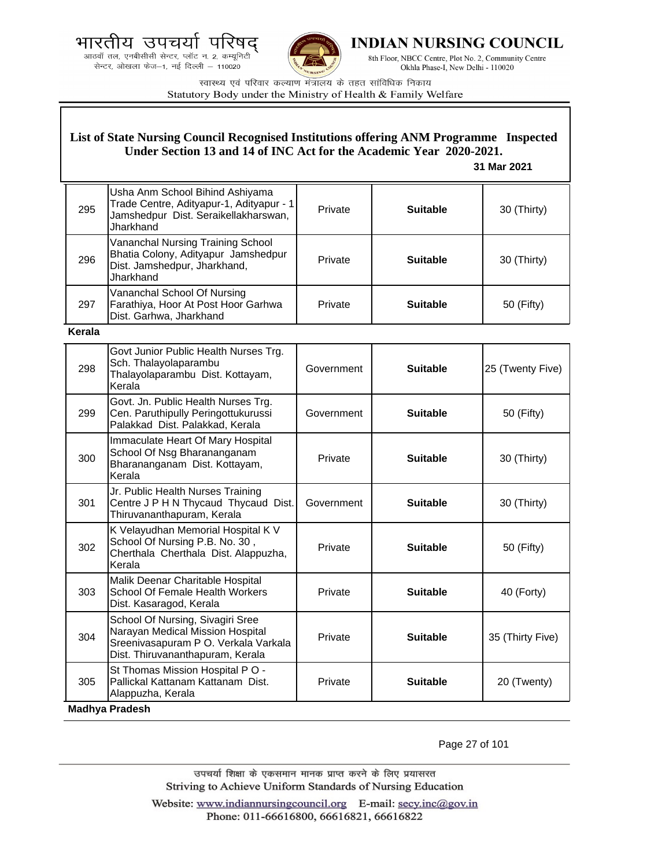भारती उपचर य

आठवाँ तल, एनबीसीसी सेन्टर, प्लॉट न. 2, कम्यूनिटी सेन्टर, ओखला फेज-1, नई दिल्ली - 110020



**INDIAN NURSING COUNCIL** 

8th Floor, NBCC Centre, Plot No. 2, Community Centre Okhla Phase-I, New Delhi - 110020

स्वास्थ्य एवं परिवार कल्याण मंत्रालय के तहत सांविधिक निकाय Statutory Body under the Ministry of Health & Family Welfare

### **List of State Nursing Council Recognised Institutions offering ANM Programme Inspected Under Section 13 and 14 of INC Act for the Academic Year 2020-2021.**

 **31 Mar 2021**

| 295 | Usha Anm School Bihind Ashiyama<br>Trade Centre, Adityapur-1, Adityapur - 1<br>Jamshedpur Dist. Seraikellakharswan,<br>Jharkhand | Private | <b>Suitable</b> | 30 (Thirty) |
|-----|----------------------------------------------------------------------------------------------------------------------------------|---------|-----------------|-------------|
| 296 | Vananchal Nursing Training School<br>Bhatia Colony, Adityapur Jamshedpur<br>Dist. Jamshedpur, Jharkhand,<br>Jharkhand            | Private | <b>Suitable</b> | 30 (Thirty) |
| 297 | Vananchal School Of Nursing<br>Farathiya, Hoor At Post Hoor Garhwa<br>Dist. Garhwa, Jharkhand                                    | Private | <b>Suitable</b> | 50 (Fifty)  |

**Kerala**

| 298 | Govt Junior Public Health Nurses Trg.<br>Sch. Thalayolaparambu<br>Thalayolaparambu Dist. Kottayam,<br>Kerala                                     | Government | <b>Suitable</b> | 25 (Twenty Five) |
|-----|--------------------------------------------------------------------------------------------------------------------------------------------------|------------|-----------------|------------------|
| 299 | Govt. Jn. Public Health Nurses Trg.<br>Cen. Paruthipully Peringottukurussi<br>Palakkad Dist. Palakkad, Kerala                                    | Government | <b>Suitable</b> | 50 (Fifty)       |
| 300 | Immaculate Heart Of Mary Hospital<br>School Of Nsg Bharananganam<br>Bharananganam Dist. Kottayam,<br>Kerala                                      | Private    | <b>Suitable</b> | 30 (Thirty)      |
| 301 | Jr. Public Health Nurses Training<br>Centre J P H N Thycaud Thycaud Dist.<br>Thiruvananthapuram, Kerala                                          | Government | <b>Suitable</b> | 30 (Thirty)      |
| 302 | K Velayudhan Memorial Hospital K V<br>School Of Nursing P.B. No. 30,<br>Cherthala Cherthala Dist. Alappuzha,<br>Kerala                           | Private    | <b>Suitable</b> | 50 (Fifty)       |
| 303 | Malik Deenar Charitable Hospital<br>School Of Female Health Workers<br>Dist. Kasaragod, Kerala                                                   | Private    | <b>Suitable</b> | 40 (Forty)       |
| 304 | School Of Nursing, Sivagiri Sree<br>Narayan Medical Mission Hospital<br>Sreenivasapuram P O. Verkala Varkala<br>Dist. Thiruvananthapuram, Kerala | Private    | <b>Suitable</b> | 35 (Thirty Five) |
| 305 | St Thomas Mission Hospital PO -<br>Pallickal Kattanam Kattanam Dist.<br>Alappuzha, Kerala<br><b>Madhya Pradesh</b>                               | Private    | <b>Suitable</b> | 20 (Twenty)      |

Page 27 of 101

उपचर्या शिक्षा के एकसमान मानक प्राप्त करने के लिए प्रयासरत Striving to Achieve Uniform Standards of Nursing Education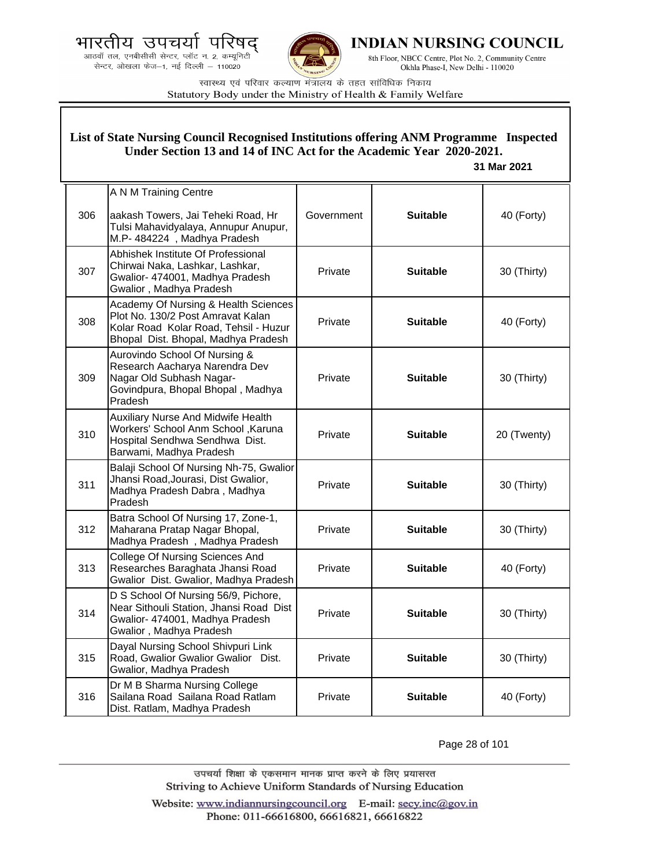



**INDIAN NURSING COUNCIL** 

8th Floor, NBCC Centre, Plot No. 2, Community Centre Okhla Phase-I, New Delhi - 110020

स्वास्थ्य एवं परिवार कल्याण मंत्रालय के तहत सांविधिक निकाय Statutory Body under the Ministry of Health & Family Welfare

### **List of State Nursing Council Recognised Institutions offering ANM Programme Inspected Under Section 13 and 14 of INC Act for the Academic Year 2020-2021.**

 **31 Mar 2021**

|     | A N M Training Centre                                                                                                                                     |            |                 |             |
|-----|-----------------------------------------------------------------------------------------------------------------------------------------------------------|------------|-----------------|-------------|
| 306 | aakash Towers, Jai Teheki Road, Hr<br>Tulsi Mahavidyalaya, Annupur Anupur,<br>M.P- 484224, Madhya Pradesh                                                 | Government | <b>Suitable</b> | 40 (Forty)  |
| 307 | Abhishek Institute Of Professional<br>Chirwai Naka, Lashkar, Lashkar,<br>Gwalior- 474001, Madhya Pradesh<br>Gwalior, Madhya Pradesh                       | Private    | <b>Suitable</b> | 30 (Thirty) |
| 308 | Academy Of Nursing & Health Sciences<br>Plot No. 130/2 Post Amravat Kalan<br>Kolar Road Kolar Road, Tehsil - Huzur<br>Bhopal Dist. Bhopal, Madhya Pradesh | Private    | <b>Suitable</b> | 40 (Forty)  |
| 309 | Aurovindo School Of Nursing &<br>Research Aacharya Narendra Dev<br>Nagar Old Subhash Nagar-<br>Govindpura, Bhopal Bhopal, Madhya<br>Pradesh               | Private    | <b>Suitable</b> | 30 (Thirty) |
| 310 | <b>Auxiliary Nurse And Midwife Health</b><br>Workers' School Anm School, Karuna<br>Hospital Sendhwa Sendhwa Dist.<br>Barwami, Madhya Pradesh              | Private    | <b>Suitable</b> | 20 (Twenty) |
| 311 | Balaji School Of Nursing Nh-75, Gwalior<br>Jhansi Road, Jourasi, Dist Gwalior,<br>Madhya Pradesh Dabra, Madhya<br>Pradesh                                 | Private    | <b>Suitable</b> | 30 (Thirty) |
| 312 | Batra School Of Nursing 17, Zone-1,<br>Maharana Pratap Nagar Bhopal,<br>Madhya Pradesh, Madhya Pradesh                                                    | Private    | <b>Suitable</b> | 30 (Thirty) |
| 313 | <b>College Of Nursing Sciences And</b><br>Researches Baraghata Jhansi Road<br>Gwalior Dist. Gwalior, Madhya Pradesh                                       | Private    | <b>Suitable</b> | 40 (Forty)  |
| 314 | D S School Of Nursing 56/9, Pichore,<br>Near Sithouli Station, Jhansi Road Dist<br>Gwalior- 474001, Madhya Pradesh<br>Gwalior, Madhya Pradesh             | Private    | <b>Suitable</b> | 30 (Thirty) |
| 315 | Dayal Nursing School Shivpuri Link<br>Road, Gwalior Gwalior Gwalior Dist.<br>Gwalior, Madhya Pradesh                                                      | Private    | <b>Suitable</b> | 30 (Thirty) |
| 316 | Dr M B Sharma Nursing College<br>Sailana Road Sailana Road Ratlam<br>Dist. Ratlam, Madhya Pradesh                                                         | Private    | <b>Suitable</b> | 40 (Forty)  |

Page 28 of 101

उपचर्या शिक्षा के एकसमान मानक प्राप्त करने के लिए प्रयासरत Striving to Achieve Uniform Standards of Nursing Education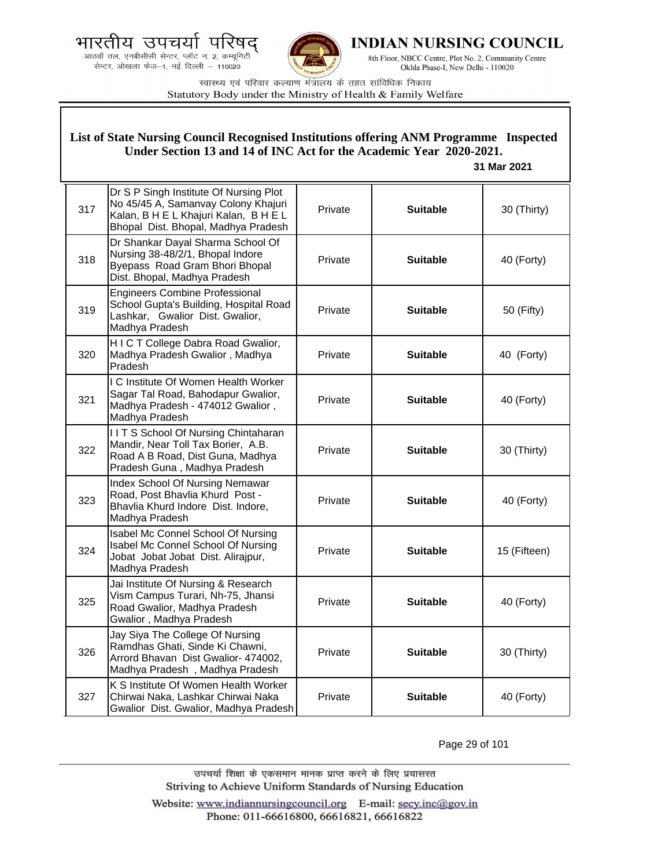



**INDIAN NURSING COUNCIL** 

8th Floor, NBCC Centre, Plot No. 2, Community Centre Okhla Phase-I, New Delhi - 110020

स्वास्थ्य एवं परिवार कल्याण मंत्रालय के तहत सांविधिक निकाय Statutory Body under the Ministry of Health & Family Welfare

| List of State Nursing Council Recognised Institutions offering ANM Programme Inspected<br>Under Section 13 and 14 of INC Act for the Academic Year 2020-2021.<br>31 Mar 2021 |                                                                                                                                                               |         |                 |              |
|------------------------------------------------------------------------------------------------------------------------------------------------------------------------------|---------------------------------------------------------------------------------------------------------------------------------------------------------------|---------|-----------------|--------------|
| 317                                                                                                                                                                          | Dr S P Singh Institute Of Nursing Plot<br>No 45/45 A, Samanvay Colony Khajuri<br>Kalan, B H E L Khajuri Kalan, B H E L<br>Bhopal Dist. Bhopal, Madhya Pradesh | Private | <b>Suitable</b> | 30 (Thirty)  |
| 318                                                                                                                                                                          | Dr Shankar Dayal Sharma School Of<br>Nursing 38-48/2/1, Bhopal Indore<br>Byepass Road Gram Bhori Bhopal<br>Dist. Bhopal, Madhya Pradesh                       | Private | <b>Suitable</b> | 40 (Forty)   |
| 319                                                                                                                                                                          | <b>Engineers Combine Professional</b><br>School Gupta's Building, Hospital Road<br>Lashkar, Gwalior Dist. Gwalior,<br>Madhya Pradesh                          | Private | <b>Suitable</b> | 50 (Fifty)   |
| 320                                                                                                                                                                          | HICT College Dabra Road Gwalior,<br>Madhya Pradesh Gwalior, Madhya<br>Pradesh                                                                                 | Private | <b>Suitable</b> | 40 (Forty)   |
| 321                                                                                                                                                                          | I C Institute Of Women Health Worker<br>Sagar Tal Road, Bahodapur Gwalior,<br>Madhya Pradesh - 474012 Gwalior,<br>Madhya Pradesh                              | Private | <b>Suitable</b> | 40 (Forty)   |
| 322                                                                                                                                                                          | IITS School Of Nursing Chintaharan<br>Mandir, Near Toll Tax Borier, A.B.<br>Road A B Road, Dist Guna, Madhya<br>Pradesh Guna, Madhya Pradesh                  | Private | <b>Suitable</b> | 30 (Thirty)  |
| 323                                                                                                                                                                          | Index School Of Nursing Nemawar<br>Road, Post Bhavlia Khurd Post -<br>Bhavlia Khurd Indore Dist. Indore,<br>Madhya Pradesh                                    | Private | <b>Suitable</b> | 40 (Forty)   |
| 324                                                                                                                                                                          | Isabel Mc Connel School Of Nursing<br>Isabel Mc Connel School Of Nursing<br>Jobat Jobat Jobat Dist. Alirajpur,<br>Madhya Pradesh                              | Private | <b>Suitable</b> | 15 (Fifteen) |
| 325                                                                                                                                                                          | Jai Institute Of Nursing & Research<br>Vism Campus Turari, Nh-75, Jhansi<br>Road Gwalior, Madhya Pradesh<br>Gwalior, Madhya Pradesh                           | Private | <b>Suitable</b> | 40 (Forty)   |
| 326                                                                                                                                                                          | Jay Siya The College Of Nursing<br>Ramdhas Ghati, Sinde Ki Chawni,<br>Arrord Bhavan Dist Gwalior- 474002,<br>Madhya Pradesh, Madhya Pradesh                   | Private | <b>Suitable</b> | 30 (Thirty)  |
| 327                                                                                                                                                                          | K S Institute Of Women Health Worker<br>Chirwai Naka, Lashkar Chirwai Naka<br>Gwalior Dist. Gwalior, Madhya Pradesh                                           | Private | <b>Suitable</b> | 40 (Forty)   |

Page 29 of 101

उपचर्या शिक्षा के एकसमान मानक प्राप्त करने के लिए प्रयासरत Striving to Achieve Uniform Standards of Nursing Education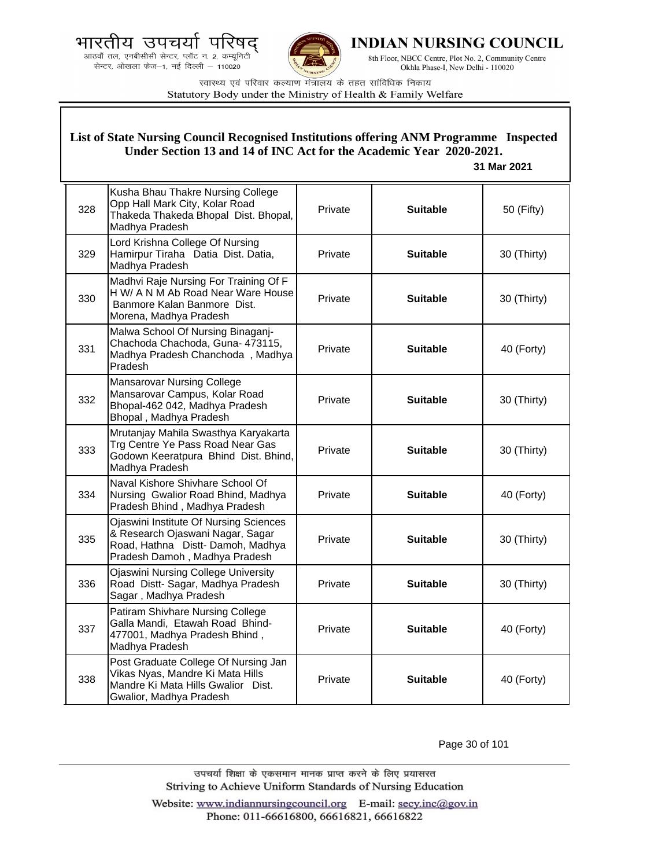भारतीय उपचर्या ਧ

आठवाँ तल, एनबीसीसी सेन्टर, प्लॉट न. 2, कम्यूनिटी सेन्टर, ओखला फेज-1, नई दिल्ली - 110020



INDIAN NURSING COUNCIL

8th Floor, NBCC Centre, Plot No. 2, Community Centre Okhla Phase-I, New Delhi - 110020

स्वास्थ्य एवं परिवार कल्याण मंत्रालय के तहत सांविधिक निकाय Statutory Body under the Ministry of Health & Family Welfare

#### List of State Nursing Council Recognised Institutions offering ANM Programme Inspected Under Section 13 and 14 of INC Act for the Academic Year 2020-2021. 31 Mar 2021 Kusha Bhau Thakre Nursing College Opp Hall Mark City, Kolar Road 328 Private **Suitable** 50 (Fifty) Thakeda Thakeda Bhopal Dist. Bhopal, Madhya Pradesh Lord Krishna College Of Nursing Hamirpur Tiraha Datia Dist. Datia, 329 Private **Suitable** 30 (Thirty) Madhya Pradesh Madhvi Raje Nursing For Training Of F H W/ A N M Ab Road Near Ware House 330 Private **Suitable** 30 (Thirty) Banmore Kalan Banmore Dist. Morena, Madhya Pradesh Malwa School Of Nursing Binaganj-Chachoda Chachoda, Guna- 473115, 331 Private **Suitable** 40 (Forty) Madhya Pradesh Chanchoda, Madhya Pradesh **Mansarovar Nursing College** Mansarovar Campus, Kolar Road 332 Private **Suitable** 30 (Thirty) Bhopal-462 042, Madhya Pradesh Bhopal, Madhya Pradesh Mrutanjay Mahila Swasthya Karyakarta Trg Centre Ye Pass Road Near Gas 333 30 (Thirty) Private **Suitable** Godown Keeratpura Bhind Dist. Bhind, Madhya Pradesh Naval Kishore Shivhare School Of 334 Nursing Gwalior Road Bhind, Madhya Private **Suitable** 40 (Forty) Pradesh Bhind, Madhya Pradesh Ojaswini Institute Of Nursing Sciences & Research Ojaswani Nagar, Sagar 335 Private **Suitable** 30 (Thirty) Road, Hathna Distt-Damoh, Madhya Pradesh Damoh, Madhya Pradesh **Ojaswini Nursing College University** Road Distt- Sagar, Madhya Pradesh 336 Private **Suitable** 30 (Thirty) Sagar, Madhya Pradesh Patiram Shivhare Nursing College Galla Mandi, Etawah Road Bhind-337 Private **Suitable** 40 (Forty) 477001, Madhya Pradesh Bhind, Madhya Pradesh Post Graduate College Of Nursing Jan Vikas Nyas, Mandre Ki Mata Hills 338 Private **Suitable** 40 (Forty) Mandre Ki Mata Hills Gwalior Dist. Gwalior, Madhya Pradesh

Page 30 of 101

उपचर्या शिक्षा के एकसमान मानक प्राप्त करने के लिए प्रयासरत Striving to Achieve Uniform Standards of Nursing Education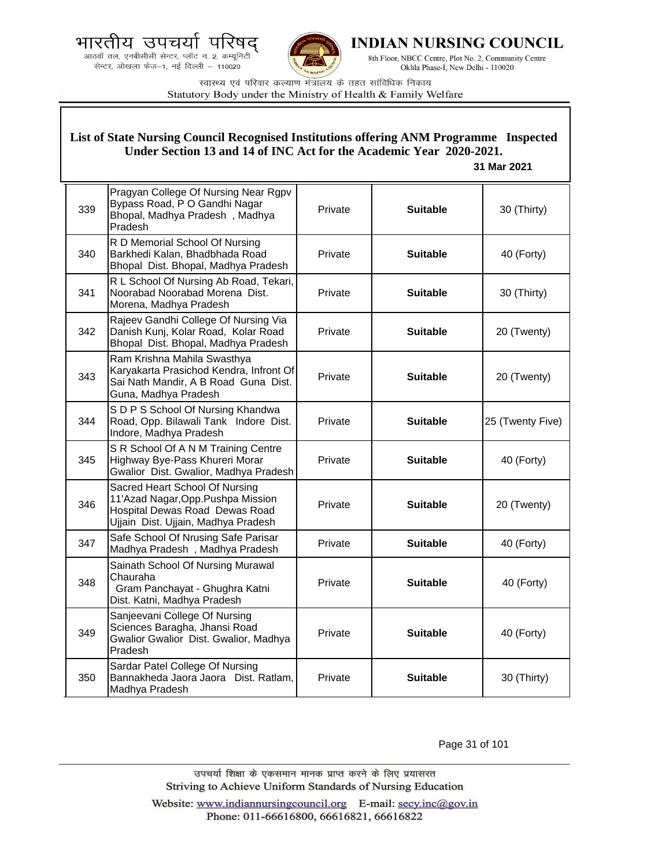भारतीय उपचर्या पा





INDIAN NURSING COUNCIL

8th Floor, NBCC Centre, Plot No. 2, Community Centre Okhla Phase-I, New Delhi - 110020

स्वास्थ्य एवं परिवार कल्याण मंत्रालय के तहत सांविधिक निकाय Statutory Body under the Ministry of Health & Family Welfare

#### 339 Pragyan College Of Nursing Near Rgpv Bypass Road, P O Gandhi Nagar Bhopal, Madhya Pradesh , Madhya Pradesh Private **Suitable** 30 (Thirty) 340 R D Memorial School Of Nursing Barkhedi Kalan, Bhadbhada Road Bhopal Dist. Bhopal, Madhya Pradesh Private **Suitable 40 (Forty)** 341 R L School Of Nursing Ab Road, Tekari, Noorabad Noorabad Morena Dist. Morena, Madhya Pradesh Private **Suitable** 30 (Thirty) 342 Rajeev Gandhi College Of Nursing Via Danish Kunj, Kolar Road, Kolar Road Bhopal Dist. Bhopal, Madhya Pradesh Private **Suitable** 20 (Twenty) 343 Ram Krishna Mahila Swasthya Karyakarta Prasichod Kendra, Infront Of Sai Nath Mandir, A B Road Guna Dist. Guna, Madhya Pradesh Private **Suitable** 20 (Twenty) 344 S D P S School Of Nursing Khandwa Road, Opp. Bilawali Tank Indore Dist. Indore, Madhya Pradesh Private **Suitable** 25 (Twenty Five) 345 S R School Of A N M Training Centre Highway Bye-Pass Khureri Morar Gwalior Dist. Gwalior, Madhya Pradesh Private **Suitable 40 (Forty)** 346 Sacred Heart School Of Nursing 11'Azad Nagar,Opp.Pushpa Mission Hospital Dewas Road Dewas Road Ujjain Dist. Ujjain, Madhya Pradesh Private **Suitable** 20 (Twenty) 347 Safe School Of Nrusing Safe Parisar Madhya Pradesh , Madhya Pradesh Private **Suitable** 40 (Forty) 348 Sainath School Of Nursing Murawal Chauraha Gram Panchayat - Ghughra Katni Dist. Katni, Madhya Pradesh Private **Suitable** 40 (Forty) 349 Sanjeevani College Of Nursing Sciences Baragha, Jhansi Road Gwalior Gwalior Dist. Gwalior, Madhya Pradesh Private **Nuitable H** 40 (Forty) 350 Sardar Patel College Of Nursing Bannakheda Jaora Jaora Dist. Ratlam, Madhya Pradesh Private **Suitable** 30 (Thirty) **List of State Nursing Council Recognised Institutions offering ANM Programme Inspected Under Section 13 and 14 of INC Act for the Academic Year 2020-2021. 31 Mar 2021**

Page 31 of 101

उपचर्या शिक्षा के एकसमान मानक प्राप्त करने के लिए प्रयासरत Striving to Achieve Uniform Standards of Nursing Education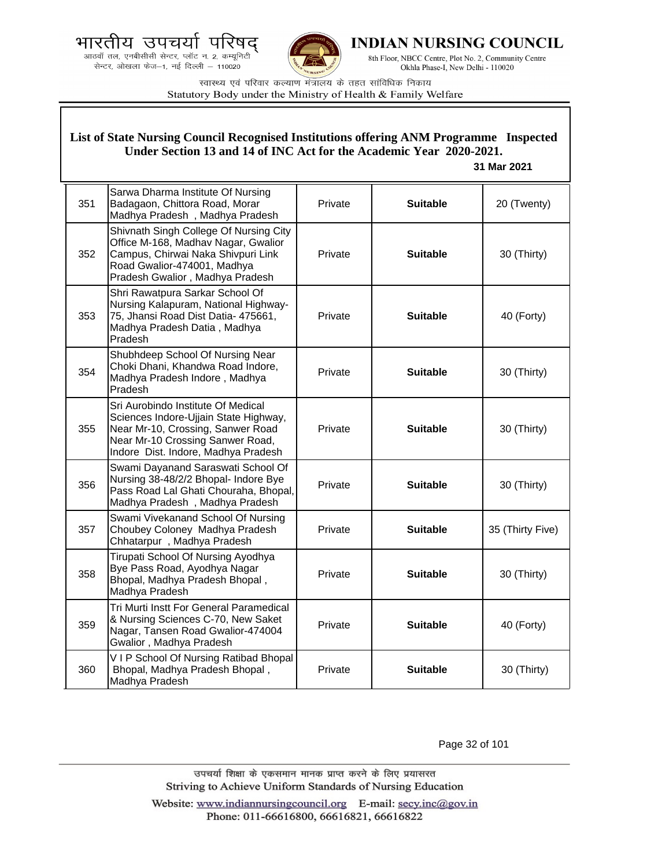



**INDIAN NURSING COUNCIL** 

8th Floor, NBCC Centre, Plot No. 2, Community Centre Okhla Phase-I, New Delhi - 110020

स्वास्थ्य एवं परिवार कल्याण मंत्रालय के तहत सांविधिक निकाय Statutory Body under the Ministry of Health & Family Welfare

|     | List of State Nursing Council Recognised Institutions offering ANM Programme Inspected<br>Under Section 13 and 14 of INC Act for the Academic Year 2020-2021.<br>31 Mar 2021                |         |                 |                  |
|-----|---------------------------------------------------------------------------------------------------------------------------------------------------------------------------------------------|---------|-----------------|------------------|
| 351 | Sarwa Dharma Institute Of Nursing<br>Badagaon, Chittora Road, Morar<br>Madhya Pradesh, Madhya Pradesh                                                                                       | Private | <b>Suitable</b> | 20 (Twenty)      |
| 352 | Shivnath Singh College Of Nursing City<br>Office M-168, Madhav Nagar, Gwalior<br>Campus, Chirwai Naka Shivpuri Link<br>Road Gwalior-474001, Madhya<br>Pradesh Gwalior, Madhya Pradesh       | Private | <b>Suitable</b> | 30 (Thirty)      |
| 353 | Shri Rawatpura Sarkar School Of<br>Nursing Kalapuram, National Highway-<br>75, Jhansi Road Dist Datia- 475661,<br>Madhya Pradesh Datia, Madhya<br>Pradesh                                   | Private | <b>Suitable</b> | 40 (Forty)       |
| 354 | Shubhdeep School Of Nursing Near<br>Choki Dhani, Khandwa Road Indore,<br>Madhya Pradesh Indore, Madhya<br>Pradesh                                                                           | Private | <b>Suitable</b> | 30 (Thirty)      |
| 355 | Sri Aurobindo Institute Of Medical<br>Sciences Indore-Ujjain State Highway,<br>Near Mr-10, Crossing, Sanwer Road<br>Near Mr-10 Crossing Sanwer Road,<br>Indore Dist. Indore, Madhya Pradesh | Private | <b>Suitable</b> | 30 (Thirty)      |
| 356 | Swami Dayanand Saraswati School Of<br>Nursing 38-48/2/2 Bhopal- Indore Bye<br>Pass Road Lal Ghati Chouraha, Bhopal,<br>Madhya Pradesh, Madhya Pradesh                                       | Private | <b>Suitable</b> | 30 (Thirty)      |
| 357 | Swami Vivekanand School Of Nursing<br>Choubey Coloney Madhya Pradesh<br>Chhatarpur, Madhya Pradesh                                                                                          | Private | <b>Suitable</b> | 35 (Thirty Five) |
| 358 | Tirupati School Of Nursing Ayodhya<br>Bye Pass Road, Ayodhya Nagar<br>Bhopal, Madhya Pradesh Bhopal,<br>Madhya Pradesh                                                                      | Private | <b>Suitable</b> | 30 (Thirty)      |
| 359 | Tri Murti Instt For General Paramedical<br>& Nursing Sciences C-70, New Saket<br>Nagar, Tansen Road Gwalior-474004<br>Gwalior, Madhya Pradesh                                               | Private | <b>Suitable</b> | 40 (Forty)       |
| 360 | VIP School Of Nursing Ratibad Bhopal<br>Bhopal, Madhya Pradesh Bhopal,<br>Madhya Pradesh                                                                                                    | Private | <b>Suitable</b> | 30 (Thirty)      |

Page 32 of 101

उपचर्या शिक्षा के एकसमान मानक प्राप्त करने के लिए प्रयासरत Striving to Achieve Uniform Standards of Nursing Education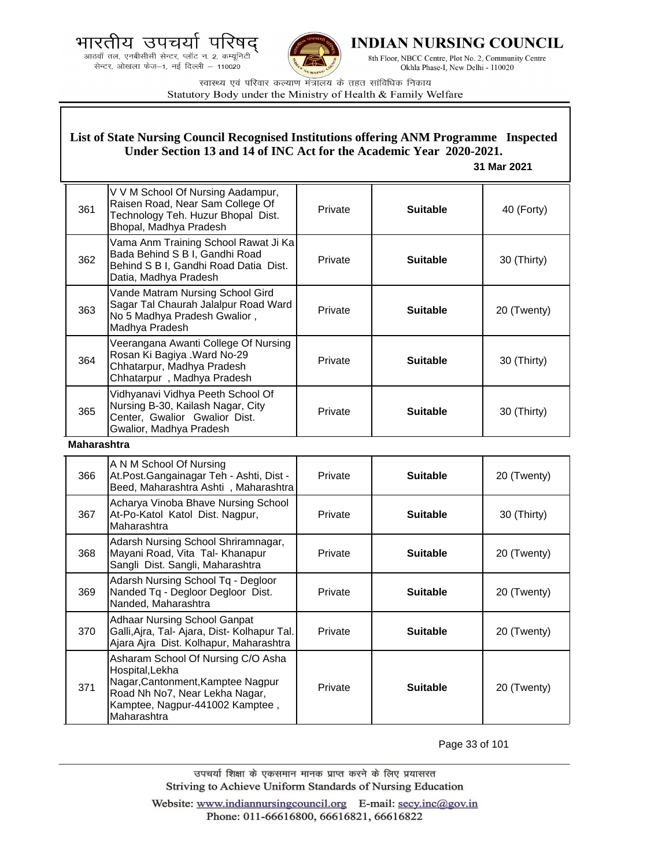



**INDIAN NURSING COUNCIL** 

8th Floor, NBCC Centre, Plot No. 2, Community Centre Okhla Phase-I, New Delhi - 110020

स्वास्थ्य एवं परिवार कल्याण मंत्रालय के तहत सांविधिक निकाय Statutory Body under the Ministry of Health & Family Welfare

# **List of State Nursing Council Recognised Institutions offering ANM Programme Inspected Under Section 13 and 14 of INC Act for the Academic Year 2020-2021.**

### **31 Mar 2021**

| 361 | V V M School Of Nursing Aadampur,<br>Raisen Road, Near Sam College Of<br>Technology Teh. Huzur Bhopal Dist.<br>Bhopal, Madhya Pradesh    | Private | <b>Suitable</b> | 40 (Forty)  |
|-----|------------------------------------------------------------------------------------------------------------------------------------------|---------|-----------------|-------------|
| 362 | Vama Anm Training School Rawat Ji Ka<br>Bada Behind S B I, Gandhi Road<br>Behind S B I, Gandhi Road Datia Dist.<br>Datia, Madhya Pradesh | Private | <b>Suitable</b> | 30 (Thirty) |
| 363 | Vande Matram Nursing School Gird<br>Sagar Tal Chaurah Jalalpur Road Ward<br>No 5 Madhya Pradesh Gwalior,<br>Madhya Pradesh               | Private | <b>Suitable</b> | 20 (Twenty) |
| 364 | Veerangana Awanti College Of Nursing<br>Rosan Ki Bagiya . Ward No-29<br>Chhatarpur, Madhya Pradesh<br>Chhatarpur, Madhya Pradesh         | Private | <b>Suitable</b> | 30 (Thirty) |
| 365 | Vidhyanavi Vidhya Peeth School Of<br>Nursing B-30, Kailash Nagar, City<br>Center, Gwalior Gwalior Dist.<br>Gwalior, Madhya Pradesh       | Private | <b>Suitable</b> | 30 (Thirty) |

### **Maharashtra**

| 366 | A N M School Of Nursing<br>At.Post.Gangainagar Teh - Ashti, Dist -<br>Beed, Maharashtra Ashti, Maharashtra                                                                     | Private | <b>Suitable</b> | 20 (Twenty) |
|-----|--------------------------------------------------------------------------------------------------------------------------------------------------------------------------------|---------|-----------------|-------------|
| 367 | Acharya Vinoba Bhave Nursing School<br>At-Po-Katol Katol Dist. Nagpur,<br>Maharashtra                                                                                          | Private | <b>Suitable</b> | 30 (Thirty) |
| 368 | Adarsh Nursing School Shriramnagar,<br>Mayani Road, Vita Tal- Khanapur<br>Sangli Dist. Sangli, Maharashtra                                                                     | Private | <b>Suitable</b> | 20 (Twenty) |
| 369 | Adarsh Nursing School Tq - Degloor<br>Nanded Tq - Degloor Degloor Dist.<br>Nanded, Maharashtra                                                                                 | Private | <b>Suitable</b> | 20 (Twenty) |
| 370 | <b>Adhaar Nursing School Ganpat</b><br>Galli, Ajra, Tal- Ajara, Dist- Kolhapur Tal.<br>Ajara Ajra Dist. Kolhapur, Maharashtra                                                  | Private | <b>Suitable</b> | 20 (Twenty) |
| 371 | Asharam School Of Nursing C/O Asha<br>Hospital, Lekha<br>Nagar, Cantonment, Kamptee Nagpur<br>Road Nh No7, Near Lekha Nagar,<br>Kamptee, Nagpur-441002 Kamptee,<br>Maharashtra | Private | <b>Suitable</b> | 20 (Twenty) |

Page 33 of 101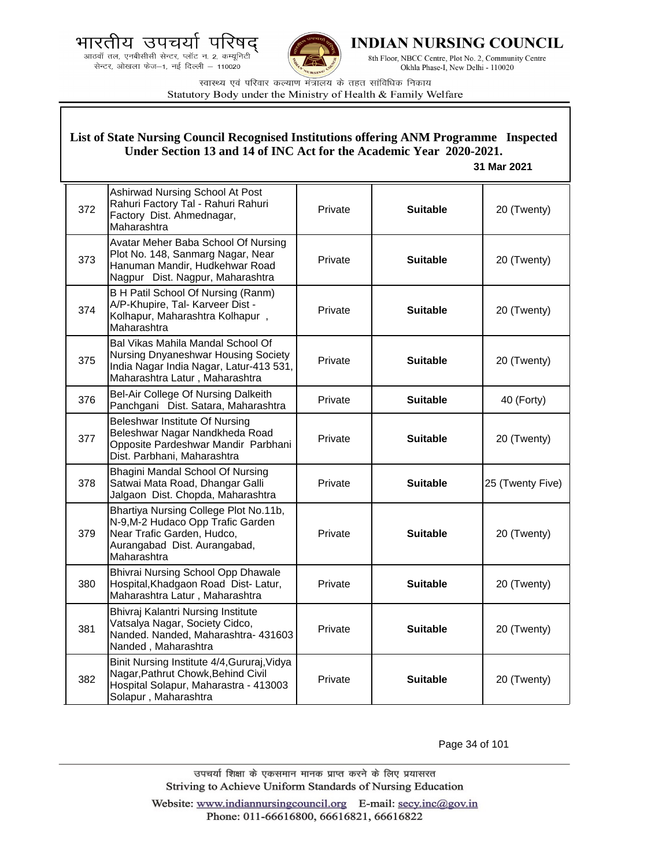.<br>आठवाँ तल, एनबीसीसी सेन्टर, प्लॉट न. 2, कम्यूनिटी<br>सेन्टर, ओखला फेज—1, नई दिल्ली — 110020



**INDIAN NURSING COUNCIL** 

8th Floor, NBCC Centre, Plot No. 2, Community Centre Okhla Phase-I, New Delhi - 110020

स्वास्थ्य एवं परिवार कल्याण मंत्रालय के तहत सांविधिक निकाय Statutory Body under the Ministry of Health & Family Welfare

|     | List of State Nursing Council Recognised Institutions offering ANM Programme Inspected<br>Under Section 13 and 14 of INC Act for the Academic Year 2020-2021.<br>31 Mar 2021 |         |                 |                  |
|-----|------------------------------------------------------------------------------------------------------------------------------------------------------------------------------|---------|-----------------|------------------|
| 372 | Ashirwad Nursing School At Post<br>Rahuri Factory Tal - Rahuri Rahuri<br>Factory Dist. Ahmednagar,<br>Maharashtra                                                            | Private | <b>Suitable</b> | 20 (Twenty)      |
| 373 | Avatar Meher Baba School Of Nursing<br>Plot No. 148, Sanmarg Nagar, Near<br>Hanuman Mandir, Hudkehwar Road<br>Nagpur Dist. Nagpur, Maharashtra                               | Private | <b>Suitable</b> | 20 (Twenty)      |
| 374 | B H Patil School Of Nursing (Ranm)<br>A/P-Khupire, Tal- Karveer Dist -<br>Kolhapur, Maharashtra Kolhapur,<br>Maharashtra                                                     | Private | <b>Suitable</b> | 20 (Twenty)      |
| 375 | Bal Vikas Mahila Mandal School Of<br>Nursing Dnyaneshwar Housing Society<br>India Nagar India Nagar, Latur-413 531,<br>Maharashtra Latur, Maharashtra                        | Private | <b>Suitable</b> | 20 (Twenty)      |
| 376 | Bel-Air College Of Nursing Dalkeith<br>Panchgani Dist. Satara, Maharashtra                                                                                                   | Private | <b>Suitable</b> | 40 (Forty)       |
| 377 | Beleshwar Institute Of Nursing<br>Beleshwar Nagar Nandkheda Road<br>Opposite Pardeshwar Mandir Parbhani<br>Dist. Parbhani, Maharashtra                                       | Private | <b>Suitable</b> | 20 (Twenty)      |
| 378 | Bhagini Mandal School Of Nursing<br>Satwai Mata Road, Dhangar Galli<br>Jalgaon Dist. Chopda, Maharashtra                                                                     | Private | <b>Suitable</b> | 25 (Twenty Five) |
| 379 | Bhartiya Nursing College Plot No.11b,<br>N-9, M-2 Hudaco Opp Trafic Garden<br>Near Trafic Garden, Hudco,<br>Aurangabad Dist. Aurangabad,<br>Maharashtra                      | Private | <b>Suitable</b> | 20 (Twenty)      |
| 380 | Bhivrai Nursing School Opp Dhawale<br>Hospital, Khadgaon Road Dist- Latur,<br>Maharashtra Latur, Maharashtra                                                                 | Private | <b>Suitable</b> | 20 (Twenty)      |
| 381 | Bhivraj Kalantri Nursing Institute<br>Vatsalya Nagar, Society Cidco,<br>Nanded. Nanded, Maharashtra- 431603<br>Nanded, Maharashtra                                           | Private | <b>Suitable</b> | 20 (Twenty)      |
| 382 | Binit Nursing Institute 4/4, Gururaj, Vidya<br>Nagar, Pathrut Chowk, Behind Civil<br>Hospital Solapur, Maharastra - 413003<br>Solapur, Maharashtra                           | Private | <b>Suitable</b> | 20 (Twenty)      |

Page 34 of 101

उपचर्या शिक्षा के एकसमान मानक प्राप्त करने के लिए प्रयासरत Striving to Achieve Uniform Standards of Nursing Education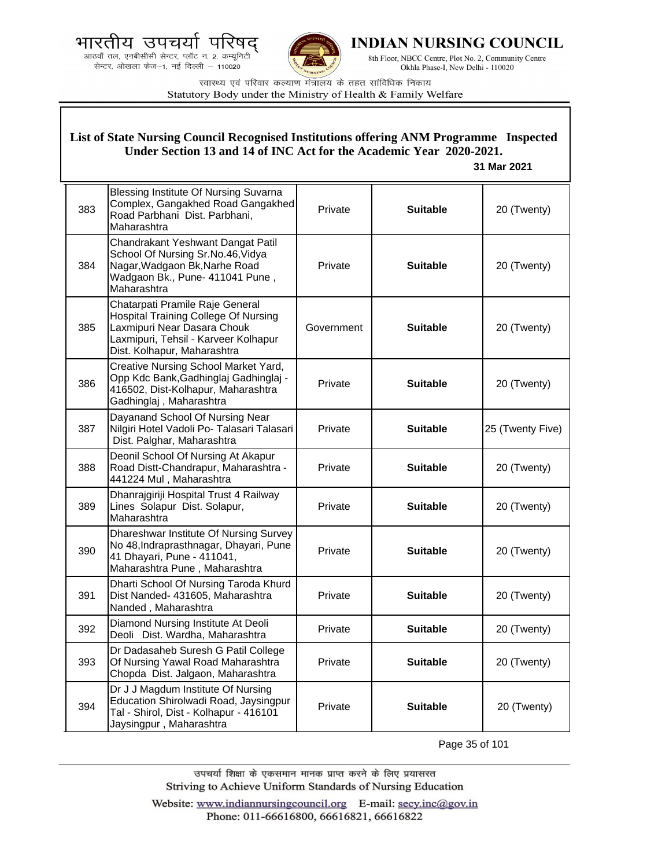.<br>आठवाँ तल, एनबीसीसी सेन्टर, प्लॉट न. 2, कम्यूनिटी<br>सेन्टर, ओखला फेज—1, नई दिल्ली — 110020



**INDIAN NURSING COUNCIL** 

8th Floor, NBCC Centre, Plot No. 2, Community Centre Okhla Phase-I, New Delhi - 110020

स्वास्थ्य एवं परिवार कल्याण मंत्रालय के तहत सांविधिक निकाय Statutory Body under the Ministry of Health & Family Welfare

|     | List of State Nursing Council Recognised Institutions offering ANM Programme Inspected<br>Under Section 13 and 14 of INC Act for the Academic Year 2020-2021.<br>31 Mar 2021         |            |                 |                  |
|-----|--------------------------------------------------------------------------------------------------------------------------------------------------------------------------------------|------------|-----------------|------------------|
| 383 | Blessing Institute Of Nursing Suvarna<br>Complex, Gangakhed Road Gangakhed<br>Road Parbhani Dist. Parbhani,<br>Maharashtra                                                           | Private    | <b>Suitable</b> | 20 (Twenty)      |
| 384 | Chandrakant Yeshwant Dangat Patil<br>School Of Nursing Sr.No.46, Vidya<br>Nagar, Wadgaon Bk, Narhe Road<br>Wadgaon Bk., Pune- 411041 Pune,<br>Maharashtra                            | Private    | <b>Suitable</b> | 20 (Twenty)      |
| 385 | Chatarpati Pramile Raje General<br><b>Hospital Training College Of Nursing</b><br>Laxmipuri Near Dasara Chouk<br>Laxmipuri, Tehsil - Karveer Kolhapur<br>Dist. Kolhapur, Maharashtra | Government | <b>Suitable</b> | 20 (Twenty)      |
| 386 | Creative Nursing School Market Yard,<br>Opp Kdc Bank, Gadhinglaj Gadhinglaj -<br>416502, Dist-Kolhapur, Maharashtra<br>Gadhinglaj, Maharashtra                                       | Private    | <b>Suitable</b> | 20 (Twenty)      |
| 387 | Dayanand School Of Nursing Near<br>Nilgiri Hotel Vadoli Po- Talasari Talasari<br>Dist. Palghar, Maharashtra                                                                          | Private    | <b>Suitable</b> | 25 (Twenty Five) |
| 388 | Deonil School Of Nursing At Akapur<br>Road Distt-Chandrapur, Maharashtra -<br>441224 Mul, Maharashtra                                                                                | Private    | <b>Suitable</b> | 20 (Twenty)      |
| 389 | Dhanrajgiriji Hospital Trust 4 Railway<br>Lines Solapur Dist. Solapur,<br>Maharashtra                                                                                                | Private    | <b>Suitable</b> | 20 (Twenty)      |
| 390 | Dhareshwar Institute Of Nursing Survey<br>No 48, Indraprasthnagar, Dhayari, Pune<br>41 Dhayari, Pune - 411041,<br>Maharashtra Pune, Maharashtra                                      | Private    | <b>Suitable</b> | 20 (Twenty)      |
| 391 | Dharti School Of Nursing Taroda Khurd<br>Dist Nanded- 431605, Maharashtra<br>Nanded, Maharashtra                                                                                     | Private    | <b>Suitable</b> | 20 (Twenty)      |
| 392 | Diamond Nursing Institute At Deoli<br>Deoli Dist. Wardha, Maharashtra                                                                                                                | Private    | <b>Suitable</b> | 20 (Twenty)      |
| 393 | Dr Dadasaheb Suresh G Patil College<br>Of Nursing Yawal Road Maharashtra<br>Chopda Dist. Jalgaon, Maharashtra                                                                        | Private    | <b>Suitable</b> | 20 (Twenty)      |
| 394 | Dr J J Magdum Institute Of Nursing<br>Education Shirolwadi Road, Jaysingpur<br>Tal - Shirol, Dist - Kolhapur - 416101<br>Jaysingpur, Maharashtra                                     | Private    | <b>Suitable</b> | 20 (Twenty)      |

Page 35 of 101

उपचर्या शिक्षा के एकसमान मानक प्राप्त करने के लिए प्रयासरत Striving to Achieve Uniform Standards of Nursing Education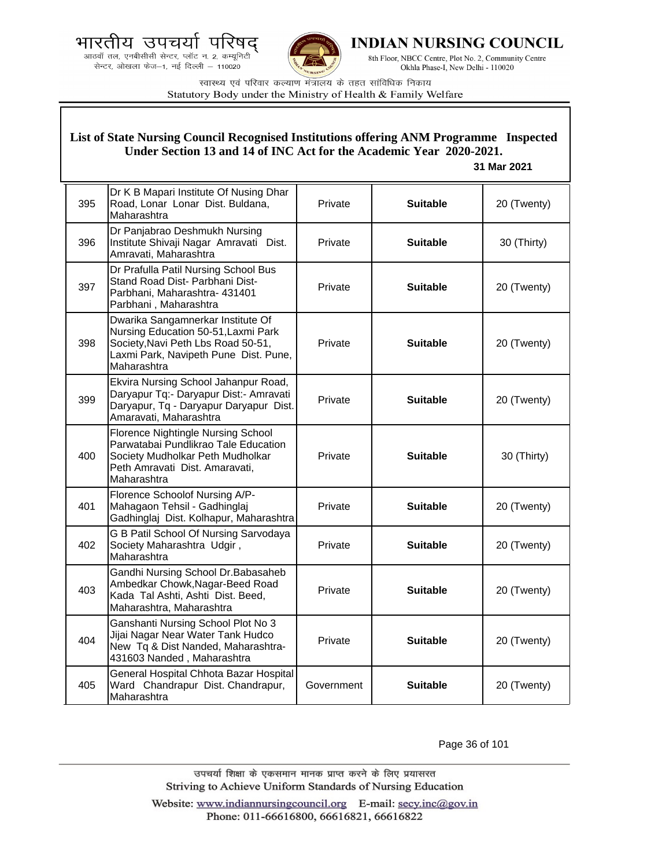



**INDIAN NURSING COUNCIL** 

8th Floor, NBCC Centre, Plot No. 2, Community Centre Okhla Phase-I, New Delhi - 110020

स्वास्थ्य एवं परिवार कल्याण मंत्रालय के तहत सांविधिक निकाय Statutory Body under the Ministry of Health & Family Welfare

### **List of State Nursing Council Recognised Institutions offering ANM Programme Inspected Under Section 13 and 14 of INC Act for the Academic Year 2020-2021.**

### **31 Mar 2021**

| 395 | Dr K B Mapari Institute Of Nusing Dhar<br>Road, Lonar Lonar Dist. Buldana,<br>Maharashtra                                                                              | Private    | <b>Suitable</b> | 20 (Twenty) |
|-----|------------------------------------------------------------------------------------------------------------------------------------------------------------------------|------------|-----------------|-------------|
| 396 | Dr Panjabrao Deshmukh Nursing<br>Institute Shivaji Nagar Amravati Dist.<br>Amravati, Maharashtra                                                                       | Private    | <b>Suitable</b> | 30 (Thirty) |
| 397 | Dr Prafulla Patil Nursing School Bus<br>Stand Road Dist- Parbhani Dist-<br>Parbhani, Maharashtra- 431401<br>Parbhani, Maharashtra                                      | Private    | <b>Suitable</b> | 20 (Twenty) |
| 398 | Dwarika Sangamnerkar Institute Of<br>Nursing Education 50-51, Laxmi Park<br>Society, Navi Peth Lbs Road 50-51,<br>Laxmi Park, Navipeth Pune Dist. Pune,<br>Maharashtra | Private    | <b>Suitable</b> | 20 (Twenty) |
| 399 | Ekvira Nursing School Jahanpur Road,<br>Daryapur Tq:- Daryapur Dist:- Amravati<br>Daryapur, Tq - Daryapur Daryapur Dist.<br>Amaravati, Maharashtra                     | Private    | <b>Suitable</b> | 20 (Twenty) |
| 400 | Florence Nightingle Nursing School<br>Parwatabai Pundlikrao Tale Education<br>Society Mudholkar Peth Mudholkar<br>Peth Amravati Dist. Amaravati,<br>Maharashtra        | Private    | <b>Suitable</b> | 30 (Thirty) |
| 401 | Florence Schoolof Nursing A/P-<br>Mahagaon Tehsil - Gadhinglaj<br>Gadhinglaj Dist. Kolhapur, Maharashtra                                                               | Private    | <b>Suitable</b> | 20 (Twenty) |
| 402 | G B Patil School Of Nursing Sarvodaya<br>Society Maharashtra Udgir,<br>Maharashtra                                                                                     | Private    | <b>Suitable</b> | 20 (Twenty) |
| 403 | Gandhi Nursing School Dr. Babasaheb<br>Ambedkar Chowk, Nagar-Beed Road<br>Kada Tal Ashti, Ashti Dist. Beed,<br>Maharashtra, Maharashtra                                | Private    | <b>Suitable</b> | 20 (Twenty) |
| 404 | Ganshanti Nursing School Plot No 3<br>Jijai Nagar Near Water Tank Hudco<br>New Tq & Dist Nanded, Maharashtra-<br>431603 Nanded, Maharashtra                            | Private    | <b>Suitable</b> | 20 (Twenty) |
| 405 | General Hospital Chhota Bazar Hospital<br>Ward Chandrapur Dist. Chandrapur,<br>Maharashtra                                                                             | Government | <b>Suitable</b> | 20 (Twenty) |

Page 36 of 101

उपचर्या शिक्षा के एकसमान मानक प्राप्त करने के लिए प्रयासरत Striving to Achieve Uniform Standards of Nursing Education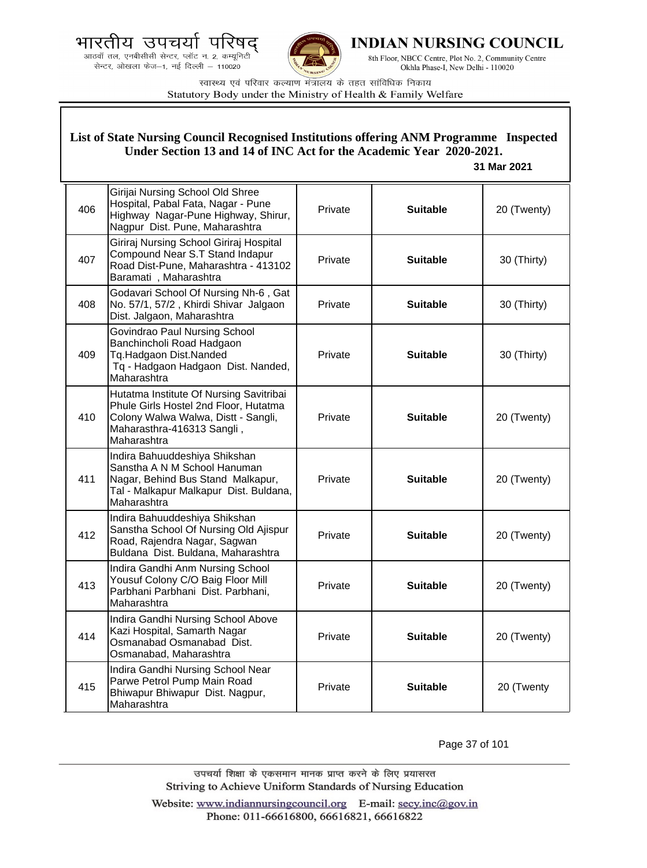



**INDIAN NURSING COUNCIL** 

8th Floor, NBCC Centre, Plot No. 2, Community Centre Okhla Phase-I, New Delhi - 110020

स्वास्थ्य एवं परिवार कल्याण मंत्रालय के तहत सांविधिक निकाय Statutory Body under the Ministry of Health & Family Welfare

|     | List of State Nursing Council Recognised Institutions offering ANM Programme Inspected<br>Under Section 13 and 14 of INC Act for the Academic Year 2020-2021.<br>31 Mar 2021 |         |                 |             |  |
|-----|------------------------------------------------------------------------------------------------------------------------------------------------------------------------------|---------|-----------------|-------------|--|
| 406 | Girijai Nursing School Old Shree<br>Hospital, Pabal Fata, Nagar - Pune<br>Highway Nagar-Pune Highway, Shirur,<br>Nagpur Dist. Pune, Maharashtra                              | Private | <b>Suitable</b> | 20 (Twenty) |  |
| 407 | Giriraj Nursing School Giriraj Hospital<br>Compound Near S.T Stand Indapur<br>Road Dist-Pune, Maharashtra - 413102<br>Baramati, Maharashtra                                  | Private | <b>Suitable</b> | 30 (Thirty) |  |
| 408 | Godavari School Of Nursing Nh-6, Gat<br>No. 57/1, 57/2, Khirdi Shivar Jalgaon<br>Dist. Jalgaon, Maharashtra                                                                  | Private | <b>Suitable</b> | 30 (Thirty) |  |
| 409 | Govindrao Paul Nursing School<br>Banchincholi Road Hadgaon<br>Tq.Hadgaon Dist.Nanded<br>Tq - Hadgaon Hadgaon Dist. Nanded,<br>Maharashtra                                    | Private | <b>Suitable</b> | 30 (Thirty) |  |
| 410 | Hutatma Institute Of Nursing Savitribai<br>Phule Girls Hostel 2nd Floor, Hutatma<br>Colony Walwa Walwa, Distt - Sangli,<br>Maharasthra-416313 Sangli,<br>Maharashtra         | Private | <b>Suitable</b> | 20 (Twenty) |  |
| 411 | Indira Bahuuddeshiya Shikshan<br>Sanstha A N M School Hanuman<br>Nagar, Behind Bus Stand Malkapur,<br>Tal - Malkapur Malkapur Dist. Buldana,<br>Maharashtra                  | Private | <b>Suitable</b> | 20 (Twenty) |  |
| 412 | Indira Bahuuddeshiya Shikshan<br>Sanstha School Of Nursing Old Ajispur<br>Road, Rajendra Nagar, Sagwan<br>Buldana Dist. Buldana, Maharashtra                                 | Private | <b>Suitable</b> | 20 (Twenty) |  |
| 413 | Indira Gandhi Anm Nursing School<br>Yousuf Colony C/O Baig Floor Mill<br>Parbhani Parbhani Dist. Parbhani,<br>Maharashtra                                                    | Private | <b>Suitable</b> | 20 (Twenty) |  |
| 414 | Indira Gandhi Nursing School Above<br>Kazi Hospital, Samarth Nagar<br>Osmanabad Osmanabad Dist.<br>Osmanabad, Maharashtra                                                    | Private | <b>Suitable</b> | 20 (Twenty) |  |
| 415 | Indira Gandhi Nursing School Near<br>Parwe Petrol Pump Main Road<br>Bhiwapur Bhiwapur Dist. Nagpur,<br>Maharashtra                                                           | Private | <b>Suitable</b> | 20 (Twenty  |  |

Page 37 of 101

उपचर्या शिक्षा के एकसमान मानक प्राप्त करने के लिए प्रयासरत Striving to Achieve Uniform Standards of Nursing Education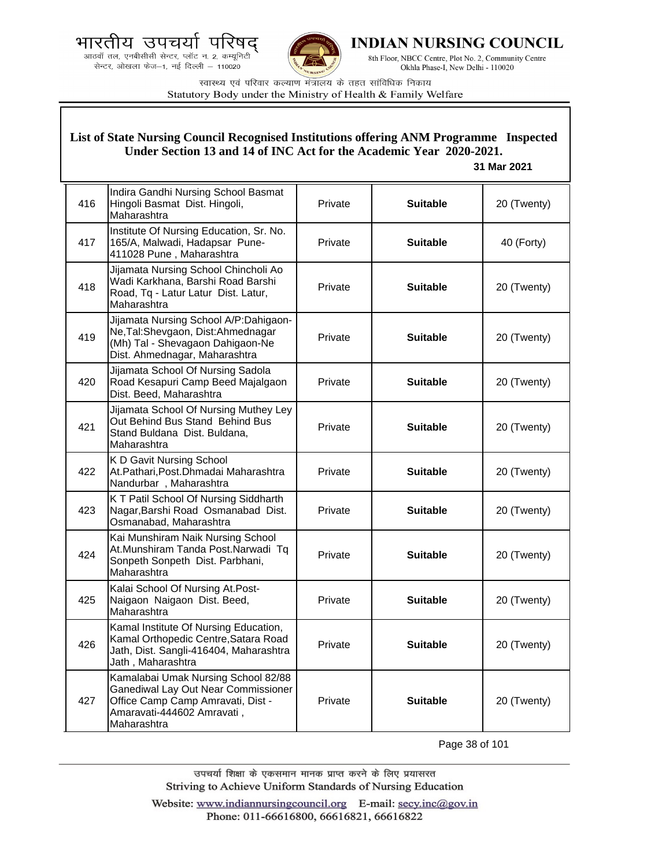



**INDIAN NURSING COUNCIL** 

8th Floor, NBCC Centre, Plot No. 2, Community Centre Okhla Phase-I, New Delhi - 110020

स्वास्थ्य एवं परिवार कल्याण मंत्रालय के तहत सांविधिक निकाय Statutory Body under the Ministry of Health & Family Welfare

## **List of State Nursing Council Recognised Institutions offering ANM Programme Inspected Under Section 13 and 14 of INC Act for the Academic Year 2020-2021.**

## **31 Mar 2021**

| 416 | Indira Gandhi Nursing School Basmat<br>Hingoli Basmat Dist. Hingoli,<br>Maharashtra                                                                          | Private | <b>Suitable</b> | 20 (Twenty) |
|-----|--------------------------------------------------------------------------------------------------------------------------------------------------------------|---------|-----------------|-------------|
| 417 | Institute Of Nursing Education, Sr. No.<br>165/A, Malwadi, Hadapsar Pune-<br>411028 Pune, Maharashtra                                                        | Private | <b>Suitable</b> | 40 (Forty)  |
| 418 | Jijamata Nursing School Chincholi Ao<br>Wadi Karkhana, Barshi Road Barshi<br>Road, Tq - Latur Latur Dist. Latur,<br>Maharashtra                              | Private | <b>Suitable</b> | 20 (Twenty) |
| 419 | Jijamata Nursing School A/P:Dahigaon-<br>Ne, Tal: Shevgaon, Dist: Ahmednagar<br>(Mh) Tal - Shevagaon Dahigaon-Ne<br>Dist. Ahmednagar, Maharashtra            | Private | <b>Suitable</b> | 20 (Twenty) |
| 420 | Jijamata School Of Nursing Sadola<br>Road Kesapuri Camp Beed Majalgaon<br>Dist. Beed, Maharashtra                                                            | Private | <b>Suitable</b> | 20 (Twenty) |
| 421 | Jijamata School Of Nursing Muthey Ley<br>Out Behind Bus Stand Behind Bus<br>Stand Buldana Dist. Buldana,<br>Maharashtra                                      | Private | <b>Suitable</b> | 20 (Twenty) |
| 422 | K D Gavit Nursing School<br>At.Pathari, Post.Dhmadai Maharashtra<br>Nandurbar, Maharashtra                                                                   | Private | <b>Suitable</b> | 20 (Twenty) |
| 423 | K T Patil School Of Nursing Siddharth<br>Nagar, Barshi Road Osmanabad Dist.<br>Osmanabad, Maharashtra                                                        | Private | <b>Suitable</b> | 20 (Twenty) |
| 424 | Kai Munshiram Naik Nursing School<br>At.Munshiram Tanda Post.Narwadi Tq<br>Sonpeth Sonpeth Dist. Parbhani,<br>Maharashtra                                    | Private | <b>Suitable</b> | 20 (Twenty) |
| 425 | Kalai School Of Nursing At. Post-<br>Naigaon Naigaon Dist. Beed,<br>Maharashtra                                                                              | Private | <b>Suitable</b> | 20 (Twenty) |
| 426 | Kamal Institute Of Nursing Education,<br>Kamal Orthopedic Centre, Satara Road<br>Jath, Dist. Sangli-416404, Maharashtra<br>Jath, Maharashtra                 | Private | <b>Suitable</b> | 20 (Twenty) |
| 427 | Kamalabai Umak Nursing School 82/88<br>Ganediwal Lay Out Near Commissioner<br>Office Camp Camp Amravati, Dist -<br>Amaravati-444602 Amravati,<br>Maharashtra | Private | <b>Suitable</b> | 20 (Twenty) |

Page 38 of 101

उपचर्या शिक्षा के एकसमान मानक प्राप्त करने के लिए प्रयासरत Striving to Achieve Uniform Standards of Nursing Education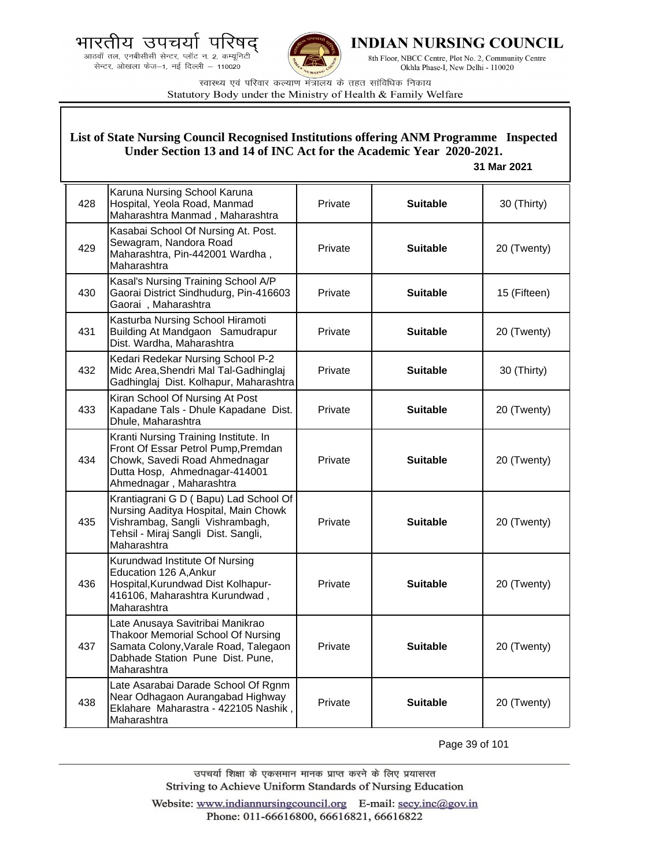



**INDIAN NURSING COUNCIL** 

8th Floor, NBCC Centre, Plot No. 2, Community Centre Okhla Phase-I, New Delhi - 110020

स्वास्थ्य एवं परिवार कल्याण मंत्रालय के तहत सांविधिक निकाय Statutory Body under the Ministry of Health & Family Welfare

## **List of State Nursing Council Recognised Institutions offering ANM Programme Inspected Under Section 13 and 14 of INC Act for the Academic Year 2020-2021.**

## **31 Mar 2021**

| 428 | Karuna Nursing School Karuna<br>Hospital, Yeola Road, Manmad<br>Maharashtra Manmad, Maharashtra                                                                           | Private | <b>Suitable</b> | 30 (Thirty)  |
|-----|---------------------------------------------------------------------------------------------------------------------------------------------------------------------------|---------|-----------------|--------------|
| 429 | Kasabai School Of Nursing At. Post.<br>Sewagram, Nandora Road<br>Maharashtra, Pin-442001 Wardha,<br>Maharashtra                                                           | Private | <b>Suitable</b> | 20 (Twenty)  |
| 430 | Kasal's Nursing Training School A/P<br>Gaorai District Sindhudurg, Pin-416603<br>Gaorai, Maharashtra                                                                      | Private | <b>Suitable</b> | 15 (Fifteen) |
| 431 | Kasturba Nursing School Hiramoti<br>Building At Mandgaon Samudrapur<br>Dist. Wardha, Maharashtra                                                                          | Private | <b>Suitable</b> | 20 (Twenty)  |
| 432 | Kedari Redekar Nursing School P-2<br>Midc Area, Shendri Mal Tal-Gadhinglaj<br>Gadhinglaj Dist. Kolhapur, Maharashtra                                                      | Private | <b>Suitable</b> | 30 (Thirty)  |
| 433 | Kiran School Of Nursing At Post<br>Kapadane Tals - Dhule Kapadane Dist.<br>Dhule, Maharashtra                                                                             | Private | <b>Suitable</b> | 20 (Twenty)  |
| 434 | Kranti Nursing Training Institute. In<br>Front Of Essar Petrol Pump, Premdan<br>Chowk, Savedi Road Ahmednagar<br>Dutta Hosp, Ahmednagar-414001<br>Ahmednagar, Maharashtra | Private | <b>Suitable</b> | 20 (Twenty)  |
| 435 | Krantiagrani G D (Bapu) Lad School Of<br>Nursing Aaditya Hospital, Main Chowk<br>Vishrambag, Sangli Vishrambagh,<br>Tehsil - Miraj Sangli Dist. Sangli,<br>Maharashtra    | Private | <b>Suitable</b> | 20 (Twenty)  |
| 436 | Kurundwad Institute Of Nursing<br>Education 126 A, Ankur<br>Hospital, Kurundwad Dist Kolhapur-<br>416106, Maharashtra Kurundwad,<br>Maharashtra                           | Private | <b>Suitable</b> | 20 (Twenty)  |
| 437 | Late Anusaya Savitribai Manikrao<br><b>Thakoor Memorial School Of Nursing</b><br>Samata Colony, Varale Road, Talegaon<br>Dabhade Station Pune Dist. Pune,<br>Maharashtra  | Private | <b>Suitable</b> | 20 (Twenty)  |
| 438 | Late Asarabai Darade School Of Rgnm<br>Near Odhagaon Aurangabad Highway<br>Eklahare Maharastra - 422105 Nashik,<br>Maharashtra                                            | Private | <b>Suitable</b> | 20 (Twenty)  |

Page 39 of 101

उपचर्या शिक्षा के एकसमान मानक प्राप्त करने के लिए प्रयासरत Striving to Achieve Uniform Standards of Nursing Education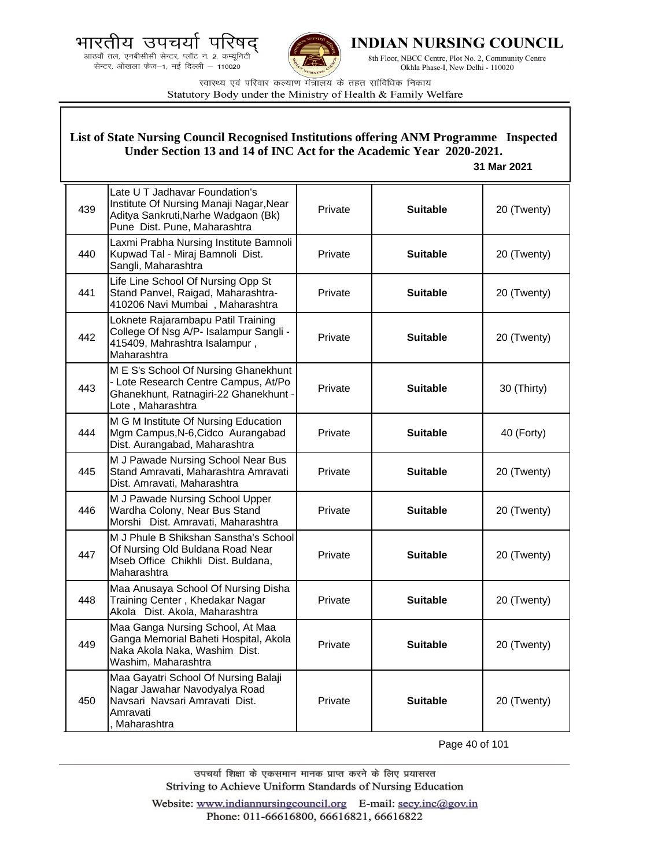भारतीय उपचर्या





INDIAN NURSING COUNCIL

8th Floor, NBCC Centre, Plot No. 2, Community Centre Okhla Phase-I, New Delhi - 110020

स्वास्थ्य एवं परिवार कल्याण मंत्रालय के तहत सांविधिक निकाय Statutory Body under the Ministry of Health & Family Welfare

#### 439 Late U T Jadhavar Foundation's Institute Of Nursing Manaji Nagar,Near Aditya Sankruti,Narhe Wadgaon (Bk) Pune Dist. Pune, Maharashtra Private **Suitable** 20 (Twenty) 440 Laxmi Prabha Nursing Institute Bamnoli Kupwad Tal - Miraj Bamnoli Dist. Sangli, Maharashtra Private **Suitable** 20 (Twenty) 441 Life Line School Of Nursing Opp St Stand Panvel, Raigad, Maharashtra-410206 Navi Mumbai , Maharashtra Private **Suitable** 20 (Twenty) 442 Loknete Rajarambapu Patil Training College Of Nsg A/P- Isalampur Sangli - 415409, Mahrashtra Isalampur , Maharashtra Private **Suitable** 20 (Twenty) 443 M E S's School Of Nursing Ghanekhunt - Lote Research Centre Campus, At/Po Ghanekhunt, Ratnagiri-22 Ghanekhunt - Lote , Maharashtra Private **Suitable** 30 (Thirty) 444 M G M Institute Of Nursing Education Mgm Campus,N-6,Cidco Aurangabad Dist. Aurangabad, Maharashtra Private **Suitable 40 (Forty)** 445 M J Pawade Nursing School Near Bus Stand Amravati, Maharashtra Amravati Dist. Amravati, Maharashtra Private **Calculary Suitable C** 20 (Twenty) 446 M J Pawade Nursing School Upper Wardha Colony, Near Bus Stand Morshi Dist. Amravati, Maharashtra Private **Suitable** 20 (Twenty) 447 M J Phule B Shikshan Sanstha's School Of Nursing Old Buldana Road Near Mseb Office Chikhli Dist. Buldana, Maharashtra Private **Suitable** 20 (Twenty) 448 Maa Anusaya School Of Nursing Disha Training Center , Khedakar Nagar Akola Dist. Akola, Maharashtra Private **Suitable** 20 (Twenty) 449 Maa Ganga Nursing School, At Maa Ganga Memorial Baheti Hospital, Akola Naka Akola Naka, Washim Dist. Washim, Maharashtra Private **Suitable** 20 (Twenty) 450 Maa Gayatri School Of Nursing Balaji Nagar Jawahar Navodyalya Road Navsari Navsari Amravati Dist. Amravati , Maharashtra Private **Suitable** 20 (Twenty) **List of State Nursing Council Recognised Institutions offering ANM Programme Inspected Under Section 13 and 14 of INC Act for the Academic Year 2020-2021. 31 Mar 2021**

Page 40 of 101

उपचर्या शिक्षा के एकसमान मानक प्राप्त करने के लिए प्रयासरत Striving to Achieve Uniform Standards of Nursing Education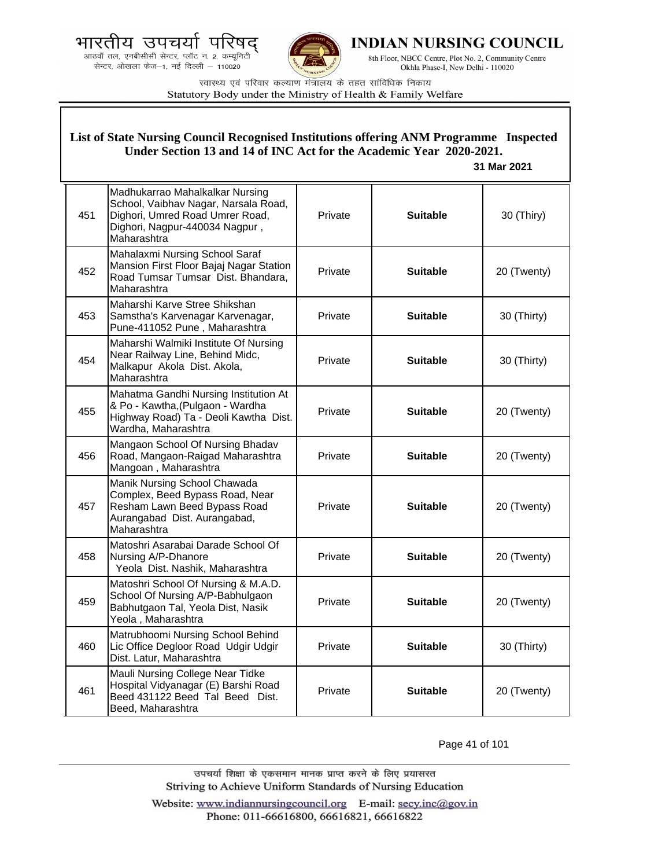.<br>आठवाँ तल, एनबीसीसी सेन्टर, प्लॉट न. 2, कम्यूनिटी<br>सेन्टर, ओखला फेज—1, नई दिल्ली — 110020



**INDIAN NURSING COUNCIL** 

8th Floor, NBCC Centre, Plot No. 2, Community Centre Okhla Phase-I, New Delhi - 110020

स्वास्थ्य एवं परिवार कल्याण मंत्रालय के तहत सांविधिक निकाय Statutory Body under the Ministry of Health & Family Welfare

|     | List of State Nursing Council Recognised Institutions offering ANM Programme Inspected<br>Under Section 13 and 14 of INC Act for the Academic Year 2020-2021.<br>31 Mar 2021 |         |                 |             |
|-----|------------------------------------------------------------------------------------------------------------------------------------------------------------------------------|---------|-----------------|-------------|
| 451 | Madhukarrao Mahalkalkar Nursing<br>School, Vaibhav Nagar, Narsala Road,<br>Dighori, Umred Road Umrer Road,<br>Dighori, Nagpur-440034 Nagpur,<br>Maharashtra                  | Private | <b>Suitable</b> | 30 (Thiry)  |
| 452 | Mahalaxmi Nursing School Saraf<br>Mansion First Floor Bajaj Nagar Station<br>Road Tumsar Tumsar Dist. Bhandara,<br>Maharashtra                                               | Private | <b>Suitable</b> | 20 (Twenty) |
| 453 | Maharshi Karve Stree Shikshan<br>Samstha's Karvenagar Karvenagar,<br>Pune-411052 Pune, Maharashtra                                                                           | Private | <b>Suitable</b> | 30 (Thirty) |
| 454 | Maharshi Walmiki Institute Of Nursing<br>Near Railway Line, Behind Midc,<br>Malkapur Akola Dist. Akola,<br>Maharashtra                                                       | Private | <b>Suitable</b> | 30 (Thirty) |
| 455 | Mahatma Gandhi Nursing Institution At<br>& Po - Kawtha, (Pulgaon - Wardha<br>Highway Road) Ta - Deoli Kawtha Dist.<br>Wardha, Maharashtra                                    | Private | <b>Suitable</b> | 20 (Twenty) |
| 456 | Mangaon School Of Nursing Bhadav<br>Road, Mangaon-Raigad Maharashtra<br>Mangoan, Maharashtra                                                                                 | Private | <b>Suitable</b> | 20 (Twenty) |
| 457 | Manik Nursing School Chawada<br>Complex, Beed Bypass Road, Near<br>Resham Lawn Beed Bypass Road<br>Aurangabad Dist. Aurangabad,<br>Maharashtra                               | Private | <b>Suitable</b> | 20 (Twenty) |
| 458 | Matoshri Asarabai Darade School Of<br>Nursing A/P-Dhanore<br>Yeola Dist. Nashik, Maharashtra                                                                                 | Private | <b>Suitable</b> | 20 (Twenty) |
| 459 | Matoshri School Of Nursing & M.A.D.<br>School Of Nursing A/P-Babhulgaon<br>Babhutgaon Tal, Yeola Dist, Nasik<br>Yeola, Maharashtra                                           | Private | <b>Suitable</b> | 20 (Twenty) |
| 460 | Matrubhoomi Nursing School Behind<br>Lic Office Degloor Road Udgir Udgir<br>Dist. Latur, Maharashtra                                                                         | Private | <b>Suitable</b> | 30 (Thirty) |
| 461 | Mauli Nursing College Near Tidke<br>Hospital Vidyanagar (E) Barshi Road<br>Beed 431122 Beed Tal Beed Dist.<br>Beed, Maharashtra                                              | Private | <b>Suitable</b> | 20 (Twenty) |

Page 41 of 101

उपचर्या शिक्षा के एकसमान मानक प्राप्त करने के लिए प्रयासरत Striving to Achieve Uniform Standards of Nursing Education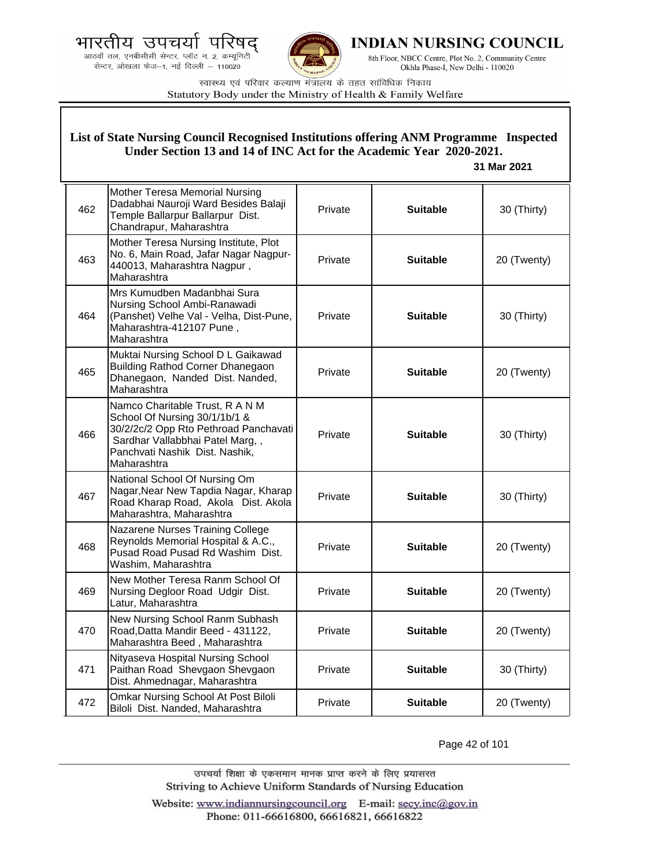.<br>आठवाँ तल, एनबीसीसी सेन्टर, प्लॉट न. 2, कम्यूनिटी<br>सेन्टर, ओखला फेज—1, नई दिल्ली — 110020



**INDIAN NURSING COUNCIL** 

8th Floor, NBCC Centre, Plot No. 2, Community Centre Okhla Phase-I, New Delhi - 110020

स्वास्थ्य एवं परिवार कल्याण मंत्रालय के तहत सांविधिक निकाय Statutory Body under the Ministry of Health & Family Welfare

| List of State Nursing Council Recognised Institutions offering ANM Programme Inspected<br>Under Section 13 and 14 of INC Act for the Academic Year 2020-2021.<br>31 Mar 2021 |                                                                                                                                                                                               |         |                 |             |
|------------------------------------------------------------------------------------------------------------------------------------------------------------------------------|-----------------------------------------------------------------------------------------------------------------------------------------------------------------------------------------------|---------|-----------------|-------------|
| 462                                                                                                                                                                          | Mother Teresa Memorial Nursing<br>Dadabhai Nauroji Ward Besides Balaji<br>Temple Ballarpur Ballarpur Dist.<br>Chandrapur, Maharashtra                                                         | Private | <b>Suitable</b> | 30 (Thirty) |
| 463                                                                                                                                                                          | Mother Teresa Nursing Institute, Plot<br>No. 6, Main Road, Jafar Nagar Nagpur-<br>440013, Maharashtra Nagpur,<br>Maharashtra                                                                  | Private | <b>Suitable</b> | 20 (Twenty) |
| 464                                                                                                                                                                          | Mrs Kumudben Madanbhai Sura<br>Nursing School Ambi-Ranawadi<br>(Panshet) Velhe Val - Velha, Dist-Pune,<br>Maharashtra-412107 Pune,<br>Maharashtra                                             | Private | <b>Suitable</b> | 30 (Thirty) |
| 465                                                                                                                                                                          | Muktai Nursing School D L Gaikawad<br>Building Rathod Corner Dhanegaon<br>Dhanegaon, Nanded Dist. Nanded,<br>Maharashtra                                                                      | Private | <b>Suitable</b> | 20 (Twenty) |
| 466                                                                                                                                                                          | Namco Charitable Trust, R A N M<br>School Of Nursing 30/1/1b/1 &<br>30/2/2c/2 Opp Rto Pethroad Panchavati<br>Sardhar Vallabbhai Patel Marg,,<br>Panchvati Nashik Dist. Nashik,<br>Maharashtra | Private | <b>Suitable</b> | 30 (Thirty) |
| 467                                                                                                                                                                          | National School Of Nursing Om<br>Nagar, Near New Tapdia Nagar, Kharap<br>Road Kharap Road, Akola Dist. Akola<br>Maharashtra, Maharashtra                                                      | Private | <b>Suitable</b> | 30 (Thirty) |
| 468                                                                                                                                                                          | Nazarene Nurses Training College<br>Reynolds Memorial Hospital & A.C.,<br>Pusad Road Pusad Rd Washim Dist.<br>Washim, Maharashtra                                                             | Private | <b>Suitable</b> | 20 (Twenty) |
| 469                                                                                                                                                                          | New Mother Teresa Ranm School Of<br>Nursing Degloor Road Udgir Dist.<br>Latur, Maharashtra                                                                                                    | Private | <b>Suitable</b> | 20 (Twenty) |
| 470                                                                                                                                                                          | New Nursing School Ranm Subhash<br>Road, Datta Mandir Beed - 431122,<br>Maharashtra Beed, Maharashtra                                                                                         | Private | <b>Suitable</b> | 20 (Twenty) |
| 471                                                                                                                                                                          | Nityaseva Hospital Nursing School<br>Paithan Road Shevgaon Shevgaon<br>Dist. Ahmednagar, Maharashtra                                                                                          | Private | <b>Suitable</b> | 30 (Thirty) |
| 472                                                                                                                                                                          | <b>Omkar Nursing School At Post Biloli</b><br>Biloli Dist. Nanded, Maharashtra                                                                                                                | Private | <b>Suitable</b> | 20 (Twenty) |

Page 42 of 101

उपचर्या शिक्षा के एकसमान मानक प्राप्त करने के लिए प्रयासरत Striving to Achieve Uniform Standards of Nursing Education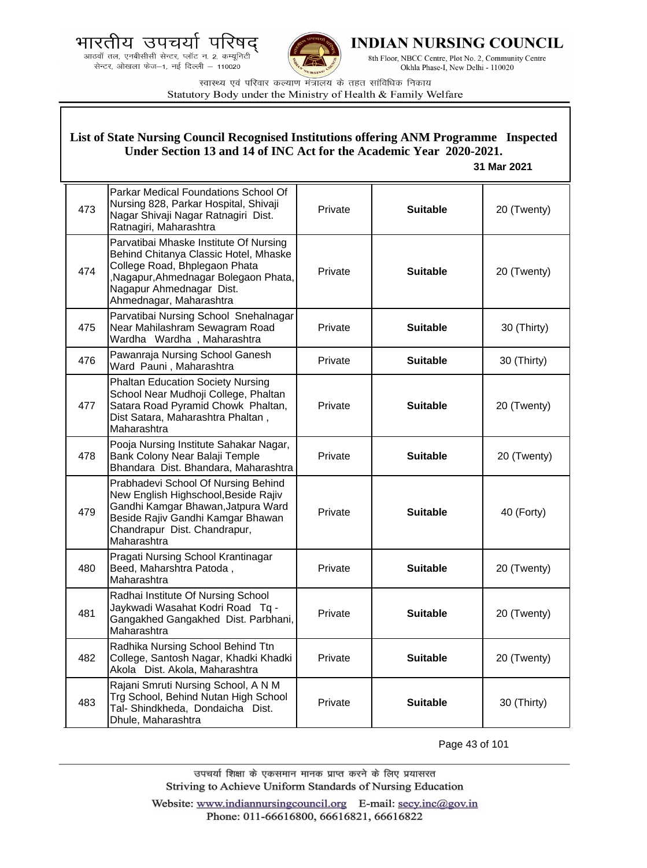



**INDIAN NURSING COUNCIL** 

8th Floor, NBCC Centre, Plot No. 2, Community Centre Okhla Phase-I, New Delhi - 110020

स्वास्थ्य एवं परिवार कल्याण मंत्रालय के तहत सांविधिक निकाय Statutory Body under the Ministry of Health & Family Welfare

| List of State Nursing Council Recognised Institutions offering ANM Programme Inspected<br>Under Section 13 and 14 of INC Act for the Academic Year 2020-2021.<br>31 Mar 2021 |                                                                                                                                                                                                                |         |                 |             |
|------------------------------------------------------------------------------------------------------------------------------------------------------------------------------|----------------------------------------------------------------------------------------------------------------------------------------------------------------------------------------------------------------|---------|-----------------|-------------|
| 473                                                                                                                                                                          | Parkar Medical Foundations School Of<br>Nursing 828, Parkar Hospital, Shivaji<br>Nagar Shivaji Nagar Ratnagiri Dist.<br>Ratnagiri, Maharashtra                                                                 | Private | <b>Suitable</b> | 20 (Twenty) |
| 474                                                                                                                                                                          | Parvatibai Mhaske Institute Of Nursing<br>Behind Chitanya Classic Hotel, Mhaske<br>College Road, Bhplegaon Phata<br>,Nagapur,Ahmednagar Bolegaon Phata,<br>Nagapur Ahmednagar Dist.<br>Ahmednagar, Maharashtra | Private | <b>Suitable</b> | 20 (Twenty) |
| 475                                                                                                                                                                          | Parvatibai Nursing School Snehalnagar<br>Near Mahilashram Sewagram Road<br>Wardha Wardha, Maharashtra                                                                                                          | Private | <b>Suitable</b> | 30 (Thirty) |
| 476                                                                                                                                                                          | Pawanraja Nursing School Ganesh<br>Ward Pauni, Maharashtra                                                                                                                                                     | Private | <b>Suitable</b> | 30 (Thirty) |
| 477                                                                                                                                                                          | <b>Phaltan Education Society Nursing</b><br>School Near Mudhoji College, Phaltan<br>Satara Road Pyramid Chowk Phaltan,<br>Dist Satara, Maharashtra Phaltan,<br>Maharashtra                                     | Private | <b>Suitable</b> | 20 (Twenty) |
| 478                                                                                                                                                                          | Pooja Nursing Institute Sahakar Nagar,<br>Bank Colony Near Balaji Temple<br>Bhandara Dist. Bhandara, Maharashtra                                                                                               | Private | <b>Suitable</b> | 20 (Twenty) |
| 479                                                                                                                                                                          | Prabhadevi School Of Nursing Behind<br>New English Highschool, Beside Rajiv<br>Gandhi Kamgar Bhawan, Jatpura Ward<br>Beside Rajiv Gandhi Kamgar Bhawan<br>Chandrapur Dist. Chandrapur,<br>Maharashtra          | Private | <b>Suitable</b> | 40 (Forty)  |
| 480                                                                                                                                                                          | Pragati Nursing School Krantinagar<br>Beed, Maharshtra Patoda,<br>Maharashtra                                                                                                                                  | Private | <b>Suitable</b> | 20 (Twenty) |
| 481                                                                                                                                                                          | Radhai Institute Of Nursing School<br>Jaykwadi Wasahat Kodri Road Tq -<br>Gangakhed Gangakhed Dist. Parbhani,<br>Maharashtra                                                                                   | Private | <b>Suitable</b> | 20 (Twenty) |
| 482                                                                                                                                                                          | Radhika Nursing School Behind Ttn<br>College, Santosh Nagar, Khadki Khadki<br>Akola Dist. Akola, Maharashtra                                                                                                   | Private | <b>Suitable</b> | 20 (Twenty) |
| 483                                                                                                                                                                          | Rajani Smruti Nursing School, A N M<br>Trg School, Behind Nutan High School<br>Tal- Shindkheda, Dondaicha Dist.<br>Dhule, Maharashtra                                                                          | Private | <b>Suitable</b> | 30 (Thirty) |

Page 43 of 101

उपचर्या शिक्षा के एकसमान मानक प्राप्त करने के लिए प्रयासरत Striving to Achieve Uniform Standards of Nursing Education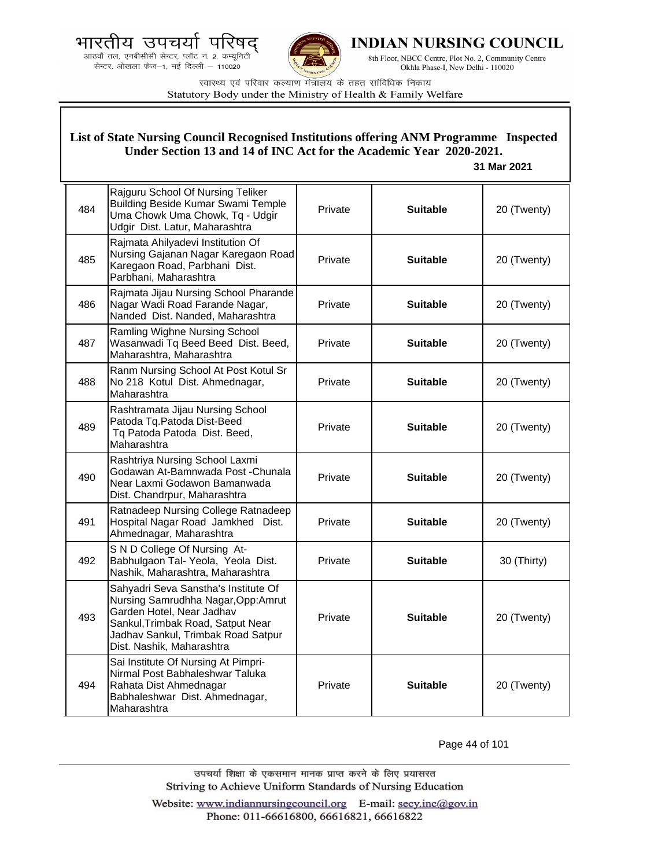



**INDIAN NURSING COUNCIL** 

8th Floor, NBCC Centre, Plot No. 2, Community Centre Okhla Phase-I, New Delhi - 110020

स्वास्थ्य एवं परिवार कल्याण मंत्रालय के तहत सांविधिक निकाय Statutory Body under the Ministry of Health & Family Welfare

| List of State Nursing Council Recognised Institutions offering ANM Programme Inspected<br>Under Section 13 and 14 of INC Act for the Academic Year 2020-2021.<br>31 Mar 2021 |                                                                                                                                                                                                                  |         |                 |             |
|------------------------------------------------------------------------------------------------------------------------------------------------------------------------------|------------------------------------------------------------------------------------------------------------------------------------------------------------------------------------------------------------------|---------|-----------------|-------------|
| 484                                                                                                                                                                          | Rajguru School Of Nursing Teliker<br><b>Building Beside Kumar Swami Temple</b><br>Uma Chowk Uma Chowk, Tq - Udgir<br>Udgir Dist. Latur, Maharashtra                                                              | Private | <b>Suitable</b> | 20 (Twenty) |
| 485                                                                                                                                                                          | Rajmata Ahilyadevi Institution Of<br>Nursing Gajanan Nagar Karegaon Road<br>Karegaon Road, Parbhani Dist.<br>Parbhani, Maharashtra                                                                               | Private | <b>Suitable</b> | 20 (Twenty) |
| 486                                                                                                                                                                          | Rajmata Jijau Nursing School Pharande<br>Nagar Wadi Road Farande Nagar,<br>Nanded Dist. Nanded, Maharashtra                                                                                                      | Private | <b>Suitable</b> | 20 (Twenty) |
| 487                                                                                                                                                                          | Ramling Wighne Nursing School<br>Wasanwadi Tq Beed Beed Dist. Beed,<br>Maharashtra, Maharashtra                                                                                                                  | Private | <b>Suitable</b> | 20 (Twenty) |
| 488                                                                                                                                                                          | Ranm Nursing School At Post Kotul Sr<br>No 218 Kotul Dist. Ahmednagar,<br>Maharashtra                                                                                                                            | Private | <b>Suitable</b> | 20 (Twenty) |
| 489                                                                                                                                                                          | Rashtramata Jijau Nursing School<br>Patoda Tq. Patoda Dist-Beed<br>Tq Patoda Patoda Dist. Beed,<br>Maharashtra                                                                                                   | Private | <b>Suitable</b> | 20 (Twenty) |
| 490                                                                                                                                                                          | Rashtriya Nursing School Laxmi<br>Godawan At-Bamnwada Post -Chunala<br>Near Laxmi Godawon Bamanwada<br>Dist. Chandrpur, Maharashtra                                                                              | Private | <b>Suitable</b> | 20 (Twenty) |
| 491                                                                                                                                                                          | Ratnadeep Nursing College Ratnadeep<br>Hospital Nagar Road Jamkhed Dist.<br>Ahmednagar, Maharashtra                                                                                                              | Private | <b>Suitable</b> | 20 (Twenty) |
| 492                                                                                                                                                                          | S N D College Of Nursing At-<br>Babhulgaon Tal- Yeola, Yeola Dist.<br>Nashik, Maharashtra, Maharashtra                                                                                                           | Private | <b>Suitable</b> | 30 (Thirty) |
| 493                                                                                                                                                                          | Sahyadri Seva Sanstha's Institute Of<br>Nursing Samrudhha Nagar, Opp: Amrut<br>Garden Hotel, Near Jadhav<br>Sankul, Trimbak Road, Satput Near<br>Jadhav Sankul, Trimbak Road Satpur<br>Dist. Nashik, Maharashtra | Private | <b>Suitable</b> | 20 (Twenty) |
| 494                                                                                                                                                                          | Sai Institute Of Nursing At Pimpri-<br>Nirmal Post Babhaleshwar Taluka<br>Rahata Dist Ahmednagar<br>Babhaleshwar Dist. Ahmednagar,<br>Maharashtra                                                                | Private | <b>Suitable</b> | 20 (Twenty) |

Page 44 of 101

उपचर्या शिक्षा के एकसमान मानक प्राप्त करने के लिए प्रयासरत Striving to Achieve Uniform Standards of Nursing Education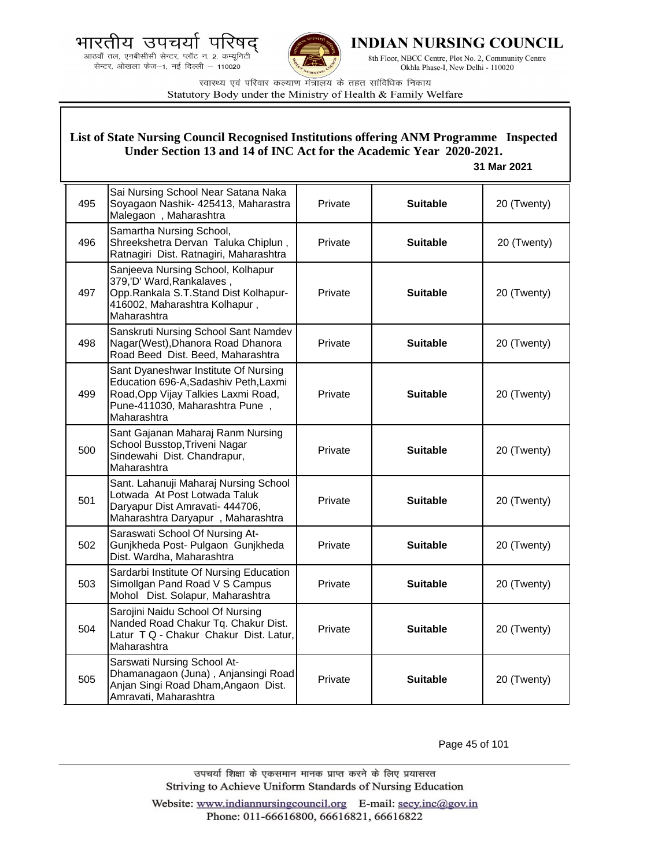



**INDIAN NURSING COUNCIL** 

8th Floor, NBCC Centre, Plot No. 2, Community Centre Okhla Phase-I, New Delhi - 110020

स्वास्थ्य एवं परिवार कल्याण मंत्रालय के तहत सांविधिक निकाय Statutory Body under the Ministry of Health & Family Welfare

## **List of State Nursing Council Recognised Institutions offering ANM Programme Inspected Under Section 13 and 14 of INC Act for the Academic Year 2020-2021.**

## **31 Mar 2021**

| 495 | Sai Nursing School Near Satana Naka<br>Soyagaon Nashik- 425413, Maharastra<br>Malegaon, Maharashtra                                                                   | Private | <b>Suitable</b> | 20 (Twenty) |
|-----|-----------------------------------------------------------------------------------------------------------------------------------------------------------------------|---------|-----------------|-------------|
| 496 | Samartha Nursing School,<br>Shreekshetra Dervan Taluka Chiplun,<br>Ratnagiri Dist. Ratnagiri, Maharashtra                                                             | Private | <b>Suitable</b> | 20 (Twenty) |
| 497 | Sanjeeva Nursing School, Kolhapur<br>379,'D' Ward, Rankalaves,<br>Opp.Rankala S.T.Stand Dist Kolhapur-<br>416002, Maharashtra Kolhapur,<br>Maharashtra                | Private | <b>Suitable</b> | 20 (Twenty) |
| 498 | Sanskruti Nursing School Sant Namdev<br>Nagar(West), Dhanora Road Dhanora<br>Road Beed Dist. Beed, Maharashtra                                                        | Private | <b>Suitable</b> | 20 (Twenty) |
| 499 | Sant Dyaneshwar Institute Of Nursing<br>Education 696-A, Sadashiv Peth, Laxmi<br>Road, Opp Vijay Talkies Laxmi Road,<br>Pune-411030, Maharashtra Pune,<br>Maharashtra | Private | <b>Suitable</b> | 20 (Twenty) |
| 500 | Sant Gajanan Maharaj Ranm Nursing<br>School Busstop, Triveni Nagar<br>Sindewahi Dist. Chandrapur,<br>Maharashtra                                                      | Private | <b>Suitable</b> | 20 (Twenty) |
| 501 | Sant. Lahanuji Maharaj Nursing School<br>Lotwada At Post Lotwada Taluk<br>Daryapur Dist Amravati- 444706,<br>Maharashtra Daryapur, Maharashtra                        | Private | <b>Suitable</b> | 20 (Twenty) |
| 502 | Saraswati School Of Nursing At-<br>Gunjkheda Post- Pulgaon Gunjkheda<br>Dist. Wardha, Maharashtra                                                                     | Private | <b>Suitable</b> | 20 (Twenty) |
| 503 | Sardarbi Institute Of Nursing Education<br>Simollgan Pand Road V S Campus<br>Mohol Dist. Solapur, Maharashtra                                                         | Private | <b>Suitable</b> | 20 (Twenty) |
| 504 | Sarojini Naidu School Of Nursing<br>Nanded Road Chakur Tq. Chakur Dist.<br>Latur T Q - Chakur Chakur Dist. Latur,<br>Maharashtra                                      | Private | <b>Suitable</b> | 20 (Twenty) |
| 505 | Sarswati Nursing School At-<br>Dhamanagaon (Juna), Anjansingi Road<br>Anjan Singi Road Dham, Angaon Dist.<br>Amravati, Maharashtra                                    | Private | <b>Suitable</b> | 20 (Twenty) |

Page 45 of 101

उपचर्या शिक्षा के एकसमान मानक प्राप्त करने के लिए प्रयासरत Striving to Achieve Uniform Standards of Nursing Education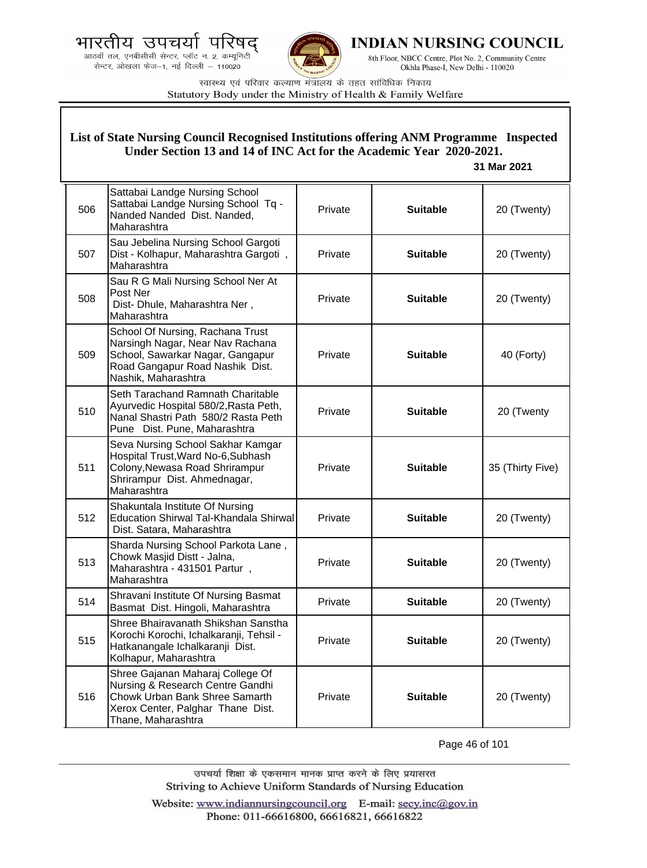.<br>आठवाँ तल, एनबीसीसी सेन्टर, प्लॉट न. 2, कम्यूनिटी<br>सेन्टर, ओखला फेज—1, नई दिल्ली — 110020



**INDIAN NURSING COUNCIL** 

8th Floor, NBCC Centre, Plot No. 2, Community Centre Okhla Phase-I, New Delhi - 110020

स्वास्थ्य एवं परिवार कल्याण मंत्रालय के तहत सांविधिक निकाय Statutory Body under the Ministry of Health & Family Welfare

|     | List of State Nursing Council Recognised Institutions offering ANM Programme Inspected<br>Under Section 13 and 14 of INC Act for the Academic Year 2020-2021.<br>31 Mar 2021 |         |                 |                  |
|-----|------------------------------------------------------------------------------------------------------------------------------------------------------------------------------|---------|-----------------|------------------|
| 506 | Sattabai Landge Nursing School<br>Sattabai Landge Nursing School Tq -<br>Nanded Nanded Dist. Nanded,<br>Maharashtra                                                          | Private | <b>Suitable</b> | 20 (Twenty)      |
| 507 | Sau Jebelina Nursing School Gargoti<br>Dist - Kolhapur, Maharashtra Gargoti,<br>Maharashtra                                                                                  | Private | <b>Suitable</b> | 20 (Twenty)      |
| 508 | Sau R G Mali Nursing School Ner At<br>Post Ner<br>Dist- Dhule, Maharashtra Ner,<br>Maharashtra                                                                               | Private | <b>Suitable</b> | 20 (Twenty)      |
| 509 | School Of Nursing, Rachana Trust<br>Narsingh Nagar, Near Nav Rachana<br>School, Sawarkar Nagar, Gangapur<br>Road Gangapur Road Nashik Dist.<br>Nashik, Maharashtra           | Private | <b>Suitable</b> | 40 (Forty)       |
| 510 | Seth Tarachand Ramnath Charitable<br>Ayurvedic Hospital 580/2, Rasta Peth,<br>Nanal Shastri Path 580/2 Rasta Peth<br>Pune Dist. Pune, Maharashtra                            | Private | <b>Suitable</b> | 20 (Twenty       |
| 511 | Seva Nursing School Sakhar Kamgar<br>Hospital Trust, Ward No-6, Subhash<br>Colony, Newasa Road Shrirampur<br>Shrirampur Dist. Ahmednagar,<br>Maharashtra                     | Private | <b>Suitable</b> | 35 (Thirty Five) |
| 512 | Shakuntala Institute Of Nursing<br>Education Shirwal Tal-Khandala Shirwal<br>Dist. Satara, Maharashtra                                                                       | Private | <b>Suitable</b> | 20 (Twenty)      |
| 513 | Sharda Nursing School Parkota Lane,<br>Chowk Masjid Distt - Jalna,<br>Maharashtra - 431501 Partur,<br>Maharashtra                                                            | Private | <b>Suitable</b> | 20 (Twenty)      |
| 514 | Shravani Institute Of Nursing Basmat<br>Basmat Dist. Hingoli, Maharashtra                                                                                                    | Private | <b>Suitable</b> | 20 (Twenty)      |
| 515 | Shree Bhairavanath Shikshan Sanstha<br>Korochi Korochi, Ichalkaranji, Tehsil -<br>Hatkanangale Ichalkaranji Dist.<br>Kolhapur, Maharashtra                                   | Private | <b>Suitable</b> | 20 (Twenty)      |
| 516 | Shree Gajanan Maharaj College Of<br>Nursing & Research Centre Gandhi<br>Chowk Urban Bank Shree Samarth<br>Xerox Center, Palghar Thane Dist.<br>Thane, Maharashtra            | Private | <b>Suitable</b> | 20 (Twenty)      |

Page 46 of 101

उपचर्या शिक्षा के एकसमान मानक प्राप्त करने के लिए प्रयासरत Striving to Achieve Uniform Standards of Nursing Education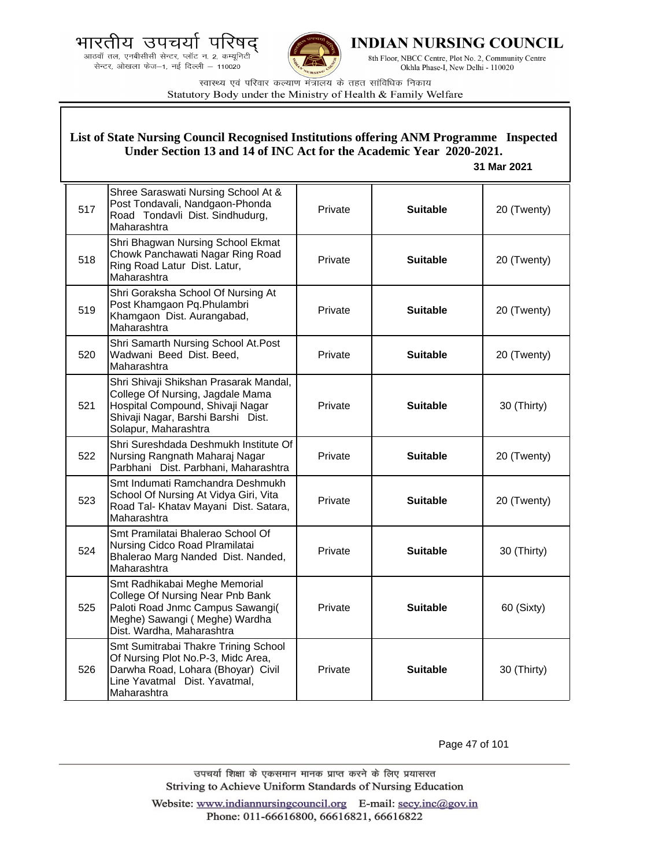.<br>आठवाँ तल, एनबीसीसी सेन्टर, प्लॉट न. 2, कम्यूनिटी<br>सेन्टर, ओखला फेज—1, नई दिल्ली — 110020



**INDIAN NURSING COUNCIL** 

8th Floor, NBCC Centre, Plot No. 2, Community Centre Okhla Phase-I, New Delhi - 110020

स्वास्थ्य एवं परिवार कल्याण मंत्रालय के तहत सांविधिक निकाय Statutory Body under the Ministry of Health & Family Welfare

| List of State Nursing Council Recognised Institutions offering ANM Programme Inspected<br>Under Section 13 and 14 of INC Act for the Academic Year 2020-2021.<br>31 Mar 2021 |                                                                                                                                                                              |         |                 |             |
|------------------------------------------------------------------------------------------------------------------------------------------------------------------------------|------------------------------------------------------------------------------------------------------------------------------------------------------------------------------|---------|-----------------|-------------|
| 517                                                                                                                                                                          | Shree Saraswati Nursing School At &<br>Post Tondavali, Nandgaon-Phonda<br>Road Tondavli Dist. Sindhudurg,<br>Maharashtra                                                     | Private | <b>Suitable</b> | 20 (Twenty) |
| 518                                                                                                                                                                          | Shri Bhagwan Nursing School Ekmat<br>Chowk Panchawati Nagar Ring Road<br>Ring Road Latur Dist. Latur,<br>Maharashtra                                                         | Private | <b>Suitable</b> | 20 (Twenty) |
| 519                                                                                                                                                                          | Shri Goraksha School Of Nursing At<br>Post Khamgaon Pq. Phulambri<br>Khamgaon Dist. Aurangabad,<br>Maharashtra                                                               | Private | <b>Suitable</b> | 20 (Twenty) |
| 520                                                                                                                                                                          | Shri Samarth Nursing School At. Post<br>Wadwani Beed Dist. Beed,<br>Maharashtra                                                                                              | Private | <b>Suitable</b> | 20 (Twenty) |
| 521                                                                                                                                                                          | Shri Shivaji Shikshan Prasarak Mandal,<br>College Of Nursing, Jagdale Mama<br>Hospital Compound, Shivaji Nagar<br>Shivaji Nagar, Barshi Barshi Dist.<br>Solapur, Maharashtra | Private | <b>Suitable</b> | 30 (Thirty) |
| 522                                                                                                                                                                          | Shri Sureshdada Deshmukh Institute Of<br>Nursing Rangnath Maharaj Nagar<br>Parbhani Dist. Parbhani, Maharashtra                                                              | Private | <b>Suitable</b> | 20 (Twenty) |
| 523                                                                                                                                                                          | Smt Indumati Ramchandra Deshmukh<br>School Of Nursing At Vidya Giri, Vita<br>Road Tal- Khatav Mayani Dist. Satara,<br>Maharashtra                                            | Private | <b>Suitable</b> | 20 (Twenty) |
| 524                                                                                                                                                                          | Smt Pramilatai Bhalerao School Of<br>Nursing Cidco Road Plramilatai<br>Bhalerao Marg Nanded Dist. Nanded,<br>Maharashtra                                                     | Private | <b>Suitable</b> | 30 (Thirty) |
| 525                                                                                                                                                                          | Smt Radhikabai Meghe Memorial<br>College Of Nursing Near Pnb Bank<br>Paloti Road Jnmc Campus Sawangi(<br>Meghe) Sawangi (Meghe) Wardha<br>Dist. Wardha, Maharashtra          | Private | <b>Suitable</b> | 60 (Sixty)  |
| 526                                                                                                                                                                          | Smt Sumitrabai Thakre Trining School<br>Of Nursing Plot No.P-3, Midc Area,<br>Darwha Road, Lohara (Bhoyar) Civil<br>Line Yavatmal Dist. Yavatmal,<br>Maharashtra             | Private | <b>Suitable</b> | 30 (Thirty) |

Page 47 of 101

उपचर्या शिक्षा के एकसमान मानक प्राप्त करने के लिए प्रयासरत Striving to Achieve Uniform Standards of Nursing Education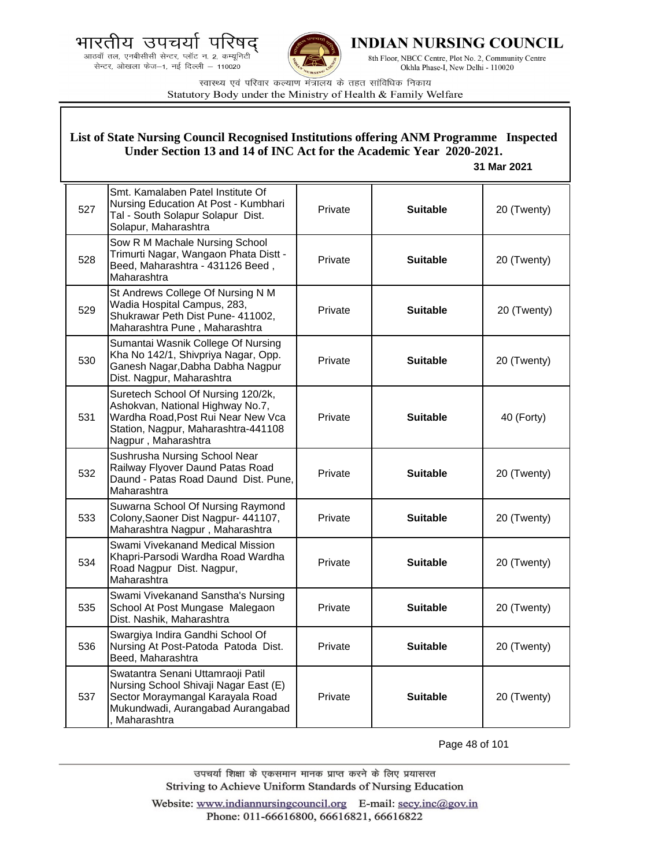.<br>आठवाँ तल, एनबीसीसी सेन्टर, प्लॉट न. 2, कम्यूनिटी<br>सेन्टर, ओखला फेज—1, नई दिल्ली — 110020



**INDIAN NURSING COUNCIL** 

8th Floor, NBCC Centre, Plot No. 2, Community Centre Okhla Phase-I, New Delhi - 110020

स्वास्थ्य एवं परिवार कल्याण मंत्रालय के तहत सांविधिक निकाय Statutory Body under the Ministry of Health & Family Welfare

| List of State Nursing Council Recognised Institutions offering ANM Programme Inspected<br>Under Section 13 and 14 of INC Act for the Academic Year 2020-2021.<br>31 Mar 2021 |                                                                                                                                                                            |         |                 |             |
|------------------------------------------------------------------------------------------------------------------------------------------------------------------------------|----------------------------------------------------------------------------------------------------------------------------------------------------------------------------|---------|-----------------|-------------|
| 527                                                                                                                                                                          | Smt. Kamalaben Patel Institute Of<br>Nursing Education At Post - Kumbhari<br>Tal - South Solapur Solapur Dist.<br>Solapur, Maharashtra                                     | Private | <b>Suitable</b> | 20 (Twenty) |
| 528                                                                                                                                                                          | Sow R M Machale Nursing School<br>Trimurti Nagar, Wangaon Phata Distt -<br>Beed, Maharashtra - 431126 Beed,<br>Maharashtra                                                 | Private | <b>Suitable</b> | 20 (Twenty) |
| 529                                                                                                                                                                          | St Andrews College Of Nursing N M<br>Wadia Hospital Campus, 283,<br>Shukrawar Peth Dist Pune- 411002,<br>Maharashtra Pune, Maharashtra                                     | Private | <b>Suitable</b> | 20 (Twenty) |
| 530                                                                                                                                                                          | Sumantai Wasnik College Of Nursing<br>Kha No 142/1, Shivpriya Nagar, Opp.<br>Ganesh Nagar, Dabha Dabha Nagpur<br>Dist. Nagpur, Maharashtra                                 | Private | <b>Suitable</b> | 20 (Twenty) |
| 531                                                                                                                                                                          | Suretech School Of Nursing 120/2k,<br>Ashokvan, National Highway No.7,<br>Wardha Road, Post Rui Near New Vca<br>Station, Nagpur, Maharashtra-441108<br>Nagpur, Maharashtra | Private | <b>Suitable</b> | 40 (Forty)  |
| 532                                                                                                                                                                          | Sushrusha Nursing School Near<br>Railway Flyover Daund Patas Road<br>Daund - Patas Road Daund Dist. Pune,<br>Maharashtra                                                   | Private | <b>Suitable</b> | 20 (Twenty) |
| 533                                                                                                                                                                          | Suwarna School Of Nursing Raymond<br>Colony, Saoner Dist Nagpur- 441107,<br>Maharashtra Nagpur, Maharashtra                                                                | Private | <b>Suitable</b> | 20 (Twenty) |
| 534                                                                                                                                                                          | Swami Vivekanand Medical Mission<br>Khapri-Parsodi Wardha Road Wardha<br>Road Nagpur Dist. Nagpur,<br>Maharashtra                                                          | Private | <b>Suitable</b> | 20 (Twenty) |
| 535                                                                                                                                                                          | Swami Vivekanand Sanstha's Nursing<br>School At Post Mungase Malegaon<br>Dist. Nashik, Maharashtra                                                                         | Private | <b>Suitable</b> | 20 (Twenty) |
| 536                                                                                                                                                                          | Swargiya Indira Gandhi School Of<br>Nursing At Post-Patoda Patoda Dist.<br>Beed, Maharashtra                                                                               | Private | <b>Suitable</b> | 20 (Twenty) |
| 537                                                                                                                                                                          | Swatantra Senani Uttamraoji Patil<br>Nursing School Shivaji Nagar East (E)<br>Sector Moraymangal Karayala Road<br>Mukundwadi, Aurangabad Aurangabad<br>, Maharashtra       | Private | <b>Suitable</b> | 20 (Twenty) |

Page 48 of 101

उपचर्या शिक्षा के एकसमान मानक प्राप्त करने के लिए प्रयासरत Striving to Achieve Uniform Standards of Nursing Education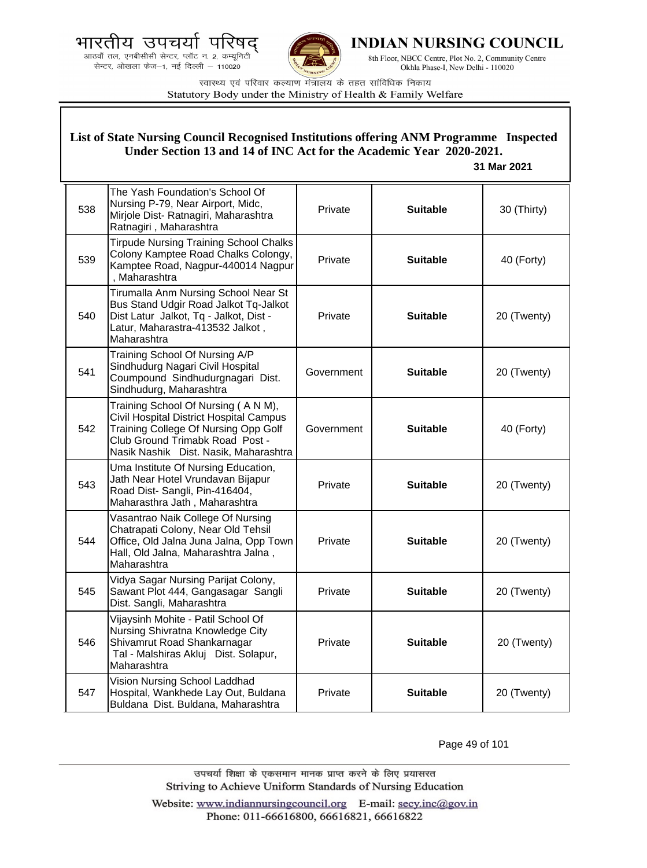.<br>आठवाँ तल, एनबीसीसी सेन्टर, प्लॉट न. 2, कम्यूनिटी<br>सेन्टर, ओखला फेज—1, नई दिल्ली — 110020



**INDIAN NURSING COUNCIL** 

8th Floor, NBCC Centre, Plot No. 2, Community Centre Okhla Phase-I, New Delhi - 110020

स्वास्थ्य एवं परिवार कल्याण मंत्रालय के तहत सांविधिक निकाय Statutory Body under the Ministry of Health & Family Welfare

| List of State Nursing Council Recognised Institutions offering ANM Programme Inspected<br>Under Section 13 and 14 of INC Act for the Academic Year 2020-2021.<br>31 Mar 2021 |                                                                                                                                                                                                    |            |                 |             |
|------------------------------------------------------------------------------------------------------------------------------------------------------------------------------|----------------------------------------------------------------------------------------------------------------------------------------------------------------------------------------------------|------------|-----------------|-------------|
| 538                                                                                                                                                                          | The Yash Foundation's School Of<br>Nursing P-79, Near Airport, Midc,<br>Mirjole Dist-Ratnagiri, Maharashtra<br>Ratnagiri, Maharashtra                                                              | Private    | <b>Suitable</b> | 30 (Thirty) |
| 539                                                                                                                                                                          | <b>Tirpude Nursing Training School Chalks</b><br>Colony Kamptee Road Chalks Colongy,<br>Kamptee Road, Nagpur-440014 Nagpur<br>, Maharashtra                                                        | Private    | <b>Suitable</b> | 40 (Forty)  |
| 540                                                                                                                                                                          | Tirumalla Anm Nursing School Near St<br>Bus Stand Udgir Road Jalkot Tq-Jalkot<br>Dist Latur Jalkot, Tq - Jalkot, Dist -<br>Latur, Maharastra-413532 Jalkot,<br>Maharashtra                         | Private    | <b>Suitable</b> | 20 (Twenty) |
| 541                                                                                                                                                                          | Training School Of Nursing A/P<br>Sindhudurg Nagari Civil Hospital<br>Coumpound Sindhudurgnagari Dist.<br>Sindhudurg, Maharashtra                                                                  | Government | <b>Suitable</b> | 20 (Twenty) |
| 542                                                                                                                                                                          | Training School Of Nursing (A N M),<br>Civil Hospital District Hospital Campus<br>Training College Of Nursing Opp Golf<br>Club Ground Trimabk Road Post -<br>Nasik Nashik Dist. Nasik, Maharashtra | Government | <b>Suitable</b> | 40 (Forty)  |
| 543                                                                                                                                                                          | Uma Institute Of Nursing Education,<br>Jath Near Hotel Vrundavan Bijapur<br>Road Dist-Sangli, Pin-416404,<br>Maharasthra Jath, Maharashtra                                                         | Private    | <b>Suitable</b> | 20 (Twenty) |
| 544                                                                                                                                                                          | Vasantrao Naik College Of Nursing<br>Chatrapati Colony, Near Old Tehsil<br>Office, Old Jalna Juna Jalna, Opp Town<br>Hall, Old Jalna, Maharashtra Jalna,<br>Maharashtra                            | Private    | <b>Suitable</b> | 20 (Twenty) |
| 545                                                                                                                                                                          | Vidya Sagar Nursing Parijat Colony,<br>Sawant Plot 444, Gangasagar Sangli<br>Dist. Sangli, Maharashtra                                                                                             | Private    | Suitable        | 20 (Twenty) |
| 546                                                                                                                                                                          | Vijaysinh Mohite - Patil School Of<br>Nursing Shivratna Knowledge City<br>Shivamrut Road Shankarnagar<br>Tal - Malshiras Akluj Dist. Solapur,<br>Maharashtra                                       | Private    | <b>Suitable</b> | 20 (Twenty) |
| 547                                                                                                                                                                          | Vision Nursing School Laddhad<br>Hospital, Wankhede Lay Out, Buldana<br>Buldana Dist. Buldana, Maharashtra                                                                                         | Private    | <b>Suitable</b> | 20 (Twenty) |

Page 49 of 101

उपचर्या शिक्षा के एकसमान मानक प्राप्त करने के लिए प्रयासरत Striving to Achieve Uniform Standards of Nursing Education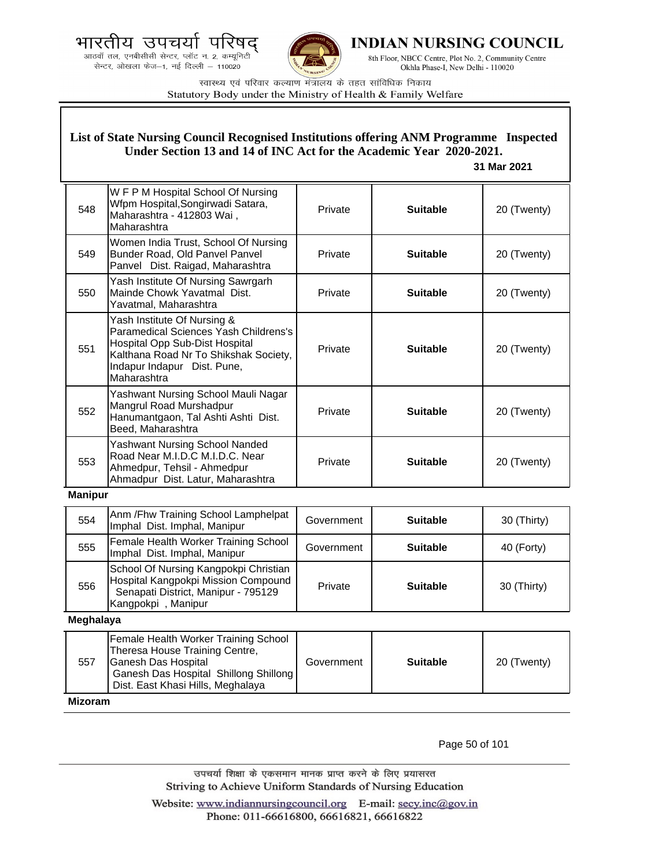आठवाँ तल, एनबीसीसी सेन्टर, प्लॉट न. 2, कम्यूनिटी सेन्टर, ओखला फेज-1, नई दिल्ली - 110020



**INDIAN NURSING COUNCIL** 

8th Floor, NBCC Centre, Plot No. 2, Community Centre Okhla Phase-I, New Delhi - 110020

स्वास्थ्य एवं परिवार कल्याण मंत्रालय के तहत सांविधिक निकाय Statutory Body under the Ministry of Health & Family Welfare

## **List of State Nursing Council Recognised Institutions offering ANM Programme Inspected Under Section 13 and 14 of INC Act for the Academic Year 2020-2021.**

#### **31 Mar 2021**

| 548 | W F P M Hospital School Of Nursing<br>Wfpm Hospital, Songirwadi Satara,<br>Maharashtra - 412803 Wai,<br>Maharashtra                                                                           | Private | <b>Suitable</b> | 20 (Twenty) |
|-----|-----------------------------------------------------------------------------------------------------------------------------------------------------------------------------------------------|---------|-----------------|-------------|
| 549 | Women India Trust, School Of Nursing<br>Bunder Road, Old Panvel Panvel<br>Panvel Dist. Raigad, Maharashtra                                                                                    | Private | <b>Suitable</b> | 20 (Twenty) |
| 550 | Yash Institute Of Nursing Sawrgarh<br>Mainde Chowk Yavatmal Dist.<br>Yavatmal, Maharashtra                                                                                                    | Private | <b>Suitable</b> | 20 (Twenty) |
| 551 | Yash Institute Of Nursing &<br>Paramedical Sciences Yash Childrens's<br>Hospital Opp Sub-Dist Hospital<br>Kalthana Road Nr To Shikshak Society,<br>Indapur Indapur Dist. Pune,<br>Maharashtra | Private | <b>Suitable</b> | 20 (Twenty) |
| 552 | Yashwant Nursing School Mauli Nagar<br>Mangrul Road Murshadpur<br>Hanumantgaon, Tal Ashti Ashti Dist.<br>Beed, Maharashtra                                                                    | Private | <b>Suitable</b> | 20 (Twenty) |
| 553 | Yashwant Nursing School Nanded<br>Road Near M.I.D.C M.I.D.C. Near<br>Ahmedpur, Tehsil - Ahmedpur<br>Ahmadpur Dist. Latur, Maharashtra                                                         | Private | <b>Suitable</b> | 20 (Twenty) |

## **Manipur**

| 554 | Anm / Fhw Training School Lamphelpat<br>Imphal Dist. Imphal, Manipur                                                                      | Government | <b>Suitable</b> | 30 (Thirty) |
|-----|-------------------------------------------------------------------------------------------------------------------------------------------|------------|-----------------|-------------|
| 555 | Female Health Worker Training School<br>Imphal Dist. Imphal, Manipur                                                                      | Government | <b>Suitable</b> | 40 (Forty)  |
| 556 | School Of Nursing Kangpokpi Christian<br>Hospital Kangpokpi Mission Compound<br>Senapati District, Manipur - 795129<br>Kangpokpi, Manipur | Private    | <b>Suitable</b> | 30 (Thirty) |

**Meghalaya**

| 557            | Female Health Worker Training School<br>Theresa House Training Centre,<br>Ganesh Das Hospital<br>Ganesh Das Hospital Shillong Shillong<br>Dist. East Khasi Hills, Meghalaya | Government | <b>Suitable</b> | 20 (Twenty) |
|----------------|-----------------------------------------------------------------------------------------------------------------------------------------------------------------------------|------------|-----------------|-------------|
| <b>Mizoram</b> |                                                                                                                                                                             |            |                 |             |

Page 50 of 101

उपचर्या शिक्षा के एकसमान मानक प्राप्त करने के लिए प्रयासरत Striving to Achieve Uniform Standards of Nursing Education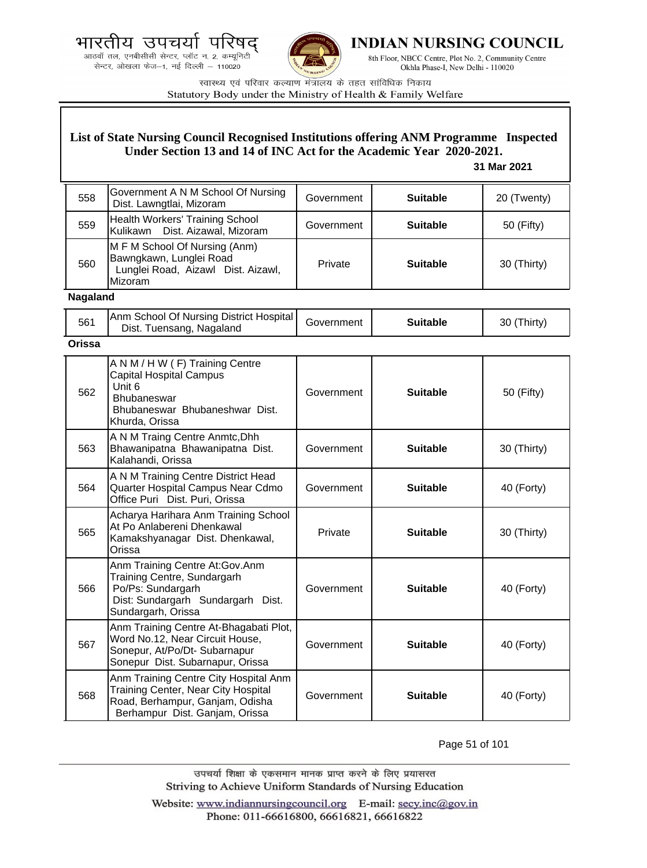आठवाँ तल, एनबीसीसी सेन्टर, प्लॉट न. 2, कम्यूनिटी सेन्टर, ओखला फेज-1, नई दिल्ली - 110020



**INDIAN NURSING COUNCIL** 

8th Floor, NBCC Centre, Plot No. 2, Community Centre Okhla Phase-I, New Delhi - 110020

स्वास्थ्य एवं परिवार कल्याण मंत्रालय के तहत सांविधिक निकाय Statutory Body under the Ministry of Health & Family Welfare

## **List of State Nursing Council Recognised Institutions offering ANM Programme Inspected Under Section 13 and 14 of INC Act for the Academic Year 2020-2021.**

#### **31 Mar 2021**

| 558             | Government A N M School Of Nursing<br>Dist. Lawngtlai, Mizoram                                                   | Government | <b>Suitable</b> | 20 (Twenty) |  |
|-----------------|------------------------------------------------------------------------------------------------------------------|------------|-----------------|-------------|--|
| 559             | Health Workers' Training School<br>Kulikawn Dist. Aizawal, Mizoram                                               | Government | <b>Suitable</b> | 50 (Fifty)  |  |
| 560             | M F M School Of Nursing (Anm)<br>Bawngkawn, Lunglei Road<br>Lunglei Road, Aizawl Dist. Aizawl,<br><b>Mizoram</b> | Private    | <b>Suitable</b> | 30 (Thirty) |  |
| <b>Nagaland</b> |                                                                                                                  |            |                 |             |  |

#### **Nagaland**

| 561 | Anm School Of Nursing District Hospital<br>Dist. Tuensang, Nagaland | Government | <b>Suitable</b> | 30 (Thirty) |
|-----|---------------------------------------------------------------------|------------|-----------------|-------------|
| - - |                                                                     |            |                 |             |

## **Orissa**

| 562 | A N M / H W (F) Training Centre<br><b>Capital Hospital Campus</b><br>Unit 6<br><b>Bhubaneswar</b><br>Bhubaneswar Bhubaneshwar Dist.<br>Khurda, Orissa | Government | <b>Suitable</b> | 50 (Fifty)  |
|-----|-------------------------------------------------------------------------------------------------------------------------------------------------------|------------|-----------------|-------------|
| 563 | A N M Traing Centre Anmtc, Dhh<br>Bhawanipatna Bhawanipatna Dist.<br>Kalahandi, Orissa                                                                | Government | <b>Suitable</b> | 30 (Thirty) |
| 564 | A N M Training Centre District Head<br>Quarter Hospital Campus Near Cdmo<br>Office Puri Dist. Puri, Orissa                                            | Government | <b>Suitable</b> | 40 (Forty)  |
| 565 | Acharya Harihara Anm Training School<br>At Po Anlabereni Dhenkawal<br>Kamakshyanagar Dist. Dhenkawal,<br>Orissa                                       | Private    | <b>Suitable</b> | 30 (Thirty) |
| 566 | Anm Training Centre At:Gov.Anm<br>Training Centre, Sundargarh<br>Po/Ps: Sundargarh<br>Dist: Sundargarh Sundargarh Dist.<br>Sundargarh, Orissa         | Government | <b>Suitable</b> | 40 (Forty)  |
| 567 | Anm Training Centre At-Bhagabati Plot,<br>Word No.12, Near Circuit House,<br>Sonepur, At/Po/Dt- Subarnapur<br>Sonepur Dist. Subarnapur, Orissa        | Government | <b>Suitable</b> | 40 (Forty)  |
| 568 | Anm Training Centre City Hospital Anm<br>Training Center, Near City Hospital<br>Road, Berhampur, Ganjam, Odisha<br>Berhampur Dist. Ganjam, Orissa     | Government | <b>Suitable</b> | 40 (Forty)  |

Page 51 of 101

उपचर्या शिक्षा के एकसमान मानक प्राप्त करने के लिए प्रयासरत Striving to Achieve Uniform Standards of Nursing Education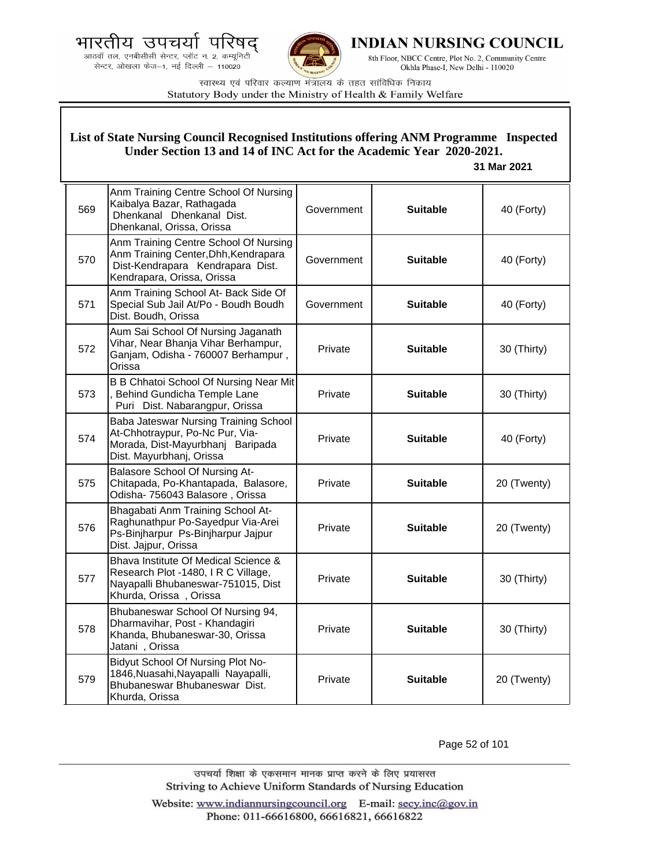आठवाँ तल, एनबीसीसी सेन्टर, प्लॉट न. 2, कम्यूनिटी सेन्टर, ओखला फेज-1, नई दिल्ली - 110020



INDIAN NURSING COUNCIL

8th Floor, NBCC Centre, Plot No. 2, Community Centre Okhla Phase-I, New Delhi - 110020

स्वास्थ्य एवं परिवार कल्याण मंत्रालय के तहत सांविधिक निकाय Statutory Body under the Ministry of Health & Family Welfare

#### List of State Nursing Council Recognised Institutions offering ANM Programme Inspected Under Section 13 and 14 of INC Act for the Academic Year 2020-2021. 31 Mar 2021 Anm Training Centre School Of Nursing Kaibalya Bazar, Rathagada 569 **Suitable** 40 (Forty) Government Dhenkanal Dhenkanal Dist. Dhenkanal, Orissa, Orissa Anm Training Centre School Of Nursing Anm Training Center, Dhh, Kendrapara 570 Government **Suitable** 40 (Forty) Dist-Kendrapara Kendrapara Dist. Kendrapara, Orissa, Orissa Anm Training School At- Back Side Of Special Sub Jail At/Po - Boudh Boudh 571 Government **Suitable** 40 (Forty) Dist. Boudh, Orissa Aum Sai School Of Nursing Jaganath Vihar, Near Bhanja Vihar Berhampur, 572 Private **Suitable** 30 (Thirty) Ganjam, Odisha - 760007 Berhampur, Orissa B B Chhatoi School Of Nursing Near Mit Behind Gundicha Temple Lane Private 573 **Suitable** 30 (Thirty) Puri Dist. Nabarangpur, Orissa Baba Jateswar Nursing Training School At-Chhotraypur, Po-Nc Pur, Via-574 Private **Suitable** 40 (Forty) Morada, Dist-Mayurbhanj Baripada Dist. Mayurbhani, Orissa **Balasore School Of Nursing At-**Chitapada, Po-Khantapada, Balasore, Private **Suitable** 575 20 (Twenty) Odisha- 756043 Balasore, Orissa Bhagabati Anm Training School At-Raghunathpur Po-Sayedpur Via-Arei Private **Suitable** 576 20 (Twenty) Ps-Binjharpur Ps-Binjharpur Jajpur Dist. Jajpur, Orissa Bhava Institute Of Medical Science & Research Plot -1480, I R C Village, 577 Private **Suitable** 30 (Thirty) Nayapalli Bhubaneswar-751015, Dist Khurda, Orissa, Orissa Bhubaneswar School Of Nursing 94, Dharmavihar, Post - Khandagiri 578 Private **Suitable** 30 (Thirty) Khanda, Bhubaneswar-30, Orissa Jatani, Orissa Bidyut School Of Nursing Plot No-1846, Nuasahi, Nayapalli Nayapalli, 579 Private **Suitable** 20 (Twenty) Bhubaneswar Bhubaneswar Dist. Khurda, Orissa

Page 52 of 101

उपचर्या शिक्षा के एकसमान मानक प्राप्त करने के लिए प्रयासरत Striving to Achieve Uniform Standards of Nursing Education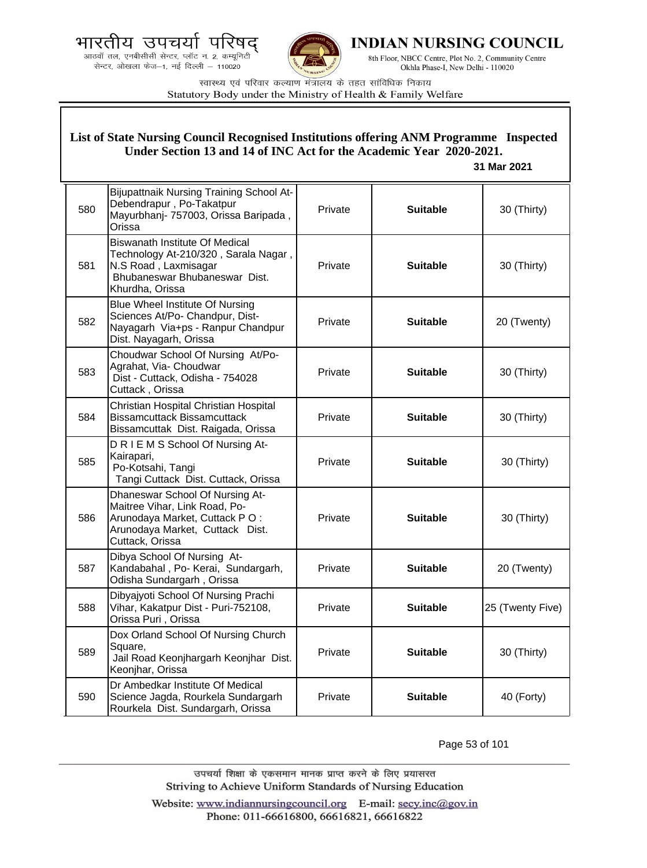भारतीय उपचयो पारषद

आठवाँ तल, एनबीसीसी सेन्टर, प्लॉट न. 2, कम्यूनिटी सेन्टर, ओखला फेज-1, नई दिल्ली - 110020



INDIAN NURSING COUNCIL

8th Floor, NBCC Centre, Plot No. 2, Community Centre Okhla Phase-I, New Delhi - 110020

स्वास्थ्य एवं परिवार कल्याण मंत्रालय के तहत सांविधिक निकाय Statutory Body under the Ministry of Health & Family Welfare

#### List of State Nursing Council Recognised Institutions offering ANM Programme Inspected Under Section 13 and 14 of INC Act for the Academic Year 2020-2021. 31 Mar 2021 **Bijupattnaik Nursing Training School At-**Debendrapur, Po-Takatpur 580 Private **Suitable** 30 (Thirty) Mayurbhanj- 757003, Orissa Baripada, Orissa **Biswanath Institute Of Medical** Technology At-210/320, Sarala Nagar, 581 N.S Road, Laxmisagar Private **Suitable** 30 (Thirty) Bhubaneswar Bhubaneswar Dist. Khurdha, Orissa **Blue Wheel Institute Of Nursing** Sciences At/Po- Chandpur, Dist-582 Private 20 (Twenty) **Suitable** Nayagarh Via+ps - Ranpur Chandpur Dist. Nayagarh, Orissa Choudwar School Of Nursing At/Po-Agrahat, Via- Choudwar 583 Private **Suitable** 30 (Thirty) Dist - Cuttack, Odisha - 754028 Cuttack, Orissa Christian Hospital Christian Hospital 584 **Bissamcuttack Bissamcuttack** Private **Suitable** 30 (Thirty) Bissamcuttak Dist. Raigada, Orissa DRIEMS School Of Nursing At-Kairapari, 585 Private **Suitable** 30 (Thirty) Po-Kotsahi, Tangi Tangi Cuttack Dist. Cuttack, Orissa Dhaneswar School Of Nursing At-Maitree Vihar, Link Road, Po-586 Arunodava Market, Cuttack PO: Private **Suitable** 30 (Thirty) Arunodaya Market, Cuttack Dist. Cuttack, Orissa Dibya School Of Nursing At-587 Kandabahal, Po- Kerai, Sundargarh, Private **Suitable** 20 (Twenty) Odisha Sundargarh, Orissa Dibyajyoti School Of Nursing Prachi 588 Vihar, Kakatpur Dist - Puri-752108, Private **Suitable** 25 (Twenty Five) Orissa Puri, Orissa Dox Orland School Of Nursing Church Square, 589 Private **Suitable** 30 (Thirty) Jail Road Keonjhargarh Keonjhar Dist. Keonjhar, Orissa Dr Ambedkar Institute Of Medical 590 Science Jagda, Rourkela Sundargarh Private **Suitable** 40 (Forty) Rourkela Dist. Sundargarh, Orissa

Page 53 of 101

उपचर्या शिक्षा के एकसमान मानक प्राप्त करने के लिए प्रयासरत Striving to Achieve Uniform Standards of Nursing Education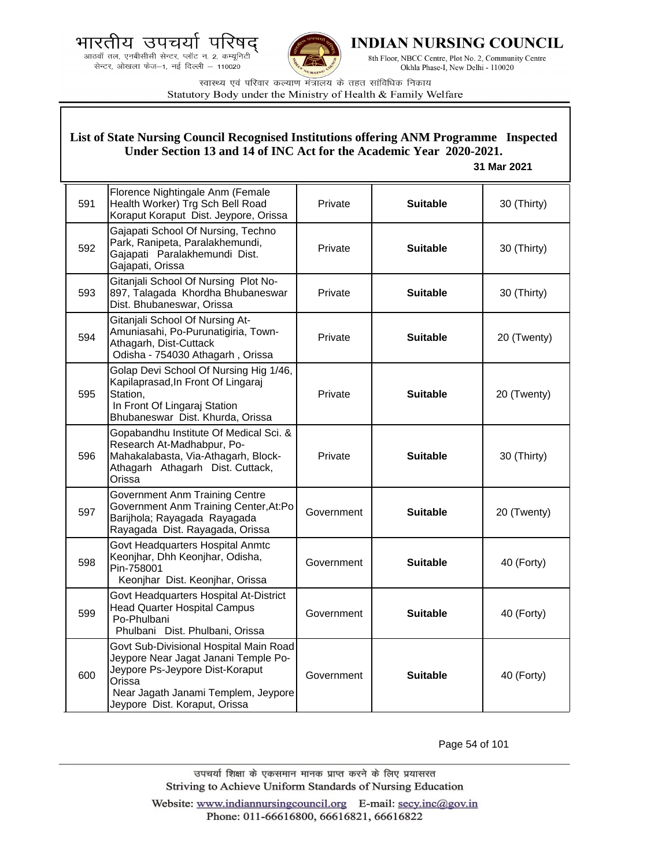



**INDIAN NURSING COUNCIL** 

8th Floor, NBCC Centre, Plot No. 2, Community Centre Okhla Phase-I, New Delhi - 110020

स्वास्थ्य एवं परिवार कल्याण मंत्रालय के तहत सांविधिक निकाय Statutory Body under the Ministry of Health & Family Welfare

## **List of State Nursing Council Recognised Institutions offering ANM Programme Inspected Under Section 13 and 14 of INC Act for the Academic Year 2020-2021.**

#### **31 Mar 2021**

| 591 | Florence Nightingale Anm (Female<br>Health Worker) Trg Sch Bell Road<br>Koraput Koraput Dist. Jeypore, Orissa                                                                                       | Private    | <b>Suitable</b> | 30 (Thirty) |
|-----|-----------------------------------------------------------------------------------------------------------------------------------------------------------------------------------------------------|------------|-----------------|-------------|
| 592 | Gajapati School Of Nursing, Techno<br>Park, Ranipeta, Paralakhemundi,<br>Gajapati Paralakhemundi Dist.<br>Gajapati, Orissa                                                                          | Private    | <b>Suitable</b> | 30 (Thirty) |
| 593 | Gitanjali School Of Nursing Plot No-<br>897, Talagada Khordha Bhubaneswar<br>Dist. Bhubaneswar, Orissa                                                                                              | Private    | <b>Suitable</b> | 30 (Thirty) |
| 594 | Gitanjali School Of Nursing At-<br>Amuniasahi, Po-Purunatigiria, Town-<br>Athagarh, Dist-Cuttack<br>Odisha - 754030 Athagarh, Orissa                                                                | Private    | <b>Suitable</b> | 20 (Twenty) |
| 595 | Golap Devi School Of Nursing Hig 1/46,<br>Kapilaprasad, In Front Of Lingaraj<br>Station,<br>In Front Of Lingaraj Station<br>Bhubaneswar Dist. Khurda, Orissa                                        | Private    | <b>Suitable</b> | 20 (Twenty) |
| 596 | Gopabandhu Institute Of Medical Sci. &<br>Research At-Madhabpur, Po-<br>Mahakalabasta, Via-Athagarh, Block-<br>Athagarh Athagarh Dist. Cuttack,<br>Orissa                                           | Private    | <b>Suitable</b> | 30 (Thirty) |
| 597 | <b>Government Anm Training Centre</b><br>Government Anm Training Center, At:Po<br>Barijhola; Rayagada Rayagada<br>Rayagada Dist. Rayagada, Orissa                                                   | Government | <b>Suitable</b> | 20 (Twenty) |
| 598 | Govt Headquarters Hospital Anmtc<br>Keonjhar, Dhh Keonjhar, Odisha,<br>Pin-758001<br>Keonjhar Dist. Keonjhar, Orissa                                                                                | Government | <b>Suitable</b> | 40 (Forty)  |
| 599 | Govt Headquarters Hospital At-District<br><b>Head Quarter Hospital Campus</b><br>Po-Phulbani<br>Phulbani Dist. Phulbani, Orissa                                                                     | Government | <b>Suitable</b> | 40 (Forty)  |
| 600 | Govt Sub-Divisional Hospital Main Road<br>Jeypore Near Jagat Janani Temple Po-<br>Jeypore Ps-Jeypore Dist-Koraput<br>Orissa<br>Near Jagath Janami Templem, Jeypore<br>Jeypore Dist. Koraput, Orissa | Government | <b>Suitable</b> | 40 (Forty)  |

Page 54 of 101

उपचर्या शिक्षा के एकसमान मानक प्राप्त करने के लिए प्रयासरत Striving to Achieve Uniform Standards of Nursing Education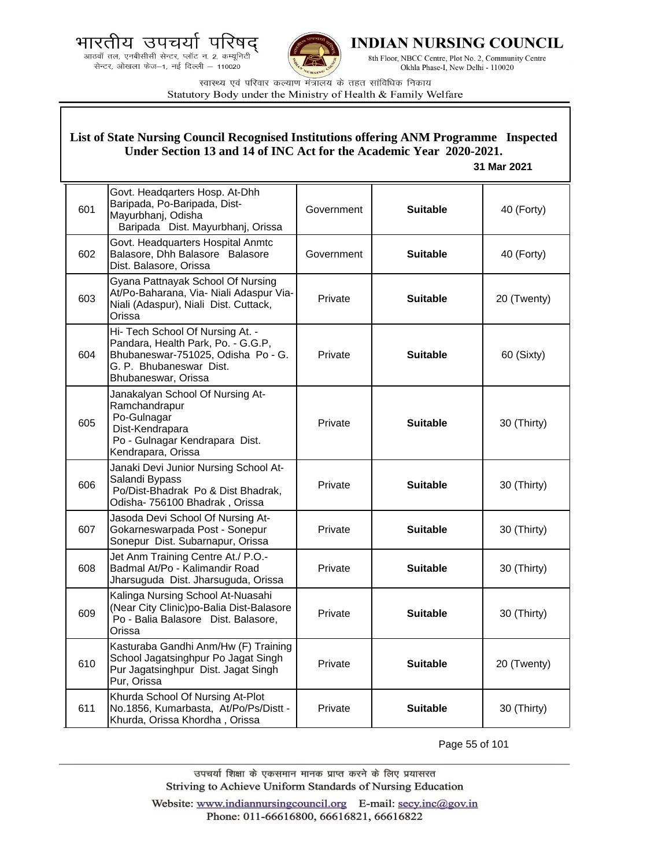



**INDIAN NURSING COUNCIL** 

8th Floor, NBCC Centre, Plot No. 2, Community Centre Okhla Phase-I, New Delhi - 110020

स्वास्थ्य एवं परिवार कल्याण मंत्रालय के तहत सांविधिक निकाय Statutory Body under the Ministry of Health & Family Welfare

# **List of State Nursing Council Recognised Institutions offering ANM Programme Inspected Under Section 13 and 14 of INC Act for the Academic Year 2020-2021.**

## **31 Mar 2021**

| 601 | Govt. Headqarters Hosp. At-Dhh<br>Baripada, Po-Baripada, Dist-<br>Mayurbhanj, Odisha<br>Baripada Dist. Mayurbhanj, Orissa                                      | Government | <b>Suitable</b> | 40 (Forty)  |
|-----|----------------------------------------------------------------------------------------------------------------------------------------------------------------|------------|-----------------|-------------|
| 602 | Govt. Headquarters Hospital Anmtc<br>Balasore, Dhh Balasore Balasore<br>Dist. Balasore, Orissa                                                                 | Government | <b>Suitable</b> | 40 (Forty)  |
| 603 | Gyana Pattnayak School Of Nursing<br>At/Po-Baharana, Via- Niali Adaspur Via-<br>Niali (Adaspur), Niali Dist. Cuttack,<br>Orissa                                | Private    | <b>Suitable</b> | 20 (Twenty) |
| 604 | Hi- Tech School Of Nursing At. -<br>Pandara, Health Park, Po. - G.G.P,<br>Bhubaneswar-751025, Odisha Po - G.<br>G. P. Bhubaneswar Dist.<br>Bhubaneswar, Orissa | Private    | <b>Suitable</b> | 60 (Sixty)  |
| 605 | Janakalyan School Of Nursing At-<br>Ramchandrapur<br>Po-Gulnagar<br>Dist-Kendrapara<br>Po - Gulnagar Kendrapara Dist.<br>Kendrapara, Orissa                    | Private    | <b>Suitable</b> | 30 (Thirty) |
| 606 | Janaki Devi Junior Nursing School At-<br>Salandi Bypass<br>Po/Dist-Bhadrak Po & Dist Bhadrak,<br>Odisha- 756100 Bhadrak, Orissa                                | Private    | <b>Suitable</b> | 30 (Thirty) |
| 607 | Jasoda Devi School Of Nursing At-<br>Gokarneswarpada Post - Sonepur<br>Sonepur Dist. Subarnapur, Orissa                                                        | Private    | <b>Suitable</b> | 30 (Thirty) |
| 608 | Jet Anm Training Centre At./ P.O.-<br>Badmal At/Po - Kalimandir Road<br>Jharsuguda Dist. Jharsuguda, Orissa                                                    | Private    | <b>Suitable</b> | 30 (Thirty) |
| 609 | Kalinga Nursing School At-Nuasahi<br>(Near City Clinic)po-Balia Dist-Balasore<br>Po - Balia Balasore Dist. Balasore,<br>Orissa                                 | Private    | <b>Suitable</b> | 30 (Thirty) |
| 610 | Kasturaba Gandhi Anm/Hw (F) Training<br>School Jagatsinghpur Po Jagat Singh<br>Pur Jagatsinghpur Dist. Jagat Singh<br>Pur, Orissa                              | Private    | <b>Suitable</b> | 20 (Twenty) |
| 611 | Khurda School Of Nursing At-Plot<br>No.1856, Kumarbasta, At/Po/Ps/Distt -<br>Khurda, Orissa Khordha, Orissa                                                    | Private    | <b>Suitable</b> | 30 (Thirty) |

Page 55 of 101

उपचर्या शिक्षा के एकसमान मानक प्राप्त करने के लिए प्रयासरत Striving to Achieve Uniform Standards of Nursing Education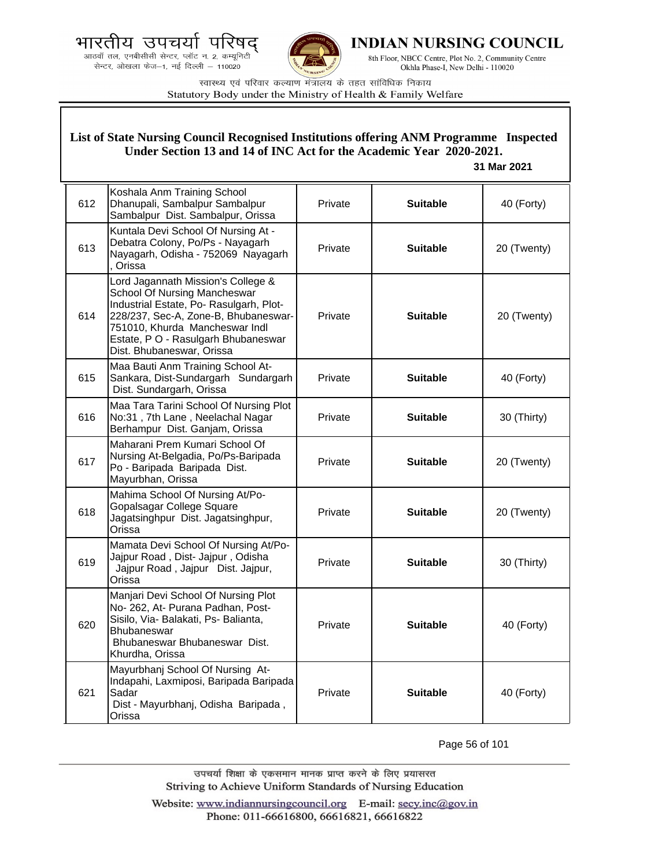



**INDIAN NURSING COUNCIL** 

8th Floor, NBCC Centre, Plot No. 2, Community Centre Okhla Phase-I, New Delhi - 110020

स्वास्थ्य एवं परिवार कल्याण मंत्रालय के तहत सांविधिक निकाय Statutory Body under the Ministry of Health & Family Welfare

|     | List of State Nursing Council Recognised Institutions offering ANM Programme Inspected<br>Under Section 13 and 14 of INC Act for the Academic Year 2020-2021.<br>31 Mar 2021                                                                               |         |                 |             |  |
|-----|------------------------------------------------------------------------------------------------------------------------------------------------------------------------------------------------------------------------------------------------------------|---------|-----------------|-------------|--|
| 612 | Koshala Anm Training School<br>Dhanupali, Sambalpur Sambalpur<br>Sambalpur Dist. Sambalpur, Orissa                                                                                                                                                         | Private | <b>Suitable</b> | 40 (Forty)  |  |
| 613 | Kuntala Devi School Of Nursing At -<br>Debatra Colony, Po/Ps - Nayagarh<br>Nayagarh, Odisha - 752069 Nayagarh<br>, Orissa                                                                                                                                  | Private | <b>Suitable</b> | 20 (Twenty) |  |
| 614 | Lord Jagannath Mission's College &<br>School Of Nursing Mancheswar<br>Industrial Estate, Po-Rasulgarh, Plot-<br>228/237, Sec-A, Zone-B, Bhubaneswar-<br>751010, Khurda Mancheswar Indl<br>Estate, P O - Rasulgarh Bhubaneswar<br>Dist. Bhubaneswar, Orissa | Private | <b>Suitable</b> | 20 (Twenty) |  |
| 615 | Maa Bauti Anm Training School At-<br>Sankara, Dist-Sundargarh Sundargarh<br>Dist. Sundargarh, Orissa                                                                                                                                                       | Private | <b>Suitable</b> | 40 (Forty)  |  |
| 616 | Maa Tara Tarini School Of Nursing Plot<br>No:31, 7th Lane, Neelachal Nagar<br>Berhampur Dist. Ganjam, Orissa                                                                                                                                               | Private | <b>Suitable</b> | 30 (Thirty) |  |
| 617 | Maharani Prem Kumari School Of<br>Nursing At-Belgadia, Po/Ps-Baripada<br>Po - Baripada Baripada Dist.<br>Mayurbhan, Orissa                                                                                                                                 | Private | <b>Suitable</b> | 20 (Twenty) |  |
| 618 | Mahima School Of Nursing At/Po-<br>Gopalsagar College Square<br>Jagatsinghpur Dist. Jagatsinghpur,<br>Orissa                                                                                                                                               | Private | <b>Suitable</b> | 20 (Twenty) |  |
| 619 | Mamata Devi School Of Nursing At/Po-<br>Jajpur Road, Dist- Jajpur, Odisha<br>Jajpur Road, Jajpur Dist. Jajpur,<br>Orissa                                                                                                                                   | Private | <b>Suitable</b> | 30 (Thirty) |  |
| 620 | Manjari Devi School Of Nursing Plot<br>No- 262, At- Purana Padhan, Post-<br>Sisilo, Via- Balakati, Ps- Balianta,<br>Bhubaneswar<br>Bhubaneswar Bhubaneswar Dist.<br>Khurdha, Orissa                                                                        | Private | <b>Suitable</b> | 40 (Forty)  |  |
| 621 | Mayurbhanj School Of Nursing At-<br>Indapahi, Laxmiposi, Baripada Baripada<br>Sadar<br>Dist - Mayurbhanj, Odisha Baripada,<br>Orissa                                                                                                                       | Private | <b>Suitable</b> | 40 (Forty)  |  |

Page 56 of 101

उपचर्या शिक्षा के एकसमान मानक प्राप्त करने के लिए प्रयासरत Striving to Achieve Uniform Standards of Nursing Education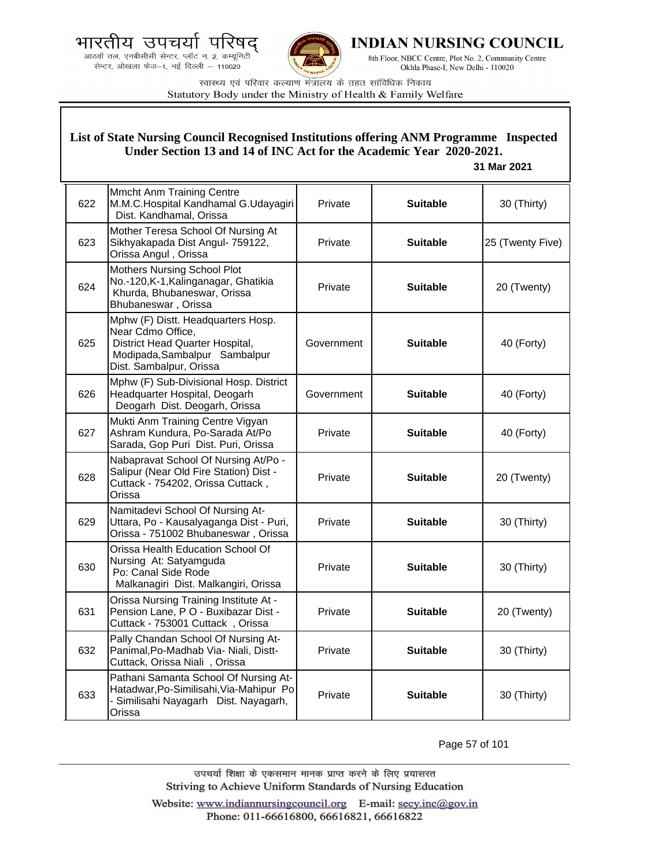



**INDIAN NURSING COUNCIL** 

8th Floor, NBCC Centre, Plot No. 2, Community Centre Okhla Phase-I, New Delhi - 110020

स्वास्थ्य एवं परिवार कल्याण मंत्रालय के तहत सांविधिक निकाय Statutory Body under the Ministry of Health & Family Welfare

## **List of State Nursing Council Recognised Institutions offering ANM Programme Inspected Under Section 13 and 14 of INC Act for the Academic Year 2020-2021.**

## **31 Mar 2021**

| 622 | <b>Mmcht Anm Training Centre</b><br>M.M.C.Hospital Kandhamal G.Udayagiri<br>Dist. Kandhamal, Orissa                                                    | Private    | <b>Suitable</b> | 30 (Thirty)      |
|-----|--------------------------------------------------------------------------------------------------------------------------------------------------------|------------|-----------------|------------------|
| 623 | Mother Teresa School Of Nursing At<br>Sikhyakapada Dist Angul- 759122,<br>Orissa Angul, Orissa                                                         | Private    | <b>Suitable</b> | 25 (Twenty Five) |
| 624 | <b>Mothers Nursing School Plot</b><br>No.-120, K-1, Kalinganagar, Ghatikia<br>Khurda, Bhubaneswar, Orissa<br>Bhubaneswar, Orissa                       | Private    | <b>Suitable</b> | 20 (Twenty)      |
| 625 | Mphw (F) Distt. Headquarters Hosp.<br>Near Cdmo Office,<br>District Head Quarter Hospital,<br>Modipada, Sambalpur Sambalpur<br>Dist. Sambalpur, Orissa | Government | <b>Suitable</b> | 40 (Forty)       |
| 626 | Mphw (F) Sub-Divisional Hosp. District<br>Headquarter Hospital, Deogarh<br>Deogarh Dist. Deogarh, Orissa                                               | Government | <b>Suitable</b> | 40 (Forty)       |
| 627 | Mukti Anm Training Centre Vigyan<br>Ashram Kundura, Po-Sarada At/Po<br>Sarada, Gop Puri Dist. Puri, Orissa                                             | Private    | <b>Suitable</b> | 40 (Forty)       |
| 628 | Nabapravat School Of Nursing At/Po -<br>Salipur (Near Old Fire Station) Dist -<br>Cuttack - 754202, Orissa Cuttack,<br>Orissa                          | Private    | <b>Suitable</b> | 20 (Twenty)      |
| 629 | Namitadevi School Of Nursing At-<br>Uttara, Po - Kausalyaganga Dist - Puri,<br>Orissa - 751002 Bhubaneswar, Orissa                                     | Private    | <b>Suitable</b> | 30 (Thirty)      |
| 630 | Orissa Health Education School Of<br>Nursing At: Satyamguda<br>Po: Canal Side Rode<br>Malkanagiri Dist. Malkangiri, Orissa                             | Private    | <b>Suitable</b> | 30 (Thirty)      |
| 631 | Orissa Nursing Training Institute At -<br>Pension Lane, P O - Buxibazar Dist -<br>Cuttack - 753001 Cuttack, Orissa                                     | Private    | <b>Suitable</b> | 20 (Twenty)      |
| 632 | Pally Chandan School Of Nursing At-<br>Panimal, Po-Madhab Via- Niali, Distt-<br>Cuttack, Orissa Niali, Orissa                                          | Private    | <b>Suitable</b> | 30 (Thirty)      |
| 633 | Pathani Samanta School Of Nursing At-<br>Hatadwar, Po-Similisahi, Via-Mahipur Po<br>- Similisahi Nayagarh Dist. Nayagarh,<br>Orissa                    | Private    | <b>Suitable</b> | 30 (Thirty)      |

Page 57 of 101

उपचर्या शिक्षा के एकसमान मानक प्राप्त करने के लिए प्रयासरत Striving to Achieve Uniform Standards of Nursing Education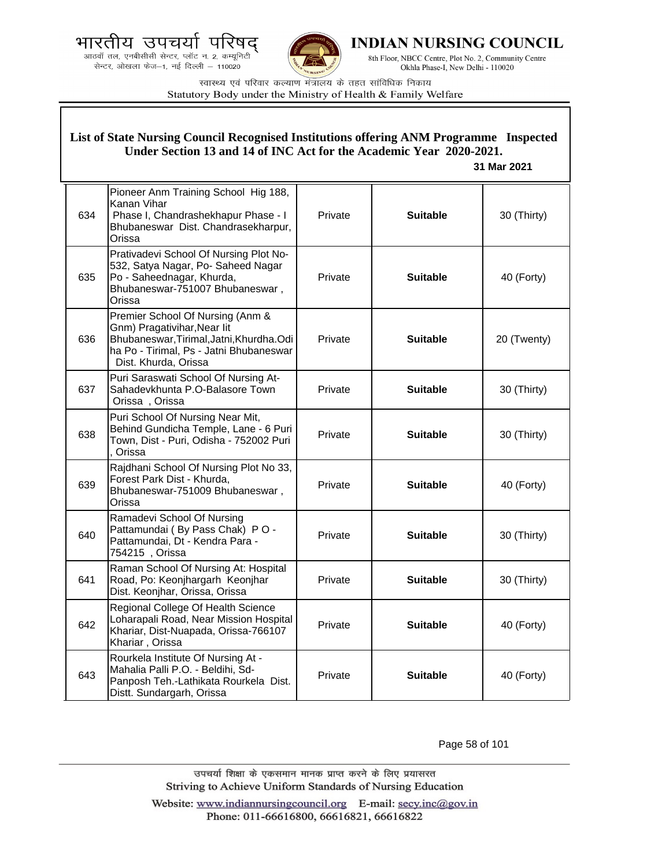.<br>आठवाँ तल, एनबीसीसी सेन्टर, प्लॉट न. 2, कम्यूनिटी सेन्टर, ओखला फेज-1, नई दिल्ली - 110020



**INDIAN NURSING COUNCIL** 

8th Floor, NBCC Centre, Plot No. 2, Community Centre Okhla Phase-I, New Delhi - 110020

स्वास्थ्य एवं परिवार कल्याण मंत्रालय के तहत सांविधिक निकाय Statutory Body under the Ministry of Health & Family Welfare

# **List of State Nursing Council Recognised Institutions offering ANM Programme Inspected Under Section 13 and 14 of INC Act for the Academic Year 2020-2021.**

 **31 Mar 2021**

| 634 | Pioneer Anm Training School Hig 188,<br>Kanan Vihar<br>Phase I, Chandrashekhapur Phase - I<br>Bhubaneswar Dist. Chandrasekharpur,<br>Orissa                                     | Private | <b>Suitable</b> | 30 (Thirty) |
|-----|---------------------------------------------------------------------------------------------------------------------------------------------------------------------------------|---------|-----------------|-------------|
| 635 | Prativadevi School Of Nursing Plot No-<br>532, Satya Nagar, Po- Saheed Nagar<br>Po - Saheednagar, Khurda,<br>Bhubaneswar-751007 Bhubaneswar,<br>Orissa                          | Private | <b>Suitable</b> | 40 (Forty)  |
| 636 | Premier School Of Nursing (Anm &<br>Gnm) Pragativihar, Near lit<br>Bhubaneswar, Tirimal, Jatni, Khurdha. Odi<br>ha Po - Tirimal, Ps - Jatni Bhubaneswar<br>Dist. Khurda, Orissa | Private | <b>Suitable</b> | 20 (Twenty) |
| 637 | Puri Saraswati School Of Nursing At-<br>Sahadevkhunta P.O-Balasore Town<br>Orissa, Orissa                                                                                       | Private | <b>Suitable</b> | 30 (Thirty) |
| 638 | Puri School Of Nursing Near Mit,<br>Behind Gundicha Temple, Lane - 6 Puri<br>Town, Dist - Puri, Odisha - 752002 Puri<br>Orissa                                                  | Private | <b>Suitable</b> | 30 (Thirty) |
| 639 | Rajdhani School Of Nursing Plot No 33,<br>Forest Park Dist - Khurda,<br>Bhubaneswar-751009 Bhubaneswar,<br>Orissa                                                               | Private | <b>Suitable</b> | 40 (Forty)  |
| 640 | Ramadevi School Of Nursing<br>Pattamundai (By Pass Chak) PO -<br>Pattamundai, Dt - Kendra Para -<br>754215, Orissa                                                              | Private | <b>Suitable</b> | 30 (Thirty) |
| 641 | Raman School Of Nursing At: Hospital<br>Road, Po: Keonjhargarh Keonjhar<br>Dist. Keonjhar, Orissa, Orissa                                                                       | Private | <b>Suitable</b> | 30 (Thirty) |
| 642 | Regional College Of Health Science<br>Loharapali Road, Near Mission Hospital<br>Khariar, Dist-Nuapada, Orissa-766107<br>Khariar, Orissa                                         | Private | <b>Suitable</b> | 40 (Forty)  |
| 643 | Rourkela Institute Of Nursing At -<br>Mahalia Palli P.O. - Beldihi, Sd-<br>Panposh Teh.-Lathikata Rourkela Dist.<br>Distt. Sundargarh, Orissa                                   | Private | <b>Suitable</b> | 40 (Forty)  |

Page 58 of 101

उपचर्या शिक्षा के एकसमान मानक प्राप्त करने के लिए प्रयासरत Striving to Achieve Uniform Standards of Nursing Education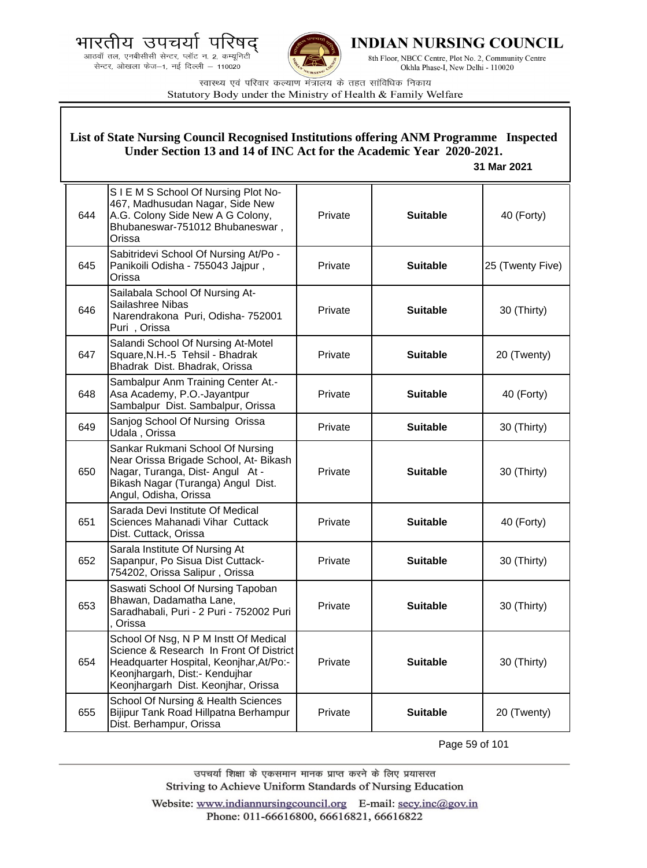.<br>आठवाँ तल, एनबीसीसी सेन्टर, प्लॉट न. 2, कम्यूनिटी<br>सेन्टर, ओखला फेज—1, नई दिल्ली — 110020



**INDIAN NURSING COUNCIL** 

8th Floor, NBCC Centre, Plot No. 2, Community Centre Okhla Phase-I, New Delhi - 110020

स्वास्थ्य एवं परिवार कल्याण मंत्रालय के तहत सांविधिक निकाय Statutory Body under the Ministry of Health & Family Welfare

|     | List of State Nursing Council Recognised Institutions offering ANM Programme Inspected<br>Under Section 13 and 14 of INC Act for the Academic Year 2020-2021.<br>31 Mar 2021                         |         |                 |                  |  |
|-----|------------------------------------------------------------------------------------------------------------------------------------------------------------------------------------------------------|---------|-----------------|------------------|--|
| 644 | SIEMS School Of Nursing Plot No-<br>467, Madhusudan Nagar, Side New<br>A.G. Colony Side New A G Colony,<br>Bhubaneswar-751012 Bhubaneswar,<br>Orissa                                                 | Private | <b>Suitable</b> | 40 (Forty)       |  |
| 645 | Sabitridevi School Of Nursing At/Po -<br>Panikoili Odisha - 755043 Jajpur,<br>Orissa                                                                                                                 | Private | <b>Suitable</b> | 25 (Twenty Five) |  |
| 646 | Sailabala School Of Nursing At-<br>Sailashree Nibas<br>Narendrakona Puri, Odisha- 752001<br>Puri, Orissa                                                                                             | Private | <b>Suitable</b> | 30 (Thirty)      |  |
| 647 | Salandi School Of Nursing At-Motel<br>Square, N.H.-5 Tehsil - Bhadrak<br>Bhadrak Dist. Bhadrak, Orissa                                                                                               | Private | <b>Suitable</b> | 20 (Twenty)      |  |
| 648 | Sambalpur Anm Training Center At.-<br>Asa Academy, P.O.-Jayantpur<br>Sambalpur Dist. Sambalpur, Orissa                                                                                               | Private | <b>Suitable</b> | 40 (Forty)       |  |
| 649 | Sanjog School Of Nursing Orissa<br>Udala, Orissa                                                                                                                                                     | Private | <b>Suitable</b> | 30 (Thirty)      |  |
| 650 | Sankar Rukmani School Of Nursing<br>Near Orissa Brigade School, At- Bikash<br>Nagar, Turanga, Dist-Angul At -<br>Bikash Nagar (Turanga) Angul Dist.<br>Angul, Odisha, Orissa                         | Private | <b>Suitable</b> | 30 (Thirty)      |  |
| 651 | Sarada Devi Institute Of Medical<br>Sciences Mahanadi Vihar Cuttack<br>Dist. Cuttack, Orissa                                                                                                         | Private | <b>Suitable</b> | 40 (Forty)       |  |
| 652 | Sarala Institute Of Nursing At<br>Sapanpur, Po Sisua Dist Cuttack-<br>754202, Orissa Salipur, Orissa                                                                                                 | Private | <b>Suitable</b> | 30 (Thirty)      |  |
| 653 | Saswati School Of Nursing Tapoban<br>Bhawan, Dadamatha Lane,<br>Saradhabali, Puri - 2 Puri - 752002 Puri<br>Orissa                                                                                   | Private | <b>Suitable</b> | 30 (Thirty)      |  |
| 654 | School Of Nsg, N P M Instt Of Medical<br>Science & Research In Front Of District<br>Headquarter Hospital, Keonjhar, At/Po:-<br>Keonjhargarh, Dist:- Kendujhar<br>Keonjhargarh Dist. Keonjhar, Orissa | Private | <b>Suitable</b> | 30 (Thirty)      |  |
| 655 | School Of Nursing & Health Sciences<br>Bijipur Tank Road Hillpatna Berhampur<br>Dist. Berhampur, Orissa                                                                                              | Private | <b>Suitable</b> | 20 (Twenty)      |  |

Page 59 of 101

उपचर्या शिक्षा के एकसमान मानक प्राप्त करने के लिए प्रयासरत Striving to Achieve Uniform Standards of Nursing Education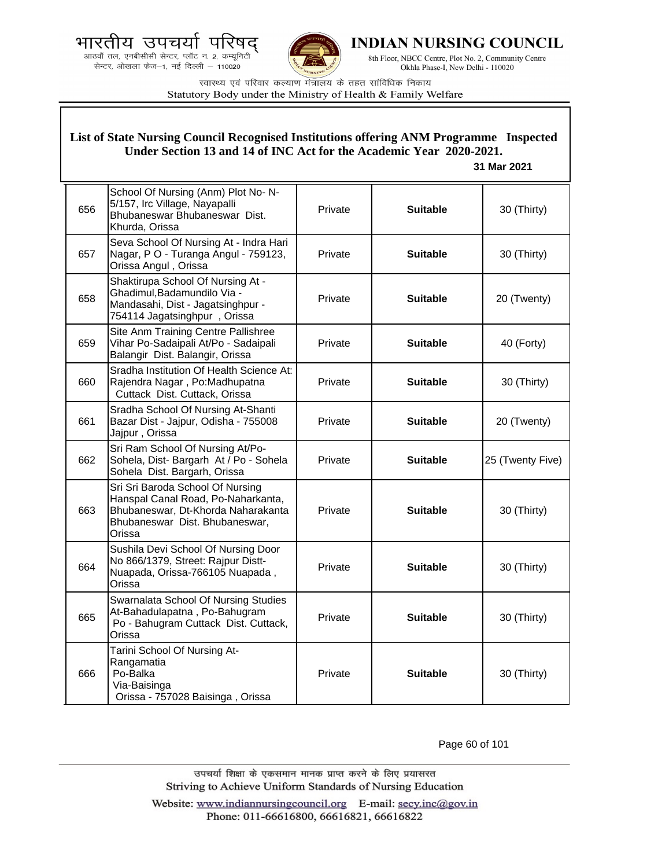



**INDIAN NURSING COUNCIL** 

8th Floor, NBCC Centre, Plot No. 2, Community Centre Okhla Phase-I, New Delhi - 110020

स्वास्थ्य एवं परिवार कल्याण मंत्रालय के तहत सांविधिक निकाय Statutory Body under the Ministry of Health & Family Welfare

# **List of State Nursing Council Recognised Institutions offering ANM Programme Inspected Under Section 13 and 14 of INC Act for the Academic Year 2020-2021.**

#### **31 Mar 2021**

| 656 | School Of Nursing (Anm) Plot No- N-<br>5/157, Irc Village, Nayapalli<br>Bhubaneswar Bhubaneswar Dist.<br>Khurda, Orissa                                  | Private | <b>Suitable</b> | 30 (Thirty)      |
|-----|----------------------------------------------------------------------------------------------------------------------------------------------------------|---------|-----------------|------------------|
| 657 | Seva School Of Nursing At - Indra Hari<br>Nagar, P O - Turanga Angul - 759123,<br>Orissa Angul, Orissa                                                   | Private | <b>Suitable</b> | 30 (Thirty)      |
| 658 | Shaktirupa School Of Nursing At -<br>Ghadimul, Badamundilo Via -<br>Mandasahi, Dist - Jagatsinghpur -<br>754114 Jagatsinghpur, Orissa                    | Private | <b>Suitable</b> | 20 (Twenty)      |
| 659 | Site Anm Training Centre Pallishree<br>Vihar Po-Sadaipali At/Po - Sadaipali<br>Balangir Dist. Balangir, Orissa                                           | Private | <b>Suitable</b> | 40 (Forty)       |
| 660 | Sradha Institution Of Health Science At:<br>Rajendra Nagar, Po:Madhupatna<br>Cuttack Dist. Cuttack, Orissa                                               | Private | <b>Suitable</b> | 30 (Thirty)      |
| 661 | Sradha School Of Nursing At-Shanti<br>Bazar Dist - Jajpur, Odisha - 755008<br>Jajpur, Orissa                                                             | Private | <b>Suitable</b> | 20 (Twenty)      |
| 662 | Sri Ram School Of Nursing At/Po-<br>Sohela, Dist-Bargarh At / Po - Sohela<br>Sohela Dist. Bargarh, Orissa                                                | Private | <b>Suitable</b> | 25 (Twenty Five) |
| 663 | Sri Sri Baroda School Of Nursing<br>Hanspal Canal Road, Po-Naharkanta,<br>Bhubaneswar, Dt-Khorda Naharakanta<br>Bhubaneswar Dist. Bhubaneswar,<br>Orissa | Private | <b>Suitable</b> | 30 (Thirty)      |
| 664 | Sushila Devi School Of Nursing Door<br>No 866/1379, Street: Rajpur Distt-<br>Nuapada, Orissa-766105 Nuapada,<br>Orissa                                   | Private | <b>Suitable</b> | 30 (Thirty)      |
| 665 | Swarnalata School Of Nursing Studies<br>At-Bahadulapatna, Po-Bahugram<br>Po - Bahugram Cuttack Dist. Cuttack,<br>Orissa                                  | Private | <b>Suitable</b> | 30 (Thirty)      |
| 666 | Tarini School Of Nursing At-<br>Rangamatia<br>Po-Balka<br>Via-Baisinga<br>Orissa - 757028 Baisinga, Orissa                                               | Private | <b>Suitable</b> | 30 (Thirty)      |

Page 60 of 101

उपचर्या शिक्षा के एकसमान मानक प्राप्त करने के लिए प्रयासरत Striving to Achieve Uniform Standards of Nursing Education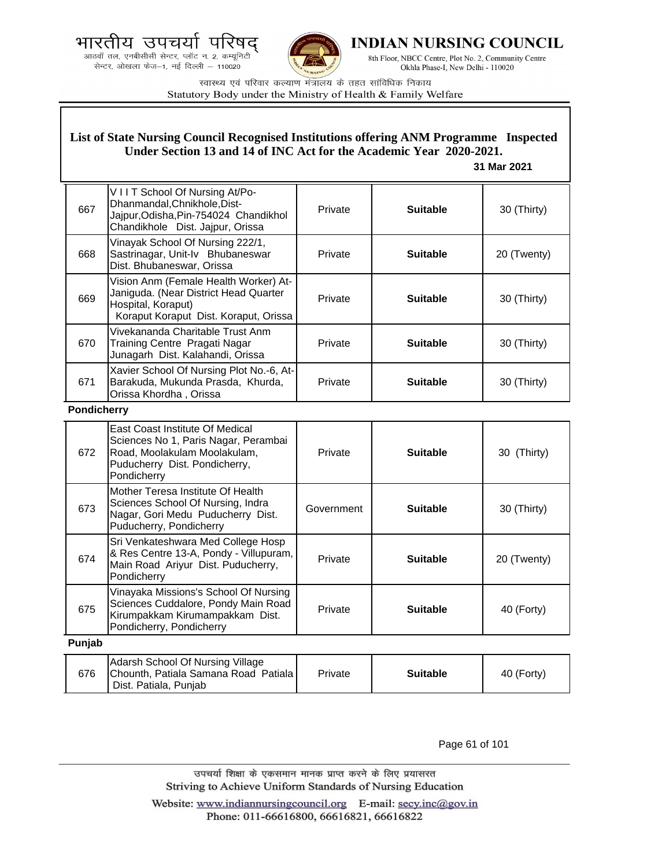भारतीय उपचर U

आठवाँ तल, एनबीसीसी सेन्टर, प्लॉट न. 2, कम्यूनिटी सेन्टर, ओखला फेज-1, नई दिल्ली - 110020



**INDIAN NURSING COUNCIL** 

8th Floor, NBCC Centre, Plot No. 2, Community Centre Okhla Phase-I, New Delhi - 110020

स्वास्थ्य एवं परिवार कल्याण मंत्रालय के तहत सांविधिक निकाय Statutory Body under the Ministry of Health & Family Welfare

## **List of State Nursing Council Recognised Institutions offering ANM Programme Inspected Under Section 13 and 14 of INC Act for the Academic Year 2020-2021.**

## **31 Mar 2021**

| 667 | VIIT School Of Nursing At/Po-<br>Dhanmandal, Chnikhole, Dist-<br>Jajpur, Odisha, Pin-754024 Chandikhol<br>Chandikhole Dist. Jajpur, Orissa    | Private | <b>Suitable</b> | 30 (Thirty) |
|-----|-----------------------------------------------------------------------------------------------------------------------------------------------|---------|-----------------|-------------|
| 668 | Vinayak School Of Nursing 222/1,<br>Sastrinagar, Unit-Iv Bhubaneswar<br>Dist. Bhubaneswar, Orissa                                             | Private | <b>Suitable</b> | 20 (Twenty) |
| 669 | Vision Anm (Female Health Worker) At-<br>Janiguda. (Near District Head Quarter<br>Hospital, Koraput)<br>Koraput Koraput Dist. Koraput, Orissa | Private | <b>Suitable</b> | 30 (Thirty) |
| 670 | Vivekananda Charitable Trust Anm<br>Training Centre Pragati Nagar<br>Junagarh Dist. Kalahandi, Orissa                                         | Private | <b>Suitable</b> | 30 (Thirty) |
| 671 | Xavier School Of Nursing Plot No.-6, At-<br>Barakuda, Mukunda Prasda, Khurda,<br>Orissa Khordha, Orissa                                       | Private | <b>Suitable</b> | 30 (Thirty) |

#### **Pondicherry**

676

Chounth, Patiala Samana Road Patiala

Dist. Patiala, Punjab

| 672    | East Coast Institute Of Medical<br>Sciences No 1, Paris Nagar, Perambai<br>Road, Moolakulam Moolakulam,<br>Puducherry Dist. Pondicherry,<br>Pondicherry | Private    | <b>Suitable</b> | 30 (Thirty) |
|--------|---------------------------------------------------------------------------------------------------------------------------------------------------------|------------|-----------------|-------------|
| 673    | Mother Teresa Institute Of Health<br>Sciences School Of Nursing, Indra<br>Nagar, Gori Medu Puducherry Dist.<br>Puducherry, Pondicherry                  | Government | <b>Suitable</b> | 30 (Thirty) |
| 674    | Sri Venkateshwara Med College Hosp<br>& Res Centre 13-A, Pondy - Villupuram,<br>Main Road Ariyur Dist. Puducherry,<br>Pondicherry                       | Private    | <b>Suitable</b> | 20 (Twenty) |
| 675    | Vinayaka Missions's School Of Nursing<br>Sciences Cuddalore, Pondy Main Road<br>Kirumpakkam Kirumampakkam Dist.<br>Pondicherry, Pondicherry             | Private    | <b>Suitable</b> | 40 (Forty)  |
| Punjab |                                                                                                                                                         |            |                 |             |
|        | Adarsh School Of Nursing Village                                                                                                                        |            |                 |             |

| Page 61 of 101 |  |  |
|----------------|--|--|

Private **Suitable 40 (Forty)** 

उपचर्या शिक्षा के एकसमान मानक प्राप्त करने के लिए प्रयासरत Striving to Achieve Uniform Standards of Nursing Education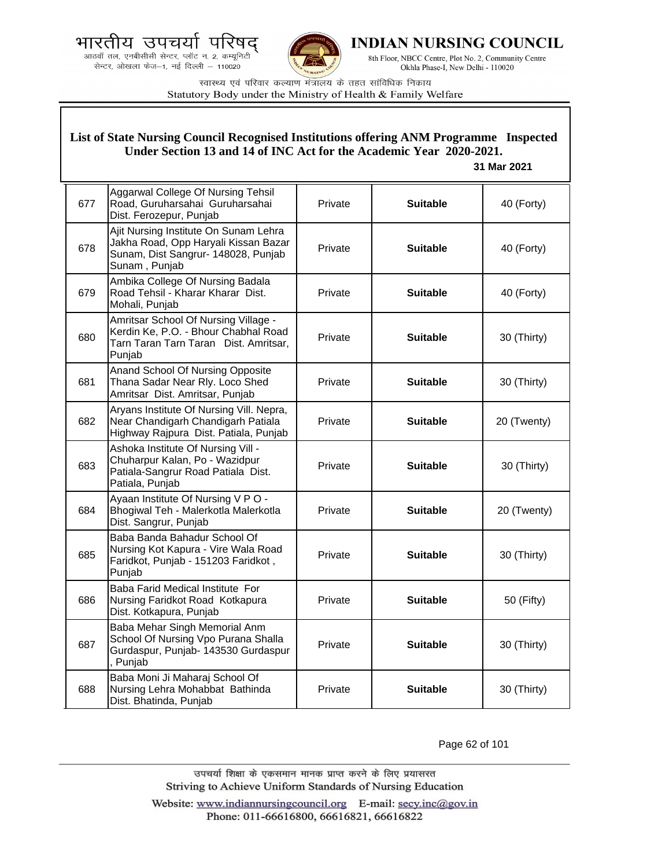



**INDIAN NURSING COUNCIL** 

8th Floor, NBCC Centre, Plot No. 2, Community Centre Okhla Phase-I, New Delhi - 110020

स्वास्थ्य एवं परिवार कल्याण मंत्रालय के तहत सांविधिक निकाय Statutory Body under the Ministry of Health & Family Welfare

## **List of State Nursing Council Recognised Institutions offering ANM Programme Inspected Under Section 13 and 14 of INC Act for the Academic Year 2020-2021.**

## **31 Mar 2021**

| 677 | Aggarwal College Of Nursing Tehsil<br>Road, Guruharsahai Guruharsahai<br>Dist. Ferozepur, Punjab                                      | Private | <b>Suitable</b> | 40 (Forty)  |
|-----|---------------------------------------------------------------------------------------------------------------------------------------|---------|-----------------|-------------|
| 678 | Ajit Nursing Institute On Sunam Lehra<br>Jakha Road, Opp Haryali Kissan Bazar<br>Sunam, Dist Sangrur- 148028, Punjab<br>Sunam, Punjab | Private | <b>Suitable</b> | 40 (Forty)  |
| 679 | Ambika College Of Nursing Badala<br>Road Tehsil - Kharar Kharar Dist.<br>Mohali, Punjab                                               | Private | <b>Suitable</b> | 40 (Forty)  |
| 680 | Amritsar School Of Nursing Village -<br>Kerdin Ke, P.O. - Bhour Chabhal Road<br>Tarn Taran Tarn Taran Dist. Amritsar,<br>Punjab       | Private | <b>Suitable</b> | 30 (Thirty) |
| 681 | Anand School Of Nursing Opposite<br>Thana Sadar Near Rly. Loco Shed<br>Amritsar Dist. Amritsar, Punjab                                | Private | <b>Suitable</b> | 30 (Thirty) |
| 682 | Aryans Institute Of Nursing Vill. Nepra,<br>Near Chandigarh Chandigarh Patiala<br>Highway Rajpura Dist. Patiala, Punjab               | Private | <b>Suitable</b> | 20 (Twenty) |
| 683 | Ashoka Institute Of Nursing Vill -<br>Chuharpur Kalan, Po - Wazidpur<br>Patiala-Sangrur Road Patiala Dist.<br>Patiala, Punjab         | Private | <b>Suitable</b> | 30 (Thirty) |
| 684 | Ayaan Institute Of Nursing V P O -<br>Bhogiwal Teh - Malerkotla Malerkotla<br>Dist. Sangrur, Punjab                                   | Private | <b>Suitable</b> | 20 (Twenty) |
| 685 | Baba Banda Bahadur School Of<br>Nursing Kot Kapura - Vire Wala Road<br>Faridkot, Punjab - 151203 Faridkot,<br>Punjab                  | Private | <b>Suitable</b> | 30 (Thirty) |
| 686 | Baba Farid Medical Institute For<br>Nursing Faridkot Road Kotkapura<br>Dist. Kotkapura, Punjab                                        | Private | <b>Suitable</b> | 50 (Fifty)  |
| 687 | Baba Mehar Singh Memorial Anm<br>School Of Nursing Vpo Purana Shalla<br>Gurdaspur, Punjab- 143530 Gurdaspur<br>, Punjab               | Private | <b>Suitable</b> | 30 (Thirty) |
| 688 | Baba Moni Ji Maharaj School Of<br>Nursing Lehra Mohabbat Bathinda<br>Dist. Bhatinda, Punjab                                           | Private | <b>Suitable</b> | 30 (Thirty) |

Page 62 of 101

उपचर्या शिक्षा के एकसमान मानक प्राप्त करने के लिए प्रयासरत Striving to Achieve Uniform Standards of Nursing Education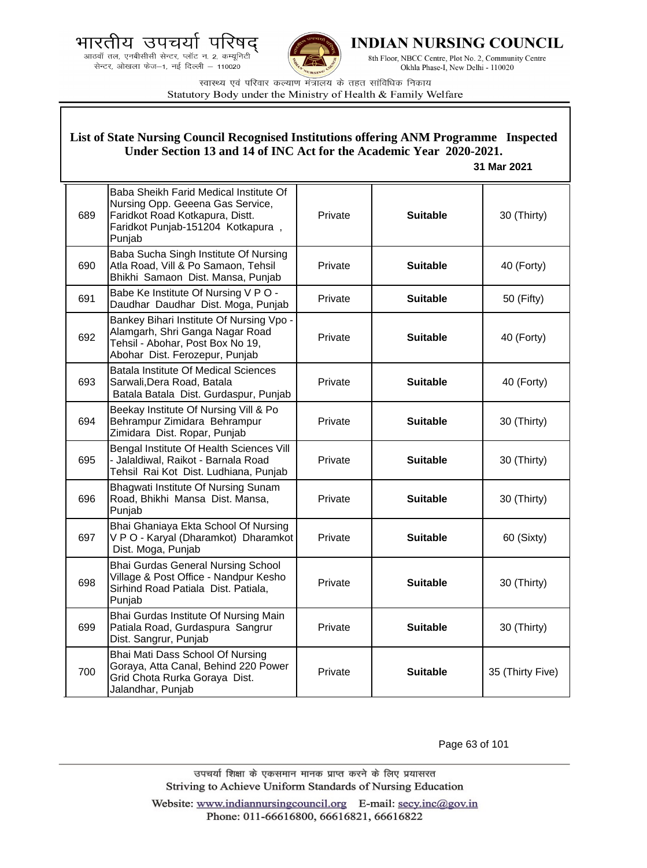



INDIAN NURSING COUNCIL

8th Floor, NBCC Centre, Plot No. 2, Community Centre Okhla Phase-I, New Delhi - 110020

स्वास्थ्य एवं परिवार कल्याण मंत्रालय के तहत सांविधिक निकाय Statutory Body under the Ministry of Health & Family Welfare

#### 689 Baba Sheikh Farid Medical Institute Of Nursing Opp. Geeena Gas Service, Faridkot Road Kotkapura, Distt. Faridkot Punjab-151204 Kotkapura , Punjab Private **Suitable** 30 (Thirty) 690 Baba Sucha Singh Institute Of Nursing Atla Road, Vill & Po Samaon, Tehsil Bhikhi Samaon Dist. Mansa, Punjab Private **Nuitable H** 40 (Forty) 691 Babe Ke Institute Of Nursing V P O -Daudhar Daudhar Dist. Moga, Punjab Private **Suitable** 50 (Fifty) 692 Bankey Bihari Institute Of Nursing Vpo - Alamgarh, Shri Ganga Nagar Road Tehsil - Abohar, Post Box No 19, Abohar Dist. Ferozepur, Punjab Private **Suitable 40 (Forty)** 693 Batala Institute Of Medical Sciences Sarwali,Dera Road, Batala Batala Batala Dist. Gurdaspur, Punjab Private **Suitable** 40 (Forty) 694 Beekay Institute Of Nursing Vill & Po Behrampur Zimidara Behrampur Zimidara Dist. Ropar, Punjab Private **Suitable 30** (Thirty) 695 Bengal Institute Of Health Sciences Vill - Jalaldiwal, Raikot - Barnala Road Tehsil Rai Kot Dist. Ludhiana, Punjab Private **Suitable 30** (Thirty) 696 Bhagwati Institute Of Nursing Sunam Road, Bhikhi Mansa Dist. Mansa, Punjab Private **Suitable** 30 (Thirty) 697 Bhai Ghaniaya Ekta School Of Nursing V P O - Karyal (Dharamkot) Dharamkot Dist. Moga, Punjab Private **Suitable 60 (Sixty)** 698 Bhai Gurdas General Nursing School Village & Post Office - Nandpur Kesho Sirhind Road Patiala Dist. Patiala, Punjab Private **Suitable** 30 (Thirty) 699 Bhai Gurdas Institute Of Nursing Main Patiala Road, Gurdaspura Sangrur Dist. Sangrur, Punjab Private **Suitable 30** (Thirty) 700 Bhai Mati Dass School Of Nursing Goraya, Atta Canal, Behind 220 Power Grid Chota Rurka Goraya Dist. Jalandhar, Punjab Private **Suitable** 35 (Thirty Five) **List of State Nursing Council Recognised Institutions offering ANM Programme Inspected Under Section 13 and 14 of INC Act for the Academic Year 2020-2021. 31 Mar 2021**

Page 63 of 101

उपचर्या शिक्षा के एकसमान मानक प्राप्त करने के लिए प्रयासरत Striving to Achieve Uniform Standards of Nursing Education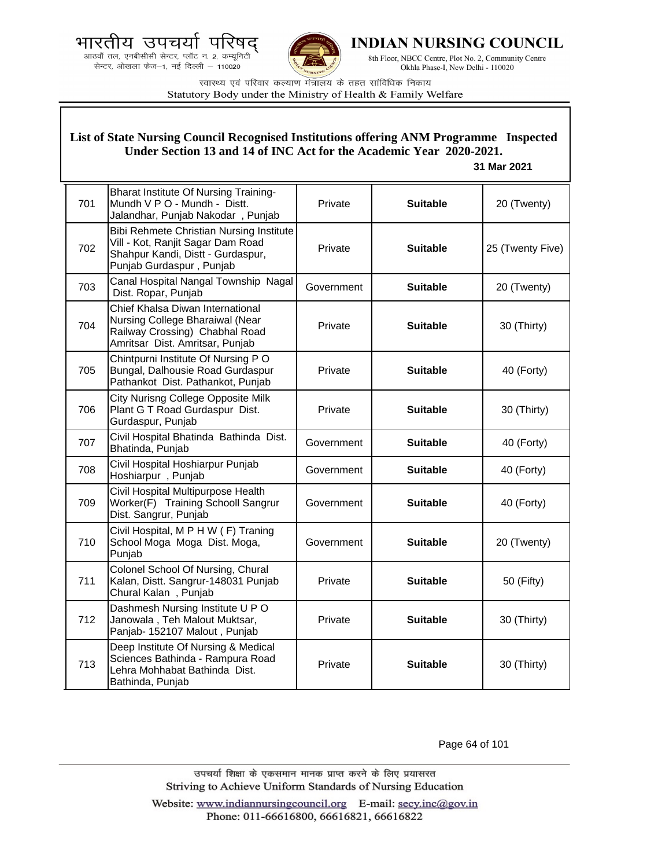



**INDIAN NURSING COUNCIL** 

8th Floor, NBCC Centre, Plot No. 2, Community Centre Okhla Phase-I, New Delhi - 110020

स्वास्थ्य एवं परिवार कल्याण मंत्रालय के तहत सांविधिक निकाय Statutory Body under the Ministry of Health & Family Welfare

## **List of State Nursing Council Recognised Institutions offering ANM Programme Inspected Under Section 13 and 14 of INC Act for the Academic Year 2020-2021.**

#### **31 Mar 2021**

| 701 | <b>Bharat Institute Of Nursing Training-</b><br>Mundh V P O - Mundh - Distt.<br>Jalandhar, Punjab Nakodar, Punjab                                     | Private    | <b>Suitable</b> | 20 (Twenty)      |
|-----|-------------------------------------------------------------------------------------------------------------------------------------------------------|------------|-----------------|------------------|
| 702 | <b>Bibi Rehmete Christian Nursing Institute</b><br>Vill - Kot, Ranjit Sagar Dam Road<br>Shahpur Kandi, Distt - Gurdaspur,<br>Punjab Gurdaspur, Punjab | Private    | <b>Suitable</b> | 25 (Twenty Five) |
| 703 | Canal Hospital Nangal Township Nagal<br>Dist. Ropar, Punjab                                                                                           | Government | <b>Suitable</b> | 20 (Twenty)      |
| 704 | Chief Khalsa Diwan International<br>Nursing College Bharaiwal (Near<br>Railway Crossing) Chabhal Road<br>Amritsar Dist. Amritsar, Punjab              | Private    | <b>Suitable</b> | 30 (Thirty)      |
| 705 | Chintpurni Institute Of Nursing PO<br>Bungal, Dalhousie Road Gurdaspur<br>Pathankot Dist. Pathankot, Punjab                                           | Private    | <b>Suitable</b> | 40 (Forty)       |
| 706 | <b>City Nurisng College Opposite Milk</b><br>Plant G T Road Gurdaspur Dist.<br>Gurdaspur, Punjab                                                      | Private    | <b>Suitable</b> | 30 (Thirty)      |
| 707 | Civil Hospital Bhatinda Bathinda Dist.<br>Bhatinda, Punjab                                                                                            | Government | <b>Suitable</b> | 40 (Forty)       |
| 708 | Civil Hospital Hoshiarpur Punjab<br>Hoshiarpur, Punjab                                                                                                | Government | <b>Suitable</b> | 40 (Forty)       |
| 709 | Civil Hospital Multipurpose Health<br>Worker(F) Training Schooll Sangrur<br>Dist. Sangrur, Punjab                                                     | Government | <b>Suitable</b> | 40 (Forty)       |
| 710 | Civil Hospital, M P H W (F) Traning<br>School Moga Moga Dist. Moga,<br>Punjab                                                                         | Government | <b>Suitable</b> | 20 (Twenty)      |
| 711 | Colonel School Of Nursing, Chural<br>Kalan, Distt. Sangrur-148031 Punjab<br>Chural Kalan, Punjab                                                      | Private    | <b>Suitable</b> | 50 (Fifty)       |
| 712 | Dashmesh Nursing Institute U P O<br>Janowala, Teh Malout Muktsar,<br>Panjab- 152107 Malout, Punjab                                                    | Private    | <b>Suitable</b> | 30 (Thirty)      |
| 713 | Deep Institute Of Nursing & Medical<br>Sciences Bathinda - Rampura Road<br>Lehra Mohhabat Bathinda Dist.<br>Bathinda, Punjab                          | Private    | <b>Suitable</b> | 30 (Thirty)      |

Page 64 of 101

उपचर्या शिक्षा के एकसमान मानक प्राप्त करने के लिए प्रयासरत Striving to Achieve Uniform Standards of Nursing Education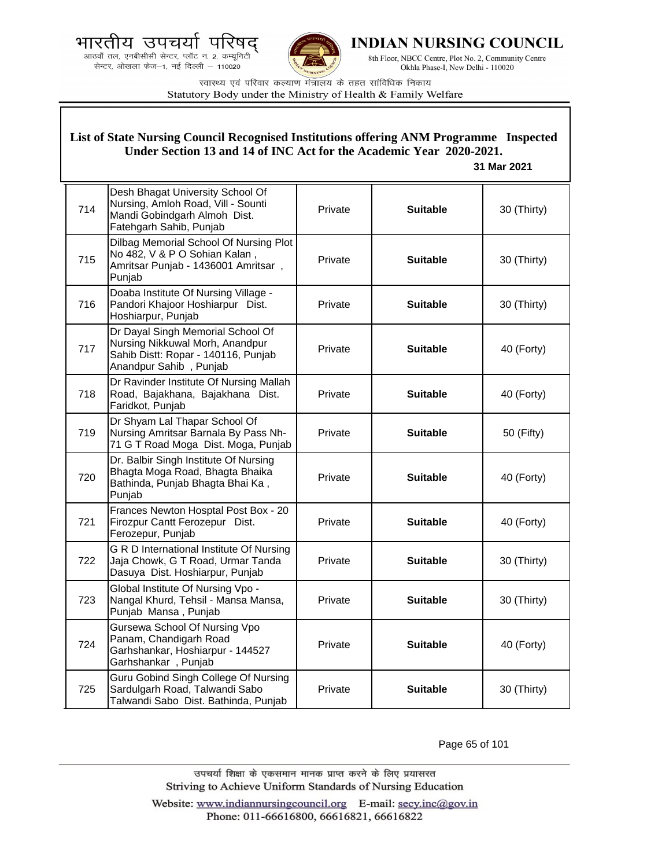.<br>आठवाँ तल, एनबीसीसी सेन्टर, प्लॉट न. 2, कम्यूनिटी<br>सेन्टर, ओखला फेज—1, नई दिल्ली — 110020



**INDIAN NURSING COUNCIL** 

8th Floor, NBCC Centre, Plot No. 2, Community Centre Okhla Phase-I, New Delhi - 110020

स्वास्थ्य एवं परिवार कल्याण मंत्रालय के तहत सांविधिक निकाय Statutory Body under the Ministry of Health & Family Welfare

| List of State Nursing Council Recognised Institutions offering ANM Programme Inspected<br>Under Section 13 and 14 of INC Act for the Academic Year 2020-2021.<br>31 Mar 2021 |                                                                                                                                       |         |                 |             |
|------------------------------------------------------------------------------------------------------------------------------------------------------------------------------|---------------------------------------------------------------------------------------------------------------------------------------|---------|-----------------|-------------|
| 714                                                                                                                                                                          | Desh Bhagat University School Of<br>Nursing, Amloh Road, Vill - Sounti<br>Mandi Gobindgarh Almoh Dist.<br>Fatehgarh Sahib, Punjab     | Private | <b>Suitable</b> | 30 (Thirty) |
| 715                                                                                                                                                                          | Dilbag Memorial School Of Nursing Plot<br>No 482, V & P O Sohian Kalan,<br>Amritsar Punjab - 1436001 Amritsar,<br>Punjab              | Private | <b>Suitable</b> | 30 (Thirty) |
| 716                                                                                                                                                                          | Doaba Institute Of Nursing Village -<br>Pandori Khajoor Hoshiarpur Dist.<br>Hoshiarpur, Punjab                                        | Private | <b>Suitable</b> | 30 (Thirty) |
| 717                                                                                                                                                                          | Dr Dayal Singh Memorial School Of<br>Nursing Nikkuwal Morh, Anandpur<br>Sahib Distt: Ropar - 140116, Punjab<br>Anandpur Sahib, Punjab | Private | <b>Suitable</b> | 40 (Forty)  |
| 718                                                                                                                                                                          | Dr Ravinder Institute Of Nursing Mallah<br>Road, Bajakhana, Bajakhana Dist.<br>Faridkot, Punjab                                       | Private | <b>Suitable</b> | 40 (Forty)  |
| 719                                                                                                                                                                          | Dr Shyam Lal Thapar School Of<br>Nursing Amritsar Barnala By Pass Nh-<br>71 G T Road Moga Dist. Moga, Punjab                          | Private | <b>Suitable</b> | 50 (Fifty)  |
| 720                                                                                                                                                                          | Dr. Balbir Singh Institute Of Nursing<br>Bhagta Moga Road, Bhagta Bhaika<br>Bathinda, Punjab Bhagta Bhai Ka,<br>Punjab                | Private | <b>Suitable</b> | 40 (Forty)  |
| 721                                                                                                                                                                          | Frances Newton Hosptal Post Box - 20<br>Firozpur Cantt Ferozepur Dist.<br>Ferozepur, Punjab                                           | Private | <b>Suitable</b> | 40 (Forty)  |
| 722                                                                                                                                                                          | G R D International Institute Of Nursing<br>Jaja Chowk, G T Road, Urmar Tanda<br>Dasuya Dist. Hoshiarpur, Punjab                      | Private | <b>Suitable</b> | 30 (Thirty) |
| 723                                                                                                                                                                          | Global Institute Of Nursing Vpo -<br>Nangal Khurd, Tehsil - Mansa Mansa,<br>Punjab Mansa, Punjab                                      | Private | <b>Suitable</b> | 30 (Thirty) |
| 724                                                                                                                                                                          | Gursewa School Of Nursing Vpo<br>Panam, Chandigarh Road<br>Garhshankar, Hoshiarpur - 144527<br>Garhshankar, Punjab                    | Private | <b>Suitable</b> | 40 (Forty)  |
| 725                                                                                                                                                                          | Guru Gobind Singh College Of Nursing<br>Sardulgarh Road, Talwandi Sabo<br>Talwandi Sabo Dist. Bathinda, Punjab                        | Private | <b>Suitable</b> | 30 (Thirty) |

Page 65 of 101

उपचर्या शिक्षा के एकसमान मानक प्राप्त करने के लिए प्रयासरत Striving to Achieve Uniform Standards of Nursing Education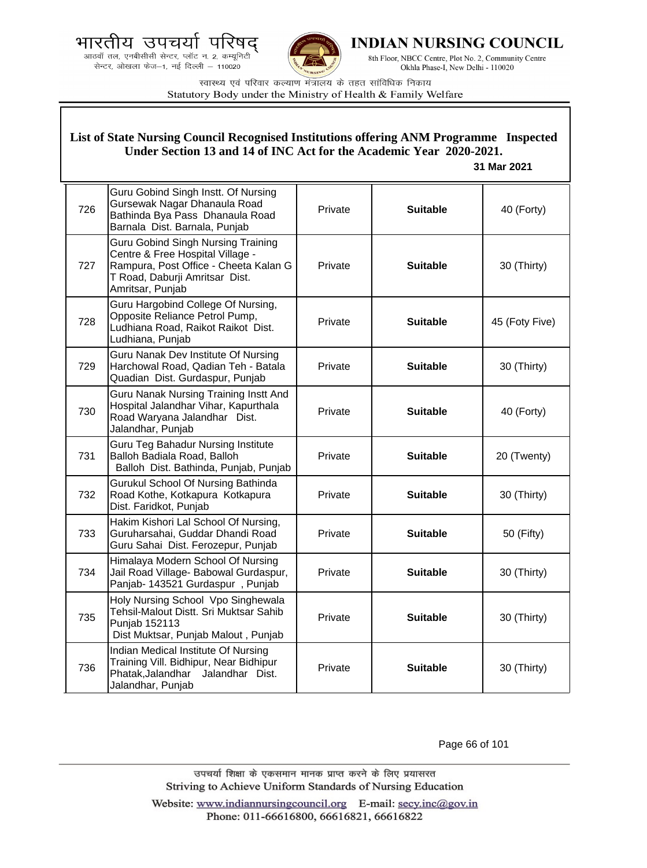.<br>आठवाँ तल, एनबीसीसी सेन्टर, प्लॉट न. 2, कम्यूनिटी<br>सेन्टर, ओखला फेज—1, नई दिल्ली — 110020



**INDIAN NURSING COUNCIL** 

8th Floor, NBCC Centre, Plot No. 2, Community Centre Okhla Phase-I, New Delhi - 110020

स्वास्थ्य एवं परिवार कल्याण मंत्रालय के तहत सांविधिक निकाय Statutory Body under the Ministry of Health & Family Welfare

| List of State Nursing Council Recognised Institutions offering ANM Programme Inspected<br>Under Section 13 and 14 of INC Act for the Academic Year 2020-2021.<br>31 Mar 2021 |                                                                                                                                                                              |         |                 |                |
|------------------------------------------------------------------------------------------------------------------------------------------------------------------------------|------------------------------------------------------------------------------------------------------------------------------------------------------------------------------|---------|-----------------|----------------|
| 726                                                                                                                                                                          | Guru Gobind Singh Instt. Of Nursing<br>Gursewak Nagar Dhanaula Road<br>Bathinda Bya Pass Dhanaula Road<br>Barnala Dist. Barnala, Punjab                                      | Private | <b>Suitable</b> | 40 (Forty)     |
| 727                                                                                                                                                                          | <b>Guru Gobind Singh Nursing Training</b><br>Centre & Free Hospital Village -<br>Rampura, Post Office - Cheeta Kalan G<br>T Road, Daburji Amritsar Dist.<br>Amritsar, Punjab | Private | <b>Suitable</b> | 30 (Thirty)    |
| 728                                                                                                                                                                          | Guru Hargobind College Of Nursing,<br>Opposite Reliance Petrol Pump,<br>Ludhiana Road, Raikot Raikot Dist.<br>Ludhiana, Punjab                                               | Private | <b>Suitable</b> | 45 (Foty Five) |
| 729                                                                                                                                                                          | Guru Nanak Dev Institute Of Nursing<br>Harchowal Road, Qadian Teh - Batala<br>Quadian Dist. Gurdaspur, Punjab                                                                | Private | <b>Suitable</b> | 30 (Thirty)    |
| 730                                                                                                                                                                          | Guru Nanak Nursing Training Instt And<br>Hospital Jalandhar Vihar, Kapurthala<br>Road Waryana Jalandhar Dist.<br>Jalandhar, Punjab                                           | Private | <b>Suitable</b> | 40 (Forty)     |
| 731                                                                                                                                                                          | Guru Teg Bahadur Nursing Institute<br>Balloh Badiala Road, Balloh<br>Balloh Dist. Bathinda, Punjab, Punjab                                                                   | Private | <b>Suitable</b> | 20 (Twenty)    |
| 732                                                                                                                                                                          | Gurukul School Of Nursing Bathinda<br>Road Kothe, Kotkapura Kotkapura<br>Dist. Faridkot, Punjab                                                                              | Private | <b>Suitable</b> | 30 (Thirty)    |
| 733                                                                                                                                                                          | Hakim Kishori Lal School Of Nursing,<br>Guruharsahai, Guddar Dhandi Road<br>Guru Sahai Dist. Ferozepur, Punjab                                                               | Private | <b>Suitable</b> | 50 (Fifty)     |
| 734                                                                                                                                                                          | Himalaya Modern School Of Nursing<br>Jail Road Village- Babowal Gurdaspur,<br>Panjab- 143521 Gurdaspur, Punjab                                                               | Private | <b>Suitable</b> | 30 (Thirty)    |
| 735                                                                                                                                                                          | Holy Nursing School Vpo Singhewala<br>Tehsil-Malout Distt. Sri Muktsar Sahib<br>Punjab 152113<br>Dist Muktsar, Punjab Malout, Punjab                                         | Private | <b>Suitable</b> | 30 (Thirty)    |
| 736                                                                                                                                                                          | Indian Medical Institute Of Nursing<br>Training Vill. Bidhipur, Near Bidhipur<br>Phatak, Jalandhar<br>Jalandhar Dist.<br>Jalandhar, Punjab                                   | Private | <b>Suitable</b> | 30 (Thirty)    |

Page 66 of 101

उपचर्या शिक्षा के एकसमान मानक प्राप्त करने के लिए प्रयासरत Striving to Achieve Uniform Standards of Nursing Education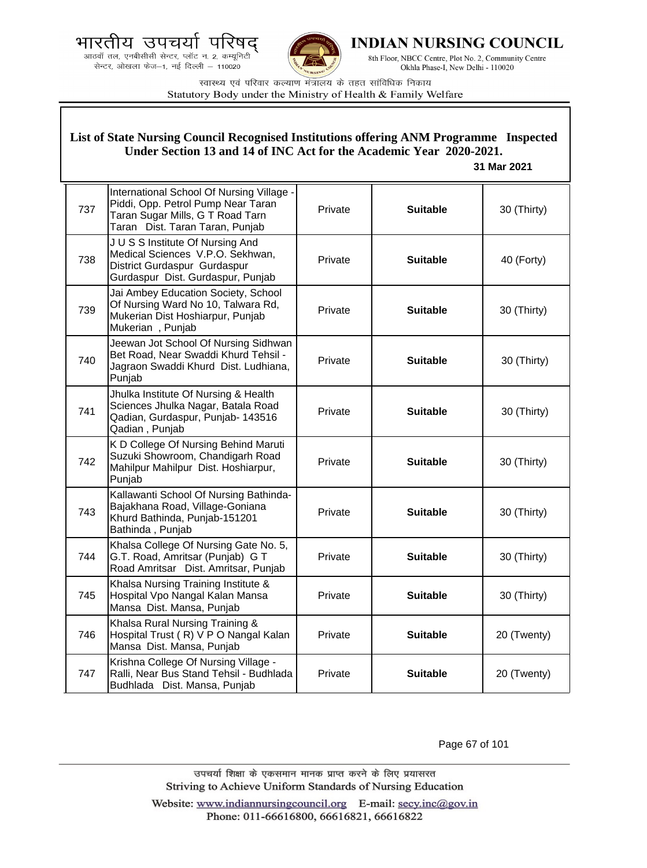



**INDIAN NURSING COUNCIL** 

8th Floor, NBCC Centre, Plot No. 2, Community Centre Okhla Phase-I, New Delhi - 110020

स्वास्थ्य एवं परिवार कल्याण मंत्रालय के तहत सांविधिक निकाय Statutory Body under the Ministry of Health & Family Welfare

|     | List of State Nursing Council Recognised Institutions offering ANM Programme Inspected<br>Under Section 13 and 14 of INC Act for the Academic Year 2020-2021.<br>31 Mar 2021 |         |                 |             |  |
|-----|------------------------------------------------------------------------------------------------------------------------------------------------------------------------------|---------|-----------------|-------------|--|
| 737 | International School Of Nursing Village -<br>Piddi, Opp. Petrol Pump Near Taran<br>Taran Sugar Mills, G T Road Tarn<br>Taran Dist. Taran Taran, Punjab                       | Private | <b>Suitable</b> | 30 (Thirty) |  |
| 738 | J U S S Institute Of Nursing And<br>Medical Sciences V.P.O. Sekhwan,<br>District Gurdaspur Gurdaspur<br>Gurdaspur Dist. Gurdaspur, Punjab                                    | Private | <b>Suitable</b> | 40 (Forty)  |  |
| 739 | Jai Ambey Education Society, School<br>Of Nursing Ward No 10, Talwara Rd,<br>Mukerian Dist Hoshiarpur, Punjab<br>Mukerian, Punjab                                            | Private | <b>Suitable</b> | 30 (Thirty) |  |
| 740 | Jeewan Jot School Of Nursing Sidhwan<br>Bet Road, Near Swaddi Khurd Tehsil -<br>Jagraon Swaddi Khurd Dist. Ludhiana,<br>Punjab                                               | Private | <b>Suitable</b> | 30 (Thirty) |  |
| 741 | Jhulka Institute Of Nursing & Health<br>Sciences Jhulka Nagar, Batala Road<br>Qadian, Gurdaspur, Punjab- 143516<br>Qadian, Punjab                                            | Private | <b>Suitable</b> | 30 (Thirty) |  |
| 742 | K D College Of Nursing Behind Maruti<br>Suzuki Showroom, Chandigarh Road<br>Mahilpur Mahilpur Dist. Hoshiarpur,<br>Punjab                                                    | Private | <b>Suitable</b> | 30 (Thirty) |  |
| 743 | Kallawanti School Of Nursing Bathinda-<br>Bajakhana Road, Village-Goniana<br>Khurd Bathinda, Punjab-151201<br>Bathinda, Punjab                                               | Private | <b>Suitable</b> | 30 (Thirty) |  |
| 744 | Khalsa College Of Nursing Gate No. 5,<br>G.T. Road, Amritsar (Punjab) G T<br>Road Amritsar Dist. Amritsar, Punjab                                                            | Private | <b>Suitable</b> | 30 (Thirty) |  |
| 745 | Khalsa Nursing Training Institute &<br>Hospital Vpo Nangal Kalan Mansa<br>Mansa Dist. Mansa, Punjab                                                                          | Private | <b>Suitable</b> | 30 (Thirty) |  |
| 746 | Khalsa Rural Nursing Training &<br>Hospital Trust (R) V P O Nangal Kalan<br>Mansa Dist. Mansa, Punjab                                                                        | Private | <b>Suitable</b> | 20 (Twenty) |  |
| 747 | Krishna College Of Nursing Village -<br>Ralli, Near Bus Stand Tehsil - Budhlada<br>Budhlada Dist. Mansa, Punjab                                                              | Private | <b>Suitable</b> | 20 (Twenty) |  |

Page 67 of 101

उपचर्या शिक्षा के एकसमान मानक प्राप्त करने के लिए प्रयासरत Striving to Achieve Uniform Standards of Nursing Education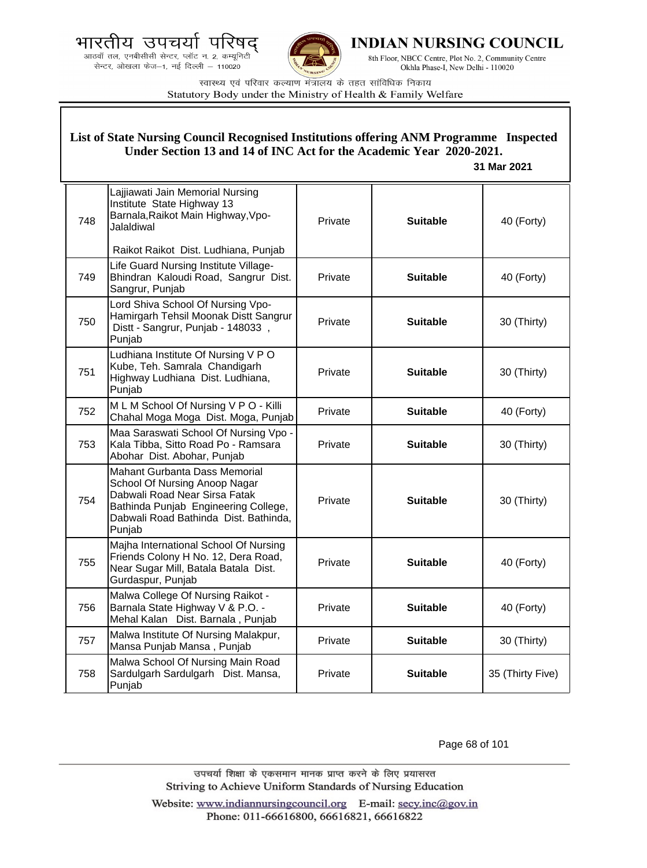.<br>आठवाँ तल, एनबीसीसी सेन्टर, प्लॉट न. 2, कम्यूनिटी<br>सेन्टर, ओखला फेज—1, नई दिल्ली — 110020



**INDIAN NURSING COUNCIL** 

8th Floor, NBCC Centre, Plot No. 2, Community Centre Okhla Phase-I, New Delhi - 110020

स्वास्थ्य एवं परिवार कल्याण मंत्रालय के तहत सांविधिक निकाय Statutory Body under the Ministry of Health & Family Welfare

|     | List of State Nursing Council Recognised Institutions offering ANM Programme Inspected<br>Under Section 13 and 14 of INC Act for the Academic Year 2020-2021.<br>31 Mar 2021                      |         |                 |                  |  |
|-----|---------------------------------------------------------------------------------------------------------------------------------------------------------------------------------------------------|---------|-----------------|------------------|--|
| 748 | Lajjiawati Jain Memorial Nursing<br>Institute State Highway 13<br>Barnala, Raikot Main Highway, Vpo-<br>Jalaldiwal                                                                                | Private | <b>Suitable</b> | 40 (Forty)       |  |
|     | Raikot Raikot Dist. Ludhiana, Punjab                                                                                                                                                              |         |                 |                  |  |
| 749 | Life Guard Nursing Institute Village-<br>Bhindran Kaloudi Road, Sangrur Dist.<br>Sangrur, Punjab                                                                                                  | Private | <b>Suitable</b> | 40 (Forty)       |  |
| 750 | Lord Shiva School Of Nursing Vpo-<br>Hamirgarh Tehsil Moonak Distt Sangrur<br>Distt - Sangrur, Punjab - 148033,<br>Punjab                                                                         | Private | <b>Suitable</b> | 30 (Thirty)      |  |
| 751 | Ludhiana Institute Of Nursing V P O<br>Kube, Teh. Samrala Chandigarh<br>Highway Ludhiana Dist. Ludhiana,<br>Punjab                                                                                | Private | <b>Suitable</b> | 30 (Thirty)      |  |
| 752 | MLM School Of Nursing V P O - Killi<br>Chahal Moga Moga Dist. Moga, Punjab                                                                                                                        | Private | <b>Suitable</b> | 40 (Forty)       |  |
| 753 | Maa Saraswati School Of Nursing Vpo -<br>Kala Tibba, Sitto Road Po - Ramsara<br>Abohar Dist. Abohar, Punjab                                                                                       | Private | <b>Suitable</b> | 30 (Thirty)      |  |
| 754 | <b>Mahant Gurbanta Dass Memorial</b><br>School Of Nursing Anoop Nagar<br>Dabwali Road Near Sirsa Fatak<br>Bathinda Punjab Engineering College,<br>Dabwali Road Bathinda Dist. Bathinda,<br>Punjab | Private | <b>Suitable</b> | 30 (Thirty)      |  |
| 755 | Majha International School Of Nursing<br>Friends Colony H No. 12, Dera Road,<br>Near Sugar Mill, Batala Batala Dist.<br>Gurdaspur, Punjab                                                         | Private | <b>Suitable</b> | 40 (Forty)       |  |
| 756 | Malwa College Of Nursing Raikot -<br>Barnala State Highway V & P.O. -<br>Mehal Kalan Dist. Barnala, Punjab                                                                                        | Private | <b>Suitable</b> | 40 (Forty)       |  |
| 757 | Malwa Institute Of Nursing Malakpur,<br>Mansa Punjab Mansa, Punjab                                                                                                                                | Private | <b>Suitable</b> | 30 (Thirty)      |  |
| 758 | Malwa School Of Nursing Main Road<br>Sardulgarh Sardulgarh Dist. Mansa,<br>Punjab                                                                                                                 | Private | <b>Suitable</b> | 35 (Thirty Five) |  |

Page 68 of 101

उपचर्या शिक्षा के एकसमान मानक प्राप्त करने के लिए प्रयासरत Striving to Achieve Uniform Standards of Nursing Education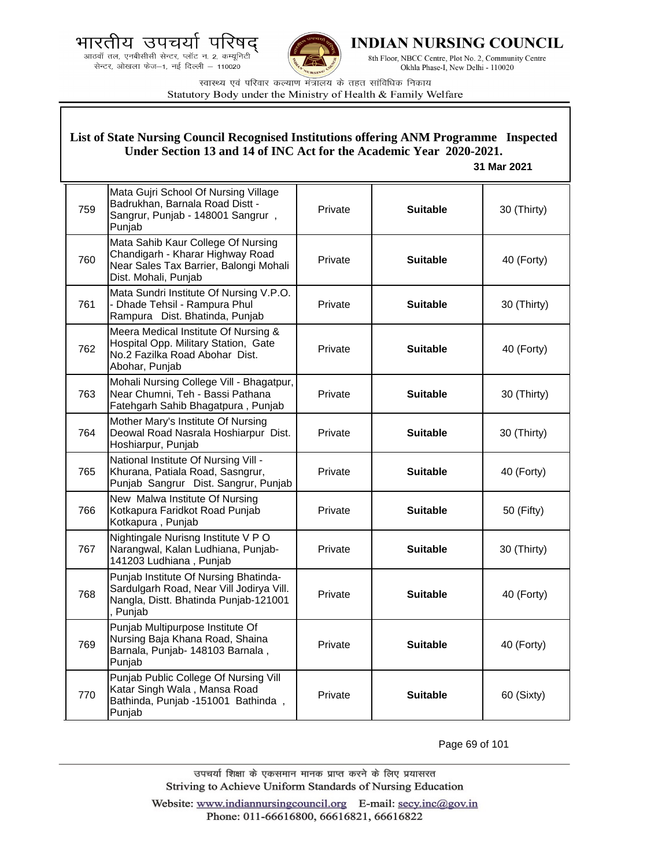.<br>आठवाँ तल, एनबीसीसी सेन्टर, प्लॉट न. 2, कम्यूनिटी<br>सेन्टर, ओखला फेज—1, नई दिल्ली — 110020



**INDIAN NURSING COUNCIL** 

8th Floor, NBCC Centre, Plot No. 2, Community Centre Okhla Phase-I, New Delhi - 110020

स्वास्थ्य एवं परिवार कल्याण मंत्रालय के तहत सांविधिक निकाय Statutory Body under the Ministry of Health & Family Welfare

| List of State Nursing Council Recognised Institutions offering ANM Programme Inspected<br>Under Section 13 and 14 of INC Act for the Academic Year 2020-2021.<br>31 Mar 2021 |                                                                                                                                          |         |                 |             |
|------------------------------------------------------------------------------------------------------------------------------------------------------------------------------|------------------------------------------------------------------------------------------------------------------------------------------|---------|-----------------|-------------|
| 759                                                                                                                                                                          | Mata Gujri School Of Nursing Village<br>Badrukhan, Barnala Road Distt -<br>Sangrur, Punjab - 148001 Sangrur,<br>Punjab                   | Private | <b>Suitable</b> | 30 (Thirty) |
| 760                                                                                                                                                                          | Mata Sahib Kaur College Of Nursing<br>Chandigarh - Kharar Highway Road<br>Near Sales Tax Barrier, Balongi Mohali<br>Dist. Mohali, Punjab | Private | <b>Suitable</b> | 40 (Forty)  |
| 761                                                                                                                                                                          | Mata Sundri Institute Of Nursing V.P.O.<br>- Dhade Tehsil - Rampura Phul<br>Rampura Dist. Bhatinda, Punjab                               | Private | <b>Suitable</b> | 30 (Thirty) |
| 762                                                                                                                                                                          | Meera Medical Institute Of Nursing &<br>Hospital Opp. Military Station, Gate<br>No.2 Fazilka Road Abohar Dist.<br>Abohar, Punjab         | Private | <b>Suitable</b> | 40 (Forty)  |
| 763                                                                                                                                                                          | Mohali Nursing College Vill - Bhagatpur,<br>Near Chumni, Teh - Bassi Pathana<br>Fatehgarh Sahib Bhagatpura, Punjab                       | Private | <b>Suitable</b> | 30 (Thirty) |
| 764                                                                                                                                                                          | Mother Mary's Institute Of Nursing<br>Deowal Road Nasrala Hoshiarpur Dist.<br>Hoshiarpur, Punjab                                         | Private | <b>Suitable</b> | 30 (Thirty) |
| 765                                                                                                                                                                          | National Institute Of Nursing Vill -<br>Khurana, Patiala Road, Sasngrur,<br>Punjab Sangrur Dist. Sangrur, Punjab                         | Private | <b>Suitable</b> | 40 (Forty)  |
| 766                                                                                                                                                                          | New Malwa Institute Of Nursing<br>Kotkapura Faridkot Road Punjab<br>Kotkapura, Punjab                                                    | Private | <b>Suitable</b> | 50 (Fifty)  |
| 767                                                                                                                                                                          | Nightingale Nurisng Institute V P O<br>Narangwal, Kalan Ludhiana, Punjab-<br>141203 Ludhiana, Punjab                                     | Private | <b>Suitable</b> | 30 (Thirty) |
| 768                                                                                                                                                                          | Punjab Institute Of Nursing Bhatinda-<br>Sardulgarh Road, Near Vill Jodirya Vill.<br>Nangla, Distt. Bhatinda Punjab-121001<br>, Punjab   | Private | <b>Suitable</b> | 40 (Forty)  |
| 769                                                                                                                                                                          | Punjab Multipurpose Institute Of<br>Nursing Baja Khana Road, Shaina<br>Barnala, Punjab- 148103 Barnala,<br>Punjab                        | Private | <b>Suitable</b> | 40 (Forty)  |
| 770                                                                                                                                                                          | Punjab Public College Of Nursing Vill<br>Katar Singh Wala, Mansa Road<br>Bathinda, Punjab -151001 Bathinda,<br>Punjab                    | Private | <b>Suitable</b> | 60 (Sixty)  |

Page 69 of 101

उपचर्या शिक्षा के एकसमान मानक प्राप्त करने के लिए प्रयासरत Striving to Achieve Uniform Standards of Nursing Education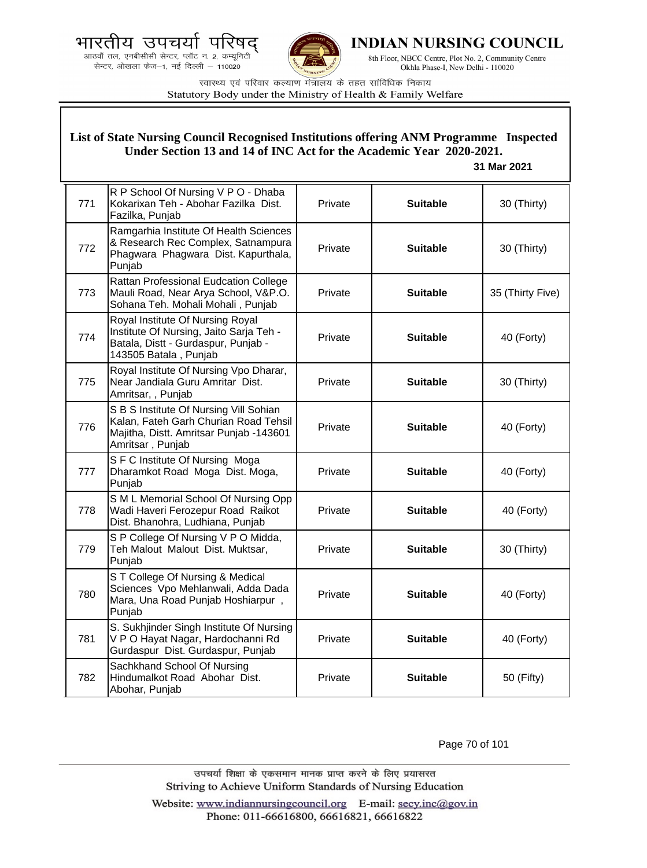



**INDIAN NURSING COUNCIL** 

8th Floor, NBCC Centre, Plot No. 2, Community Centre Okhla Phase-I, New Delhi - 110020

स्वास्थ्य एवं परिवार कल्याण मंत्रालय के तहत सांविधिक निकाय Statutory Body under the Ministry of Health & Family Welfare

## **List of State Nursing Council Recognised Institutions offering ANM Programme Inspected Under Section 13 and 14 of INC Act for the Academic Year 2020-2021.**

## **31 Mar 2021**

| 771 | R P School Of Nursing V P O - Dhaba<br>Kokarixan Teh - Abohar Fazilka Dist.<br>Fazilka, Punjab                                                 | Private | <b>Suitable</b> | 30 (Thirty)      |
|-----|------------------------------------------------------------------------------------------------------------------------------------------------|---------|-----------------|------------------|
| 772 | Ramgarhia Institute Of Health Sciences<br>& Research Rec Complex, Satnampura<br>Phagwara Phagwara Dist. Kapurthala,<br>Punjab                  | Private | <b>Suitable</b> | 30 (Thirty)      |
| 773 | Rattan Professional Eudcation College<br>Mauli Road, Near Arya School, V&P.O.<br>Sohana Teh. Mohali Mohali, Punjab                             | Private | <b>Suitable</b> | 35 (Thirty Five) |
| 774 | Royal Institute Of Nursing Royal<br>Institute Of Nursing, Jaito Sarja Teh -<br>Batala, Distt - Gurdaspur, Punjab -<br>143505 Batala, Punjab    | Private | <b>Suitable</b> | 40 (Forty)       |
| 775 | Royal Institute Of Nursing Vpo Dharar,<br>Near Jandiala Guru Amritar Dist.<br>Amritsar, , Punjab                                               | Private | <b>Suitable</b> | 30 (Thirty)      |
| 776 | S B S Institute Of Nursing Vill Sohian<br>Kalan, Fateh Garh Churian Road Tehsil<br>Majitha, Distt. Amritsar Punjab -143601<br>Amritsar, Punjab | Private | <b>Suitable</b> | 40 (Forty)       |
| 777 | S F C Institute Of Nursing Moga<br>Dharamkot Road Moga Dist. Moga,<br>Punjab                                                                   | Private | <b>Suitable</b> | 40 (Forty)       |
| 778 | S M L Memorial School Of Nursing Opp<br>Wadi Haveri Ferozepur Road Raikot<br>Dist. Bhanohra, Ludhiana, Punjab                                  | Private | <b>Suitable</b> | 40 (Forty)       |
| 779 | S P College Of Nursing V P O Midda,<br>Teh Malout Malout Dist. Muktsar,<br>Punjab                                                              | Private | <b>Suitable</b> | 30 (Thirty)      |
| 780 | S T College Of Nursing & Medical<br>Sciences Vpo Mehlanwali, Adda Dada<br>Mara, Una Road Punjab Hoshiarpur,<br>Punjab                          | Private | <b>Suitable</b> | 40 (Forty)       |
| 781 | S. Sukhjinder Singh Institute Of Nursing<br>V P O Hayat Nagar, Hardochanni Rd<br>Gurdaspur Dist. Gurdaspur, Punjab                             | Private | <b>Suitable</b> | 40 (Forty)       |
| 782 | Sachkhand School Of Nursing<br>Hindumalkot Road Abohar Dist.<br>Abohar, Punjab                                                                 | Private | <b>Suitable</b> | 50 (Fifty)       |

Page 70 of 101

उपचर्या शिक्षा के एकसमान मानक प्राप्त करने के लिए प्रयासरत Striving to Achieve Uniform Standards of Nursing Education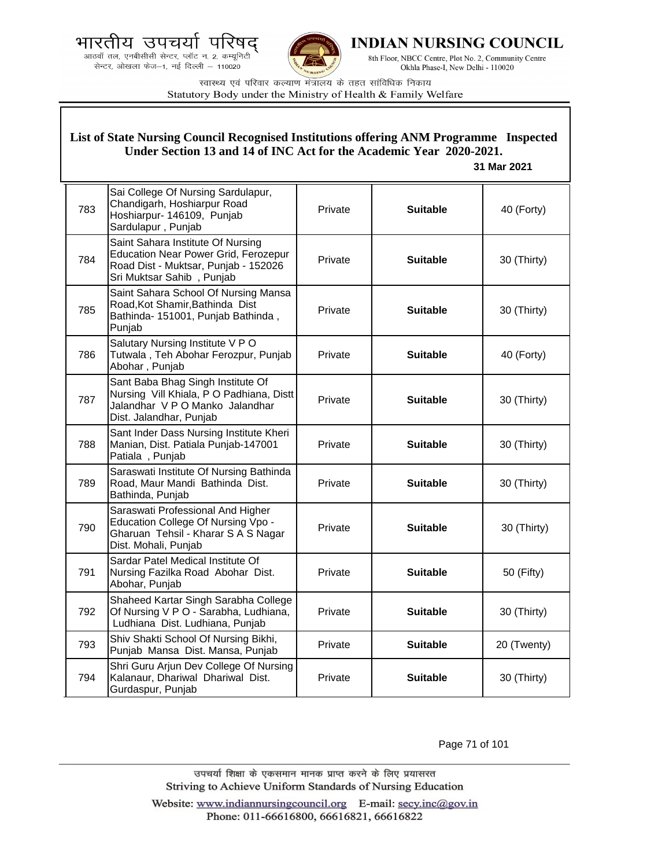आठवाँ तल, एनबीसीसी सेन्टर, प्लॉट न. 2, कम्यूनिटी सेन्टर, ओखला फेज-1, नई दिल्ली - 110020



INDIAN NURSING COUNCIL

8th Floor, NBCC Centre, Plot No. 2, Community Centre Okhla Phase-I, New Delhi - 110020

स्वास्थ्य एवं परिवार कल्याण मंत्रालय के तहत सांविधिक निकाय Statutory Body under the Ministry of Health & Family Welfare

#### List of State Nursing Council Recognised Institutions offering ANM Programme Inspected Under Section 13 and 14 of INC Act for the Academic Year 2020-2021. 31 Mar 2021 Sai College Of Nursing Sardulapur, Chandigarh, Hoshiarpur Road 783 Private **Suitable** 40 (Forty) Hoshiarpur- 146109, Punjab Sardulapur, Punjab Saint Sahara Institute Of Nursing **Education Near Power Grid, Ferozepur** 784 Private **Suitable** 30 (Thirty) Road Dist - Muktsar, Punjab - 152026 Sri Muktsar Sahib, Punjab Saint Sahara School Of Nursing Mansa Road.Kot Shamir.Bathinda Dist 785 30 (Thirty) Private **Suitable** Bathinda- 151001, Punjab Bathinda, Punjab Salutary Nursing Institute V P O Tutwala, Teh Abohar Ferozpur, Punjab Private 40 (Forty) 786 **Suitable** Abohar, Punjab Sant Baba Bhag Singh Institute Of Nursing Vill Khiala, P O Padhiana, Distt 787 Private **Suitable** 30 (Thirty) Jalandhar V P O Manko Jalandhar Dist. Jalandhar, Punjab Sant Inder Dass Nursing Institute Kheri Manian, Dist. Patiala Punjab-147001 788 Private **Suitable** 30 (Thirty) Patiala, Punjab Saraswati Institute Of Nursing Bathinda 789 Road, Maur Mandi Bathinda Dist. Private **Suitable** 30 (Thirty) Bathinda, Punjab Saraswati Professional And Higher Education College Of Nursing Vpo -790 Private **Suitable** 30 (Thirty) Gharuan Tehsil - Kharar S A S Nagar Dist. Mohali, Punjab Sardar Patel Medical Institute Of 791 Nursing Fazilka Road Abohar Dist. Private **Suitable** 50 (Fifty) Abohar, Punjab Shaheed Kartar Singh Sarabha College 792 Of Nursing V P O - Sarabha, Ludhiana, Private **Suitable** 30 (Thirty) Ludhiana Dist. Ludhiana, Punjab Shiv Shakti School Of Nursing Bikhi, 793 Private **Suitable** 20 (Twenty) Punjab Mansa Dist. Mansa, Punjab Shri Guru Arjun Dev College Of Nursing Kalanaur, Dhariwal Dhariwal Dist. Private **Suitable** 30 (Thirty) 794 Gurdaspur, Punjab

Page 71 of 101

उपचर्या शिक्षा के एकसमान मानक प्राप्त करने के लिए प्रयासरत Striving to Achieve Uniform Standards of Nursing Education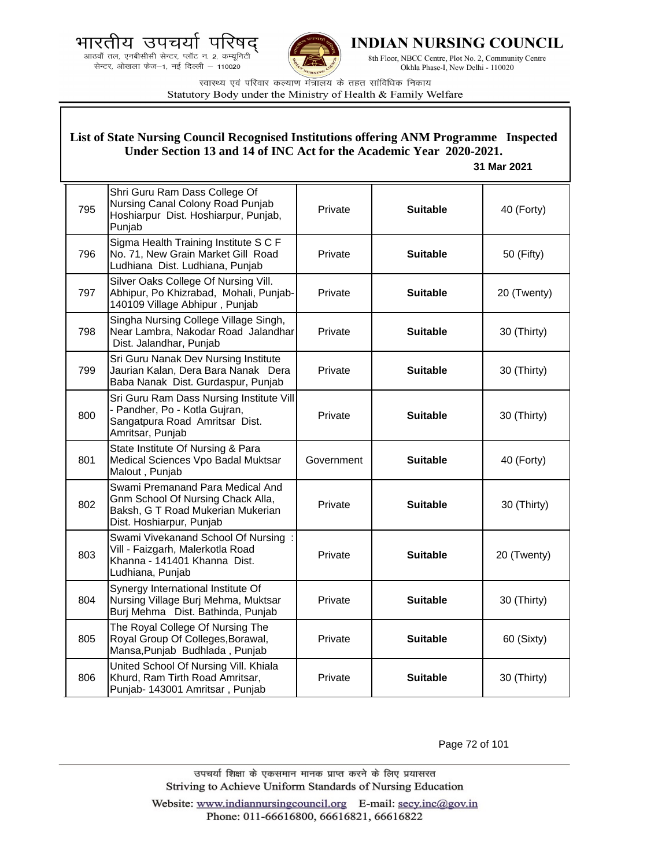



INDIAN NURSING COUNCIL

8th Floor, NBCC Centre, Plot No. 2, Community Centre Okhla Phase-I, New Delhi - 110020

स्वास्थ्य एवं परिवार कल्याण मंत्रालय के तहत सांविधिक निकाय Statutory Body under the Ministry of Health & Family Welfare

#### 795 Shri Guru Ram Dass College Of Nursing Canal Colony Road Punjab Hoshiarpur Dist. Hoshiarpur, Punjab, Punjab Private **Suitable 40 (Forty)** 796 Sigma Health Training Institute S C F No. 71, New Grain Market Gill Road Ludhiana Dist. Ludhiana, Punjab Private **Suitable Figure Suitable Figure SO** (Fifty) 797 Silver Oaks College Of Nursing Vill. Abhipur, Po Khizrabad, Mohali, Punjab-140109 Village Abhipur , Punjab Private **Suitable** 20 (Twenty) 798 Singha Nursing College Village Singh, Near Lambra, Nakodar Road Jalandhar Dist. Jalandhar, Punjab Private **Suitable** 30 (Thirty) 799 Sri Guru Nanak Dev Nursing Institute Jaurian Kalan, Dera Bara Nanak Dera Baba Nanak Dist. Gurdaspur, Punjab Private **Suitable** 30 (Thirty) 800 Sri Guru Ram Dass Nursing Institute Vill - Pandher, Po - Kotla Gujran, Sangatpura Road Amritsar Dist. Amritsar, Punjab Private **Suitable** 30 (Thirty) 801 State Institute Of Nursing & Para Medical Sciences Vpo Badal Muktsar Malout , Punjab Government | **Suitable** | 40 (Forty) 802 Swami Premanand Para Medical And Gnm School Of Nursing Chack Alla, Baksh, G T Road Mukerian Mukerian Dist. Hoshiarpur, Punjab Private **Suitable** 30 (Thirty) 803 Swami Vivekanand School Of Nursing : Vill - Faizgarh, Malerkotla Road Khanna - 141401 Khanna Dist. Ludhiana, Punjab Private **Suitable** 20 (Twenty) 804 Synergy International Institute Of Nursing Village Burj Mehma, Muktsar Burj Mehma Dist. Bathinda, Punjab Private **Suitable** 30 (Thirty) 805 The Royal College Of Nursing The Royal Group Of Colleges,Borawal, Mansa,Punjab Budhlada , Punjab Private **Suitable 60 (Sixty)** 806 United School Of Nursing Vill. Khiala Khurd, Ram Tirth Road Amritsar, Punjab- 143001 Amritsar , Punjab Private **Suitable** 30 (Thirty) **List of State Nursing Council Recognised Institutions offering ANM Programme Inspected Under Section 13 and 14 of INC Act for the Academic Year 2020-2021. 31 Mar 2021**

Page 72 of 101

उपचर्या शिक्षा के एकसमान मानक प्राप्त करने के लिए प्रयासरत Striving to Achieve Uniform Standards of Nursing Education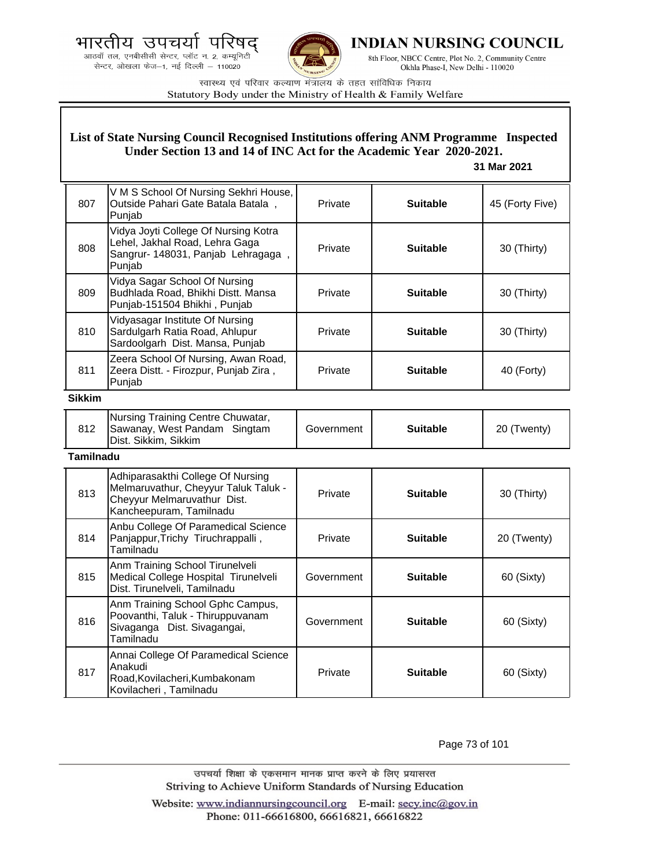



**INDIAN NURSING COUNCIL** 

8th Floor, NBCC Centre, Plot No. 2, Community Centre Okhla Phase-I, New Delhi - 110020

स्वास्थ्य एवं परिवार कल्याण मंत्रालय के तहत सांविधिक निकाय Statutory Body under the Ministry of Health & Family Welfare

### **List of State Nursing Council Recognised Institutions offering ANM Programme Inspected Under Section 13 and 14 of INC Act for the Academic Year 2020-2021.**

### **31 Mar 2021**

| 807    | V M S School Of Nursing Sekhri House,<br>Outside Pahari Gate Batala Batala,<br>Punjab                                  | Private | <b>Suitable</b> | 45 (Forty Five) |
|--------|------------------------------------------------------------------------------------------------------------------------|---------|-----------------|-----------------|
| 808    | Vidya Joyti College Of Nursing Kotra<br>Lehel, Jakhal Road, Lehra Gaga<br>Sangrur- 148031, Panjab Lehragaga,<br>Punjab | Private | <b>Suitable</b> | 30 (Thirty)     |
| 809    | Vidya Sagar School Of Nursing<br>Budhlada Road, Bhikhi Distt. Mansa<br>Punjab-151504 Bhikhi, Punjab                    | Private | <b>Suitable</b> | 30 (Thirty)     |
| 810    | Vidyasagar Institute Of Nursing<br>Sardulgarh Ratia Road, Ahlupur<br>Sardoolgarh Dist. Mansa, Punjab                   | Private | <b>Suitable</b> | 30 (Thirty)     |
| 811    | Zeera School Of Nursing, Awan Road,<br>Zeera Distt. - Firozpur, Punjab Zira,<br>Punjab                                 | Private | <b>Suitable</b> | 40 (Forty)      |
| Sikkim |                                                                                                                        |         |                 |                 |

| Nursing Training Centre Chuwatar,<br>812<br>Sawanay, West Pandam Singtam<br>Dist. Sikkim, Sikkim | Government | <b>Suitable</b> | 20 (Twenty) |
|--------------------------------------------------------------------------------------------------|------------|-----------------|-------------|
|--------------------------------------------------------------------------------------------------|------------|-----------------|-------------|

#### **Tamilnadu**

| 813 | Adhiparasakthi College Of Nursing<br>Melmaruvathur, Cheyyur Taluk Taluk -<br>Cheyyur Melmaruvathur Dist.<br>Kancheepuram, Tamilnadu | Private    | <b>Suitable</b> | 30 (Thirty) |
|-----|-------------------------------------------------------------------------------------------------------------------------------------|------------|-----------------|-------------|
| 814 | Anbu College Of Paramedical Science<br>Panjappur, Trichy Tiruchrappalli,<br>Tamilnadu                                               | Private    | <b>Suitable</b> | 20 (Twenty) |
| 815 | Anm Training School Tirunelveli<br>Medical College Hospital Tirunelveli<br>Dist. Tirunelveli, Tamilnadu                             | Government | <b>Suitable</b> | 60 (Sixty)  |
| 816 | Anm Training School Gphc Campus,<br>Poovanthi, Taluk - Thiruppuvanam<br>Sivaganga Dist. Sivagangai,<br>Tamilnadu                    | Government | <b>Suitable</b> | 60 (Sixty)  |
| 817 | Annai College Of Paramedical Science<br>Anakudi<br>Road, Kovilacheri, Kumbakonam<br>Kovilacheri, Tamilnadu                          | Private    | <b>Suitable</b> | 60 (Sixty)  |

Page 73 of 101

उपचर्या शिक्षा के एकसमान मानक प्राप्त करने के लिए प्रयासरत Striving to Achieve Uniform Standards of Nursing Education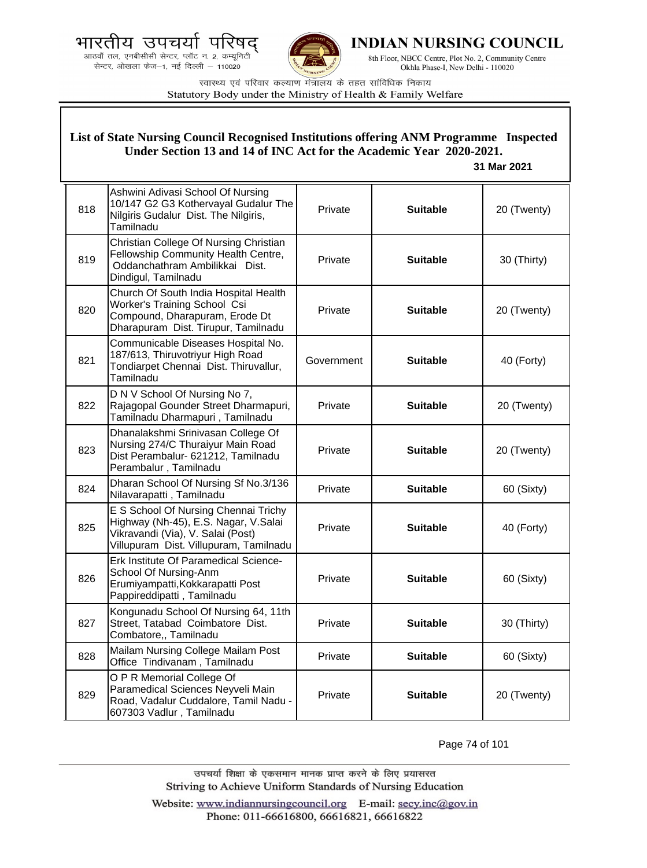भारतीय उपचयो प द्

.<br>आठवाँ तल, एनबीसीसी सेन्टर, प्लॉट न. 2, कम्यूनिटी<br>सेन्टर, ओखला फेज—1, नई दिल्ली — 110020



**INDIAN NURSING COUNCIL** 

8th Floor, NBCC Centre, Plot No. 2, Community Centre Okhla Phase-I, New Delhi - 110020

स्वास्थ्य एवं परिवार कल्याण मंत्रालय के तहत सांविधिक निकाय Statutory Body under the Ministry of Health & Family Welfare

| List of State Nursing Council Recognised Institutions offering ANM Programme Inspected<br>Under Section 13 and 14 of INC Act for the Academic Year 2020-2021.<br>31 Mar 2021 |                                                                                                                                                             |            |                 |             |
|------------------------------------------------------------------------------------------------------------------------------------------------------------------------------|-------------------------------------------------------------------------------------------------------------------------------------------------------------|------------|-----------------|-------------|
| 818                                                                                                                                                                          | Ashwini Adivasi School Of Nursing<br>10/147 G2 G3 Kothervayal Gudalur The<br>Nilgiris Gudalur Dist. The Nilgiris,<br>Tamilnadu                              | Private    | <b>Suitable</b> | 20 (Twenty) |
| 819                                                                                                                                                                          | Christian College Of Nursing Christian<br>Fellowship Community Health Centre,<br>Oddanchathram Ambilikkai Dist.<br>Dindigul, Tamilnadu                      | Private    | <b>Suitable</b> | 30 (Thirty) |
| 820                                                                                                                                                                          | Church Of South India Hospital Health<br>Worker's Training School Csi<br>Compound, Dharapuram, Erode Dt<br>Dharapuram Dist. Tirupur, Tamilnadu              | Private    | <b>Suitable</b> | 20 (Twenty) |
| 821                                                                                                                                                                          | Communicable Diseases Hospital No.<br>187/613, Thiruvotriyur High Road<br>Tondiarpet Chennai Dist. Thiruvallur,<br>Tamilnadu                                | Government | <b>Suitable</b> | 40 (Forty)  |
| 822                                                                                                                                                                          | D N V School Of Nursing No 7,<br>Rajagopal Gounder Street Dharmapuri,<br>Tamilnadu Dharmapuri, Tamilnadu                                                    | Private    | <b>Suitable</b> | 20 (Twenty) |
| 823                                                                                                                                                                          | Dhanalakshmi Srinivasan College Of<br>Nursing 274/C Thuraiyur Main Road<br>Dist Perambalur- 621212, Tamilnadu<br>Perambalur, Tamilnadu                      | Private    | <b>Suitable</b> | 20 (Twenty) |
| 824                                                                                                                                                                          | Dharan School Of Nursing Sf No.3/136<br>Nilavarapatti, Tamilnadu                                                                                            | Private    | <b>Suitable</b> | 60 (Sixty)  |
| 825                                                                                                                                                                          | E S School Of Nursing Chennai Trichy<br>Highway (Nh-45), E.S. Nagar, V.Salai<br>Vikravandi (Via), V. Salai (Post)<br>Villupuram Dist. Villupuram, Tamilnadu | Private    | <b>Suitable</b> | 40 (Forty)  |
| 826                                                                                                                                                                          | Erk Institute Of Paramedical Science-<br>School Of Nursing-Anm<br>Erumiyampatti, Kokkarapatti Post<br>Pappireddipatti, Tamilnadu                            | Private    | <b>Suitable</b> | 60 (Sixty)  |
| 827                                                                                                                                                                          | Kongunadu School Of Nursing 64, 11th<br>Street, Tatabad Coimbatore Dist.<br>Combatore,, Tamilnadu                                                           | Private    | <b>Suitable</b> | 30 (Thirty) |
| 828                                                                                                                                                                          | Mailam Nursing College Mailam Post<br>Office Tindivanam, Tamilnadu                                                                                          | Private    | <b>Suitable</b> | 60 (Sixty)  |
| 829                                                                                                                                                                          | O P R Memorial College Of<br>Paramedical Sciences Neyveli Main<br>Road, Vadalur Cuddalore, Tamil Nadu -<br>607303 Vadlur, Tamilnadu                         | Private    | <b>Suitable</b> | 20 (Twenty) |

Page 74 of 101

उपचर्या शिक्षा के एकसमान मानक प्राप्त करने के लिए प्रयासरत Striving to Achieve Uniform Standards of Nursing Education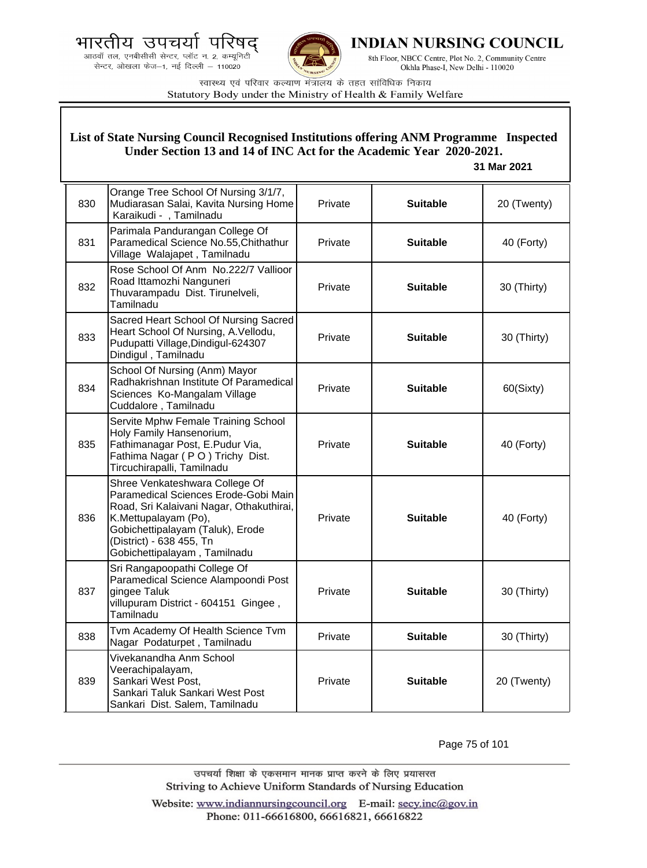



**INDIAN NURSING COUNCIL** 

8th Floor, NBCC Centre, Plot No. 2, Community Centre Okhla Phase-I, New Delhi - 110020

स्वास्थ्य एवं परिवार कल्याण मंत्रालय के तहत सांविधिक निकाय Statutory Body under the Ministry of Health & Family Welfare

### **List of State Nursing Council Recognised Institutions offering ANM Programme Inspected Under Section 13 and 14 of INC Act for the Academic Year 2020-2021.**

#### **31 Mar 2021**

| 830 | Orange Tree School Of Nursing 3/1/7,<br>Mudiarasan Salai, Kavita Nursing Home<br>Karaikudi - , Tamilnadu                                                                                                                                   | Private | <b>Suitable</b> | 20 (Twenty) |
|-----|--------------------------------------------------------------------------------------------------------------------------------------------------------------------------------------------------------------------------------------------|---------|-----------------|-------------|
| 831 | Parimala Pandurangan College Of<br>Paramedical Science No.55, Chithathur<br>Village Walajapet, Tamilnadu                                                                                                                                   | Private | <b>Suitable</b> | 40 (Forty)  |
| 832 | Rose School Of Anm No.222/7 Vallioor<br>Road Ittamozhi Nanguneri<br>Thuvarampadu Dist. Tirunelveli,<br>Tamilnadu                                                                                                                           | Private | <b>Suitable</b> | 30 (Thirty) |
| 833 | Sacred Heart School Of Nursing Sacred<br>Heart School Of Nursing, A.Vellodu,<br>Pudupatti Village, Dindigul-624307<br>Dindigul, Tamilnadu                                                                                                  | Private | <b>Suitable</b> | 30 (Thirty) |
| 834 | School Of Nursing (Anm) Mayor<br>Radhakrishnan Institute Of Paramedical<br>Sciences Ko-Mangalam Village<br>Cuddalore, Tamilnadu                                                                                                            | Private | <b>Suitable</b> | 60(Sixty)   |
| 835 | Servite Mphw Female Training School<br>Holy Family Hansenorium,<br>Fathimanagar Post, E.Pudur Via,<br>Fathima Nagar (PO) Trichy Dist.<br>Tircuchirapalli, Tamilnadu                                                                        | Private | <b>Suitable</b> | 40 (Forty)  |
| 836 | Shree Venkateshwara College Of<br>Paramedical Sciences Erode-Gobi Main<br>Road, Sri Kalaivani Nagar, Othakuthirai,<br>K.Mettupalayam (Po),<br>Gobichettipalayam (Taluk), Erode<br>(District) - 638 455, Tn<br>Gobichettipalayam, Tamilnadu | Private | <b>Suitable</b> | 40 (Forty)  |
| 837 | Sri Rangapoopathi College Of<br>Paramedical Science Alampoondi Post<br>gingee Taluk<br>villupuram District - 604151 Gingee,<br>Tamilnadu                                                                                                   | Private | <b>Suitable</b> | 30 (Thirty) |
| 838 | Tvm Academy Of Health Science Tvm<br>Nagar Podaturpet, Tamilnadu                                                                                                                                                                           | Private | <b>Suitable</b> | 30 (Thirty) |
| 839 | Vivekanandha Anm School<br>Veerachipalayam,<br>Sankari West Post,<br>Sankari Taluk Sankari West Post<br>Sankari Dist. Salem, Tamilnadu                                                                                                     | Private | <b>Suitable</b> | 20 (Twenty) |

Page 75 of 101

उपचर्या शिक्षा के एकसमान मानक प्राप्त करने के लिए प्रयासरत Striving to Achieve Uniform Standards of Nursing Education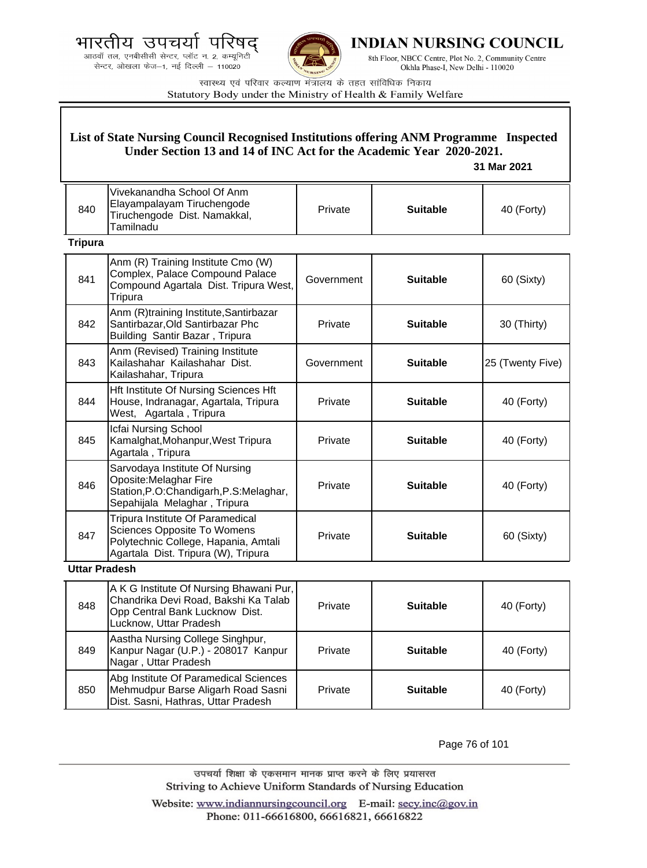.<br>आठवाँ तल, एनबीसीसी सेन्टर, प्लॉट न. 2, कम्यूनिटी सेन्टर, ओखला फेज-1, नई दिल्ली - 110020



**INDIAN NURSING COUNCIL** 

8th Floor, NBCC Centre, Plot No. 2, Community Centre Okhla Phase-I, New Delhi - 110020

स्वास्थ्य एवं परिवार कल्याण मंत्रालय के तहत सांविधिक निकाय Statutory Body under the Ministry of Health & Family Welfare

### **List of State Nursing Council Recognised Institutions offering ANM Programme Inspected Under Section 13 and 14 of INC Act for the Academic Year 2020-2021.**

 **31 Mar 2021**

| 840 | Vivekanandha School Of Anm<br>Elayampalayam Tiruchengode<br>Tiruchengode Dist. Namakkal,<br>Tamilnadu | Private | <b>Suitable</b> | 40 (Forty) |
|-----|-------------------------------------------------------------------------------------------------------|---------|-----------------|------------|
|     |                                                                                                       |         |                 |            |

### **Tripura**

| 841 | Anm (R) Training Institute Cmo (W)<br>Complex, Palace Compound Palace<br>Compound Agartala Dist. Tripura West,<br>Tripura                             | Government | <b>Suitable</b> | 60 (Sixty)       |
|-----|-------------------------------------------------------------------------------------------------------------------------------------------------------|------------|-----------------|------------------|
| 842 | Anm (R)training Institute, Santirbazar<br>Santirbazar, Old Santirbazar Phc<br>Building Santir Bazar, Tripura                                          | Private    | <b>Suitable</b> | 30 (Thirty)      |
| 843 | Anm (Revised) Training Institute<br>Kailashahar Kailashahar Dist.<br>Kailashahar, Tripura                                                             | Government | <b>Suitable</b> | 25 (Twenty Five) |
| 844 | Hft Institute Of Nursing Sciences Hft<br>House, Indranagar, Agartala, Tripura<br>West, Agartala, Tripura                                              | Private    | <b>Suitable</b> | 40 (Forty)       |
| 845 | Icfai Nursing School<br>Kamalghat, Mohanpur, West Tripura<br>Agartala, Tripura                                                                        | Private    | <b>Suitable</b> | 40 (Forty)       |
| 846 | Sarvodaya Institute Of Nursing<br>Oposite: Melaghar Fire<br>Station, P.O: Chandigarh, P.S: Melaghar,<br>Sepahijala Melaghar, Tripura                  | Private    | <b>Suitable</b> | 40 (Forty)       |
| 847 | Tripura Institute Of Paramedical<br><b>Sciences Opposite To Womens</b><br>Polytechnic College, Hapania, Amtali<br>Agartala Dist. Tripura (W), Tripura | Private    | <b>Suitable</b> | 60 (Sixty)       |

### **Uttar Pradesh**

| 848 | A K G Institute Of Nursing Bhawani Pur,<br>Chandrika Devi Road, Bakshi Ka Talab<br>Opp Central Bank Lucknow Dist.<br>Lucknow, Uttar Pradesh | Private | <b>Suitable</b> | 40 (Forty) |
|-----|---------------------------------------------------------------------------------------------------------------------------------------------|---------|-----------------|------------|
| 849 | Aastha Nursing College Singhpur,<br>Kanpur Nagar (U.P.) - 208017 Kanpur<br>Nagar, Uttar Pradesh                                             | Private | <b>Suitable</b> | 40 (Forty) |
| 850 | Abg Institute Of Paramedical Sciences<br>Mehmudpur Barse Aligarh Road Sasni<br>Dist. Sasni, Hathras, Uttar Pradesh                          | Private | <b>Suitable</b> | 40 (Forty) |

Page 76 of 101

उपचर्या शिक्षा के एकसमान मानक प्राप्त करने के लिए प्रयासरत Striving to Achieve Uniform Standards of Nursing Education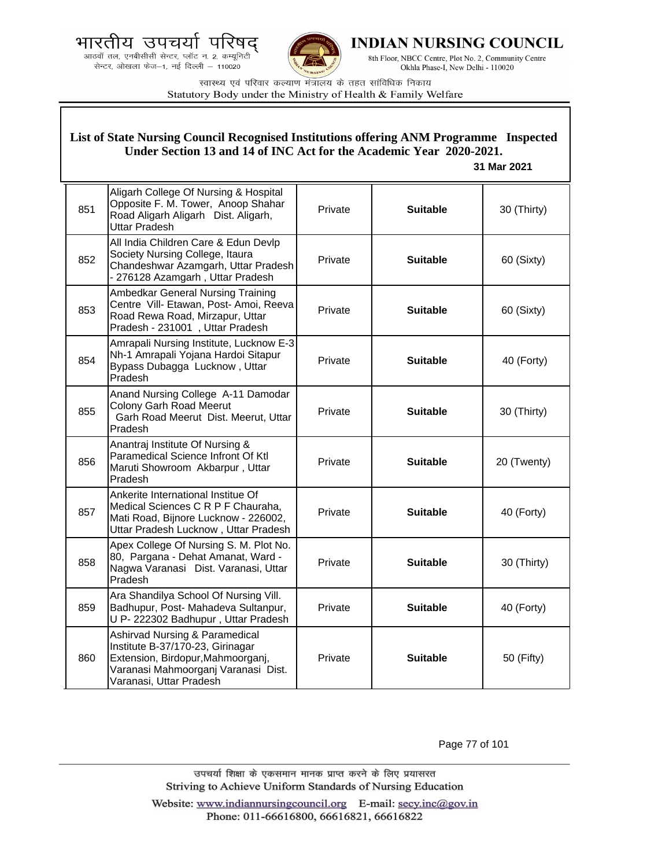भारतीय उपचयो प द्





**INDIAN NURSING COUNCIL** 

8th Floor, NBCC Centre, Plot No. 2, Community Centre Okhla Phase-I, New Delhi - 110020

स्वास्थ्य एवं परिवार कल्याण मंत्रालय के तहत सांविधिक निकाय Statutory Body under the Ministry of Health & Family Welfare

| List of State Nursing Council Recognised Institutions offering ANM Programme Inspected<br>Under Section 13 and 14 of INC Act for the Academic Year 2020-2021.<br>31 Mar 2021 |                                                                                                                                                                           |         |                 |             |
|------------------------------------------------------------------------------------------------------------------------------------------------------------------------------|---------------------------------------------------------------------------------------------------------------------------------------------------------------------------|---------|-----------------|-------------|
| 851                                                                                                                                                                          | Aligarh College Of Nursing & Hospital<br>Opposite F. M. Tower, Anoop Shahar<br>Road Aligarh Aligarh Dist. Aligarh,<br><b>Uttar Pradesh</b>                                | Private | <b>Suitable</b> | 30 (Thirty) |
| 852                                                                                                                                                                          | All India Children Care & Edun Devlp<br>Society Nursing College, Itaura<br>Chandeshwar Azamgarh, Uttar Pradesh<br>- 276128 Azamgarh, Uttar Pradesh                        | Private | <b>Suitable</b> | 60 (Sixty)  |
| 853                                                                                                                                                                          | Ambedkar General Nursing Training<br>Centre Vill- Etawan, Post- Amoi, Reeva<br>Road Rewa Road, Mirzapur, Uttar<br>Pradesh - 231001, Uttar Pradesh                         | Private | <b>Suitable</b> | 60 (Sixty)  |
| 854                                                                                                                                                                          | Amrapali Nursing Institute, Lucknow E-3<br>Nh-1 Amrapali Yojana Hardoi Sitapur<br>Bypass Dubagga Lucknow, Uttar<br>Pradesh                                                | Private | <b>Suitable</b> | 40 (Forty)  |
| 855                                                                                                                                                                          | Anand Nursing College A-11 Damodar<br><b>Colony Garh Road Meerut</b><br>Garh Road Meerut Dist. Meerut, Uttar<br>Pradesh                                                   | Private | <b>Suitable</b> | 30 (Thirty) |
| 856                                                                                                                                                                          | Anantraj Institute Of Nursing &<br>Paramedical Science Infront Of Ktl<br>Maruti Showroom Akbarpur, Uttar<br>Pradesh                                                       | Private | <b>Suitable</b> | 20 (Twenty) |
| 857                                                                                                                                                                          | Ankerite International Institue Of<br>Medical Sciences C R P F Chauraha,<br>Mati Road, Bijnore Lucknow - 226002,<br>Uttar Pradesh Lucknow, Uttar Pradesh                  | Private | <b>Suitable</b> | 40 (Forty)  |
| 858                                                                                                                                                                          | Apex College Of Nursing S. M. Plot No.<br>80, Pargana - Dehat Amanat, Ward -<br>Nagwa Varanasi Dist. Varanasi, Uttar<br>Pradesh                                           | Private | <b>Suitable</b> | 30 (Thirty) |
| 859                                                                                                                                                                          | Ara Shandilya School Of Nursing Vill.<br>Badhupur, Post- Mahadeva Sultanpur,<br>U P-222302 Badhupur, Uttar Pradesh                                                        | Private | <b>Suitable</b> | 40 (Forty)  |
| 860                                                                                                                                                                          | Ashirvad Nursing & Paramedical<br>Institute B-37/170-23, Girinagar<br>Extension, Birdopur, Mahmoorganj,<br>Varanasi Mahmoorganj Varanasi Dist.<br>Varanasi, Uttar Pradesh | Private | <b>Suitable</b> | 50 (Fifty)  |

Page 77 of 101

उपचर्या शिक्षा के एकसमान मानक प्राप्त करने के लिए प्रयासरत Striving to Achieve Uniform Standards of Nursing Education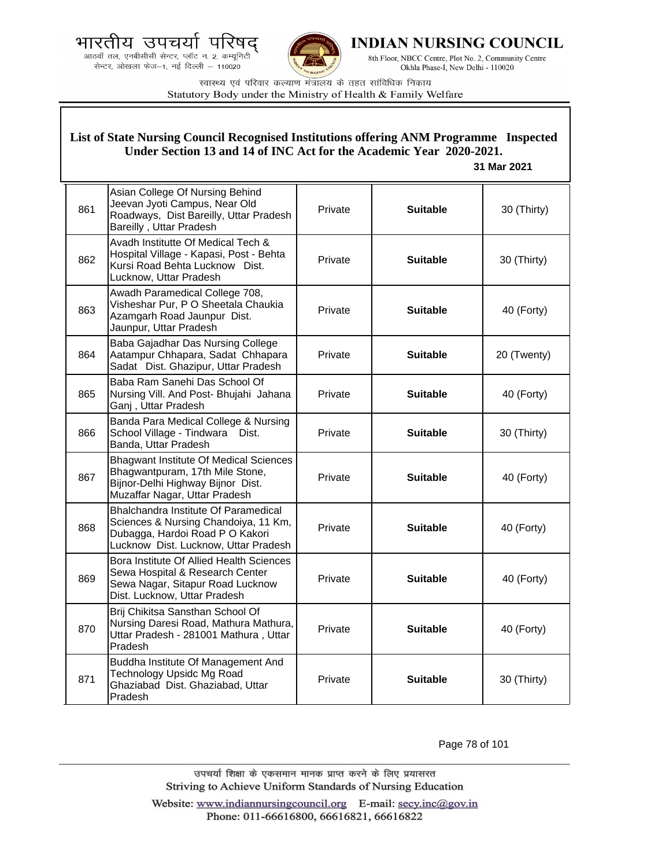भारतीय उपचयो पारष

.<br>आठवाँ तल, एनबीसीसी सेन्टर, प्लॉट न. 2, कम्यूनिटी<br>सेन्टर, ओखला फेज—1, नई दिल्ली — 110020



**INDIAN NURSING COUNCIL** 

8th Floor, NBCC Centre, Plot No. 2, Community Centre Okhla Phase-I, New Delhi - 110020

स्वास्थ्य एवं परिवार कल्याण मंत्रालय के तहत सांविधिक निकाय Statutory Body under the Ministry of Health & Family Welfare

| List of State Nursing Council Recognised Institutions offering ANM Programme Inspected<br>Under Section 13 and 14 of INC Act for the Academic Year 2020-2021.<br>31 Mar 2021 |                                                                                                                                                         |         |                 |             |
|------------------------------------------------------------------------------------------------------------------------------------------------------------------------------|---------------------------------------------------------------------------------------------------------------------------------------------------------|---------|-----------------|-------------|
| 861                                                                                                                                                                          | Asian College Of Nursing Behind<br>Jeevan Jyoti Campus, Near Old<br>Roadways, Dist Bareilly, Uttar Pradesh<br>Bareilly, Uttar Pradesh                   | Private | <b>Suitable</b> | 30 (Thirty) |
| 862                                                                                                                                                                          | Avadh Institutte Of Medical Tech &<br>Hospital Village - Kapasi, Post - Behta<br>Kursi Road Behta Lucknow Dist.<br>Lucknow, Uttar Pradesh               | Private | <b>Suitable</b> | 30 (Thirty) |
| 863                                                                                                                                                                          | Awadh Paramedical College 708,<br>Visheshar Pur, P O Sheetala Chaukia<br>Azamgarh Road Jaunpur Dist.<br>Jaunpur, Uttar Pradesh                          | Private | <b>Suitable</b> | 40 (Forty)  |
| 864                                                                                                                                                                          | Baba Gajadhar Das Nursing College<br>Aatampur Chhapara, Sadat Chhapara<br>Sadat Dist. Ghazipur, Uttar Pradesh                                           | Private | <b>Suitable</b> | 20 (Twenty) |
| 865                                                                                                                                                                          | Baba Ram Sanehi Das School Of<br>Nursing Vill. And Post- Bhujahi Jahana<br>Ganj, Uttar Pradesh                                                          | Private | <b>Suitable</b> | 40 (Forty)  |
| 866                                                                                                                                                                          | Banda Para Medical College & Nursing<br>School Village - Tindwara<br>Dist.<br>Banda, Uttar Pradesh                                                      | Private | <b>Suitable</b> | 30 (Thirty) |
| 867                                                                                                                                                                          | <b>Bhagwant Institute Of Medical Sciences</b><br>Bhagwantpuram, 17th Mile Stone,<br>Bijnor-Delhi Highway Bijnor Dist.<br>Muzaffar Nagar, Uttar Pradesh  | Private | <b>Suitable</b> | 40 (Forty)  |
| 868                                                                                                                                                                          | Bhalchandra Institute Of Paramedical<br>Sciences & Nursing Chandoiya, 11 Km,<br>Dubagga, Hardoi Road P O Kakori<br>Lucknow Dist. Lucknow, Uttar Pradesh | Private | <b>Suitable</b> | 40 (Forty)  |
| 869                                                                                                                                                                          | Bora Institute Of Allied Health Sciences<br>Sewa Hospital & Research Center<br>Sewa Nagar, Sitapur Road Lucknow<br>Dist. Lucknow, Uttar Pradesh         | Private | <b>Suitable</b> | 40 (Forty)  |
| 870                                                                                                                                                                          | Brij Chikitsa Sansthan School Of<br>Nursing Daresi Road, Mathura Mathura,<br>Uttar Pradesh - 281001 Mathura, Uttar<br>Pradesh                           | Private | <b>Suitable</b> | 40 (Forty)  |
| 871                                                                                                                                                                          | Buddha Institute Of Management And<br><b>Technology Upsidc Mg Road</b><br>Ghaziabad Dist. Ghaziabad, Uttar<br>Pradesh                                   | Private | <b>Suitable</b> | 30 (Thirty) |

Page 78 of 101

उपचर्या शिक्षा के एकसमान मानक प्राप्त करने के लिए प्रयासरत Striving to Achieve Uniform Standards of Nursing Education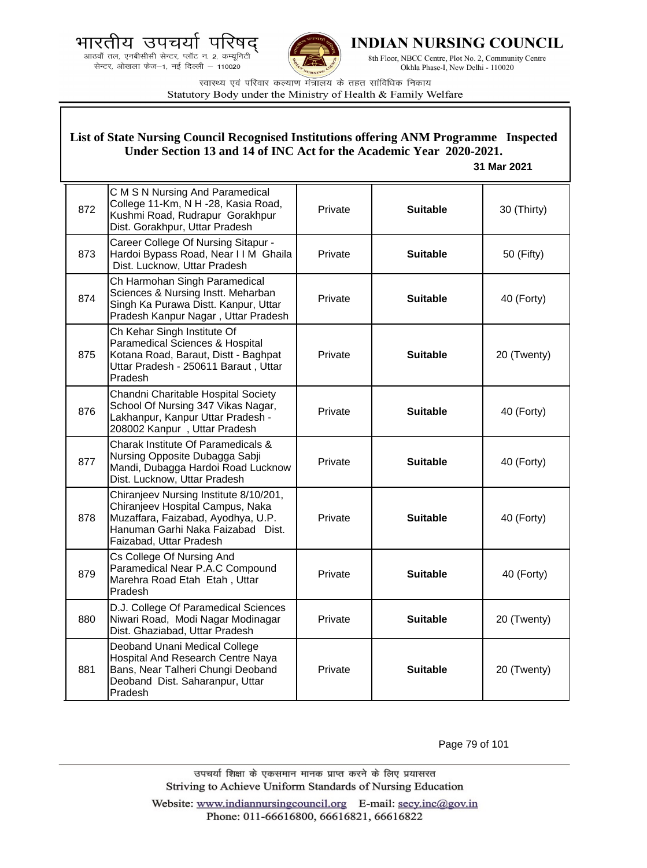भारतीय उपचयो पारष





**INDIAN NURSING COUNCIL** 

8th Floor, NBCC Centre, Plot No. 2, Community Centre Okhla Phase-I, New Delhi - 110020

स्वास्थ्य एवं परिवार कल्याण मंत्रालय के तहत सांविधिक निकाय Statutory Body under the Ministry of Health & Family Welfare

| List of State Nursing Council Recognised Institutions offering ANM Programme Inspected<br>Under Section 13 and 14 of INC Act for the Academic Year 2020-2021.<br>31 Mar 2021 |                                                                                                                                                                                  |         |                 |             |
|------------------------------------------------------------------------------------------------------------------------------------------------------------------------------|----------------------------------------------------------------------------------------------------------------------------------------------------------------------------------|---------|-----------------|-------------|
| 872                                                                                                                                                                          | C M S N Nursing And Paramedical<br>College 11-Km, N H -28, Kasia Road,<br>Kushmi Road, Rudrapur Gorakhpur<br>Dist. Gorakhpur, Uttar Pradesh                                      | Private | <b>Suitable</b> | 30 (Thirty) |
| 873                                                                                                                                                                          | Career College Of Nursing Sitapur -<br>Hardoi Bypass Road, Near I I M Ghaila<br>Dist. Lucknow, Uttar Pradesh                                                                     | Private | <b>Suitable</b> | 50 (Fifty)  |
| 874                                                                                                                                                                          | Ch Harmohan Singh Paramedical<br>Sciences & Nursing Instt. Meharban<br>Singh Ka Purawa Distt. Kanpur, Uttar<br>Pradesh Kanpur Nagar, Uttar Pradesh                               | Private | <b>Suitable</b> | 40 (Forty)  |
| 875                                                                                                                                                                          | Ch Kehar Singh Institute Of<br>Paramedical Sciences & Hospital<br>Kotana Road, Baraut, Distt - Baghpat<br>Uttar Pradesh - 250611 Baraut, Uttar<br>Pradesh                        | Private | <b>Suitable</b> | 20 (Twenty) |
| 876                                                                                                                                                                          | Chandni Charitable Hospital Society<br>School Of Nursing 347 Vikas Nagar,<br>Lakhanpur, Kanpur Uttar Pradesh -<br>208002 Kanpur, Uttar Pradesh                                   | Private | <b>Suitable</b> | 40 (Forty)  |
| 877                                                                                                                                                                          | Charak Institute Of Paramedicals &<br>Nursing Opposite Dubagga Sabji<br>Mandi, Dubagga Hardoi Road Lucknow<br>Dist. Lucknow, Uttar Pradesh                                       | Private | <b>Suitable</b> | 40 (Forty)  |
| 878                                                                                                                                                                          | Chiranjeev Nursing Institute 8/10/201,<br>Chiranjeev Hospital Campus, Naka<br>Muzaffara, Faizabad, Ayodhya, U.P.<br>Hanuman Garhi Naka Faizabad Dist.<br>Faizabad, Uttar Pradesh | Private | <b>Suitable</b> | 40 (Forty)  |
| 879                                                                                                                                                                          | Cs College Of Nursing And<br>Paramedical Near P.A.C Compound<br>Marehra Road Etah Etah, Uttar<br>Pradesh                                                                         | Private | <b>Suitable</b> | 40 (Forty)  |
| 880                                                                                                                                                                          | D.J. College Of Paramedical Sciences<br>Niwari Road, Modi Nagar Modinagar<br>Dist. Ghaziabad, Uttar Pradesh                                                                      | Private | <b>Suitable</b> | 20 (Twenty) |
| 881                                                                                                                                                                          | Deoband Unani Medical College<br>Hospital And Research Centre Naya<br>Bans, Near Talheri Chungi Deoband<br>Deoband Dist. Saharanpur, Uttar<br>Pradesh                            | Private | <b>Suitable</b> | 20 (Twenty) |

Page 79 of 101

उपचर्या शिक्षा के एकसमान मानक प्राप्त करने के लिए प्रयासरत Striving to Achieve Uniform Standards of Nursing Education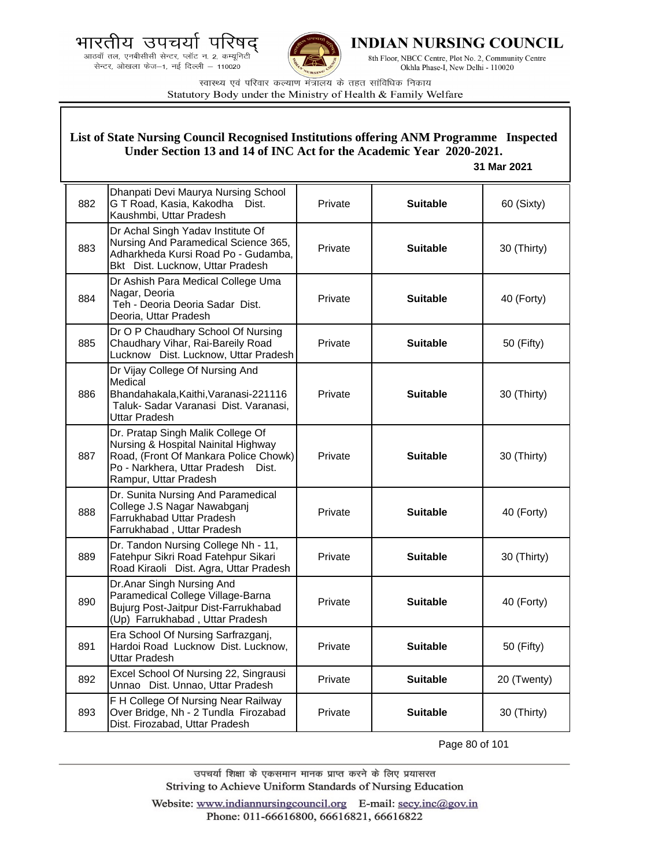



**INDIAN NURSING COUNCIL** 

8th Floor, NBCC Centre, Plot No. 2, Community Centre Okhla Phase-I, New Delhi - 110020

स्वास्थ्य एवं परिवार कल्याण मंत्रालय के तहत सांविधिक निकाय Statutory Body under the Ministry of Health & Family Welfare

### **List of State Nursing Council Recognised Institutions offering ANM Programme Inspected Under Section 13 and 14 of INC Act for the Academic Year 2020-2021.**

#### **31 Mar 2021**

| 882 | Dhanpati Devi Maurya Nursing School<br>G T Road, Kasia, Kakodha<br>Dist.<br>Kaushmbi, Uttar Pradesh                                                                                 | Private | <b>Suitable</b> | 60 (Sixty)  |
|-----|-------------------------------------------------------------------------------------------------------------------------------------------------------------------------------------|---------|-----------------|-------------|
| 883 | Dr Achal Singh Yadav Institute Of<br>Nursing And Paramedical Science 365,<br>Adharkheda Kursi Road Po - Gudamba,<br>Bkt Dist. Lucknow, Uttar Pradesh                                | Private | <b>Suitable</b> | 30 (Thirty) |
| 884 | Dr Ashish Para Medical College Uma<br>Nagar, Deoria<br>Teh - Deoria Deoria Sadar Dist.<br>Deoria, Uttar Pradesh                                                                     | Private | <b>Suitable</b> | 40 (Forty)  |
| 885 | Dr O P Chaudhary School Of Nursing<br>Chaudhary Vihar, Rai-Bareily Road<br>Lucknow Dist. Lucknow, Uttar Pradesh                                                                     | Private | <b>Suitable</b> | 50 (Fifty)  |
| 886 | Dr Vijay College Of Nursing And<br>Medical<br>Bhandahakala, Kaithi, Varanasi-221116<br>Taluk- Sadar Varanasi Dist. Varanasi,<br>Uttar Pradesh                                       | Private | <b>Suitable</b> | 30 (Thirty) |
| 887 | Dr. Pratap Singh Malik College Of<br>Nursing & Hospital Nainital Highway<br>Road, (Front Of Mankara Police Chowk)<br>Po - Narkhera, Uttar Pradesh<br>Dist.<br>Rampur, Uttar Pradesh | Private | <b>Suitable</b> | 30 (Thirty) |
| 888 | Dr. Sunita Nursing And Paramedical<br>College J.S Nagar Nawabganj<br>Farrukhabad Uttar Pradesh<br>Farrukhabad, Uttar Pradesh                                                        | Private | <b>Suitable</b> | 40 (Forty)  |
| 889 | Dr. Tandon Nursing College Nh - 11,<br>Fatehpur Sikri Road Fatehpur Sikari<br>Road Kiraoli Dist. Agra, Uttar Pradesh                                                                | Private | <b>Suitable</b> | 30 (Thirty) |
| 890 | Dr.Anar Singh Nursing And<br>Paramedical College Village-Barna<br>Bujurg Post-Jaitpur Dist-Farrukhabad<br>(Up) Farrukhabad, Uttar Pradesh                                           | Private | <b>Suitable</b> | 40 (Forty)  |
| 891 | Era School Of Nursing Sarfrazganj,<br>Hardoi Road Lucknow Dist. Lucknow,<br>Uttar Pradesh                                                                                           | Private | <b>Suitable</b> | 50 (Fifty)  |
| 892 | Excel School Of Nursing 22, Singrausi<br>Unnao Dist. Unnao, Uttar Pradesh                                                                                                           | Private | <b>Suitable</b> | 20 (Twenty) |
| 893 | F H College Of Nursing Near Railway<br>Over Bridge, Nh - 2 Tundla Firozabad<br>Dist. Firozabad, Uttar Pradesh                                                                       | Private | <b>Suitable</b> | 30 (Thirty) |

Page 80 of 101

उपचर्या शिक्षा के एकसमान मानक प्राप्त करने के लिए प्रयासरत Striving to Achieve Uniform Standards of Nursing Education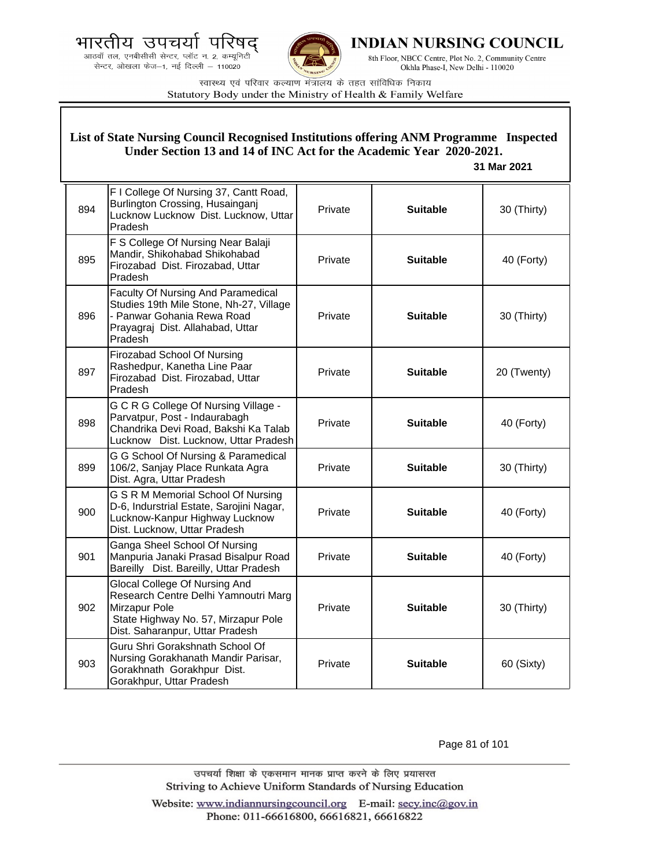.<br>आठवाँ तल, एनबीसीसी सेन्टर, प्लॉट न. 2, कम्यूनिटी सेन्टर, ओखला फेज-1, नई दिल्ली - 110020



INDIAN NURSING COUNCIL

8th Floor, NBCC Centre, Plot No. 2, Community Centre Okhla Phase-I, New Delhi - 110020

स्वास्थ्य एवं परिवार कल्याण मंत्रालय के तहत सांविधिक निकाय Statutory Body under the Ministry of Health & Family Welfare

#### List of State Nursing Council Recognised Institutions offering ANM Programme Inspected Under Section 13 and 14 of INC Act for the Academic Year 2020-2021. 31 Mar 2021 F I College Of Nursing 37, Cantt Road, Burlington Crossing, Husainganj 894 Private **Suitable** 30 (Thirty) Lucknow Lucknow Dist. Lucknow, Uttar Pradesh F S College Of Nursing Near Balaji Mandir, Shikohabad Shikohabad 895 Private **Suitable** 40 (Forty) Firozabad Dist. Firozabad, Uttar Pradesh Faculty Of Nursing And Paramedical Studies 19th Mile Stone, Nh-27, Village - Panwar Gohania Rewa Road 896 Private **Suitable** 30 (Thirty) Prayagraj Dist. Allahabad, Uttar Pradesh Firozabad School Of Nursing Rashedpur, Kanetha Line Paar 897 Private **Suitable** 20 (Twenty) Firozabad Dist. Firozabad, Uttar Pradesh G C R G College Of Nursing Village -Parvatpur, Post - Indaurabagh 898 Private **Suitable** 40 (Forty) Chandrika Devi Road, Bakshi Ka Talab Lucknow Dist, Lucknow, Uttar Pradesh G G School Of Nursing & Paramedical 899 106/2, Sanjay Place Runkata Agra Private **Suitable** 30 (Thirty) Dist. Agra, Uttar Pradesh G S R M Memorial School Of Nursing D-6. Indurstrial Estate. Saroiini Nagar. 900 Private **Suitable** 40 (Forty) Lucknow-Kanpur Highway Lucknow Dist. Lucknow, Uttar Pradesh Ganga Sheel School Of Nursing 901 Manpuria Janaki Prasad Bisalpur Road Private **Suitable** 40 (Forty) Bareilly Dist. Bareilly, Uttar Pradesh Glocal College Of Nursing And Research Centre Delhi Yamnoutri Marg 902 Mirzapur Pole Private **Suitable** 30 (Thirty) State Highway No. 57, Mirzapur Pole Dist. Saharanpur, Uttar Pradesh Guru Shri Gorakshnath School Of Nursing Gorakhanath Mandir Parisar,  $903$ Private **Suitable** 60 (Sixty) Gorakhnath Gorakhpur Dist. Gorakhpur, Uttar Pradesh

Page 81 of 101

उपचर्या शिक्षा के एकसमान मानक प्राप्त करने के लिए प्रयासरत Striving to Achieve Uniform Standards of Nursing Education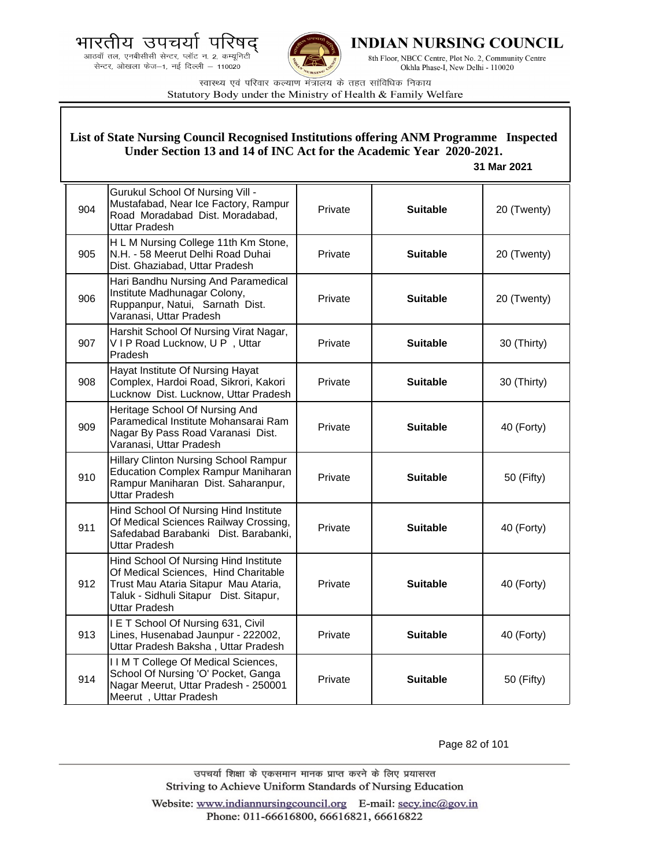आठवाँ तल, एनबीसीसी सेन्टर, प्लॉट न. 2, कम्यूनिटी सेन्टर, ओखला फेज-1, नई दिल्ली - 110020

Meerut, Uttar Pradesh



INDIAN NURSING COUNCIL

8th Floor, NBCC Centre, Plot No. 2, Community Centre Okhla Phase-I, New Delhi - 110020

स्वास्थ्य एवं परिवार कल्याण मंत्रालय के तहत सांविधिक निकाय Statutory Body under the Ministry of Health & Family Welfare

List of State Nursing Council Recognised Institutions offering ANM Programme Inspected

#### Under Section 13 and 14 of INC Act for the Academic Year 2020-2021. 31 Mar 2021 **Gurukul School Of Nursing Vill -**Mustafabad, Near Ice Factory, Rampur 904 Private **Suitable** 20 (Twenty) Road Moradabad Dist. Moradabad, **Uttar Pradesh** H L M Nursing College 11th Km Stone, N.H. - 58 Meerut Delhi Road Duhai 905 Private **Suitable** 20 (Twenty) Dist. Ghaziabad. Uttar Pradesh Hari Bandhu Nursing And Paramedical Institute Madhunagar Colony. 906 Private **Suitable** 20 (Twenty) Ruppanpur, Natui, Sarnath Dist. Varanasi, Uttar Pradesh Harshit School Of Nursing Virat Nagar, 907 VIP Road Lucknow, UP, Uttar Private **Suitable** 30 (Thirty) Pradesh Hayat Institute Of Nursing Hayat 908 Complex, Hardoi Road, Sikrori, Kakori Private **Suitable** 30 (Thirty) Lucknow Dist. Lucknow, Uttar Pradesh Heritage School Of Nursing And Paramedical Institute Mohansarai Ram 909 Private **Suitable** 40 (Forty) Nagar By Pass Road Varanasi Dist. Varanasi, Uttar Pradesh Hillary Clinton Nursing School Rampur **Education Complex Rampur Maniharan** 910 Private **Suitable** 50 (Fifty) Rampur Maniharan Dist. Saharanpur, **Uttar Pradesh** Hind School Of Nursing Hind Institute Of Medical Sciences Railway Crossing, 911 Private **Suitable** 40 (Forty) Safedabad Barabanki Dist. Barabanki, **Uttar Pradesh** Hind School Of Nursing Hind Institute Of Medical Sciences, Hind Charitable Trust Mau Ataria Sitapur Mau Ataria, 912 Private **Suitable** 40 (Forty) Taluk - Sidhuli Sitapur Dist. Sitapur, **Uttar Pradesh** I E T School Of Nursing 631, Civil 913 Lines, Husenabad Jaunpur - 222002, Private **Suitable** 40 (Forty) Uttar Pradesh Baksha, Uttar Pradesh IIM T College Of Medical Sciences, School Of Nursing 'O' Pocket, Ganga 914 Private **Suitable** 50 (Fifty) Nagar Meerut, Uttar Pradesh - 250001

Page 82 of 101

उपचर्या शिक्षा के एकसमान मानक प्राप्त करने के लिए प्रयासरत Striving to Achieve Uniform Standards of Nursing Education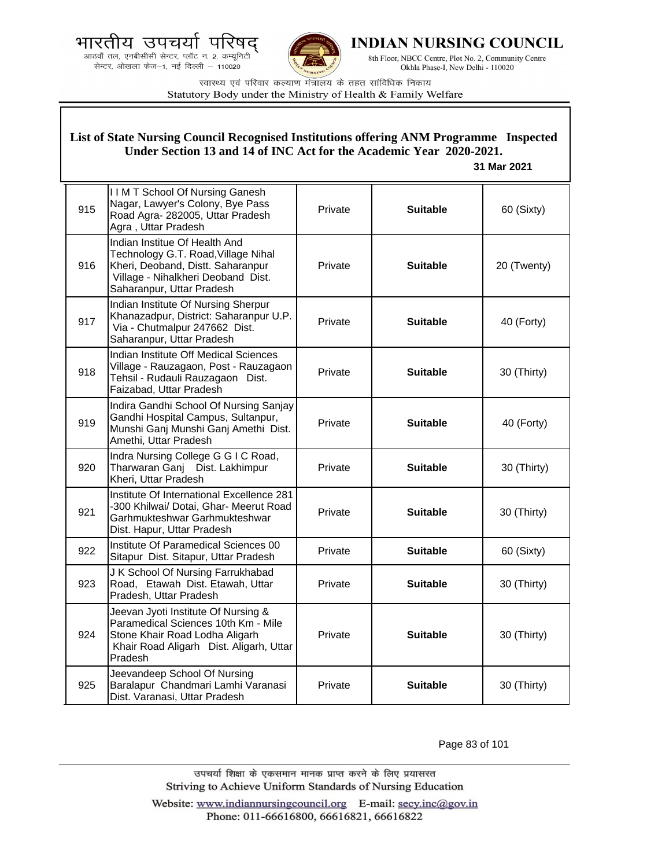भारतीय उपचयो पारष

.<br>आठवाँ तल, एनबीसीसी सेन्टर, प्लॉट न. 2, कम्यूनिटी<br>सेन्टर, ओखला फेज—1, नई दिल्ली — 110020



**INDIAN NURSING COUNCIL** 

8th Floor, NBCC Centre, Plot No. 2, Community Centre Okhla Phase-I, New Delhi - 110020

स्वास्थ्य एवं परिवार कल्याण मंत्रालय के तहत सांविधिक निकाय Statutory Body under the Ministry of Health & Family Welfare

|     | List of State Nursing Council Recognised Institutions offering ANM Programme Inspected<br>Under Section 13 and 14 of INC Act for the Academic Year 2020-2021.<br>31 Mar 2021 |         |                 |             |  |
|-----|------------------------------------------------------------------------------------------------------------------------------------------------------------------------------|---------|-----------------|-------------|--|
| 915 | <b>IIM T School Of Nursing Ganesh</b><br>Nagar, Lawyer's Colony, Bye Pass<br>Road Agra- 282005, Uttar Pradesh<br>Agra, Uttar Pradesh                                         | Private | <b>Suitable</b> | 60 (Sixty)  |  |
| 916 | Indian Institue Of Health And<br>Technology G.T. Road, Village Nihal<br>Kheri, Deoband, Distt. Saharanpur<br>Village - Nihalkheri Deoband Dist.<br>Saharanpur, Uttar Pradesh | Private | <b>Suitable</b> | 20 (Twenty) |  |
| 917 | Indian Institute Of Nursing Sherpur<br>Khanazadpur, District: Saharanpur U.P.<br>Via - Chutmalpur 247662 Dist.<br>Saharanpur, Uttar Pradesh                                  | Private | <b>Suitable</b> | 40 (Forty)  |  |
| 918 | Indian Institute Off Medical Sciences<br>Village - Rauzagaon, Post - Rauzagaon<br>Tehsil - Rudauli Rauzagaon Dist.<br>Faizabad, Uttar Pradesh                                | Private | <b>Suitable</b> | 30 (Thirty) |  |
| 919 | Indira Gandhi School Of Nursing Sanjay<br>Gandhi Hospital Campus, Sultanpur,<br>Munshi Ganj Munshi Ganj Amethi Dist.<br>Amethi, Uttar Pradesh                                | Private | <b>Suitable</b> | 40 (Forty)  |  |
| 920 | Indra Nursing College G G I C Road,<br>Tharwaran Ganj Dist. Lakhimpur<br>Kheri, Uttar Pradesh                                                                                | Private | <b>Suitable</b> | 30 (Thirty) |  |
| 921 | Institute Of International Excellence 281<br>-300 Khilwai/ Dotai, Ghar- Meerut Road<br>Garhmukteshwar Garhmukteshwar<br>Dist. Hapur, Uttar Pradesh                           | Private | <b>Suitable</b> | 30 (Thirty) |  |
| 922 | Institute Of Paramedical Sciences 00<br>Sitapur Dist. Sitapur, Uttar Pradesh                                                                                                 | Private | <b>Suitable</b> | 60 (Sixty)  |  |
| 923 | J K School Of Nursing Farrukhabad<br>Road, Etawah Dist. Etawah, Uttar<br>Pradesh, Uttar Pradesh                                                                              | Private | <b>Suitable</b> | 30 (Thirty) |  |
| 924 | Jeevan Jyoti Institute Of Nursing &<br>Paramedical Sciences 10th Km - Mile<br>Stone Khair Road Lodha Aligarh<br>Khair Road Aligarh Dist. Aligarh, Uttar<br>Pradesh           | Private | <b>Suitable</b> | 30 (Thirty) |  |
| 925 | Jeevandeep School Of Nursing<br>Baralapur Chandmari Lamhi Varanasi<br>Dist. Varanasi, Uttar Pradesh                                                                          | Private | <b>Suitable</b> | 30 (Thirty) |  |

Page 83 of 101

उपचर्या शिक्षा के एकसमान मानक प्राप्त करने के लिए प्रयासरत Striving to Achieve Uniform Standards of Nursing Education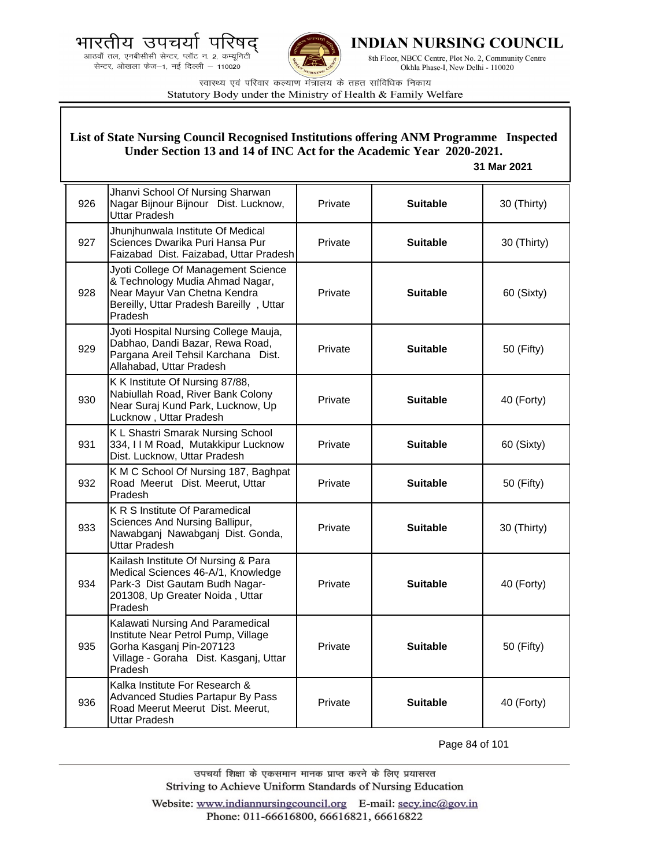



**INDIAN NURSING COUNCIL** 

8th Floor, NBCC Centre, Plot No. 2, Community Centre Okhla Phase-I, New Delhi - 110020

स्वास्थ्य एवं परिवार कल्याण मंत्रालय के तहत सांविधिक निकाय Statutory Body under the Ministry of Health & Family Welfare

### **List of State Nursing Council Recognised Institutions offering ANM Programme Inspected Under Section 13 and 14 of INC Act for the Academic Year 2020-2021.**

#### **31 Mar 2021**

| 926 | Jhanvi School Of Nursing Sharwan<br>Nagar Bijnour Bijnour Dist. Lucknow,<br><b>Uttar Pradesh</b>                                                             | Private | <b>Suitable</b> | 30 (Thirty) |
|-----|--------------------------------------------------------------------------------------------------------------------------------------------------------------|---------|-----------------|-------------|
| 927 | Jhunjhunwala Institute Of Medical<br>Sciences Dwarika Puri Hansa Pur<br>Faizabad Dist. Faizabad, Uttar Pradesh                                               | Private | <b>Suitable</b> | 30 (Thirty) |
| 928 | Jyoti College Of Management Science<br>& Technology Mudia Ahmad Nagar,<br>Near Mayur Van Chetna Kendra<br>Bereilly, Uttar Pradesh Bareilly, Uttar<br>Pradesh | Private | <b>Suitable</b> | 60 (Sixty)  |
| 929 | Jyoti Hospital Nursing College Mauja,<br>Dabhao, Dandi Bazar, Rewa Road,<br>Pargana Areil Tehsil Karchana Dist.<br>Allahabad, Uttar Pradesh                  | Private | <b>Suitable</b> | 50 (Fifty)  |
| 930 | K K Institute Of Nursing 87/88,<br>Nabiullah Road, River Bank Colony<br>Near Suraj Kund Park, Lucknow, Up<br>Lucknow, Uttar Pradesh                          | Private | <b>Suitable</b> | 40 (Forty)  |
| 931 | K L Shastri Smarak Nursing School<br>334, I I M Road, Mutakkipur Lucknow<br>Dist. Lucknow, Uttar Pradesh                                                     | Private | <b>Suitable</b> | 60 (Sixty)  |
| 932 | K M C School Of Nursing 187, Baghpat<br>Road Meerut Dist. Meerut, Uttar<br>Pradesh                                                                           | Private | <b>Suitable</b> | 50 (Fifty)  |
| 933 | K R S Institute Of Paramedical<br>Sciences And Nursing Ballipur,<br>Nawabganj Nawabganj Dist. Gonda,<br><b>Uttar Pradesh</b>                                 | Private | <b>Suitable</b> | 30 (Thirty) |
| 934 | Kailash Institute Of Nursing & Para<br>Medical Sciences 46-A/1, Knowledge<br>Park-3 Dist Gautam Budh Nagar-<br>201308, Up Greater Noida, Uttar<br>Pradesh    | Private | <b>Suitable</b> | 40 (Forty)  |
| 935 | Kalawati Nursing And Paramedical<br>Institute Near Petrol Pump, Village<br>Gorha Kasganj Pin-207123<br>Village - Goraha Dist. Kasganj, Uttar<br>Pradesh      | Private | <b>Suitable</b> | 50 (Fifty)  |
| 936 | Kalka Institute For Research &<br>Advanced Studies Partapur By Pass<br>Road Meerut Meerut Dist. Meerut,<br>Uttar Pradesh                                     | Private | <b>Suitable</b> | 40 (Forty)  |

Page 84 of 101

उपचर्या शिक्षा के एकसमान मानक प्राप्त करने के लिए प्रयासरत Striving to Achieve Uniform Standards of Nursing Education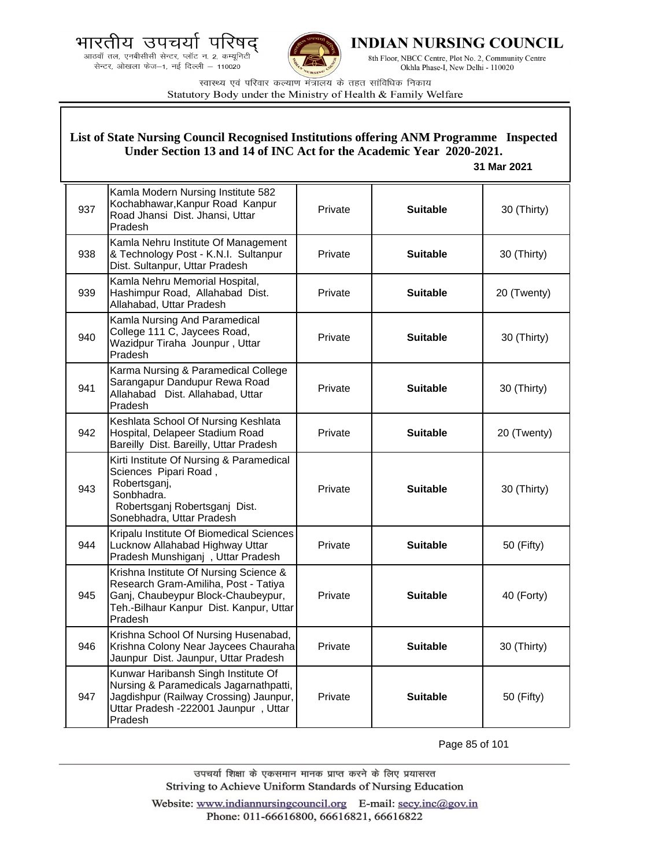.<br>आठवाँ तल, एनबीसीसी सेन्टर, प्लॉट न. 2, कम्यूनिटी सेन्टर, ओखला फेज-1, नई दिल्ली - 110020



**INDIAN NURSING COUNCIL** 

8th Floor, NBCC Centre, Plot No. 2, Community Centre Okhla Phase-I, New Delhi - 110020

स्वास्थ्य एवं परिवार कल्याण मंत्रालय के तहत सांविधिक निकाय Statutory Body under the Ministry of Health & Family Welfare

# **List of State Nursing Council Recognised Institutions offering ANM Programme Inspected Under Section 13 and 14 of INC Act for the Academic Year 2020-2021.**

 **31 Mar 2021**

| 937 | Kamla Modern Nursing Institute 582<br>Kochabhawar, Kanpur Road Kanpur<br>Road Jhansi Dist. Jhansi, Uttar<br>Pradesh                                                        | Private | <b>Suitable</b> | 30 (Thirty) |
|-----|----------------------------------------------------------------------------------------------------------------------------------------------------------------------------|---------|-----------------|-------------|
| 938 | Kamla Nehru Institute Of Management<br>& Technology Post - K.N.I. Sultanpur<br>Dist. Sultanpur, Uttar Pradesh                                                              | Private | <b>Suitable</b> | 30 (Thirty) |
| 939 | Kamla Nehru Memorial Hospital,<br>Hashimpur Road, Allahabad Dist.<br>Allahabad, Uttar Pradesh                                                                              | Private | <b>Suitable</b> | 20 (Twenty) |
| 940 | Kamla Nursing And Paramedical<br>College 111 C, Jaycees Road,<br>Wazidpur Tiraha Jounpur, Uttar<br>Pradesh                                                                 | Private | <b>Suitable</b> | 30 (Thirty) |
| 941 | Karma Nursing & Paramedical College<br>Sarangapur Dandupur Rewa Road<br>Allahabad Dist. Allahabad, Uttar<br>Pradesh                                                        | Private | <b>Suitable</b> | 30 (Thirty) |
| 942 | Keshlata School Of Nursing Keshlata<br>Hospital, Delapeer Stadium Road<br>Bareilly Dist. Bareilly, Uttar Pradesh                                                           | Private | <b>Suitable</b> | 20 (Twenty) |
| 943 | Kirti Institute Of Nursing & Paramedical<br>Sciences Pipari Road,<br>Robertsganj,<br>Sonbhadra.<br>Robertsganj Robertsganj Dist.<br>Sonebhadra, Uttar Pradesh              | Private | <b>Suitable</b> | 30 (Thirty) |
| 944 | Kripalu Institute Of Biomedical Sciences<br>Lucknow Allahabad Highway Uttar<br>Pradesh Munshiganj, Uttar Pradesh                                                           | Private | <b>Suitable</b> | 50 (Fifty)  |
| 945 | Krishna Institute Of Nursing Science &<br>Research Gram-Amiliha, Post - Tatiya<br>Ganj, Chaubeypur Block-Chaubeypur,<br>Teh.-Bilhaur Kanpur Dist. Kanpur, Uttar<br>Pradesh | Private | <b>Suitable</b> | 40 (Forty)  |
| 946 | Krishna School Of Nursing Husenabad,<br>Krishna Colony Near Jaycees Chauraha<br>Jaunpur Dist. Jaunpur, Uttar Pradesh                                                       | Private | <b>Suitable</b> | 30 (Thirty) |
| 947 | Kunwar Haribansh Singh Institute Of<br>Nursing & Paramedicals Jagarnathpatti,<br>Jagdishpur (Railway Crossing) Jaunpur,<br>Uttar Pradesh -222001 Jaunpur, Uttar<br>Pradesh | Private | <b>Suitable</b> | 50 (Fifty)  |

Page 85 of 101

उपचर्या शिक्षा के एकसमान मानक प्राप्त करने के लिए प्रयासरत Striving to Achieve Uniform Standards of Nursing Education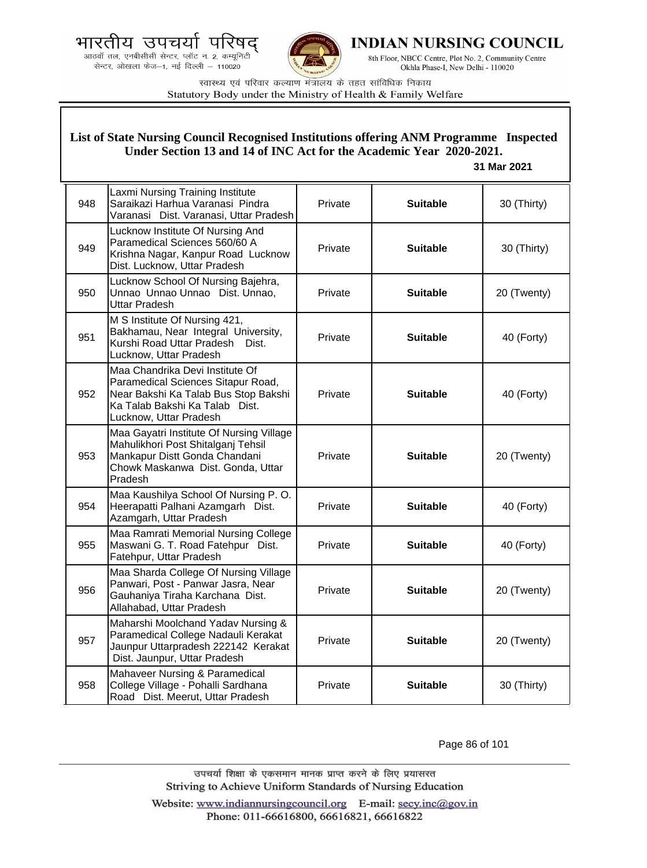



**INDIAN NURSING COUNCIL** 

8th Floor, NBCC Centre, Plot No. 2, Community Centre Okhla Phase-I, New Delhi - 110020

स्वास्थ्य एवं परिवार कल्याण मंत्रालय के तहत सांविधिक निकाय Statutory Body under the Ministry of Health & Family Welfare

### **List of State Nursing Council Recognised Institutions offering ANM Programme Inspected Under Section 13 and 14 of INC Act for the Academic Year 2020-2021.**

#### **31 Mar 2021**

| 948 | Laxmi Nursing Training Institute<br>Saraikazi Harhua Varanasi Pindra<br>Varanasi Dist. Varanasi, Uttar Pradesh                                                            | Private | <b>Suitable</b> | 30 (Thirty) |
|-----|---------------------------------------------------------------------------------------------------------------------------------------------------------------------------|---------|-----------------|-------------|
| 949 | Lucknow Institute Of Nursing And<br>Paramedical Sciences 560/60 A<br>Krishna Nagar, Kanpur Road Lucknow<br>Dist. Lucknow, Uttar Pradesh                                   | Private | <b>Suitable</b> | 30 (Thirty) |
| 950 | Lucknow School Of Nursing Bajehra,<br>Unnao Unnao Unnao Dist. Unnao,<br><b>Uttar Pradesh</b>                                                                              | Private | <b>Suitable</b> | 20 (Twenty) |
| 951 | M S Institute Of Nursing 421,<br>Bakhamau, Near Integral University,<br>Kurshi Road Uttar Pradesh<br>Dist.<br>Lucknow, Uttar Pradesh                                      | Private | <b>Suitable</b> | 40 (Forty)  |
| 952 | Maa Chandrika Devi Institute Of<br>Paramedical Sciences Sitapur Road,<br>Near Bakshi Ka Talab Bus Stop Bakshi<br>Ka Talab Bakshi Ka Talab Dist.<br>Lucknow, Uttar Pradesh | Private | <b>Suitable</b> | 40 (Forty)  |
| 953 | Maa Gayatri Institute Of Nursing Village<br>Mahulikhori Post Shitalganj Tehsil<br>Mankapur Distt Gonda Chandani<br>Chowk Maskanwa Dist. Gonda, Uttar<br>Pradesh           | Private | <b>Suitable</b> | 20 (Twenty) |
| 954 | Maa Kaushilya School Of Nursing P. O.<br>Heerapatti Palhani Azamgarh Dist.<br>Azamgarh, Uttar Pradesh                                                                     | Private | <b>Suitable</b> | 40 (Forty)  |
| 955 | Maa Ramrati Memorial Nursing College<br>Maswani G. T. Road Fatehpur Dist.<br>Fatehpur, Uttar Pradesh                                                                      | Private | <b>Suitable</b> | 40 (Forty)  |
| 956 | Maa Sharda College Of Nursing Village<br>Panwari, Post - Panwar Jasra, Near<br>Gauhaniya Tiraha Karchana Dist.<br>Allahabad, Uttar Pradesh                                | Private | <b>Suitable</b> | 20 (Twenty) |
| 957 | Maharshi Moolchand Yadav Nursing &<br>Paramedical College Nadauli Kerakat<br>Jaunpur Uttarpradesh 222142 Kerakat<br>Dist. Jaunpur, Uttar Pradesh                          | Private | <b>Suitable</b> | 20 (Twenty) |
| 958 | Mahaveer Nursing & Paramedical<br>College Village - Pohalli Sardhana<br>Road Dist. Meerut, Uttar Pradesh                                                                  | Private | <b>Suitable</b> | 30 (Thirty) |

Page 86 of 101

उपचर्या शिक्षा के एकसमान मानक प्राप्त करने के लिए प्रयासरत Striving to Achieve Uniform Standards of Nursing Education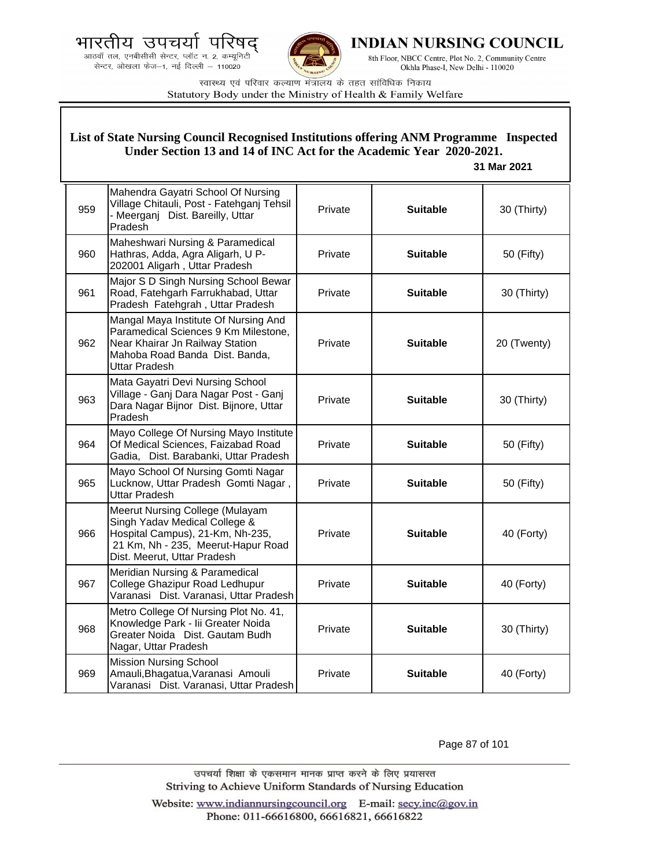



**INDIAN NURSING COUNCIL** 

8th Floor, NBCC Centre, Plot No. 2, Community Centre Okhla Phase-I, New Delhi - 110020

स्वास्थ्य एवं परिवार कल्याण मंत्रालय के तहत सांविधिक निकाय Statutory Body under the Ministry of Health & Family Welfare

### **List of State Nursing Council Recognised Institutions offering ANM Programme Inspected Under Section 13 and 14 of INC Act for the Academic Year 2020-2021.**

#### **31 Mar 2021**

| 959 | Mahendra Gayatri School Of Nursing<br>Village Chitauli, Post - Fatehganj Tehsil<br>- Meerganj Dist. Bareilly, Uttar<br>Pradesh                                            | Private | <b>Suitable</b> | 30 (Thirty) |
|-----|---------------------------------------------------------------------------------------------------------------------------------------------------------------------------|---------|-----------------|-------------|
| 960 | Maheshwari Nursing & Paramedical<br>Hathras, Adda, Agra Aligarh, U P-<br>202001 Aligarh, Uttar Pradesh                                                                    | Private | <b>Suitable</b> | 50 (Fifty)  |
| 961 | Major S D Singh Nursing School Bewar<br>Road, Fatehgarh Farrukhabad, Uttar<br>Pradesh Fatehgrah, Uttar Pradesh                                                            | Private | <b>Suitable</b> | 30 (Thirty) |
| 962 | Mangal Maya Institute Of Nursing And<br>Paramedical Sciences 9 Km Milestone,<br>Near Khairar Jn Railway Station<br>Mahoba Road Banda Dist. Banda,<br><b>Uttar Pradesh</b> | Private | <b>Suitable</b> | 20 (Twenty) |
| 963 | Mata Gayatri Devi Nursing School<br>Village - Ganj Dara Nagar Post - Ganj<br>Dara Nagar Bijnor Dist. Bijnore, Uttar<br>Pradesh                                            | Private | <b>Suitable</b> | 30 (Thirty) |
| 964 | Mayo College Of Nursing Mayo Institute<br>Of Medical Sciences, Faizabad Road<br>Gadia, Dist. Barabanki, Uttar Pradesh                                                     | Private | <b>Suitable</b> | 50 (Fifty)  |
| 965 | Mayo School Of Nursing Gomti Nagar<br>Lucknow, Uttar Pradesh Gomti Nagar,<br><b>Uttar Pradesh</b>                                                                         | Private | <b>Suitable</b> | 50 (Fifty)  |
| 966 | Meerut Nursing College (Mulayam<br>Singh Yadav Medical College &<br>Hospital Campus), 21-Km, Nh-235,<br>21 Km, Nh - 235, Meerut-Hapur Road<br>Dist. Meerut, Uttar Pradesh | Private | <b>Suitable</b> | 40 (Forty)  |
| 967 | Meridian Nursing & Paramedical<br>College Ghazipur Road Ledhupur<br>Varanasi Dist. Varanasi, Uttar Pradesh                                                                | Private | <b>Suitable</b> | 40 (Forty)  |
| 968 | Metro College Of Nursing Plot No. 41,<br>Knowledge Park - Iii Greater Noida<br>Greater Noida Dist. Gautam Budh<br>Nagar, Uttar Pradesh                                    | Private | <b>Suitable</b> | 30 (Thirty) |
| 969 | <b>Mission Nursing School</b><br>Amauli, Bhagatua, Varanasi Amouli<br>Varanasi Dist. Varanasi, Uttar Pradesh                                                              | Private | <b>Suitable</b> | 40 (Forty)  |

Page 87 of 101

उपचर्या शिक्षा के एकसमान मानक प्राप्त करने के लिए प्रयासरत Striving to Achieve Uniform Standards of Nursing Education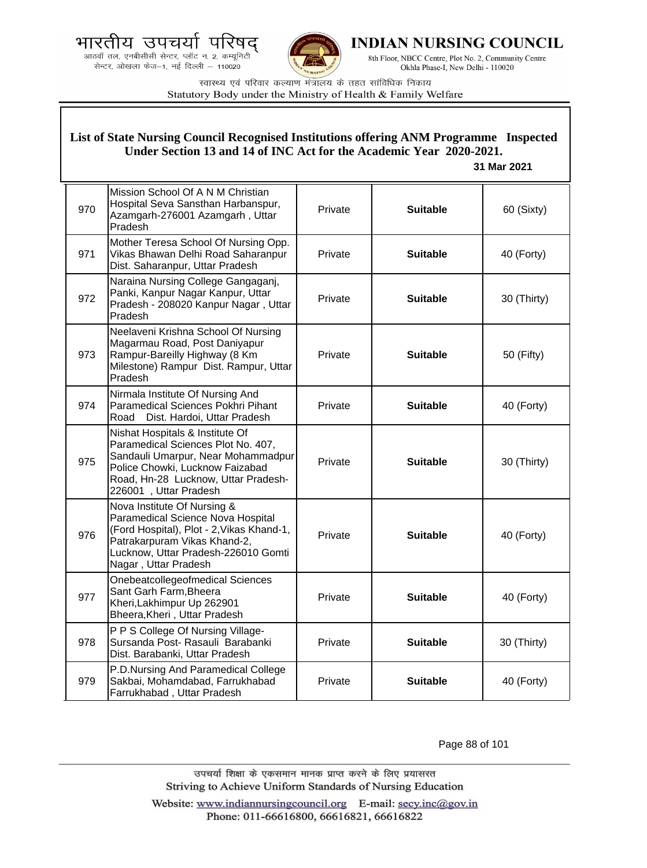



INDIAN NURSING COUNCIL

8th Floor, NBCC Centre, Plot No. 2, Community Centre Okhla Phase-I, New Delhi - 110020

स्वास्थ्य एवं परिवार कल्याण मंत्रालय के तहत सांविधिक निकाय Statutory Body under the Ministry of Health & Family Welfare

#### 970 Mission School Of A N M Christian Hospital Seva Sansthan Harbanspur, Azamgarh-276001 Azamgarh , Uttar Pradesh Private **Suitable 60 (Sixty)** 971 Mother Teresa School Of Nursing Opp. Vikas Bhawan Delhi Road Saharanpur Dist. Saharanpur, Uttar Pradesh Private **Suitable 40 (Forty)** 972 Naraina Nursing College Gangaganj, Panki, Kanpur Nagar Kanpur, Uttar Pradesh - 208020 Kanpur Nagar , Uttar Pradesh Private **Suitable** 30 (Thirty) 973 Neelaveni Krishna School Of Nursing Magarmau Road, Post Daniyapur Rampur-Bareilly Highway (8 Km Milestone) Rampur Dist. Rampur, Uttar Pradesh Private **Suitable Filty** 50 (Fifty) 974 Nirmala Institute Of Nursing And Paramedical Sciences Pokhri Pihant Road Dist. Hardoi, Uttar Pradesh Private **Suitable** 40 (Forty) 975 Nishat Hospitals & Institute Of Paramedical Sciences Plot No. 407, Sandauli Umarpur, Near Mohammadpur Police Chowki, Lucknow Faizabad Road, Hn-28 Lucknow, Uttar Pradesh-226001 , Uttar Pradesh Private **Suitable 30** (Thirty) 976 Nova Institute Of Nursing & Paramedical Science Nova Hospital (Ford Hospital), Plot - 2,Vikas Khand-1, Patrakarpuram Vikas Khand-2, Lucknow, Uttar Pradesh-226010 Gomti Nagar , Uttar Pradesh Private **Calcularie Suitable F** 40 (Forty) 977 Onebeatcollegeofmedical Sciences Sant Garh Farm,Bheera Kheri,Lakhimpur Up 262901 Bheera,Kheri , Uttar Pradesh Private **Suitable** 40 (Forty) 978 P P S College Of Nursing Village-Sursanda Post- Rasauli Barabanki Dist. Barabanki, Uttar Pradesh Private **Suitable** | 30 (Thirty) 979 P.D.Nursing And Paramedical College Sakbai, Mohamdabad, Farrukhabad Farrukhabad , Uttar Pradesh Private **Suitable 40 (Forty) List of State Nursing Council Recognised Institutions offering ANM Programme Inspected Under Section 13 and 14 of INC Act for the Academic Year 2020-2021. 31 Mar 2021**

Page 88 of 101

उपचर्या शिक्षा के एकसमान मानक प्राप्त करने के लिए प्रयासरत Striving to Achieve Uniform Standards of Nursing Education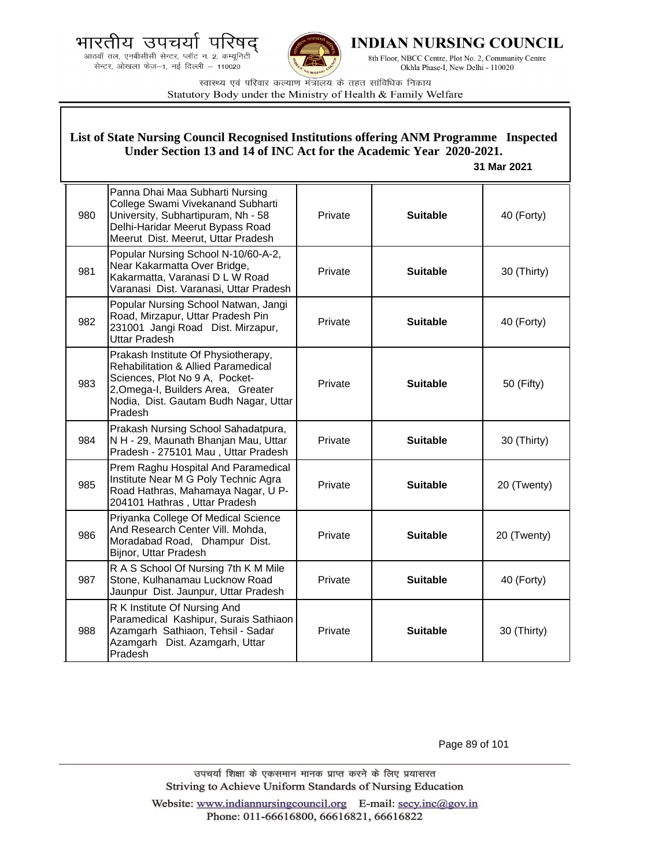भारतीय उपचयो प द्





**INDIAN NURSING COUNCIL** 

8th Floor, NBCC Centre, Plot No. 2, Community Centre Okhla Phase-I, New Delhi - 110020

स्वास्थ्य एवं परिवार कल्याण मंत्रालय के तहत सांविधिक निकाय Statutory Body under the Ministry of Health & Family Welfare

|     | List of State Nursing Council Recognised Institutions offering ANM Programme Inspected<br>Under Section 13 and 14 of INC Act for the Academic Year 2020-2021.<br>31 Mar 2021                                      |         |                 |             |
|-----|-------------------------------------------------------------------------------------------------------------------------------------------------------------------------------------------------------------------|---------|-----------------|-------------|
| 980 | Panna Dhai Maa Subharti Nursing<br>College Swami Vivekanand Subharti<br>University, Subhartipuram, Nh - 58<br>Delhi-Haridar Meerut Bypass Road<br>Meerut Dist. Meerut, Uttar Pradesh                              | Private | <b>Suitable</b> | 40 (Forty)  |
| 981 | Popular Nursing School N-10/60-A-2,<br>Near Kakarmatta Over Bridge,<br>Kakarmatta, Varanasi D L W Road<br>Varanasi Dist. Varanasi, Uttar Pradesh                                                                  | Private | <b>Suitable</b> | 30 (Thirty) |
| 982 | Popular Nursing School Natwan, Jangi<br>Road, Mirzapur, Uttar Pradesh Pin<br>231001 Jangi Road Dist. Mirzapur,<br>Uttar Pradesh                                                                                   | Private | <b>Suitable</b> | 40 (Forty)  |
| 983 | Prakash Institute Of Physiotherapy,<br><b>Rehabilitation &amp; Allied Paramedical</b><br>Sciences, Plot No 9 A, Pocket-<br>2, Omega-I, Builders Area, Greater<br>Nodia, Dist. Gautam Budh Nagar, Uttar<br>Pradesh | Private | <b>Suitable</b> | 50 (Fifty)  |
| 984 | Prakash Nursing School Sahadatpura,<br>N H - 29, Maunath Bhanjan Mau, Uttar<br>Pradesh - 275101 Mau, Uttar Pradesh                                                                                                | Private | <b>Suitable</b> | 30 (Thirty) |
| 985 | Prem Raghu Hospital And Paramedical<br>Institute Near M G Poly Technic Agra<br>Road Hathras, Mahamaya Nagar, U P-<br>204101 Hathras, Uttar Pradesh                                                                | Private | <b>Suitable</b> | 20 (Twenty) |
| 986 | Priyanka College Of Medical Science<br>And Research Center Vill. Mohda,<br>Moradabad Road, Dhampur Dist.<br>Bijnor, Uttar Pradesh                                                                                 | Private | <b>Suitable</b> | 20 (Twenty) |
| 987 | R A S School Of Nursing 7th K M Mile<br>Stone, Kulhanamau Lucknow Road<br>Jaunpur Dist. Jaunpur, Uttar Pradesh                                                                                                    | Private | <b>Suitable</b> | 40 (Forty)  |
| 988 | R K Institute Of Nursing And<br>Paramedical Kashipur, Surais Sathiaon<br>Azamgarh Sathiaon, Tehsil - Sadar<br>Azamgarh Dist. Azamgarh, Uttar<br>Pradesh                                                           | Private | <b>Suitable</b> | 30 (Thirty) |

Page 89 of 101

उपचर्या शिक्षा के एकसमान मानक प्राप्त करने के लिए प्रयासरत Striving to Achieve Uniform Standards of Nursing Education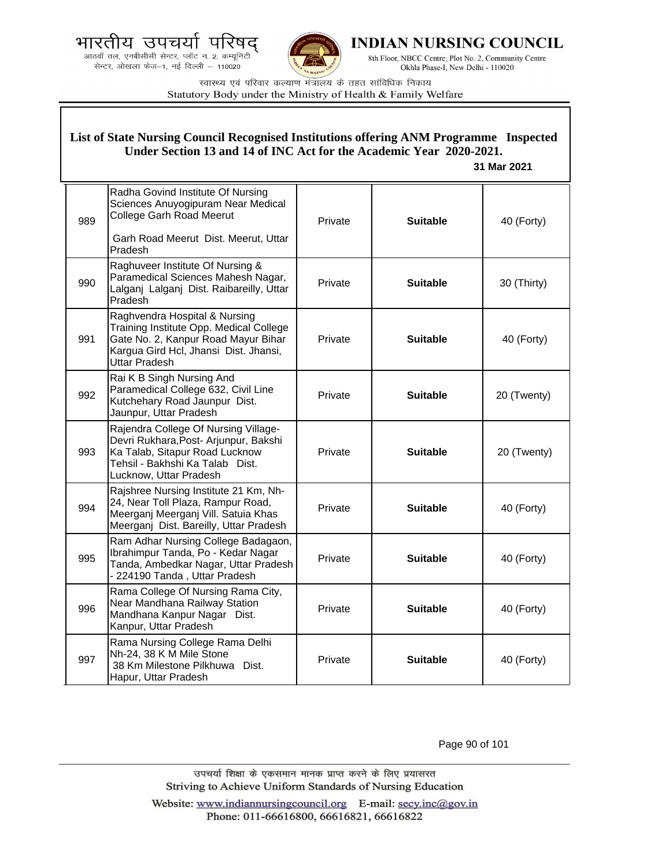.<br>आठवाँ तल, एनबीसीसी सेन्टर, प्लॉट न. 2, कम्यूनिटी सेन्टर, ओखला फेज-1, नई दिल्ली - 110020



**INDIAN NURSING COUNCIL** 

8th Floor, NBCC Centre, Plot No. 2, Community Centre Okhla Phase-I, New Delhi - 110020

स्वास्थ्य एवं परिवार कल्याण मंत्रालय के तहत सांविधिक निकाय Statutory Body under the Ministry of Health & Family Welfare

# **List of State Nursing Council Recognised Institutions offering ANM Programme Inspected Under Section 13 and 14 of INC Act for the Academic Year 2020-2021.**

 **31 Mar 2021**

| 989 | Radha Govind Institute Of Nursing<br>Sciences Anuyogipuram Near Medical<br>College Garh Road Meerut<br>Garh Road Meerut Dist. Meerut, Uttar<br>Pradesh                       | Private | <b>Suitable</b> | 40 (Forty)  |
|-----|------------------------------------------------------------------------------------------------------------------------------------------------------------------------------|---------|-----------------|-------------|
| 990 | Raghuveer Institute Of Nursing &<br>Paramedical Sciences Mahesh Nagar,<br>Lalganj Lalganj Dist. Raibareilly, Uttar<br><b>Pradesh</b>                                         | Private | <b>Suitable</b> | 30 (Thirty) |
| 991 | Raghvendra Hospital & Nursing<br>Training Institute Opp. Medical College<br>Gate No. 2, Kanpur Road Mayur Bihar<br>Kargua Gird Hcl, Jhansi Dist. Jhansi,<br>Uttar Pradesh    | Private | <b>Suitable</b> | 40 (Forty)  |
| 992 | Rai K B Singh Nursing And<br>Paramedical College 632, Civil Line<br>Kutchehary Road Jaunpur Dist.<br>Jaunpur, Uttar Pradesh                                                  | Private | <b>Suitable</b> | 20 (Twenty) |
| 993 | Rajendra College Of Nursing Village-<br>Devri Rukhara, Post- Arjunpur, Bakshi<br>Ka Talab, Sitapur Road Lucknow<br>Tehsil - Bakhshi Ka Talab Dist.<br>Lucknow, Uttar Pradesh | Private | <b>Suitable</b> | 20 (Twenty) |
| 994 | Rajshree Nursing Institute 21 Km, Nh-<br>24, Near Toll Plaza, Rampur Road,<br>Meerganj Meerganj Vill. Satuia Khas<br>Meerganj Dist. Bareilly, Uttar Pradesh                  | Private | <b>Suitable</b> | 40 (Forty)  |
| 995 | Ram Adhar Nursing College Badagaon,<br>Ibrahimpur Tanda, Po - Kedar Nagar<br>Tanda, Ambedkar Nagar, Uttar Pradesh<br>- 224190 Tanda, Uttar Pradesh                           | Private | <b>Suitable</b> | 40 (Forty)  |
| 996 | Rama College Of Nursing Rama City,<br>Near Mandhana Railway Station<br>Mandhana Kanpur Nagar Dist.<br>Kanpur, Uttar Pradesh                                                  | Private | <b>Suitable</b> | 40 (Forty)  |
| 997 | Rama Nursing College Rama Delhi<br>Nh-24, 38 K M Mile Stone<br>38 Km Milestone Pilkhuwa Dist.<br>Hapur, Uttar Pradesh                                                        | Private | <b>Suitable</b> | 40 (Forty)  |

Page 90 of 101

उपचर्या शिक्षा के एकसमान मानक प्राप्त करने के लिए प्रयासरत Striving to Achieve Uniform Standards of Nursing Education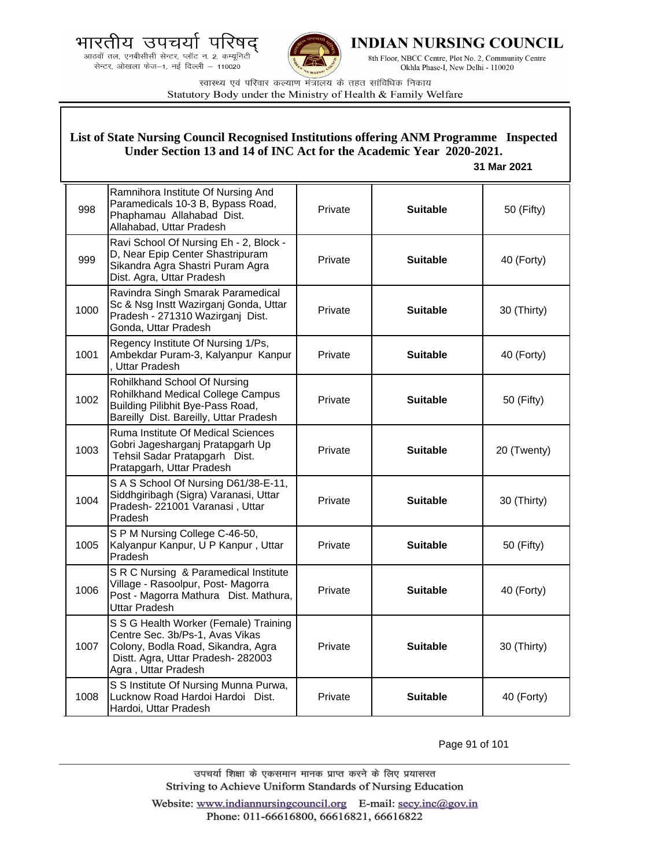भारतीय उपचयो प





**INDIAN NURSING COUNCIL** 

8th Floor, NBCC Centre, Plot No. 2, Community Centre Okhla Phase-I, New Delhi - 110020

स्वास्थ्य एवं परिवार कल्याण मंत्रालय के तहत सांविधिक निकाय Statutory Body under the Ministry of Health & Family Welfare

|      | List of State Nursing Council Recognised Institutions offering ANM Programme Inspected<br>Under Section 13 and 14 of INC Act for the Academic Year 2020-2021.<br>31 Mar 2021 |         |                 |             |  |
|------|------------------------------------------------------------------------------------------------------------------------------------------------------------------------------|---------|-----------------|-------------|--|
| 998  | Ramnihora Institute Of Nursing And<br>Paramedicals 10-3 B, Bypass Road,<br>Phaphamau Allahabad Dist.<br>Allahabad, Uttar Pradesh                                             | Private | <b>Suitable</b> | 50 (Fifty)  |  |
| 999  | Ravi School Of Nursing Eh - 2, Block -<br>D, Near Epip Center Shastripuram<br>Sikandra Agra Shastri Puram Agra<br>Dist. Agra, Uttar Pradesh                                  | Private | <b>Suitable</b> | 40 (Forty)  |  |
| 1000 | Ravindra Singh Smarak Paramedical<br>Sc & Nsg Instt Wazirganj Gonda, Uttar<br>Pradesh - 271310 Wazirganj Dist.<br>Gonda, Uttar Pradesh                                       | Private | <b>Suitable</b> | 30 (Thirty) |  |
| 1001 | Regency Institute Of Nursing 1/Ps,<br>Ambekdar Puram-3, Kalyanpur Kanpur<br>, Uttar Pradesh                                                                                  | Private | <b>Suitable</b> | 40 (Forty)  |  |
| 1002 | Rohilkhand School Of Nursing<br>Rohilkhand Medical College Campus<br>Building Pilibhit Bye-Pass Road,<br>Bareilly Dist. Bareilly, Uttar Pradesh                              | Private | <b>Suitable</b> | 50 (Fifty)  |  |
| 1003 | Ruma Institute Of Medical Sciences<br>Gobri Jagesharganj Pratapgarh Up<br>Tehsil Sadar Pratapgarh Dist.<br>Pratapgarh, Uttar Pradesh                                         | Private | <b>Suitable</b> | 20 (Twenty) |  |
| 1004 | S A S School Of Nursing D61/38-E-11,<br>Siddhgiribagh (Sigra) Varanasi, Uttar<br>Pradesh- 221001 Varanasi, Uttar<br>Pradesh                                                  | Private | <b>Suitable</b> | 30 (Thirty) |  |
| 1005 | S P M Nursing College C-46-50,<br>Kalyanpur Kanpur, U P Kanpur, Uttar<br>Pradesh                                                                                             | Private | <b>Suitable</b> | 50 (Fifty)  |  |
| 1006 | S R C Nursing & Paramedical Institute<br>Village - Rasoolpur, Post- Magorra<br>Post - Magorra Mathura Dist. Mathura,<br><b>Uttar Pradesh</b>                                 | Private | Suitable        | 40 (Forty)  |  |
| 1007 | S S G Health Worker (Female) Training<br>Centre Sec. 3b/Ps-1, Avas Vikas<br>Colony, Bodla Road, Sikandra, Agra<br>Distt. Agra, Uttar Pradesh-282003<br>Agra, Uttar Pradesh   | Private | <b>Suitable</b> | 30 (Thirty) |  |
| 1008 | S S Institute Of Nursing Munna Purwa,<br>Lucknow Road Hardoi Hardoi Dist.<br>Hardoi, Uttar Pradesh                                                                           | Private | <b>Suitable</b> | 40 (Forty)  |  |

Page 91 of 101

उपचर्या शिक्षा के एकसमान मानक प्राप्त करने के लिए प्रयासरत Striving to Achieve Uniform Standards of Nursing Education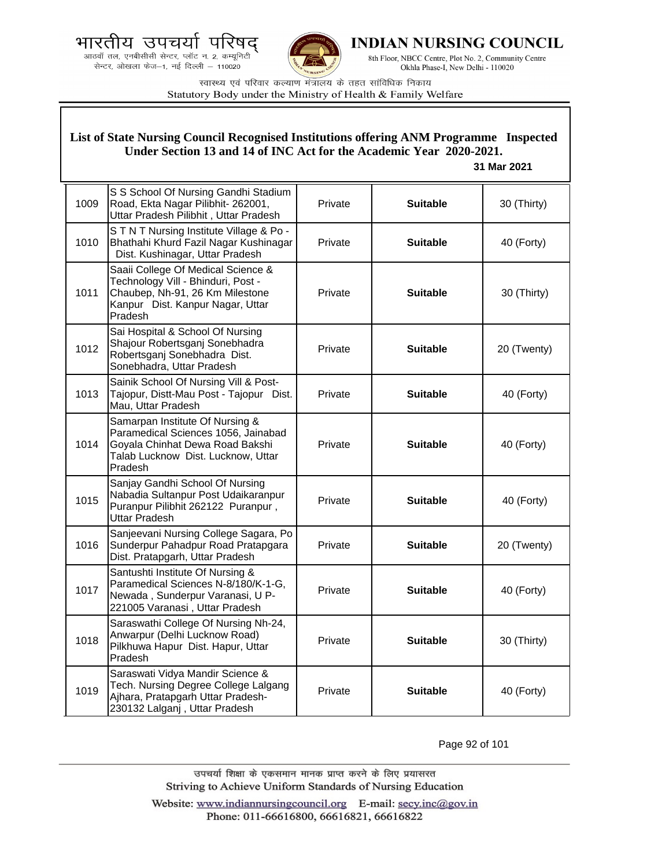



**INDIAN NURSING COUNCIL** 

8th Floor, NBCC Centre, Plot No. 2, Community Centre Okhla Phase-I, New Delhi - 110020

स्वास्थ्य एवं परिवार कल्याण मंत्रालय के तहत सांविधिक निकाय Statutory Body under the Ministry of Health & Family Welfare

### **List of State Nursing Council Recognised Institutions offering ANM Programme Inspected Under Section 13 and 14 of INC Act for the Academic Year 2020-2021.**

#### **31 Mar 2021**

| 1009 | S S School Of Nursing Gandhi Stadium<br>Road, Ekta Nagar Pilibhit- 262001,<br>Uttar Pradesh Pilibhit, Uttar Pradesh                                        | Private | <b>Suitable</b> | 30 (Thirty) |
|------|------------------------------------------------------------------------------------------------------------------------------------------------------------|---------|-----------------|-------------|
| 1010 | STNT Nursing Institute Village & Po -<br>Bhathahi Khurd Fazil Nagar Kushinagar<br>Dist. Kushinagar, Uttar Pradesh                                          | Private | <b>Suitable</b> | 40 (Forty)  |
| 1011 | Saaii College Of Medical Science &<br>Technology Vill - Bhinduri, Post -<br>Chaubep, Nh-91, 26 Km Milestone<br>Kanpur Dist. Kanpur Nagar, Uttar<br>Pradesh | Private | <b>Suitable</b> | 30 (Thirty) |
| 1012 | Sai Hospital & School Of Nursing<br>Shajour Robertsganj Sonebhadra<br>Robertsganj Sonebhadra Dist.<br>Sonebhadra, Uttar Pradesh                            | Private | <b>Suitable</b> | 20 (Twenty) |
| 1013 | Sainik School Of Nursing Vill & Post-<br>Tajopur, Distt-Mau Post - Tajopur Dist.<br>Mau, Uttar Pradesh                                                     | Private | <b>Suitable</b> | 40 (Forty)  |
| 1014 | Samarpan Institute Of Nursing &<br>Paramedical Sciences 1056, Jainabad<br>Goyala Chinhat Dewa Road Bakshi<br>Talab Lucknow Dist. Lucknow, Uttar<br>Pradesh | Private | <b>Suitable</b> | 40 (Forty)  |
| 1015 | Sanjay Gandhi School Of Nursing<br>Nabadia Sultanpur Post Udaikaranpur<br>Puranpur Pilibhit 262122 Puranpur,<br>Uttar Pradesh                              | Private | <b>Suitable</b> | 40 (Forty)  |
| 1016 | Sanjeevani Nursing College Sagara, Po<br>Sunderpur Pahadpur Road Pratapgara<br>Dist. Pratapgarh, Uttar Pradesh                                             | Private | <b>Suitable</b> | 20 (Twenty) |
| 1017 | Santushti Institute Of Nursing &<br>Paramedical Sciences N-8/180/K-1-G,<br>Newada, Sunderpur Varanasi, U P-<br>221005 Varanasi, Uttar Pradesh              | Private | <b>Suitable</b> | 40 (Forty)  |
| 1018 | Saraswathi College Of Nursing Nh-24,<br>Anwarpur (Delhi Lucknow Road)<br>Pilkhuwa Hapur Dist. Hapur, Uttar<br>Pradesh                                      | Private | <b>Suitable</b> | 30 (Thirty) |
| 1019 | Saraswati Vidya Mandir Science &<br>Tech. Nursing Degree College Lalgang<br>Ajhara, Pratapgarh Uttar Pradesh-<br>230132 Lalganj, Uttar Pradesh             | Private | <b>Suitable</b> | 40 (Forty)  |

Page 92 of 101

उपचर्या शिक्षा के एकसमान मानक प्राप्त करने के लिए प्रयासरत Striving to Achieve Uniform Standards of Nursing Education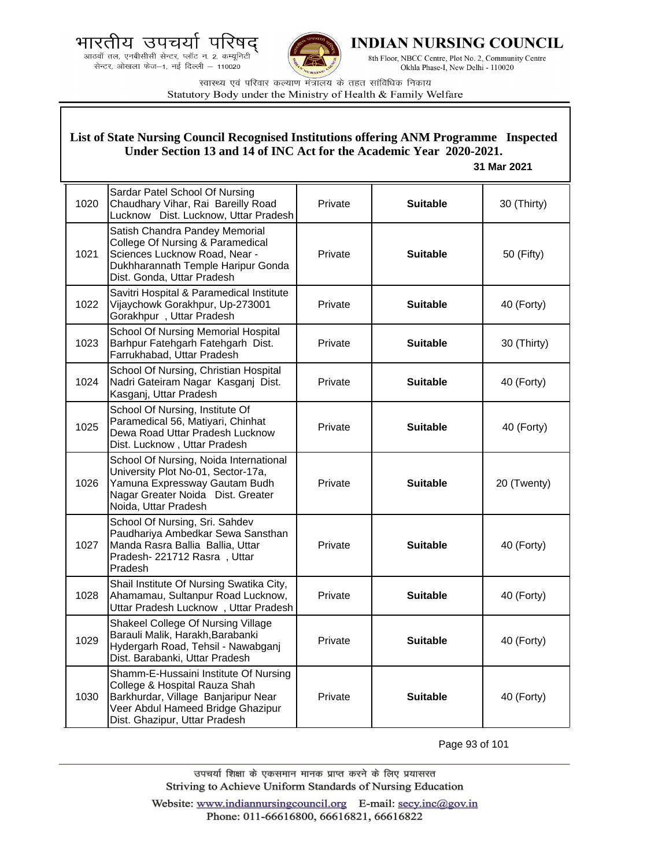भारतीय उपचर्या ਧ





INDIAN NURSING COUNCIL

8th Floor, NBCC Centre, Plot No. 2, Community Centre Okhla Phase-I, New Delhi - 110020

स्वास्थ्य एवं परिवार कल्याण मंत्रालय के तहत सांविधिक निकाय Statutory Body under the Ministry of Health & Family Welfare

#### 1020 Sardar Patel School Of Nursing Chaudhary Vihar, Rai Bareilly Road Lucknow Dist. Lucknow, Uttar Pradesh Private **Suitable 30 (Thirty)** 1021 Satish Chandra Pandey Memorial College Of Nursing & Paramedical Sciences Lucknow Road, Near - Dukhharannath Temple Haripur Gonda Dist. Gonda, Uttar Pradesh Private **Suitable 50** (Fifty) 1022 Savitri Hospital & Paramedical Institute Vijaychowk Gorakhpur, Up-273001 Gorakhpur, Uttar Pradesh Private **Suitable 40 (Forty)** 1023 School Of Nursing Memorial Hospital Barhpur Fatehgarh Fatehgarh Dist. Farrukhabad, Uttar Pradesh Private **Suitable 30 (Thirty)** 1024 School Of Nursing, Christian Hospital Nadri Gateiram Nagar Kasganj Dist. Kasganj, Uttar Pradesh Private **Suitable 40 (Forty)** 1025 School Of Nursing, Institute Of Paramedical 56, Matiyari, Chinhat Dewa Road Uttar Pradesh Lucknow Dist. Lucknow , Uttar Pradesh Private **Suitable 40 (Forty)** 1026 School Of Nursing, Noida International University Plot No-01, Sector-17a, Yamuna Expressway Gautam Budh Nagar Greater Noida Dist. Greater Noida, Uttar Pradesh Private **Calculary Suitable C** 20 (Twenty) 1027 School Of Nursing, Sri. Sahdev Paudhariya Ambedkar Sewa Sansthan Manda Rasra Ballia Ballia, Uttar Pradesh- 221712 Rasra , Uttar Pradesh Private **Suitable 40 (Forty)** 1028 Shail Institute Of Nursing Swatika City, Ahamamau, Sultanpur Road Lucknow, Uttar Pradesh Lucknow , Uttar Pradesh Private **Nuitable H** 40 (Forty) 1029 Shakeel College Of Nursing Village Barauli Malik, Harakh,Barabanki Hydergarh Road, Tehsil - Nawabganj Dist. Barabanki, Uttar Pradesh Private **Suitable 40 (Forty)** 1030 Shamm-E-Hussaini Institute Of Nursing College & Hospital Rauza Shah Barkhurdar, Village Banjaripur Near Veer Abdul Hameed Bridge Ghazipur Dist. Ghazipur, Uttar Pradesh Private **Suitable 40 (Forty) List of State Nursing Council Recognised Institutions offering ANM Programme Inspected Under Section 13 and 14 of INC Act for the Academic Year 2020-2021. 31 Mar 2021**

Page 93 of 101

उपचर्या शिक्षा के एकसमान मानक प्राप्त करने के लिए प्रयासरत Striving to Achieve Uniform Standards of Nursing Education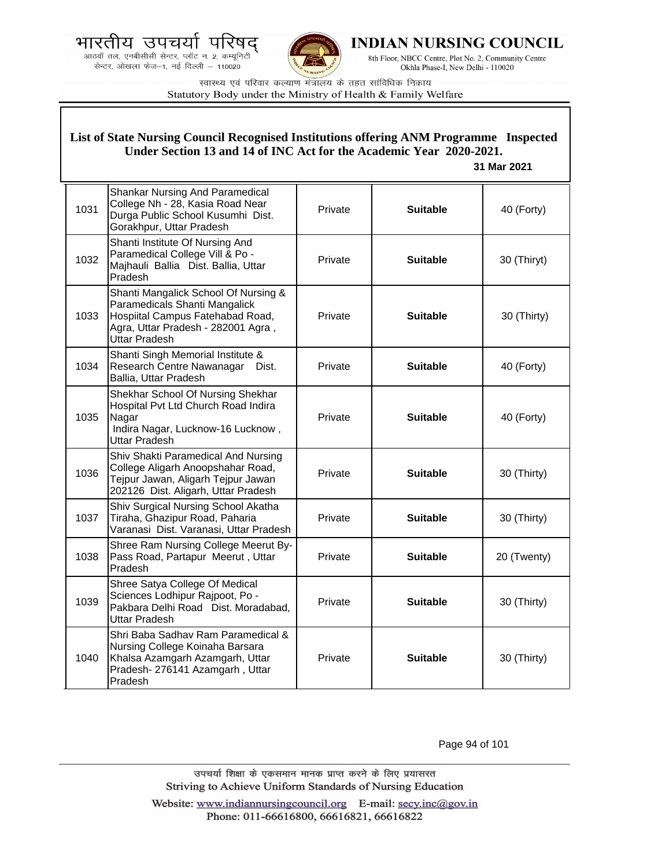भारतीय उपचयो प द्

.<br>आठवाँ तल, एनबीसीसी सेन्टर, प्लॉट न. 2, कम्यूनिटी<br>सेन्टर, ओखला फेज—1, नई दिल्ली — 110020



**INDIAN NURSING COUNCIL** 

8th Floor, NBCC Centre, Plot No. 2, Community Centre Okhla Phase-I, New Delhi - 110020

स्वास्थ्य एवं परिवार कल्याण मंत्रालय के तहत सांविधिक निकाय Statutory Body under the Ministry of Health & Family Welfare

| List of State Nursing Council Recognised Institutions offering ANM Programme Inspected<br>Under Section 13 and 14 of INC Act for the Academic Year 2020-2021.<br>31 Mar 2021 |                                                                                                                                                                         |         |                 |             |
|------------------------------------------------------------------------------------------------------------------------------------------------------------------------------|-------------------------------------------------------------------------------------------------------------------------------------------------------------------------|---------|-----------------|-------------|
| 1031                                                                                                                                                                         | <b>Shankar Nursing And Paramedical</b><br>College Nh - 28, Kasia Road Near<br>Durga Public School Kusumhi Dist.<br>Gorakhpur, Uttar Pradesh                             | Private | <b>Suitable</b> | 40 (Forty)  |
| 1032                                                                                                                                                                         | Shanti Institute Of Nursing And<br>Paramedical College Vill & Po -<br>Majhauli Ballia Dist. Ballia, Uttar<br>Pradesh                                                    | Private | <b>Suitable</b> | 30 (Thiryt) |
| 1033                                                                                                                                                                         | Shanti Mangalick School Of Nursing &<br>Paramedicals Shanti Mangalick<br>Hospiital Campus Fatehabad Road,<br>Agra, Uttar Pradesh - 282001 Agra,<br><b>Uttar Pradesh</b> | Private | <b>Suitable</b> | 30 (Thirty) |
| 1034                                                                                                                                                                         | Shanti Singh Memorial Institute &<br>Research Centre Nawanagar<br>Dist.<br>Ballia, Uttar Pradesh                                                                        | Private | <b>Suitable</b> | 40 (Forty)  |
| 1035                                                                                                                                                                         | Shekhar School Of Nursing Shekhar<br>Hospital Pvt Ltd Church Road Indira<br>Nagar<br>Indira Nagar, Lucknow-16 Lucknow,<br><b>Uttar Pradesh</b>                          | Private | <b>Suitable</b> | 40 (Forty)  |
| 1036                                                                                                                                                                         | Shiv Shakti Paramedical And Nursing<br>College Aligarh Anoopshahar Road,<br>Tejpur Jawan, Aligarh Tejpur Jawan<br>202126 Dist. Aligarh, Uttar Pradesh                   | Private | <b>Suitable</b> | 30 (Thirty) |
| 1037                                                                                                                                                                         | Shiv Surgical Nursing School Akatha<br>Tiraha, Ghazipur Road, Paharia<br>Varanasi Dist. Varanasi, Uttar Pradesh                                                         | Private | <b>Suitable</b> | 30 (Thirty) |
| 1038                                                                                                                                                                         | Shree Ram Nursing College Meerut By-<br>Pass Road, Partapur Meerut, Uttar<br>Pradesh                                                                                    | Private | <b>Suitable</b> | 20 (Twenty) |
| 1039                                                                                                                                                                         | Shree Satya College Of Medical<br>Sciences Lodhipur Rajpoot, Po -<br>Pakbara Delhi Road Dist. Moradabad,<br><b>Uttar Pradesh</b>                                        | Private | <b>Suitable</b> | 30 (Thirty) |
| 1040                                                                                                                                                                         | Shri Baba Sadhav Ram Paramedical &<br>Nursing College Koinaha Barsara<br>Khalsa Azamgarh Azamgarh, Uttar<br>Pradesh-276141 Azamgarh, Uttar<br>Pradesh                   | Private | <b>Suitable</b> | 30 (Thirty) |

Page 94 of 101

उपचर्या शिक्षा के एकसमान मानक प्राप्त करने के लिए प्रयासरत Striving to Achieve Uniform Standards of Nursing Education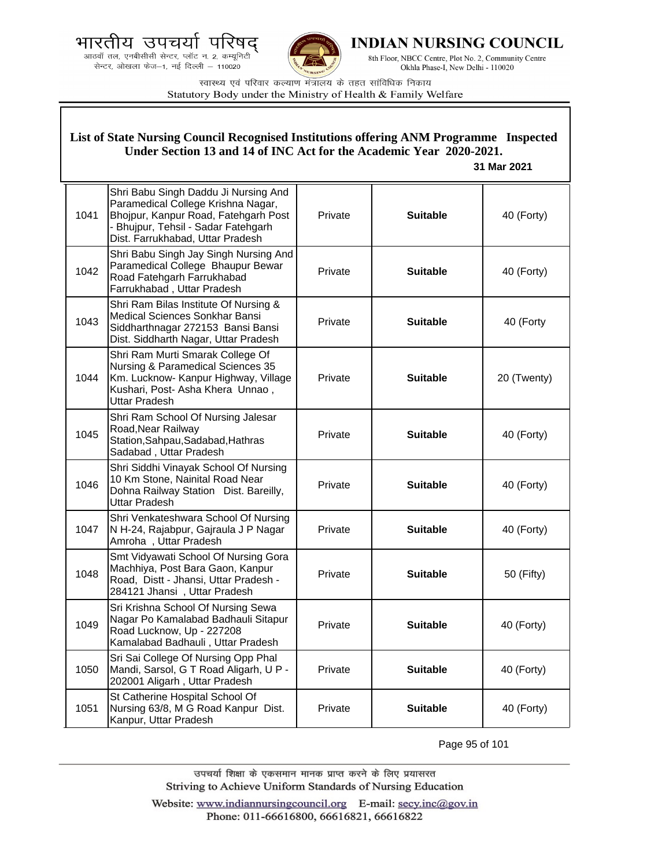भारतीय उपचयो प





**INDIAN NURSING COUNCIL** 

8th Floor, NBCC Centre, Plot No. 2, Community Centre Okhla Phase-I, New Delhi - 110020

स्वास्थ्य एवं परिवार कल्याण मंत्रालय के तहत सांविधिक निकाय Statutory Body under the Ministry of Health & Family Welfare

|      | List of State Nursing Council Recognised Institutions offering ANM Programme Inspected<br>Under Section 13 and 14 of INC Act for the Academic Year 2020-2021.<br>31 Mar 2021                  |         |                 |             |  |
|------|-----------------------------------------------------------------------------------------------------------------------------------------------------------------------------------------------|---------|-----------------|-------------|--|
| 1041 | Shri Babu Singh Daddu Ji Nursing And<br>Paramedical College Krishna Nagar,<br>Bhojpur, Kanpur Road, Fatehgarh Post<br>- Bhujpur, Tehsil - Sadar Fatehgarh<br>Dist. Farrukhabad, Uttar Pradesh | Private | <b>Suitable</b> | 40 (Forty)  |  |
| 1042 | Shri Babu Singh Jay Singh Nursing And<br>Paramedical College Bhaupur Bewar<br>Road Fatehgarh Farrukhabad<br>Farrukhabad, Uttar Pradesh                                                        | Private | <b>Suitable</b> | 40 (Forty)  |  |
| 1043 | Shri Ram Bilas Institute Of Nursing &<br>Medical Sciences Sonkhar Bansi<br>Siddharthnagar 272153 Bansi Bansi<br>Dist. Siddharth Nagar, Uttar Pradesh                                          | Private | <b>Suitable</b> | 40 (Forty   |  |
| 1044 | Shri Ram Murti Smarak College Of<br>Nursing & Paramedical Sciences 35<br>Km. Lucknow- Kanpur Highway, Village<br>Kushari, Post- Asha Khera Unnao,<br><b>Uttar Pradesh</b>                     | Private | <b>Suitable</b> | 20 (Twenty) |  |
| 1045 | Shri Ram School Of Nursing Jalesar<br>Road, Near Railway<br>Station, Sahpau, Sadabad, Hathras<br>Sadabad, Uttar Pradesh                                                                       | Private | <b>Suitable</b> | 40 (Forty)  |  |
| 1046 | Shri Siddhi Vinayak School Of Nursing<br>10 Km Stone, Nainital Road Near<br>Dohna Railway Station Dist. Bareilly,<br><b>Uttar Pradesh</b>                                                     | Private | <b>Suitable</b> | 40 (Forty)  |  |
| 1047 | Shri Venkateshwara School Of Nursing<br>N H-24, Rajabpur, Gajraula J P Nagar<br>Amroha, Uttar Pradesh                                                                                         | Private | <b>Suitable</b> | 40 (Forty)  |  |
| 1048 | Smt Vidyawati School Of Nursing Gora<br>Machhiya, Post Bara Gaon, Kanpur<br>Road, Distt - Jhansi, Uttar Pradesh -<br>284121 Jhansi, Uttar Pradesh                                             | Private | <b>Suitable</b> | 50 (Fifty)  |  |
| 1049 | Sri Krishna School Of Nursing Sewa<br>Nagar Po Kamalabad Badhauli Sitapur<br>Road Lucknow, Up - 227208<br>Kamalabad Badhauli, Uttar Pradesh                                                   | Private | <b>Suitable</b> | 40 (Forty)  |  |
| 1050 | Sri Sai College Of Nursing Opp Phal<br>Mandi, Sarsol, G T Road Aligarh, U P -<br>202001 Aligarh, Uttar Pradesh                                                                                | Private | <b>Suitable</b> | 40 (Forty)  |  |
| 1051 | St Catherine Hospital School Of<br>Nursing 63/8, M G Road Kanpur Dist.<br>Kanpur, Uttar Pradesh                                                                                               | Private | <b>Suitable</b> | 40 (Forty)  |  |

Page 95 of 101

उपचर्या शिक्षा के एकसमान मानक प्राप्त करने के लिए प्रयासरत Striving to Achieve Uniform Standards of Nursing Education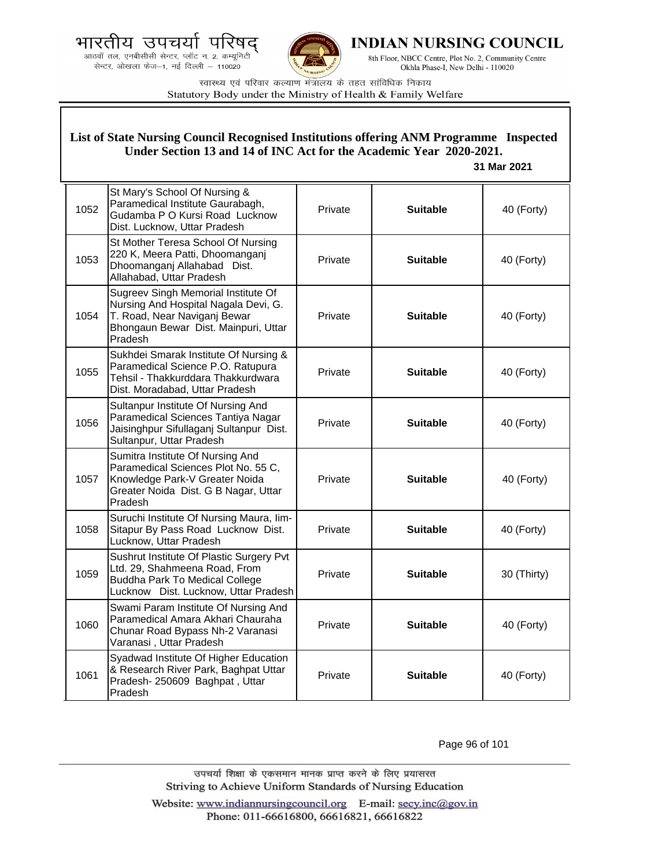भारतीय उपचयो पारष द्

.<br>आठवाँ तल, एनबीसीसी सेन्टर, प्लॉट न. 2, कम्यूनिटी<br>सेन्टर, ओखला फेज—1, नई दिल्ली — 110020



**INDIAN NURSING COUNCIL** 

8th Floor, NBCC Centre, Plot No. 2, Community Centre Okhla Phase-I, New Delhi - 110020

स्वास्थ्य एवं परिवार कल्याण मंत्रालय के तहत सांविधिक निकाय Statutory Body under the Ministry of Health & Family Welfare

|      | List of State Nursing Council Recognised Institutions offering ANM Programme Inspected<br>Under Section 13 and 14 of INC Act for the Academic Year 2020-2021.<br>31 Mar 2021 |         |                 |             |  |
|------|------------------------------------------------------------------------------------------------------------------------------------------------------------------------------|---------|-----------------|-------------|--|
| 1052 | St Mary's School Of Nursing &<br>Paramedical Institute Gaurabagh,<br>Gudamba P O Kursi Road Lucknow<br>Dist. Lucknow, Uttar Pradesh                                          | Private | <b>Suitable</b> | 40 (Forty)  |  |
| 1053 | St Mother Teresa School Of Nursing<br>220 K, Meera Patti, Dhoomanganj<br>Dhoomanganj Allahabad Dist.<br>Allahabad, Uttar Pradesh                                             | Private | <b>Suitable</b> | 40 (Forty)  |  |
| 1054 | Sugreev Singh Memorial Institute Of<br>Nursing And Hospital Nagala Devi, G.<br>T. Road, Near Naviganj Bewar<br>Bhongaun Bewar Dist. Mainpuri, Uttar<br>Pradesh               | Private | <b>Suitable</b> | 40 (Forty)  |  |
| 1055 | Sukhdei Smarak Institute Of Nursing &<br>Paramedical Science P.O. Ratupura<br>Tehsil - Thakkurddara Thakkurdwara<br>Dist. Moradabad, Uttar Pradesh                           | Private | <b>Suitable</b> | 40 (Forty)  |  |
| 1056 | Sultanpur Institute Of Nursing And<br>Paramedical Sciences Tantiya Nagar<br>Jaisinghpur Sifullaganj Sultanpur Dist.<br>Sultanpur, Uttar Pradesh                              | Private | <b>Suitable</b> | 40 (Forty)  |  |
| 1057 | Sumitra Institute Of Nursing And<br>Paramedical Sciences Plot No. 55 C,<br>Knowledge Park-V Greater Noida<br>Greater Noida Dist. G B Nagar, Uttar<br>Pradesh                 | Private | <b>Suitable</b> | 40 (Forty)  |  |
| 1058 | Suruchi Institute Of Nursing Maura, lim-<br>Sitapur By Pass Road Lucknow Dist.<br>Lucknow, Uttar Pradesh                                                                     | Private | <b>Suitable</b> | 40 (Forty)  |  |
| 1059 | Sushrut Institute Of Plastic Surgery Pvt<br>Ltd. 29, Shahmeena Road, From<br><b>Buddha Park To Medical College</b><br>Lucknow Dist. Lucknow, Uttar Pradesh                   | Private | <b>Suitable</b> | 30 (Thirty) |  |
| 1060 | Swami Param Institute Of Nursing And<br>Paramedical Amara Akhari Chauraha<br>Chunar Road Bypass Nh-2 Varanasi<br>Varanasi, Uttar Pradesh                                     | Private | <b>Suitable</b> | 40 (Forty)  |  |
| 1061 | Syadwad Institute Of Higher Education<br>& Research River Park, Baghpat Uttar<br>Pradesh-250609 Baghpat, Uttar<br>Pradesh                                                    | Private | <b>Suitable</b> | 40 (Forty)  |  |

Page 96 of 101

उपचर्या शिक्षा के एकसमान मानक प्राप्त करने के लिए प्रयासरत Striving to Achieve Uniform Standards of Nursing Education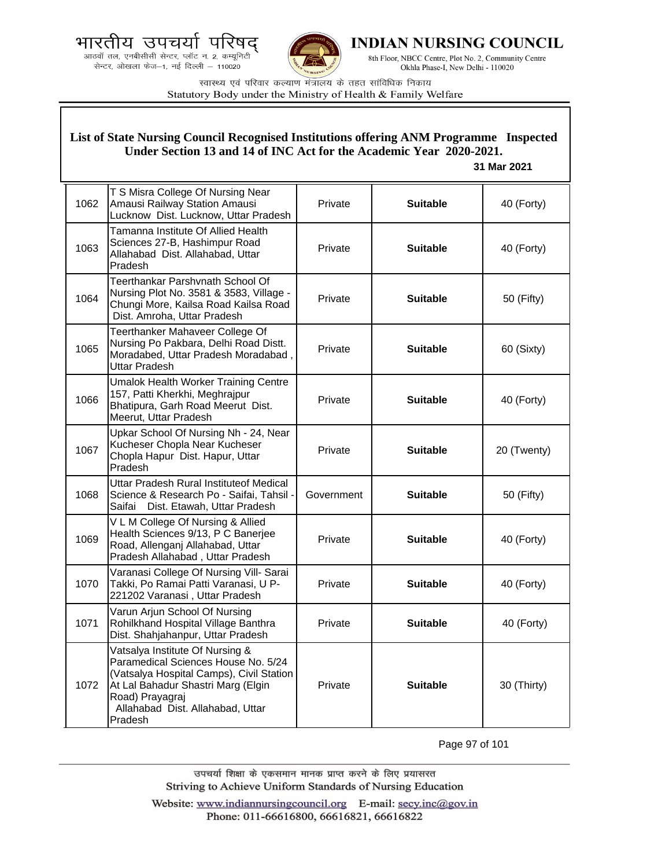



**INDIAN NURSING COUNCIL** 

8th Floor, NBCC Centre, Plot No. 2, Community Centre Okhla Phase-I, New Delhi - 110020

स्वास्थ्य एवं परिवार कल्याण मंत्रालय के तहत सांविधिक निकाय Statutory Body under the Ministry of Health & Family Welfare

### **List of State Nursing Council Recognised Institutions offering ANM Programme Inspected Under Section 13 and 14 of INC Act for the Academic Year 2020-2021.**

#### **31 Mar 2021**

| 1062 | T S Misra College Of Nursing Near<br>Amausi Railway Station Amausi<br>Lucknow Dist. Lucknow, Uttar Pradesh                                                                                                                 | Private    | <b>Suitable</b> | 40 (Forty)  |
|------|----------------------------------------------------------------------------------------------------------------------------------------------------------------------------------------------------------------------------|------------|-----------------|-------------|
| 1063 | Tamanna Institute Of Allied Health<br>Sciences 27-B, Hashimpur Road<br>Allahabad Dist. Allahabad, Uttar<br>Pradesh                                                                                                         | Private    | <b>Suitable</b> | 40 (Forty)  |
| 1064 | Teerthankar Parshvnath School Of<br>Nursing Plot No. 3581 & 3583, Village -<br>Chungi More, Kailsa Road Kailsa Road<br>Dist. Amroha, Uttar Pradesh                                                                         | Private    | <b>Suitable</b> | 50 (Fifty)  |
| 1065 | Teerthanker Mahaveer College Of<br>Nursing Po Pakbara, Delhi Road Distt.<br>Moradabed, Uttar Pradesh Moradabad,<br><b>Uttar Pradesh</b>                                                                                    | Private    | <b>Suitable</b> | 60 (Sixty)  |
| 1066 | <b>Umalok Health Worker Training Centre</b><br>157, Patti Kherkhi, Meghrajpur<br>Bhatipura, Garh Road Meerut Dist.<br>Meerut, Uttar Pradesh                                                                                | Private    | <b>Suitable</b> | 40 (Forty)  |
| 1067 | Upkar School Of Nursing Nh - 24, Near<br>Kucheser Chopla Near Kucheser<br>Chopla Hapur Dist. Hapur, Uttar<br>Pradesh                                                                                                       | Private    | <b>Suitable</b> | 20 (Twenty) |
| 1068 | Uttar Pradesh Rural Instituteof Medical<br>Science & Research Po - Saifai, Tahsil -<br>Dist. Etawah, Uttar Pradesh<br>Saifai                                                                                               | Government | <b>Suitable</b> | 50 (Fifty)  |
| 1069 | V L M College Of Nursing & Allied<br>Health Sciences 9/13, P C Banerjee<br>Road, Allenganj Allahabad, Uttar<br>Pradesh Allahabad, Uttar Pradesh                                                                            | Private    | <b>Suitable</b> | 40 (Forty)  |
| 1070 | Varanasi College Of Nursing Vill- Sarai<br>Takki, Po Ramai Patti Varanasi, U P-<br>221202 Varanasi, Uttar Pradesh                                                                                                          | Private    | <b>Suitable</b> | 40 (Forty)  |
| 1071 | Varun Arjun School Of Nursing<br>Rohilkhand Hospital Village Banthra<br>Dist. Shahjahanpur, Uttar Pradesh                                                                                                                  | Private    | <b>Suitable</b> | 40 (Forty)  |
| 1072 | Vatsalya Institute Of Nursing &<br>Paramedical Sciences House No. 5/24<br>(Vatsalya Hospital Camps), Civil Station<br>At Lal Bahadur Shastri Marg (Elgin<br>Road) Prayagraj<br>Allahabad Dist. Allahabad, Uttar<br>Pradesh | Private    | <b>Suitable</b> | 30 (Thirty) |

Page 97 of 101

उपचर्या शिक्षा के एकसमान मानक प्राप्त करने के लिए प्रयासरत Striving to Achieve Uniform Standards of Nursing Education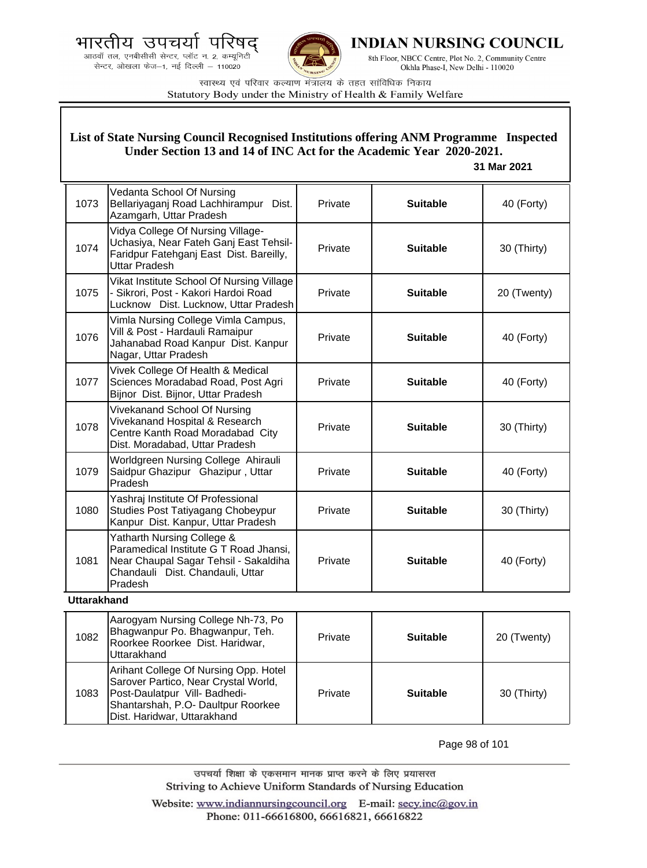.<br>आठवाँ तल, एनबीसीसी सेन्टर, प्लॉट न. 2, कम्यूनिटी सेन्टर, ओखला फेज-1, नई दिल्ली - 110020



**INDIAN NURSING COUNCIL** 

8th Floor, NBCC Centre, Plot No. 2, Community Centre Okhla Phase-I, New Delhi - 110020

स्वास्थ्य एवं परिवार कल्याण मंत्रालय के तहत सांविधिक निकाय Statutory Body under the Ministry of Health & Family Welfare

### **List of State Nursing Council Recognised Institutions offering ANM Programme Inspected Under Section 13 and 14 of INC Act for the Academic Year 2020-2021.**

#### **31 Mar 2021**

| 1073 | Vedanta School Of Nursing<br>Bellariyaganj Road Lachhirampur Dist.<br>Azamgarh, Uttar Pradesh                                                                | Private | <b>Suitable</b> | 40 (Forty)  |
|------|--------------------------------------------------------------------------------------------------------------------------------------------------------------|---------|-----------------|-------------|
| 1074 | Vidya College Of Nursing Village-<br>Uchasiya, Near Fateh Ganj East Tehsil-<br>Faridpur Fatehganj East Dist. Bareilly,<br><b>Uttar Pradesh</b>               | Private | <b>Suitable</b> | 30 (Thirty) |
| 1075 | Vikat Institute School Of Nursing Village<br>- Sikrori, Post - Kakori Hardoi Road<br>Lucknow Dist. Lucknow, Uttar Pradesh                                    | Private | <b>Suitable</b> | 20 (Twenty) |
| 1076 | Vimla Nursing College Vimla Campus,<br>Vill & Post - Hardauli Ramaipur<br>Jahanabad Road Kanpur Dist. Kanpur<br>Nagar, Uttar Pradesh                         | Private | <b>Suitable</b> | 40 (Forty)  |
| 1077 | Vivek College Of Health & Medical<br>Sciences Moradabad Road, Post Agri<br>Bijnor Dist. Bijnor, Uttar Pradesh                                                | Private | <b>Suitable</b> | 40 (Forty)  |
| 1078 | Vivekanand School Of Nursing<br>Vivekanand Hospital & Research<br>Centre Kanth Road Moradabad City<br>Dist. Moradabad, Uttar Pradesh                         | Private | <b>Suitable</b> | 30 (Thirty) |
| 1079 | Worldgreen Nursing College Ahirauli<br>Saidpur Ghazipur Ghazipur, Uttar<br>Pradesh                                                                           | Private | <b>Suitable</b> | 40 (Forty)  |
| 1080 | Yashraj Institute Of Professional<br>Studies Post Tatiyagang Chobeypur<br>Kanpur Dist. Kanpur, Uttar Pradesh                                                 | Private | <b>Suitable</b> | 30 (Thirty) |
| 1081 | Yatharth Nursing College &<br>Paramedical Institute G T Road Jhansi,<br>Near Chaupal Sagar Tehsil - Sakaldiha<br>Chandauli Dist. Chandauli, Uttar<br>Pradesh | Private | <b>Suitable</b> | 40 (Forty)  |

#### **Uttarakhand**

| 1082 | Aarogyam Nursing College Nh-73, Po<br>Bhagwanpur Po. Bhagwanpur, Teh.<br>Roorkee Roorkee Dist. Haridwar,<br>Uttarakhand                                                             | Private | <b>Suitable</b> | 20 (Twenty) |
|------|-------------------------------------------------------------------------------------------------------------------------------------------------------------------------------------|---------|-----------------|-------------|
| 1083 | Arihant College Of Nursing Opp. Hotel<br>Sarover Partico, Near Crystal World,<br>Post-Daulatpur Vill- Badhedi-<br>Shantarshah, P.O- Daultpur Roorkee<br>Dist. Haridwar, Uttarakhand | Private | <b>Suitable</b> | 30 (Thirty) |

Page 98 of 101

उपचर्या शिक्षा के एकसमान मानक प्राप्त करने के लिए प्रयासरत Striving to Achieve Uniform Standards of Nursing Education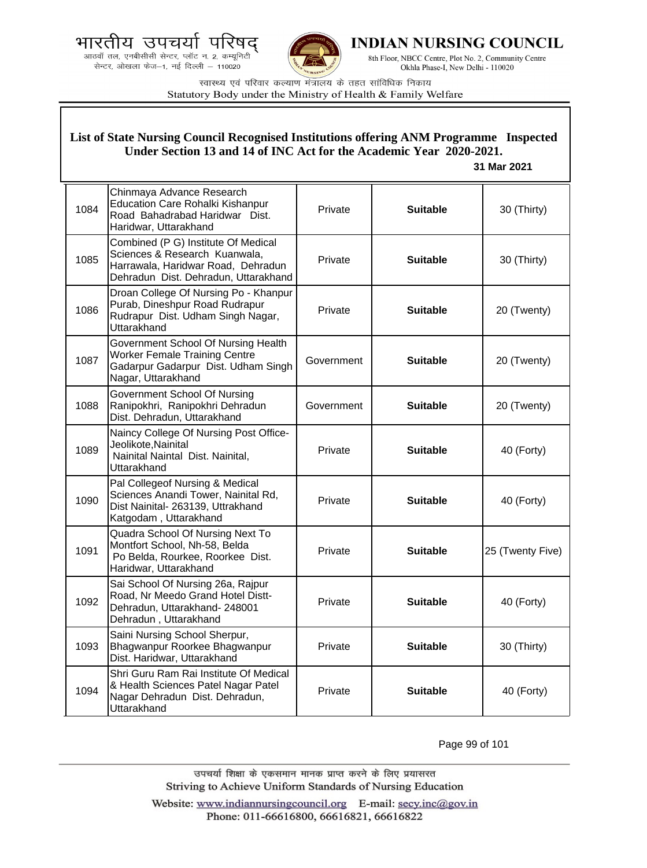.<br>आठवाँ तल, एनबीसीसी सेन्टर, प्लॉट न. 2, कम्यूनिटी सेन्टर, ओखला फेज-1, नई दिल्ली - 110020



**INDIAN NURSING COUNCIL** 

8th Floor, NBCC Centre, Plot No. 2, Community Centre Okhla Phase-I, New Delhi - 110020

स्वास्थ्य एवं परिवार कल्याण मंत्रालय के तहत सांविधिक निकाय Statutory Body under the Ministry of Health & Family Welfare

## **List of State Nursing Council Recognised Institutions offering ANM Programme Inspected Under Section 13 and 14 of INC Act for the Academic Year 2020-2021.**

 **31 Mar 2021**

| 1084 | Chinmaya Advance Research<br><b>Education Care Rohalki Kishanpur</b><br>Road Bahadrabad Haridwar Dist.<br>Haridwar, Uttarakhand                    | Private    | <b>Suitable</b> | 30 (Thirty)      |
|------|----------------------------------------------------------------------------------------------------------------------------------------------------|------------|-----------------|------------------|
| 1085 | Combined (P G) Institute Of Medical<br>Sciences & Research Kuanwala,<br>Harrawala, Haridwar Road, Dehradun<br>Dehradun Dist. Dehradun, Uttarakhand | Private    | <b>Suitable</b> | 30 (Thirty)      |
| 1086 | Droan College Of Nursing Po - Khanpur<br>Purab, Dineshpur Road Rudrapur<br>Rudrapur Dist. Udham Singh Nagar,<br>Uttarakhand                        | Private    | <b>Suitable</b> | 20 (Twenty)      |
| 1087 | Government School Of Nursing Health<br><b>Worker Female Training Centre</b><br>Gadarpur Gadarpur Dist. Udham Singh<br>Nagar, Uttarakhand           | Government | <b>Suitable</b> | 20 (Twenty)      |
| 1088 | Government School Of Nursing<br>Ranipokhri, Ranipokhri Dehradun<br>Dist. Dehradun, Uttarakhand                                                     | Government | <b>Suitable</b> | 20 (Twenty)      |
| 1089 | Naincy College Of Nursing Post Office-<br>Jeolikote, Nainital<br>Nainital Naintal Dist. Nainital,<br><b>Uttarakhand</b>                            | Private    | <b>Suitable</b> | 40 (Forty)       |
| 1090 | Pal Collegeof Nursing & Medical<br>Sciences Anandi Tower, Nainital Rd,<br>Dist Nainital- 263139, Uttrakhand<br>Katgodam, Uttarakhand               | Private    | <b>Suitable</b> | 40 (Forty)       |
| 1091 | Quadra School Of Nursing Next To<br>Montfort School, Nh-58, Belda<br>Po Belda, Rourkee, Roorkee Dist.<br>Haridwar, Uttarakhand                     | Private    | <b>Suitable</b> | 25 (Twenty Five) |
| 1092 | Sai School Of Nursing 26a, Rajpur<br>Road, Nr Meedo Grand Hotel Distt-<br>Dehradun, Uttarakhand- 248001<br>Dehradun, Uttarakhand                   | Private    | <b>Suitable</b> | 40 (Forty)       |
| 1093 | Saini Nursing School Sherpur,<br>Bhagwanpur Roorkee Bhagwanpur<br>Dist. Haridwar, Uttarakhand                                                      | Private    | <b>Suitable</b> | 30 (Thirty)      |
| 1094 | Shri Guru Ram Rai Institute Of Medical<br>& Health Sciences Patel Nagar Patel<br>Nagar Dehradun Dist. Dehradun,<br>Uttarakhand                     | Private    | <b>Suitable</b> | 40 (Forty)       |

Page 99 of 101

उपचर्या शिक्षा के एकसमान मानक प्राप्त करने के लिए प्रयासरत Striving to Achieve Uniform Standards of Nursing Education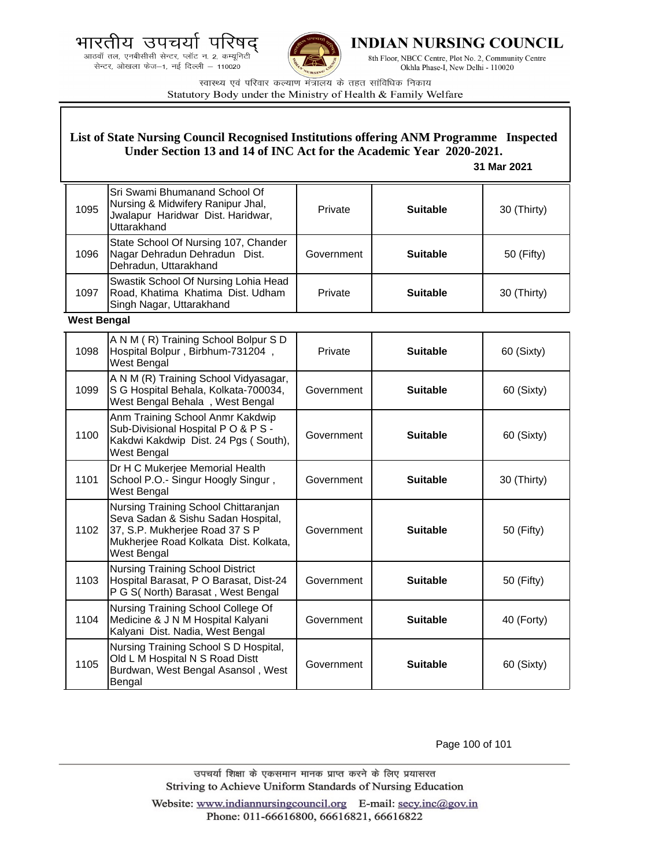



**INDIAN NURSING COUNCIL** 

8th Floor, NBCC Centre, Plot No. 2, Community Centre Okhla Phase-I, New Delhi - 110020

स्वास्थ्य एवं परिवार कल्याण मंत्रालय के तहत सांविधिक निकाय Statutory Body under the Ministry of Health & Family Welfare

### **List of State Nursing Council Recognised Institutions offering ANM Programme Inspected Under Section 13 and 14 of INC Act for the Academic Year 2020-2021.**

 **31 Mar 2021**

| 1095 | Sri Swami Bhumanand School Of<br>Nursing & Midwifery Ranipur Jhal,<br>Jwalapur Haridwar Dist. Haridwar,<br>Uttarakhand | Private    | <b>Suitable</b> | 30 (Thirty) |
|------|------------------------------------------------------------------------------------------------------------------------|------------|-----------------|-------------|
| 1096 | State School Of Nursing 107, Chander<br>Nagar Dehradun Dehradun Dist.<br>Dehradun, Uttarakhand                         | Government | <b>Suitable</b> | 50 (Fifty)  |
| 1097 | Swastik School Of Nursing Lohia Head<br>Road, Khatima Khatima Dist. Udham<br>Singh Nagar, Uttarakhand                  | Private    | <b>Suitable</b> | 30 (Thirty) |

**West Bengal**

| 1098 | A N M (R) Training School Bolpur S D<br>Hospital Bolpur, Birbhum-731204,<br>West Bengal                                                                              | Private    | <b>Suitable</b> | 60 (Sixty)  |
|------|----------------------------------------------------------------------------------------------------------------------------------------------------------------------|------------|-----------------|-------------|
| 1099 | A N M (R) Training School Vidyasagar,<br>S G Hospital Behala, Kolkata-700034,<br>West Bengal Behala, West Bengal                                                     | Government | <b>Suitable</b> | 60 (Sixty)  |
| 1100 | Anm Training School Anmr Kakdwip<br>Sub-Divisional Hospital PO & PS -<br>Kakdwi Kakdwip Dist. 24 Pgs (South),<br>West Bengal                                         | Government | <b>Suitable</b> | 60 (Sixty)  |
| 1101 | Dr H C Mukerjee Memorial Health<br>School P.O.- Singur Hoogly Singur,<br>West Bengal                                                                                 | Government | <b>Suitable</b> | 30 (Thirty) |
| 1102 | Nursing Training School Chittaranjan<br>Seva Sadan & Sishu Sadan Hospital,<br>37, S.P. Mukherjee Road 37 S P<br>Mukherjee Road Kolkata Dist. Kolkata,<br>West Bengal | Government | <b>Suitable</b> | 50 (Fifty)  |
| 1103 | <b>Nursing Training School District</b><br>Hospital Barasat, P O Barasat, Dist-24<br>P G S(North) Barasat, West Bengal                                               | Government | <b>Suitable</b> | 50 (Fifty)  |
| 1104 | Nursing Training School College Of<br>Medicine & J N M Hospital Kalyani<br>Kalyani Dist. Nadia, West Bengal                                                          | Government | <b>Suitable</b> | 40 (Forty)  |
| 1105 | Nursing Training School S D Hospital,<br>Old L M Hospital N S Road Distt<br>Burdwan, West Bengal Asansol, West<br>Bengal                                             | Government | <b>Suitable</b> | 60 (Sixty)  |

Page 100 of 101

उपचर्या शिक्षा के एकसमान मानक प्राप्त करने के लिए प्रयासरत Striving to Achieve Uniform Standards of Nursing Education